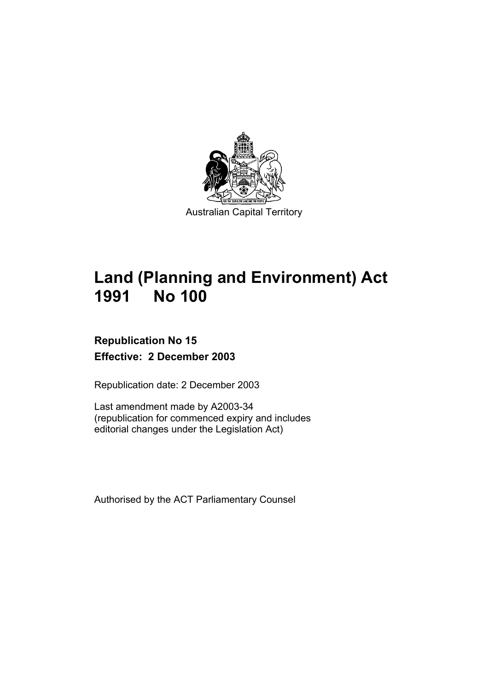

# **Land (Planning and Environment) Act 1991 No 100**

# **Republication No 15 Effective: 2 December 2003**

Republication date: 2 December 2003

Last amendment made by A2003-34 (republication for commenced expiry and includes editorial changes under the Legislation Act)

Authorised by the ACT Parliamentary Counsel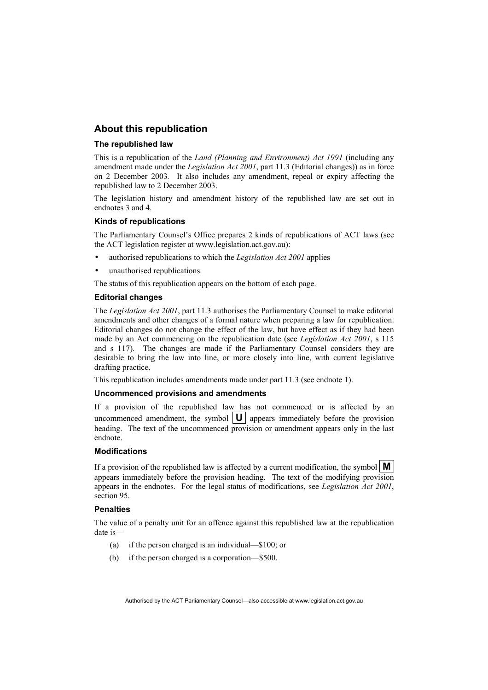### **About this republication**

#### **The republished law**

This is a republication of the *Land (Planning and Environment) Act 1991* (including any amendment made under the *Legislation Act 2001*, part 11.3 (Editorial changes)) as in force on 2 December 2003*.* It also includes any amendment, repeal or expiry affecting the republished law to 2 December 2003.

The legislation history and amendment history of the republished law are set out in endnotes 3 and 4.

#### **Kinds of republications**

The Parliamentary Counsel's Office prepares 2 kinds of republications of ACT laws (see the ACT legislation register at www.legislation.act.gov.au):

- authorised republications to which the *Legislation Act 2001* applies
- unauthorised republications.

The status of this republication appears on the bottom of each page.

#### **Editorial changes**

The *Legislation Act 2001*, part 11.3 authorises the Parliamentary Counsel to make editorial amendments and other changes of a formal nature when preparing a law for republication. Editorial changes do not change the effect of the law, but have effect as if they had been made by an Act commencing on the republication date (see *Legislation Act 2001*, s 115 and s 117). The changes are made if the Parliamentary Counsel considers they are desirable to bring the law into line, or more closely into line, with current legislative drafting practice.

This republication includes amendments made under part 11.3 (see endnote 1).

#### **Uncommenced provisions and amendments**

If a provision of the republished law has not commenced or is affected by an uncommenced amendment, the symbol  $\|\mathbf{U}\|$  appears immediately before the provision heading. The text of the uncommenced provision or amendment appears only in the last endnote.

#### **Modifications**

If a provision of the republished law is affected by a current modification, the symbol  $\mathbf{M}$ appears immediately before the provision heading. The text of the modifying provision appears in the endnotes. For the legal status of modifications, see *Legislation Act 2001*, section 95.

#### **Penalties**

The value of a penalty unit for an offence against this republished law at the republication date is—

- (a) if the person charged is an individual—\$100; or
- (b) if the person charged is a corporation—\$500.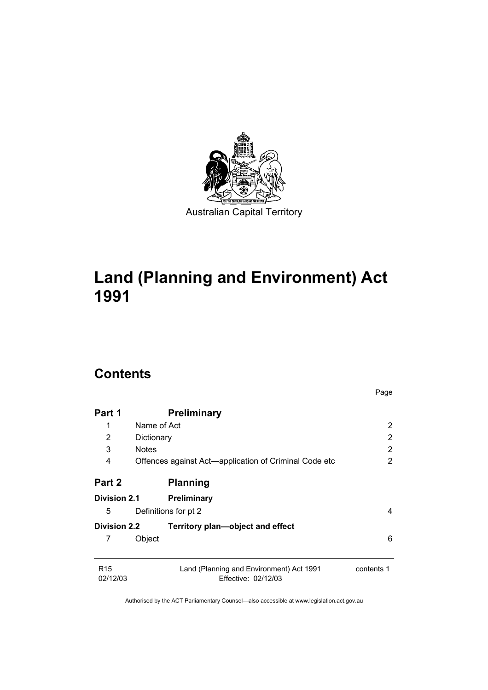

# **Land (Planning and Environment) Act 1991**

# **Contents**

|                             |                                                                 | Page           |
|-----------------------------|-----------------------------------------------------------------|----------------|
| Part 1                      | <b>Preliminary</b>                                              |                |
| 1                           | Name of Act                                                     | 2              |
| 2                           | Dictionary                                                      | 2              |
| 3                           | <b>Notes</b>                                                    | $\overline{2}$ |
| 4                           | Offences against Act—application of Criminal Code etc           | 2              |
| Part 2                      | <b>Planning</b>                                                 |                |
| <b>Division 2.1</b>         | <b>Preliminary</b>                                              |                |
| 5                           | Definitions for pt 2                                            | 4              |
| <b>Division 2.2</b>         | Territory plan—object and effect                                |                |
| 7                           | Object                                                          | 6              |
| R <sub>15</sub><br>02/12/03 | Land (Planning and Environment) Act 1991<br>Effective: 02/12/03 | contents 1     |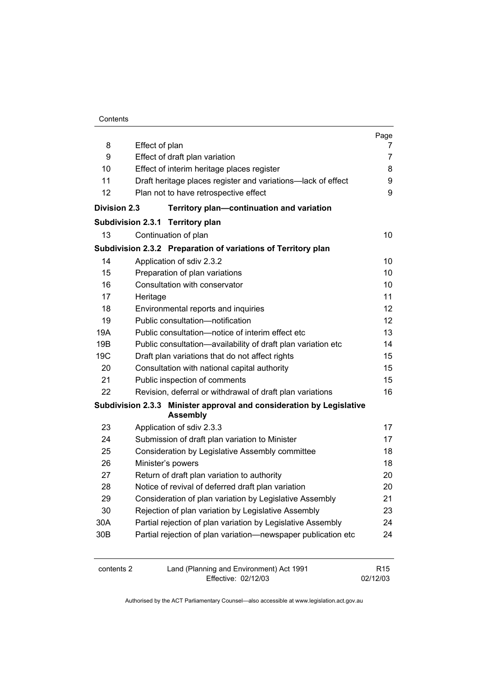| Contents |
|----------|
|----------|

|                     |                                                                                         | Page            |
|---------------------|-----------------------------------------------------------------------------------------|-----------------|
| 8                   | Effect of plan                                                                          | $\prime$        |
| 9                   | Effect of draft plan variation                                                          | 7               |
| 10                  | Effect of interim heritage places register                                              | 8               |
| 11                  | Draft heritage places register and variations-lack of effect                            | 9               |
| 12                  | Plan not to have retrospective effect                                                   | 9               |
| <b>Division 2.3</b> | Territory plan-continuation and variation                                               |                 |
|                     | Subdivision 2.3.1 Territory plan                                                        |                 |
| 13                  | Continuation of plan                                                                    | 10              |
|                     | Subdivision 2.3.2 Preparation of variations of Territory plan                           |                 |
| 14                  | Application of sdiv 2.3.2                                                               | 10              |
| 15                  | Preparation of plan variations                                                          | 10              |
| 16                  | Consultation with conservator                                                           | 10              |
| 17                  | Heritage                                                                                | 11              |
| 18                  | Environmental reports and inquiries                                                     | 12              |
| 19                  | Public consultation-notification                                                        | 12              |
| 19A                 | Public consultation-notice of interim effect etc                                        | 13              |
| 19B                 | Public consultation-availability of draft plan variation etc                            | 14              |
| 19C                 | Draft plan variations that do not affect rights                                         | 15              |
| 20                  | Consultation with national capital authority                                            | 15              |
| 21                  | Public inspection of comments                                                           | 15              |
| 22                  | Revision, deferral or withdrawal of draft plan variations                               | 16              |
|                     | Subdivision 2.3.3 Minister approval and consideration by Legislative<br><b>Assembly</b> |                 |
| 23                  | Application of sdiv 2.3.3                                                               | 17              |
| 24                  | Submission of draft plan variation to Minister                                          | 17              |
| 25                  | Consideration by Legislative Assembly committee                                         | 18              |
| 26                  | Minister's powers                                                                       | 18              |
| 27                  | Return of draft plan variation to authority                                             | 20              |
| 28                  | Notice of revival of deferred draft plan variation                                      | 20              |
| 29                  | Consideration of plan variation by Legislative Assembly                                 | 21              |
| 30                  | Rejection of plan variation by Legislative Assembly                                     | 23              |
| 30A                 | Partial rejection of plan variation by Legislative Assembly                             | 24              |
| 30 <sub>B</sub>     | Partial rejection of plan variation-newspaper publication etc                           | 24              |
| contents 2          | Land (Planning and Environment) Act 1991                                                | R <sub>15</sub> |

Effective: 02/12/03

02/12/03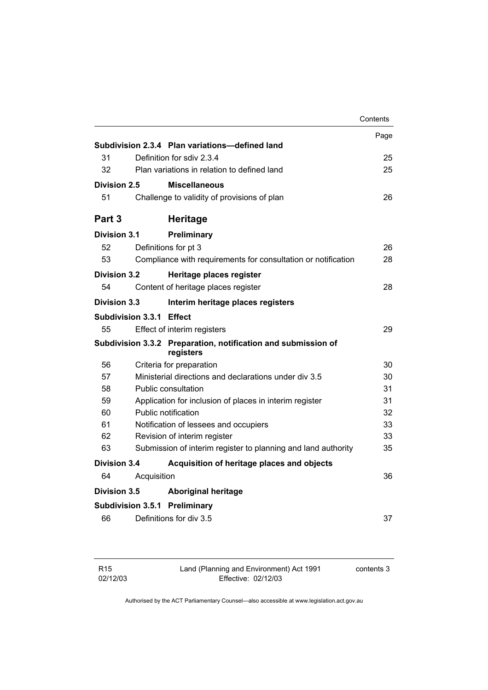|                                 |             |                                                                            | Contents |
|---------------------------------|-------------|----------------------------------------------------------------------------|----------|
|                                 |             |                                                                            | Page     |
|                                 |             | Subdivision 2.3.4 Plan variations—defined land                             |          |
| 31                              |             | Definition for sdiv 2.3.4                                                  | 25       |
| 32                              |             | Plan variations in relation to defined land                                | 25       |
| Division 2.5                    |             | <b>Miscellaneous</b>                                                       |          |
| 51                              |             | Challenge to validity of provisions of plan                                | 26       |
| Part <sub>3</sub>               |             | <b>Heritage</b>                                                            |          |
| Division 3.1                    |             | Preliminary                                                                |          |
| 52                              |             | Definitions for pt 3                                                       | 26       |
| 53                              |             | Compliance with requirements for consultation or notification              | 28       |
| <b>Division 3.2</b>             |             | Heritage places register                                                   |          |
| 54                              |             | Content of heritage places register                                        | 28       |
| <b>Division 3.3</b>             |             | Interim heritage places registers                                          |          |
| <b>Subdivision 3.3.1 Effect</b> |             |                                                                            |          |
| 55                              |             | Effect of interim registers                                                | 29       |
|                                 |             | Subdivision 3.3.2 Preparation, notification and submission of<br>registers |          |
| 56                              |             | Criteria for preparation                                                   | 30       |
| 57                              |             | Ministerial directions and declarations under div 3.5                      | 30       |
| 58                              |             | Public consultation                                                        | 31       |
| 59                              |             | Application for inclusion of places in interim register                    | 31       |
| 60                              |             | Public notification                                                        | 32       |
| 61                              |             | Notification of lessees and occupiers                                      | 33       |
| 62                              |             | Revision of interim register                                               | 33       |
| 63                              |             | Submission of interim register to planning and land authority              | 35       |
| Division 3.4                    |             | Acquisition of heritage places and objects                                 |          |
| 64                              | Acquisition |                                                                            | 36       |
| <b>Division 3.5</b>             |             | <b>Aboriginal heritage</b>                                                 |          |
|                                 |             | <b>Subdivision 3.5.1 Preliminary</b>                                       |          |
| 66                              |             | Definitions for div 3.5                                                    | 37       |

Land (Planning and Environment) Act 1991 Effective: 02/12/03

contents 3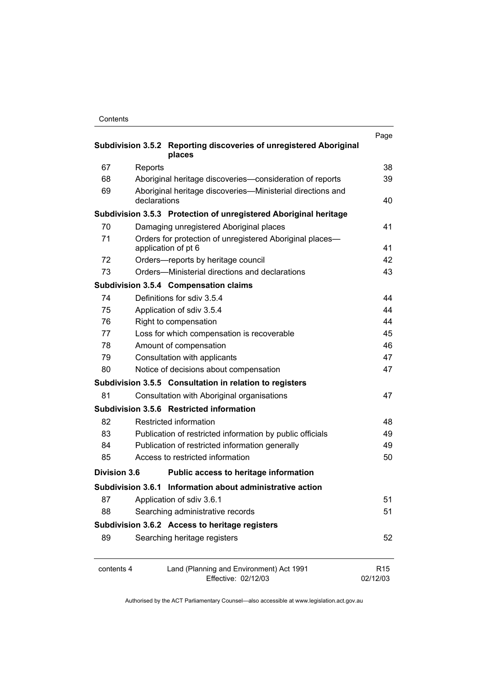| Contents |
|----------|
|----------|

| Subdivision 3.5.2 Reporting discoveries of unregistered Aboriginal<br>places  |                                                                                 |                             |
|-------------------------------------------------------------------------------|---------------------------------------------------------------------------------|-----------------------------|
| 67                                                                            | Reports                                                                         | 38                          |
| 68                                                                            | Aboriginal heritage discoveries-consideration of reports                        | 39                          |
| 69                                                                            | Aboriginal heritage discoveries—Ministerial directions and<br>declarations      | 40                          |
|                                                                               | Subdivision 3.5.3 Protection of unregistered Aboriginal heritage                |                             |
| 70                                                                            | Damaging unregistered Aboriginal places                                         | 41                          |
| 71                                                                            | Orders for protection of unregistered Aboriginal places-<br>application of pt 6 | 41                          |
| 72                                                                            | Orders—reports by heritage council                                              | 42                          |
| 73                                                                            | Orders-Ministerial directions and declarations                                  | 43                          |
|                                                                               | <b>Subdivision 3.5.4 Compensation claims</b>                                    |                             |
| 74                                                                            | Definitions for sdiv 3.5.4                                                      | 44                          |
| 75                                                                            | Application of sdiv 3.5.4                                                       | 44                          |
| 76                                                                            | Right to compensation                                                           | 44                          |
| 77                                                                            | Loss for which compensation is recoverable                                      | 45                          |
| 78                                                                            | Amount of compensation                                                          | 46                          |
| 79                                                                            | Consultation with applicants                                                    | 47                          |
| 80                                                                            | Notice of decisions about compensation                                          | 47                          |
|                                                                               | Subdivision 3.5.5 Consultation in relation to registers                         |                             |
| 81                                                                            | Consultation with Aboriginal organisations                                      | 47                          |
|                                                                               | Subdivision 3.5.6 Restricted information                                        |                             |
| 82                                                                            | Restricted information                                                          | 48                          |
| 83                                                                            | Publication of restricted information by public officials                       | 49                          |
| 84                                                                            | Publication of restricted information generally                                 | 49                          |
| 85                                                                            | Access to restricted information                                                | 50                          |
| Division 3.6                                                                  | Public access to heritage information                                           |                             |
|                                                                               | Subdivision 3.6.1 Information about administrative action                       |                             |
| 87                                                                            | Application of sdiv 3.6.1                                                       | 51                          |
| 88                                                                            | Searching administrative records                                                | 51                          |
|                                                                               | Subdivision 3.6.2 Access to heritage registers                                  |                             |
| 89                                                                            | Searching heritage registers                                                    | 52                          |
| Land (Planning and Environment) Act 1991<br>contents 4<br>Effective: 02/12/03 |                                                                                 | R <sub>15</sub><br>02/12/03 |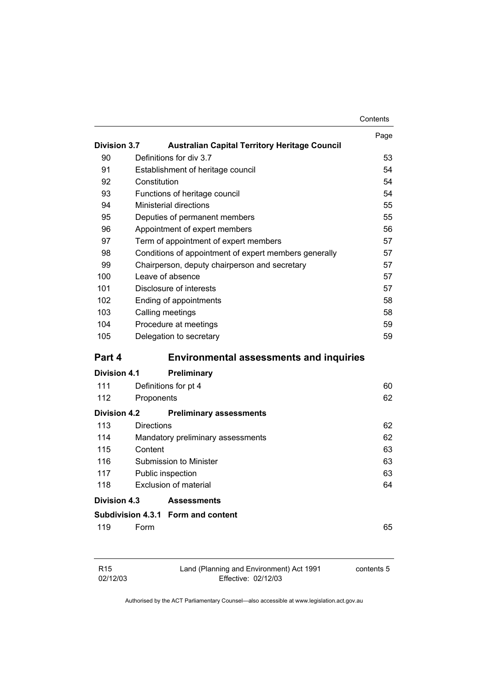|                     |                   |                                                       | Contents |
|---------------------|-------------------|-------------------------------------------------------|----------|
|                     |                   |                                                       | Page     |
| <b>Division 3.7</b> |                   | <b>Australian Capital Territory Heritage Council</b>  |          |
| 90                  |                   | Definitions for div 3.7                               | 53       |
| 91                  |                   | Establishment of heritage council                     | 54       |
| 92                  | Constitution      |                                                       | 54       |
| 93                  |                   | Functions of heritage council                         | 54       |
| 94                  |                   | <b>Ministerial directions</b>                         | 55       |
| 95                  |                   | Deputies of permanent members                         | 55       |
| 96                  |                   | Appointment of expert members                         | 56       |
| 97                  |                   | Term of appointment of expert members                 | 57       |
| 98                  |                   | Conditions of appointment of expert members generally | 57       |
| 99                  |                   | Chairperson, deputy chairperson and secretary         | 57       |
| 100                 |                   | Leave of absence                                      | 57       |
| 101                 |                   | Disclosure of interests                               | 57       |
| 102                 |                   | Ending of appointments                                | 58       |
| 103                 |                   | Calling meetings                                      | 58       |
| 104                 |                   | Procedure at meetings                                 | 59       |
| 105                 |                   | Delegation to secretary                               | 59       |
| Part 4              |                   | <b>Environmental assessments and inquiries</b>        |          |
| Division 4.1        |                   | <b>Preliminary</b>                                    |          |
| 111                 |                   | Definitions for pt 4                                  | 60       |
| 112                 | Proponents        |                                                       | 62       |
| <b>Division 4.2</b> |                   | <b>Preliminary assessments</b>                        |          |
| 113                 | <b>Directions</b> |                                                       | 62       |
| 114                 |                   | Mandatory preliminary assessments                     | 62       |
| 115                 | Content           |                                                       | 63       |
| 116                 |                   | Submission to Minister                                | 63       |
| 117                 |                   | Public inspection                                     | 63       |
| 118                 |                   | <b>Exclusion of material</b>                          | 64       |
| Division 4.3        |                   | <b>Assessments</b>                                    |          |
|                     |                   | Subdivision 4.3.1 Form and content                    |          |
| 119                 | Form              |                                                       | 65       |
|                     |                   |                                                       |          |
|                     |                   |                                                       |          |

| R <sub>15</sub> | Land (Planning and Environment) Act 1991 | contents 5 |
|-----------------|------------------------------------------|------------|
| 02/12/03        | Effective: 02/12/03                      |            |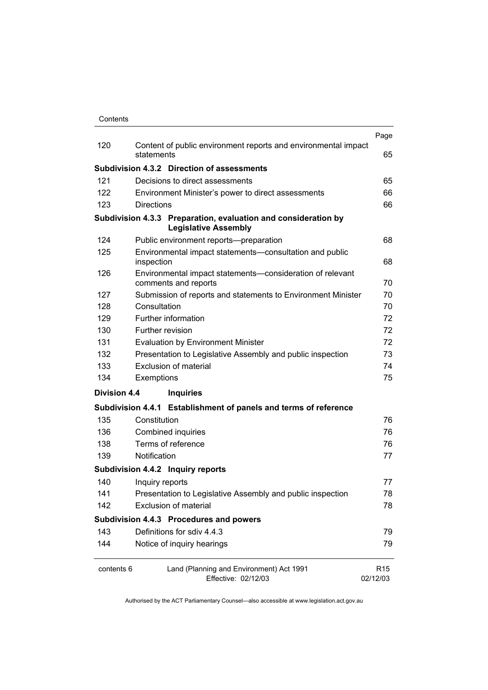| Contents |
|----------|
|          |

|                                                                               |                                                                                               | Page                        |
|-------------------------------------------------------------------------------|-----------------------------------------------------------------------------------------------|-----------------------------|
| 120                                                                           | Content of public environment reports and environmental impact<br>statements                  | 65                          |
|                                                                               | <b>Subdivision 4.3.2 Direction of assessments</b>                                             |                             |
| 121                                                                           | Decisions to direct assessments                                                               | 65                          |
| 122                                                                           | Environment Minister's power to direct assessments                                            | 66                          |
| 123                                                                           | <b>Directions</b>                                                                             | 66                          |
|                                                                               | Subdivision 4.3.3 Preparation, evaluation and consideration by<br><b>Legislative Assembly</b> |                             |
| 124                                                                           | Public environment reports-preparation                                                        | 68                          |
| 125                                                                           | Environmental impact statements-consultation and public<br>inspection                         | 68                          |
| 126                                                                           | Environmental impact statements-consideration of relevant<br>comments and reports             | 70                          |
| 127                                                                           | Submission of reports and statements to Environment Minister                                  | 70                          |
| 128                                                                           | Consultation                                                                                  | 70                          |
| 129                                                                           | Further information                                                                           | 72                          |
| 130                                                                           | Further revision                                                                              | 72                          |
| 131                                                                           | <b>Evaluation by Environment Minister</b>                                                     | 72                          |
| 132                                                                           | Presentation to Legislative Assembly and public inspection                                    | 73                          |
| 133                                                                           | Exclusion of material                                                                         | 74                          |
| 134                                                                           | Exemptions                                                                                    | 75                          |
| <b>Division 4.4</b>                                                           | <b>Inquiries</b>                                                                              |                             |
|                                                                               | Subdivision 4.4.1 Establishment of panels and terms of reference                              |                             |
| 135                                                                           | Constitution                                                                                  | 76                          |
| 136                                                                           | Combined inquiries                                                                            | 76                          |
| 138                                                                           | Terms of reference                                                                            | 76                          |
| 139                                                                           | Notification                                                                                  | 77                          |
|                                                                               | Subdivision 4.4.2 Inquiry reports                                                             |                             |
| 140                                                                           | Inquiry reports                                                                               | 77                          |
| 141                                                                           | Presentation to Legislative Assembly and public inspection                                    | 78                          |
| 142                                                                           | <b>Exclusion of material</b>                                                                  | 78                          |
|                                                                               | Subdivision 4.4.3 Procedures and powers                                                       |                             |
| 143                                                                           | Definitions for sdiv 4.4.3                                                                    | 79                          |
| 144                                                                           | Notice of inquiry hearings                                                                    | 79                          |
| contents 6<br>Land (Planning and Environment) Act 1991<br>Effective: 02/12/03 |                                                                                               | R <sub>15</sub><br>02/12/03 |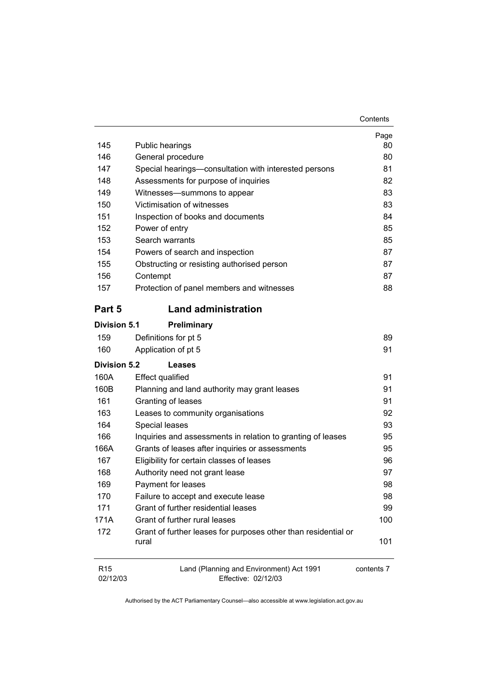|--|

|              |                                                       | Page |
|--------------|-------------------------------------------------------|------|
| 145          | Public hearings                                       | 80   |
| 146          | General procedure                                     | 80   |
| 147          | Special hearings-consultation with interested persons | 81   |
| 148          | Assessments for purpose of inquiries                  | 82   |
| 149          | Witnesses-summons to appear                           | 83   |
| 150          | Victimisation of witnesses                            | 83   |
| 151          | Inspection of books and documents                     | 84   |
| 152          | Power of entry                                        | 85   |
| 153          | Search warrants                                       | 85   |
| 154          | Powers of search and inspection                       | 87   |
| 155          | Obstructing or resisting authorised person            | 87   |
| 156          | Contempt                                              | 87   |
| 157          | Protection of panel members and witnesses             | 88   |
| Part 5       | <b>Land administration</b>                            |      |
| Division 5.1 | Preliminary                                           |      |
| 159          | Definitions for pt 5                                  | 89   |
| 160          | Application of pt 5                                   | 91   |
| Division 5.2 | Leases                                                |      |
| 160A         | <b>Effect qualified</b>                               | 91   |
|              |                                                       |      |

| TOUA | Ellect qualified                                                        | ອ∎  |
|------|-------------------------------------------------------------------------|-----|
| 160B | Planning and land authority may grant leases                            | 91  |
| 161  | Granting of leases                                                      | 91  |
| 163  | Leases to community organisations                                       | 92  |
| 164  | Special leases                                                          | 93  |
| 166  | Inquiries and assessments in relation to granting of leases             | 95  |
| 166A | Grants of leases after inquiries or assessments                         | 95  |
| 167  | Eligibility for certain classes of leases                               | 96  |
| 168  | Authority need not grant lease                                          | 97  |
| 169  | Payment for leases                                                      | 98  |
| 170  | Failure to accept and execute lease                                     | 98  |
| 171  | Grant of further residential leases                                     | 99  |
| 171A | Grant of further rural leases                                           | 100 |
| 172  | Grant of further leases for purposes other than residential or<br>rural | 101 |
|      |                                                                         |     |

| R <sub>15</sub> | Land (Planning and Environment) Act 1991 | contents 7 |
|-----------------|------------------------------------------|------------|
| 02/12/03        | Effective: 02/12/03                      |            |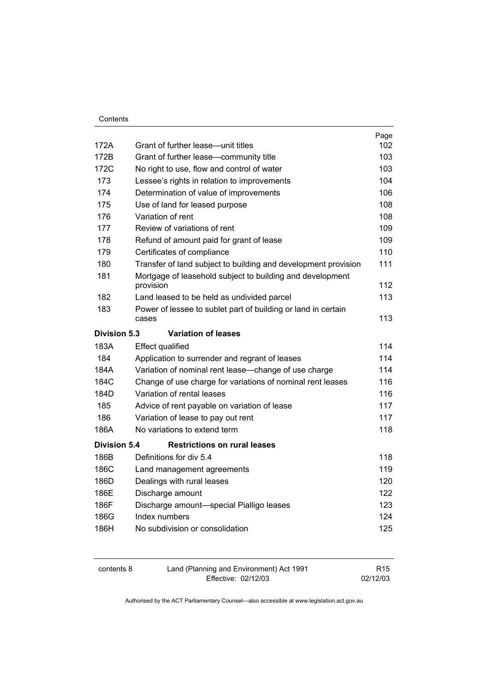|                     |                                                                | Page |
|---------------------|----------------------------------------------------------------|------|
| 172A                | Grant of further lease—unit titles                             | 102  |
| 172B                | Grant of further lease-community title                         | 103  |
| 172C                | No right to use, flow and control of water                     | 103  |
| 173                 | Lessee's rights in relation to improvements                    | 104  |
| 174                 | Determination of value of improvements                         | 106  |
| 175                 | Use of land for leased purpose                                 | 108  |
| 176                 | Variation of rent                                              | 108  |
| 177                 | Review of variations of rent                                   | 109  |
| 178                 | Refund of amount paid for grant of lease                       | 109  |
| 179                 | Certificates of compliance                                     | 110  |
| 180                 | Transfer of land subject to building and development provision | 111  |
| 181                 | Mortgage of leasehold subject to building and development      |      |
|                     | provision                                                      | 112  |
| 182                 | Land leased to be held as undivided parcel                     | 113  |
| 183                 | Power of lessee to sublet part of building or land in certain  | 113  |
|                     | cases                                                          |      |
| <b>Division 5.3</b> | <b>Variation of leases</b>                                     |      |
| 183A                | <b>Effect qualified</b>                                        | 114  |
| 184                 | Application to surrender and regrant of leases                 | 114  |
| 184A                | Variation of nominal rent lease-change of use charge           | 114  |
| 184C                | Change of use charge for variations of nominal rent leases     | 116  |
| 184D                | Variation of rental leases                                     | 116  |
| 185                 | Advice of rent payable on variation of lease                   | 117  |
| 186                 | Variation of lease to pay out rent                             | 117  |
| 186A                | No variations to extend term                                   | 118  |
| <b>Division 5.4</b> | <b>Restrictions on rural leases</b>                            |      |
| 186B                | Definitions for div 5.4                                        | 118  |
| 186C                | Land management agreements                                     | 119  |
| 186D                | Dealings with rural leases                                     | 120  |
| 186E                | Discharge amount                                               | 122  |
| 186F                | Discharge amount-special Pialligo leases                       | 123  |
| 186G                | Index numbers                                                  | 124  |
| 186H                | No subdivision or consolidation                                | 125  |
|                     |                                                                |      |

| contents 8 | Land (Planning and Environment) Act 1991 | R <sub>15</sub> |
|------------|------------------------------------------|-----------------|
|            | Effective: 02/12/03                      | 02/12/03        |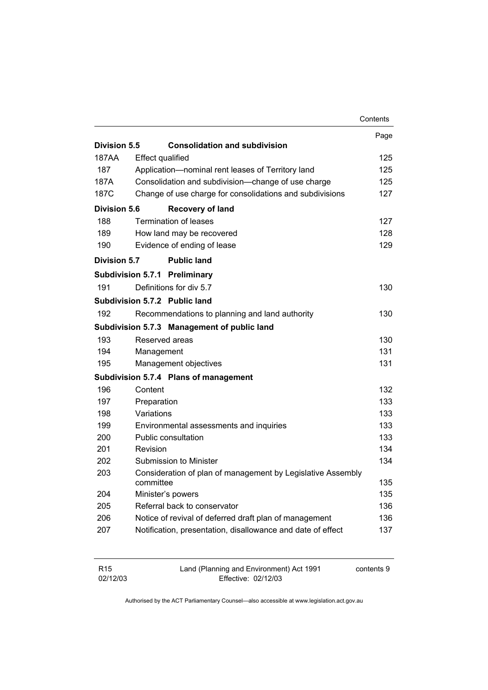|                     |                         |                                                             | Contents |
|---------------------|-------------------------|-------------------------------------------------------------|----------|
|                     |                         |                                                             | Page     |
| Division 5.5        |                         | <b>Consolidation and subdivision</b>                        |          |
| 187AA               | <b>Effect qualified</b> |                                                             | 125      |
| 187                 |                         | Application-nominal rent leases of Territory land           | 125      |
| 187A                |                         | Consolidation and subdivision-change of use charge          | 125      |
| 187C                |                         | Change of use charge for consolidations and subdivisions    | 127      |
| <b>Division 5.6</b> |                         | <b>Recovery of land</b>                                     |          |
| 188                 |                         | <b>Termination of leases</b>                                | 127      |
| 189                 |                         | How land may be recovered                                   | 128      |
| 190                 |                         | Evidence of ending of lease                                 | 129      |
| <b>Division 5.7</b> |                         | <b>Public land</b>                                          |          |
|                     |                         | <b>Subdivision 5.7.1 Preliminary</b>                        |          |
| 191                 |                         | Definitions for div 5.7                                     | 130      |
|                     |                         | Subdivision 5.7.2 Public land                               |          |
| 192                 |                         | Recommendations to planning and land authority              | 130      |
|                     |                         | Subdivision 5.7.3 Management of public land                 |          |
| 193                 | Reserved areas          |                                                             | 130      |
| 194                 | Management              |                                                             | 131      |
| 195                 |                         | Management objectives                                       | 131      |
|                     |                         | Subdivision 5.7.4 Plans of management                       |          |
| 196                 | Content                 |                                                             | 132      |
| 197                 | Preparation             |                                                             | 133      |
| 198                 | Variations              |                                                             | 133      |
| 199                 |                         | Environmental assessments and inquiries                     | 133      |
| 200                 |                         | Public consultation                                         | 133      |
| 201                 | Revision                |                                                             | 134      |
| 202                 |                         | Submission to Minister                                      | 134      |
| 203                 |                         | Consideration of plan of management by Legislative Assembly |          |
|                     | committee               |                                                             | 135      |
| 204                 |                         | Minister's powers                                           | 135      |
| 205                 |                         | Referral back to conservator                                | 136      |
| 206                 |                         | Notice of revival of deferred draft plan of management      | 136      |
| 207                 |                         | Notification, presentation, disallowance and date of effect | 137      |
|                     |                         |                                                             |          |

| R15      | Land (Planning and Environment) Act 1991 | contents 9 |
|----------|------------------------------------------|------------|
| 02/12/03 | Effective: 02/12/03                      |            |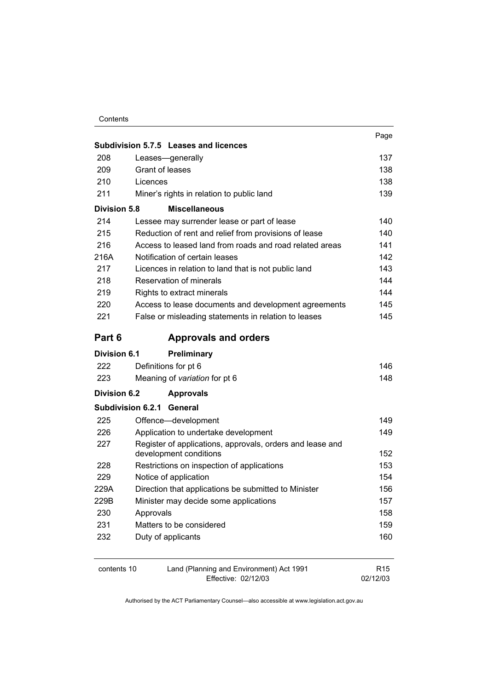|                     | Subdivision 5.7.5 Leases and licences                     | Page       |  |
|---------------------|-----------------------------------------------------------|------------|--|
| 208                 | Leases-generally                                          | 137        |  |
| 209                 | Grant of leases                                           |            |  |
| 210                 | Licences                                                  | 138<br>138 |  |
| 211                 | Miner's rights in relation to public land                 | 139        |  |
| <b>Division 5.8</b> | <b>Miscellaneous</b>                                      |            |  |
| 214                 | Lessee may surrender lease or part of lease               | 140        |  |
| 215                 | Reduction of rent and relief from provisions of lease     | 140        |  |
| 216                 | Access to leased land from roads and road related areas   | 141        |  |
| 216A                | Notification of certain leases                            | 142        |  |
| 217                 | Licences in relation to land that is not public land      | 143        |  |
| 218                 | Reservation of minerals                                   | 144        |  |
| 219                 | Rights to extract minerals                                | 144        |  |
| 220                 | Access to lease documents and development agreements      | 145        |  |
| 221                 | False or misleading statements in relation to leases      | 145        |  |
| Part 6              | <b>Approvals and orders</b>                               |            |  |
|                     |                                                           |            |  |
| Division 6.1        | <b>Preliminary</b>                                        |            |  |
| 222                 | Definitions for pt 6                                      | 146        |  |
| 223                 | Meaning of variation for pt 6                             | 148        |  |
| <b>Division 6.2</b> | <b>Approvals</b>                                          |            |  |
|                     | <b>Subdivision 6.2.1 General</b>                          |            |  |
| 225                 | Offence-development                                       | 149        |  |
| 226                 | Application to undertake development                      | 149        |  |
| 227                 | Register of applications, approvals, orders and lease and |            |  |
|                     | development conditions                                    | 152        |  |
| 228                 | Restrictions on inspection of applications                | 153        |  |
| 229                 | Notice of application                                     | 154        |  |
| 229A                | Direction that applications be submitted to Minister      | 156        |  |
| 229B                | Minister may decide some applications                     | 157        |  |
| 230                 | Approvals                                                 | 158        |  |
| 231                 | Matters to be considered                                  | 159        |  |
| 232                 | Duty of applicants                                        | 160        |  |

| contents 10 | Land (Planning and Environment) Act 1991 | R <sub>15</sub> |
|-------------|------------------------------------------|-----------------|
|             | Effective: 02/12/03                      | 02/12/03        |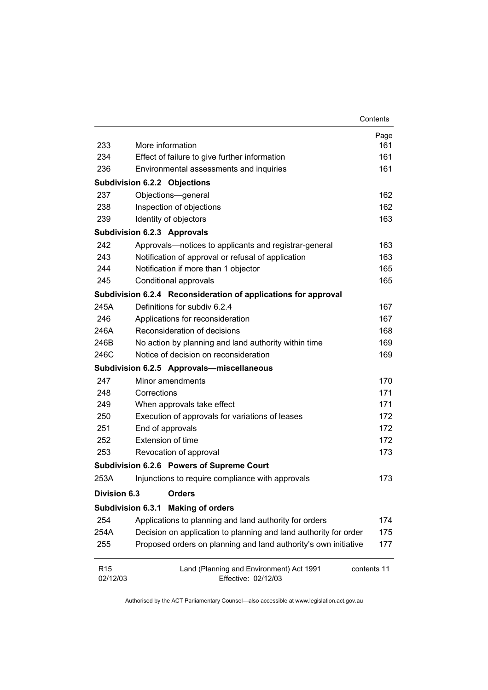|                             |                                                                  | Contents    |
|-----------------------------|------------------------------------------------------------------|-------------|
|                             |                                                                  | Page        |
| 233                         | More information                                                 | 161         |
| 234                         | Effect of failure to give further information                    | 161         |
| 236                         | Environmental assessments and inquiries                          | 161         |
|                             | Subdivision 6.2.2 Objections                                     |             |
| 237                         | Objections-general                                               | 162         |
| 238                         | Inspection of objections                                         | 162         |
| 239                         | Identity of objectors                                            | 163         |
|                             | <b>Subdivision 6.2.3 Approvals</b>                               |             |
| 242                         | Approvals-notices to applicants and registrar-general            | 163         |
| 243                         | Notification of approval or refusal of application               | 163         |
| 244                         | Notification if more than 1 objector                             | 165         |
| 245                         | Conditional approvals                                            | 165         |
|                             | Subdivision 6.2.4 Reconsideration of applications for approval   |             |
| 245A                        | Definitions for subdiv 6.2.4                                     | 167         |
| 246                         | Applications for reconsideration                                 | 167         |
| 246A                        | Reconsideration of decisions                                     | 168         |
| 246B                        | No action by planning and land authority within time             | 169         |
| 246C                        | Notice of decision on reconsideration                            | 169         |
|                             | Subdivision 6.2.5 Approvals-miscellaneous                        |             |
| 247                         | Minor amendments                                                 | 170         |
| 248                         | Corrections                                                      | 171         |
| 249                         | When approvals take effect                                       | 171         |
| 250                         | Execution of approvals for variations of leases                  | 172         |
| 251                         | End of approvals                                                 | 172         |
| 252                         | Extension of time                                                | 172         |
| 253                         | Revocation of approval                                           | 173         |
|                             | Subdivision 6.2.6 Powers of Supreme Court                        |             |
| 253A                        | Injunctions to require compliance with approvals                 | 173         |
| Division 6.3                | <b>Orders</b>                                                    |             |
| Subdivision 6.3.1           | <b>Making of orders</b>                                          |             |
| 254                         | Applications to planning and land authority for orders           | 174         |
| 254A                        | Decision on application to planning and land authority for order | 175         |
| 255                         | Proposed orders on planning and land authority's own initiative  | 177         |
| R <sub>15</sub><br>02/12/03 | Land (Planning and Environment) Act 1991<br>Effective: 02/12/03  | contents 11 |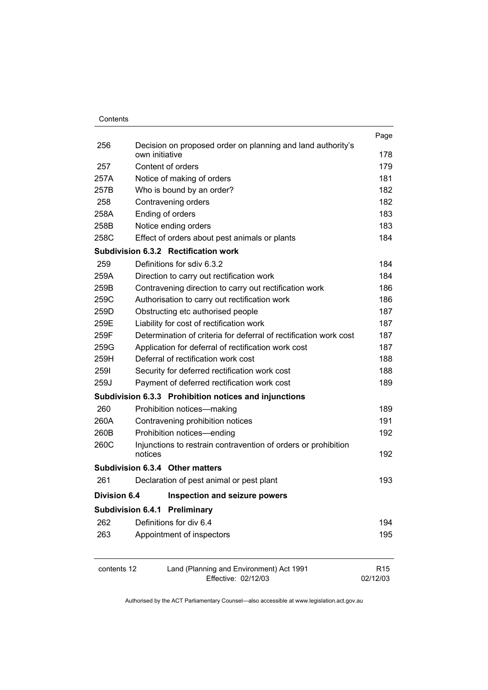| Contents |
|----------|
|          |

| contents 12              | Land (Planning and Environment) Act 1991<br>Effective: 02/12/03           | R <sub>15</sub><br>02/12/03 |
|--------------------------|---------------------------------------------------------------------------|-----------------------------|
| 263                      | Appointment of inspectors                                                 | 195                         |
| 262                      | Definitions for div 6.4                                                   | 194                         |
| <b>Subdivision 6.4.1</b> | Preliminary                                                               |                             |
| <b>Division 6.4</b>      | Inspection and seizure powers                                             |                             |
| 261                      | Declaration of pest animal or pest plant                                  | 193                         |
|                          | Subdivision 6.3.4 Other matters                                           |                             |
|                          |                                                                           |                             |
| 260C                     | Injunctions to restrain contravention of orders or prohibition<br>notices | 192                         |
| 260B                     | Prohibition notices-ending                                                | 192                         |
| 260A                     | Contravening prohibition notices                                          | 191                         |
| 260                      | Prohibition notices-making                                                | 189                         |
|                          | Subdivision 6.3.3 Prohibition notices and injunctions                     |                             |
| 259J                     | Payment of deferred rectification work cost                               | 189                         |
| 2591                     | Security for deferred rectification work cost                             | 188                         |
| 259H                     | Deferral of rectification work cost                                       | 188                         |
| 259G                     | Application for deferral of rectification work cost                       | 187                         |
| 259F                     | Determination of criteria for deferral of rectification work cost         | 187                         |
| 259E                     | Liability for cost of rectification work                                  | 187                         |
| 259D                     | Obstructing etc authorised people                                         | 187                         |
| 259C                     | Authorisation to carry out rectification work                             | 186                         |
| 259B                     | Contravening direction to carry out rectification work                    | 186                         |
| 259A                     | Direction to carry out rectification work                                 | 184                         |
| 259                      | Definitions for sdiv 6.3.2                                                | 184                         |
|                          | Subdivision 6.3.2 Rectification work                                      |                             |
| 258C                     | Effect of orders about pest animals or plants                             | 184                         |
| 258B                     | Notice ending orders                                                      | 183                         |
| 258<br>258A              | Contravening orders<br>Ending of orders                                   | 182<br>183                  |
| 257B                     | Who is bound by an order?                                                 | 182                         |
| 257A                     | Notice of making of orders                                                | 181                         |
| 257                      | Content of orders                                                         | 179                         |
|                          | own initiative                                                            | 178                         |
| 256                      | Decision on proposed order on planning and land authority's               | Page                        |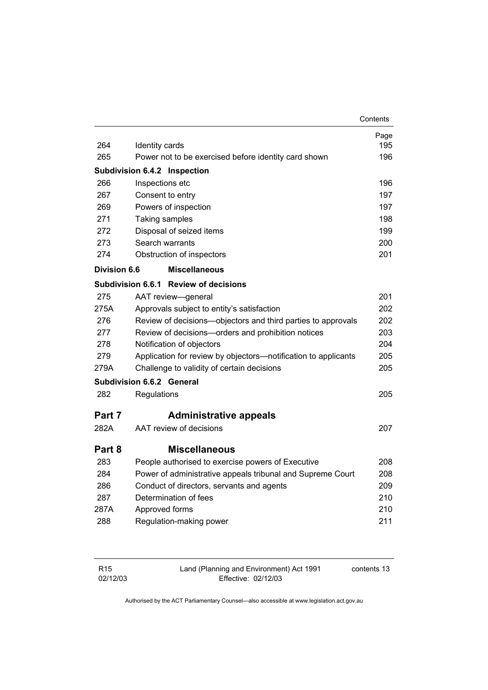|                     |                                                                | Contents |
|---------------------|----------------------------------------------------------------|----------|
|                     |                                                                | Page     |
| 264                 | Identity cards                                                 | 195      |
| 265                 | Power not to be exercised before identity card shown           | 196      |
|                     | Subdivision 6.4.2 Inspection                                   |          |
| 266                 | Inspections etc                                                | 196      |
| 267                 | Consent to entry                                               | 197      |
| 269                 | Powers of inspection                                           | 197      |
| 271                 | Taking samples                                                 | 198      |
| 272                 | Disposal of seized items                                       | 199      |
| 273                 | Search warrants                                                | 200      |
| 274                 | Obstruction of inspectors                                      | 201      |
| <b>Division 6.6</b> | <b>Miscellaneous</b>                                           |          |
|                     | Subdivision 6.6.1 Review of decisions                          |          |
| 275                 | AAT review-general                                             | 201      |
| 275A                | Approvals subject to entity's satisfaction                     | 202      |
| 276                 | Review of decisions—objectors and third parties to approvals   | 202      |
| 277                 | Review of decisions-orders and prohibition notices             | 203      |
| 278                 | Notification of objectors                                      | 204      |
| 279                 | Application for review by objectors—notification to applicants | 205      |
| 279A                | Challenge to validity of certain decisions                     | 205      |
|                     | Subdivision 6.6.2 General                                      |          |
| 282                 | Regulations                                                    | 205      |
| Part 7              | <b>Administrative appeals</b>                                  |          |
| 282A                | AAT review of decisions                                        | 207      |
| Part 8              | <b>Miscellaneous</b>                                           |          |
| 283                 | People authorised to exercise powers of Executive              | 208      |
| 284                 | Power of administrative appeals tribunal and Supreme Court     | 208      |
| 286                 | Conduct of directors, servants and agents                      | 209      |
| 287                 | Determination of fees                                          | 210      |
| 287A                | Approved forms                                                 | 210      |
| 288                 | Regulation-making power                                        | 211      |
|                     |                                                                |          |

| R15      | Land (Planning and Environment) Act 1991 | contents 13 |
|----------|------------------------------------------|-------------|
| 02/12/03 | Effective: 02/12/03                      |             |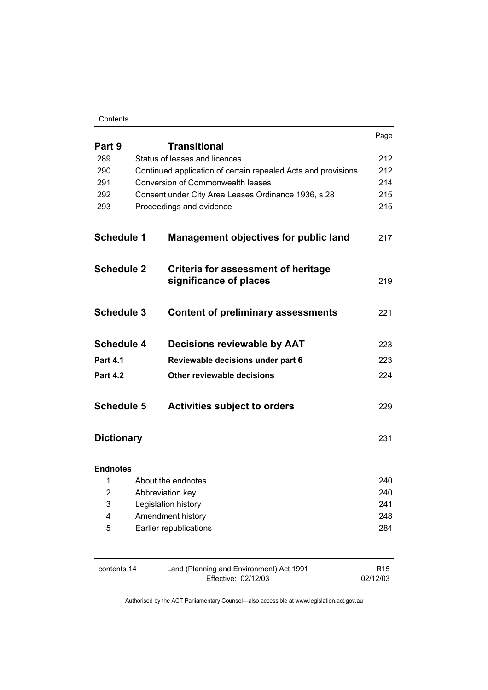#### Contents

|                   |                                                               | Page |
|-------------------|---------------------------------------------------------------|------|
| Part 9            | <b>Transitional</b>                                           |      |
| 289               | Status of leases and licences                                 | 212  |
| 290               | Continued application of certain repealed Acts and provisions | 212  |
| 291               | <b>Conversion of Commonwealth leases</b>                      | 214  |
| 292               | Consent under City Area Leases Ordinance 1936, s 28           | 215  |
| 293               | Proceedings and evidence                                      | 215  |
| <b>Schedule 1</b> | <b>Management objectives for public land</b>                  | 217  |
| <b>Schedule 2</b> | Criteria for assessment of heritage<br>significance of places | 219  |
| <b>Schedule 3</b> | <b>Content of preliminary assessments</b>                     | 221  |
| <b>Schedule 4</b> | Decisions reviewable by AAT                                   | 223  |
| <b>Part 4.1</b>   | Reviewable decisions under part 6                             | 223  |
| <b>Part 4.2</b>   | Other reviewable decisions                                    | 224  |
| <b>Schedule 5</b> | <b>Activities subject to orders</b>                           | 229  |
| <b>Dictionary</b> |                                                               | 231  |
| <b>Endnotes</b>   |                                                               |      |
| 1                 | About the endnotes                                            | 240  |
| 2                 | Abbreviation key                                              | 240  |
| 3                 | Legislation history                                           | 241  |
| 4                 | Amendment history                                             | 248  |
| 5                 | Earlier republications                                        | 284  |
|                   |                                                               |      |

| contents 14 | Land (Planning and Environment) Act 1991 | R <sub>15</sub> |
|-------------|------------------------------------------|-----------------|
|             | Effective: 02/12/03                      | 02/12/03        |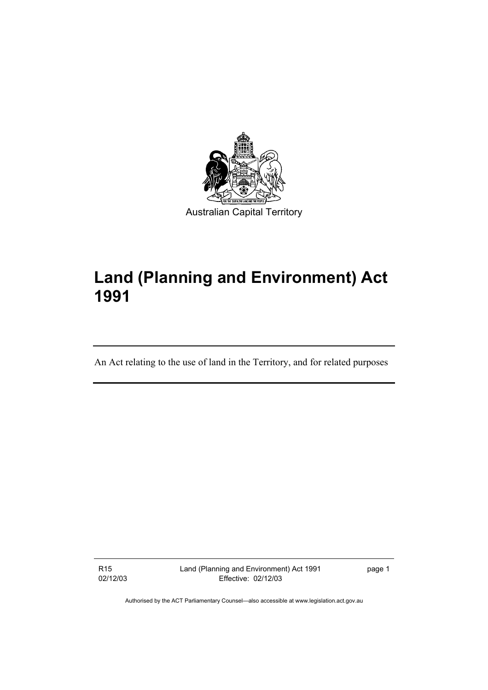

# **Land (Planning and Environment) Act 1991**

An Act relating to the use of land in the Territory, and for related purposes

R15 02/12/03 Land (Planning and Environment) Act 1991 Effective: 02/12/03

page 1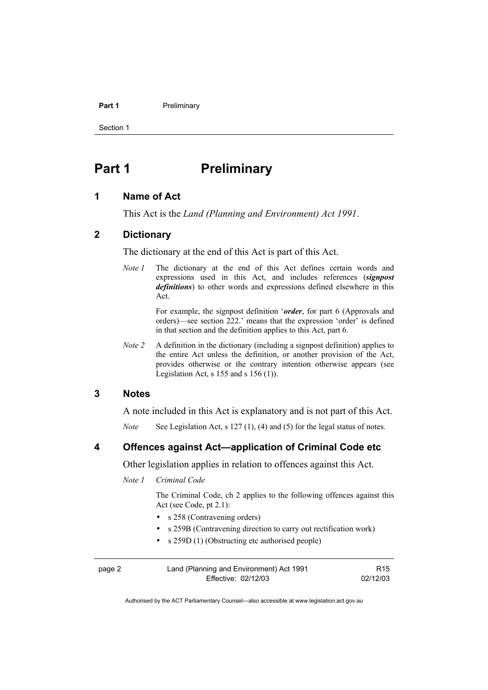#### Part 1 **Preliminary**

Section 1

# **Part 1** Preliminary

### **1 Name of Act**

This Act is the *Land (Planning and Environment) Act 1991*.

### **2 Dictionary**

The dictionary at the end of this Act is part of this Act.

*Note 1* The dictionary at the end of this Act defines certain words and expressions used in this Act, and includes references (*signpost definitions*) to other words and expressions defined elsewhere in this Act.

> For example, the signpost definition '*order*, for part 6 (Approvals and orders)—see section 222.' means that the expression 'order' is defined in that section and the definition applies to this Act, part 6.

*Note 2* A definition in the dictionary (including a signpost definition) applies to the entire Act unless the definition, or another provision of the Act, provides otherwise or the contrary intention otherwise appears (see Legislation Act, s  $155$  and s  $156$  (1)).

#### **3 Notes**

A note included in this Act is explanatory and is not part of this Act.

*Note* See Legislation Act, s 127 (1), (4) and (5) for the legal status of notes.

### **4 Offences against Act—application of Criminal Code etc**

Other legislation applies in relation to offences against this Act.

*Note 1 Criminal Code* 

 The Criminal Code, ch 2 applies to the following offences against this Act (see Code, pt 2.1):

- s 258 (Contravening orders)
- s 259B (Contravening direction to carry out rectification work)
- s 259D (1) (Obstructing etc authorised people)

| page 2 | Land (Planning and Environment) Act 1991 | R <sub>15</sub> |
|--------|------------------------------------------|-----------------|
|        | Effective: 02/12/03                      | 02/12/03        |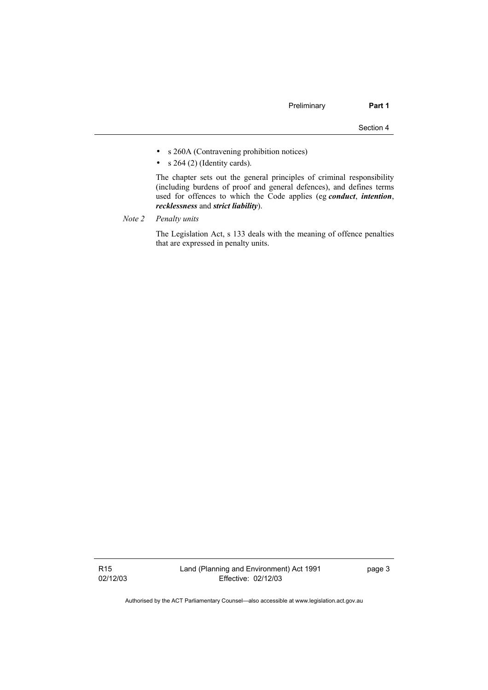- s 260A (Contravening prohibition notices)
- $s$  264 (2) (Identity cards).

 The chapter sets out the general principles of criminal responsibility (including burdens of proof and general defences), and defines terms used for offences to which the Code applies (eg *conduct*, *intention*, *recklessness* and *strict liability*).

*Note 2 Penalty units*

 The Legislation Act, s 133 deals with the meaning of offence penalties that are expressed in penalty units.

R15 02/12/03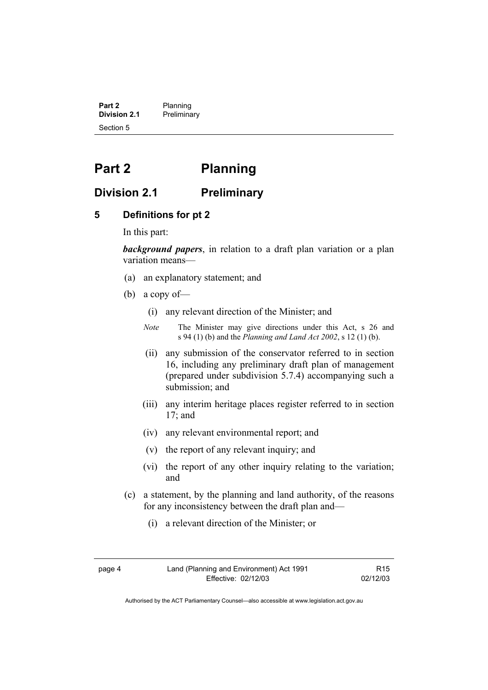**Part 2** Planning<br>**Division 2.1** Prelimina **Division 2.1** Preliminary Section 5

# **Part 2 Planning**

## **Division 2.1 Preliminary**

#### **5 Definitions for pt 2**

In this part:

*background papers*, in relation to a draft plan variation or a plan variation means—

- (a) an explanatory statement; and
- (b) a copy of—
	- (i) any relevant direction of the Minister; and
	- *Note* The Minister may give directions under this Act, s 26 and s 94 (1) (b) and the *Planning and Land Act 2002*, s 12 (1) (b).
	- (ii) any submission of the conservator referred to in section 16, including any preliminary draft plan of management (prepared under subdivision 5.7.4) accompanying such a submission; and
	- (iii) any interim heritage places register referred to in section 17; and
	- (iv) any relevant environmental report; and
	- (v) the report of any relevant inquiry; and
	- (vi) the report of any other inquiry relating to the variation; and
- (c) a statement, by the planning and land authority, of the reasons for any inconsistency between the draft plan and—
	- (i) a relevant direction of the Minister; or

R15 02/12/03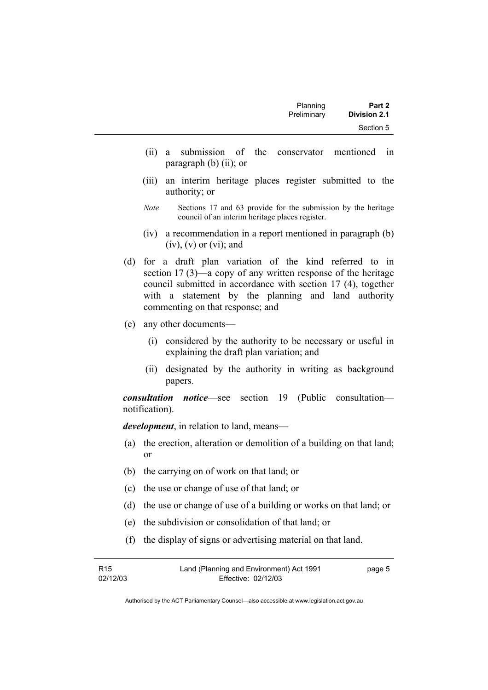- (ii) a submission of the conservator mentioned in paragraph (b) (ii); or
- (iii) an interim heritage places register submitted to the authority; or
- *Note* Sections 17 and 63 provide for the submission by the heritage council of an interim heritage places register.
- (iv) a recommendation in a report mentioned in paragraph (b)  $(iv)$ ,  $(v)$  or  $(vi)$ ; and
- (d) for a draft plan variation of the kind referred to in section 17 (3)—a copy of any written response of the heritage council submitted in accordance with section 17 (4), together with a statement by the planning and land authority commenting on that response; and
- (e) any other documents—
	- (i) considered by the authority to be necessary or useful in explaining the draft plan variation; and
	- (ii) designated by the authority in writing as background papers.

*consultation notice*—see section 19 (Public consultation notification).

*development*, in relation to land, means—

- (a) the erection, alteration or demolition of a building on that land; or
- (b) the carrying on of work on that land; or
- (c) the use or change of use of that land; or
- (d) the use or change of use of a building or works on that land; or
- (e) the subdivision or consolidation of that land; or
- (f) the display of signs or advertising material on that land.

| R <sub>15</sub> | Land (Planning and Environment) Act 1991 | page 5 |
|-----------------|------------------------------------------|--------|
| 02/12/03        | Effective: 02/12/03                      |        |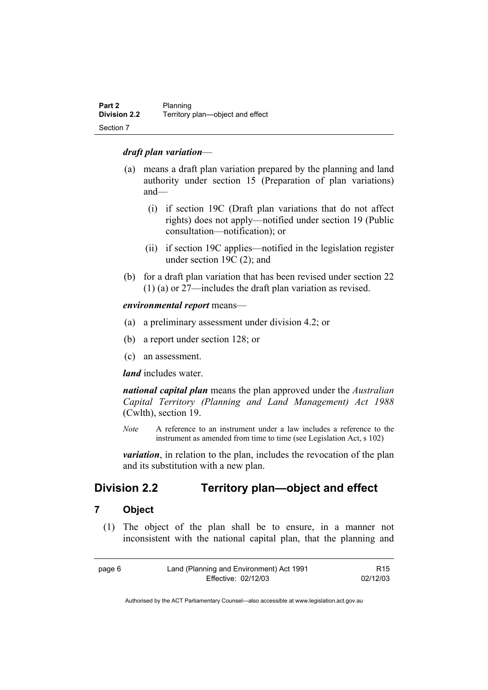#### *draft plan variation*—

- (a) means a draft plan variation prepared by the planning and land authority under section 15 (Preparation of plan variations) and—
	- (i) if section 19C (Draft plan variations that do not affect rights) does not apply—notified under section 19 (Public consultation—notification); or
	- (ii) if section 19C applies—notified in the legislation register under section 19C (2); and
- (b) for a draft plan variation that has been revised under section 22 (1) (a) or 27—includes the draft plan variation as revised.

#### *environmental report* means—

- (a) a preliminary assessment under division 4.2; or
- (b) a report under section 128; or
- (c) an assessment.

*land* includes water.

*national capital plan* means the plan approved under the *Australian Capital Territory (Planning and Land Management) Act 1988* (Cwlth), section 19.

*Note* A reference to an instrument under a law includes a reference to the instrument as amended from time to time (see Legislation Act, s 102)

*variation*, in relation to the plan, includes the revocation of the plan and its substitution with a new plan.

# **Division 2.2 Territory plan—object and effect**

#### **7 Object**

 (1) The object of the plan shall be to ensure, in a manner not inconsistent with the national capital plan, that the planning and

| page 6 | Land (Planning and Environment) Act 1991 | R15      |
|--------|------------------------------------------|----------|
|        | Effective: 02/12/03                      | 02/12/03 |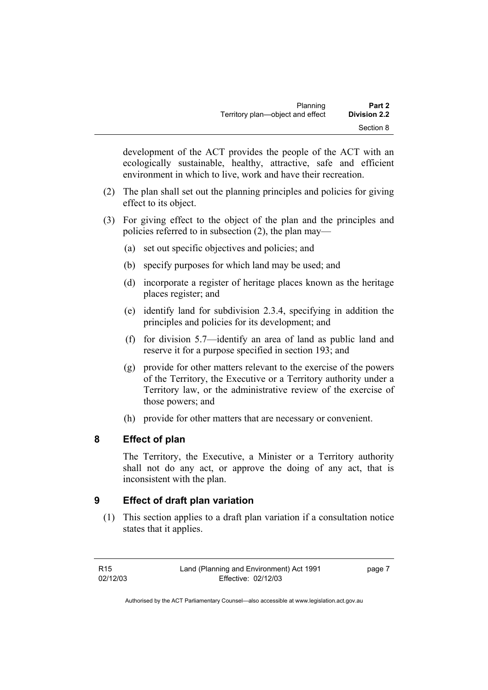development of the ACT provides the people of the ACT with an ecologically sustainable, healthy, attractive, safe and efficient environment in which to live, work and have their recreation.

- (2) The plan shall set out the planning principles and policies for giving effect to its object.
- (3) For giving effect to the object of the plan and the principles and policies referred to in subsection (2), the plan may—
	- (a) set out specific objectives and policies; and
	- (b) specify purposes for which land may be used; and
	- (d) incorporate a register of heritage places known as the heritage places register; and
	- (e) identify land for subdivision 2.3.4, specifying in addition the principles and policies for its development; and
	- (f) for division 5.7—identify an area of land as public land and reserve it for a purpose specified in section 193; and
	- (g) provide for other matters relevant to the exercise of the powers of the Territory, the Executive or a Territory authority under a Territory law, or the administrative review of the exercise of those powers; and
	- (h) provide for other matters that are necessary or convenient.

# **8 Effect of plan**

The Territory, the Executive, a Minister or a Territory authority shall not do any act, or approve the doing of any act, that is inconsistent with the plan.

# **9 Effect of draft plan variation**

 (1) This section applies to a draft plan variation if a consultation notice states that it applies.

page 7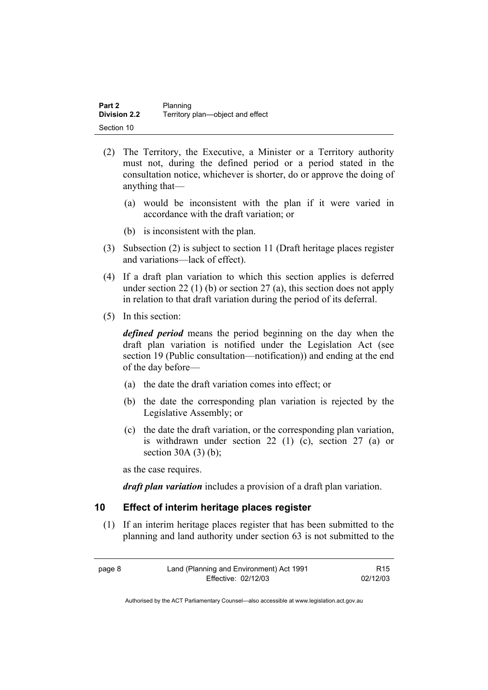| Part 2              | Planning                         |
|---------------------|----------------------------------|
| <b>Division 2.2</b> | Territory plan-object and effect |
| Section 10          |                                  |

- (2) The Territory, the Executive, a Minister or a Territory authority must not, during the defined period or a period stated in the consultation notice, whichever is shorter, do or approve the doing of anything that—
	- (a) would be inconsistent with the plan if it were varied in accordance with the draft variation; or
	- (b) is inconsistent with the plan.
- (3) Subsection (2) is subject to section 11 (Draft heritage places register and variations—lack of effect).
- (4) If a draft plan variation to which this section applies is deferred under section 22 (1) (b) or section 27 (a), this section does not apply in relation to that draft variation during the period of its deferral.
- (5) In this section:

*defined period* means the period beginning on the day when the draft plan variation is notified under the Legislation Act (see section 19 (Public consultation—notification)) and ending at the end of the day before—

- (a) the date the draft variation comes into effect; or
- (b) the date the corresponding plan variation is rejected by the Legislative Assembly; or
- (c) the date the draft variation, or the corresponding plan variation, is withdrawn under section 22 (1) (c), section 27 (a) or section  $30A(3)(b)$ ;

as the case requires.

*draft plan variation* includes a provision of a draft plan variation.

#### **10 Effect of interim heritage places register**

 (1) If an interim heritage places register that has been submitted to the planning and land authority under section 63 is not submitted to the

| page 8 | Land (Planning and Environment) Act 1991 | R15      |
|--------|------------------------------------------|----------|
|        | Effective: 02/12/03                      | 02/12/03 |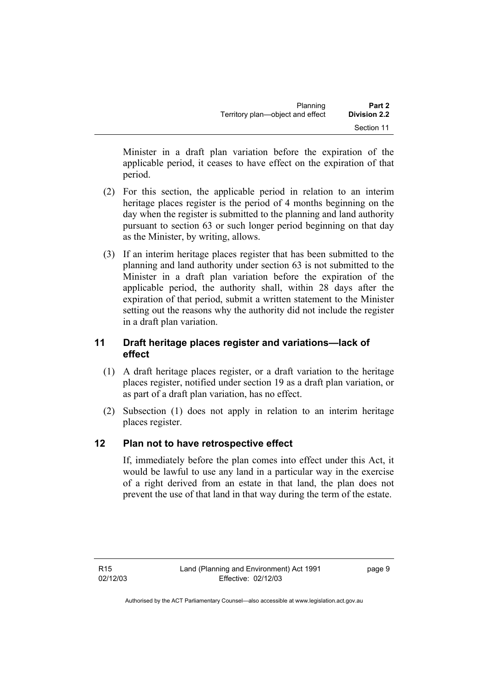| Planning                         | Part 2              |
|----------------------------------|---------------------|
| Territory plan—object and effect | <b>Division 2.2</b> |
|                                  | Section 11          |

Minister in a draft plan variation before the expiration of the applicable period, it ceases to have effect on the expiration of that period.

- (2) For this section, the applicable period in relation to an interim heritage places register is the period of 4 months beginning on the day when the register is submitted to the planning and land authority pursuant to section 63 or such longer period beginning on that day as the Minister, by writing, allows.
- (3) If an interim heritage places register that has been submitted to the planning and land authority under section 63 is not submitted to the Minister in a draft plan variation before the expiration of the applicable period, the authority shall, within 28 days after the expiration of that period, submit a written statement to the Minister setting out the reasons why the authority did not include the register in a draft plan variation.

# **11 Draft heritage places register and variations—lack of effect**

- (1) A draft heritage places register, or a draft variation to the heritage places register, notified under section 19 as a draft plan variation, or as part of a draft plan variation, has no effect.
- (2) Subsection (1) does not apply in relation to an interim heritage places register.

# **12 Plan not to have retrospective effect**

If, immediately before the plan comes into effect under this Act, it would be lawful to use any land in a particular way in the exercise of a right derived from an estate in that land, the plan does not prevent the use of that land in that way during the term of the estate.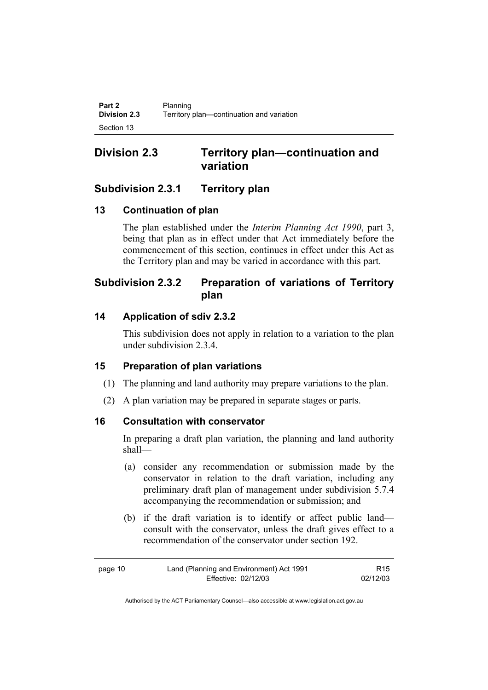# **Division 2.3 Territory plan—continuation and variation**

# **Subdivision 2.3.1 Territory plan**

# **13 Continuation of plan**

The plan established under the *Interim Planning Act 1990*, part 3, being that plan as in effect under that Act immediately before the commencement of this section, continues in effect under this Act as the Territory plan and may be varied in accordance with this part.

# **Subdivision 2.3.2 Preparation of variations of Territory plan**

# **14 Application of sdiv 2.3.2**

This subdivision does not apply in relation to a variation to the plan under subdivision 2.3.4.

# **15 Preparation of plan variations**

- (1) The planning and land authority may prepare variations to the plan.
- (2) A plan variation may be prepared in separate stages or parts.

# **16 Consultation with conservator**

In preparing a draft plan variation, the planning and land authority shall—

- (a) consider any recommendation or submission made by the conservator in relation to the draft variation, including any preliminary draft plan of management under subdivision 5.7.4 accompanying the recommendation or submission; and
- (b) if the draft variation is to identify or affect public land consult with the conservator, unless the draft gives effect to a recommendation of the conservator under section 192.

| page 10 | Land (Planning and Environment) Act 1991 | R15      |
|---------|------------------------------------------|----------|
|         | Effective: 02/12/03                      | 02/12/03 |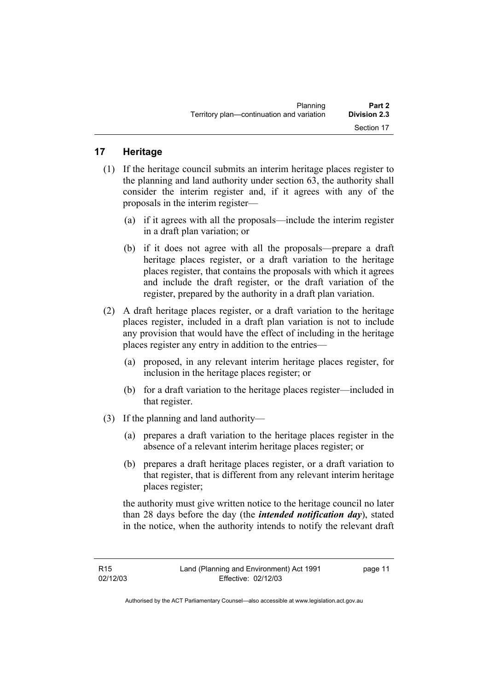| Planning                                  | Part 2              |
|-------------------------------------------|---------------------|
| Territory plan—continuation and variation | <b>Division 2.3</b> |
|                                           | Section 17          |

## **17 Heritage**

- (1) If the heritage council submits an interim heritage places register to the planning and land authority under section 63, the authority shall consider the interim register and, if it agrees with any of the proposals in the interim register—
	- (a) if it agrees with all the proposals—include the interim register in a draft plan variation; or
	- (b) if it does not agree with all the proposals—prepare a draft heritage places register, or a draft variation to the heritage places register, that contains the proposals with which it agrees and include the draft register, or the draft variation of the register, prepared by the authority in a draft plan variation.
- (2) A draft heritage places register, or a draft variation to the heritage places register, included in a draft plan variation is not to include any provision that would have the effect of including in the heritage places register any entry in addition to the entries—
	- (a) proposed, in any relevant interim heritage places register, for inclusion in the heritage places register; or
	- (b) for a draft variation to the heritage places register—included in that register.
- (3) If the planning and land authority—
	- (a) prepares a draft variation to the heritage places register in the absence of a relevant interim heritage places register; or
	- (b) prepares a draft heritage places register, or a draft variation to that register, that is different from any relevant interim heritage places register;

the authority must give written notice to the heritage council no later than 28 days before the day (the *intended notification day*), stated in the notice, when the authority intends to notify the relevant draft

page 11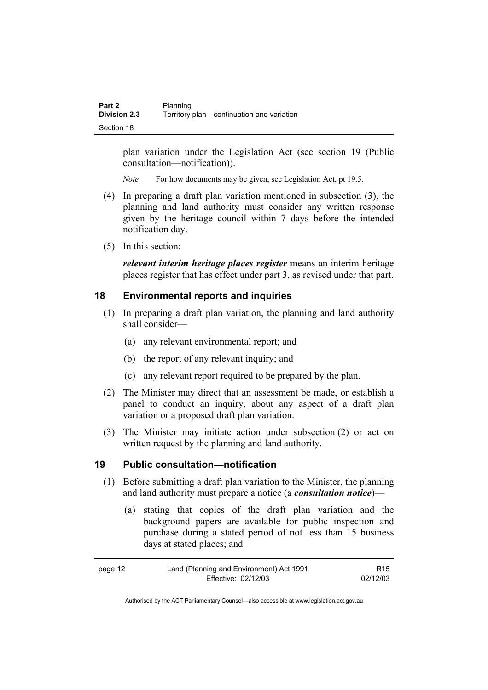plan variation under the Legislation Act (see section 19 (Public consultation—notification)).

*Note* For how documents may be given, see Legislation Act, pt 19.5.

- (4) In preparing a draft plan variation mentioned in subsection (3), the planning and land authority must consider any written response given by the heritage council within 7 days before the intended notification day.
- (5) In this section:

*relevant interim heritage places register* means an interim heritage places register that has effect under part 3, as revised under that part.

# **18 Environmental reports and inquiries**

- (1) In preparing a draft plan variation, the planning and land authority shall consider—
	- (a) any relevant environmental report; and
	- (b) the report of any relevant inquiry; and
	- (c) any relevant report required to be prepared by the plan.
- (2) The Minister may direct that an assessment be made, or establish a panel to conduct an inquiry, about any aspect of a draft plan variation or a proposed draft plan variation.
- (3) The Minister may initiate action under subsection (2) or act on written request by the planning and land authority.

### **19 Public consultation—notification**

- (1) Before submitting a draft plan variation to the Minister, the planning and land authority must prepare a notice (a *consultation notice*)—
	- (a) stating that copies of the draft plan variation and the background papers are available for public inspection and purchase during a stated period of not less than 15 business days at stated places; and

| page 12 | Land (Planning and Environment) Act 1991 | R <sub>15</sub> |
|---------|------------------------------------------|-----------------|
|         | Effective: 02/12/03                      | 02/12/03        |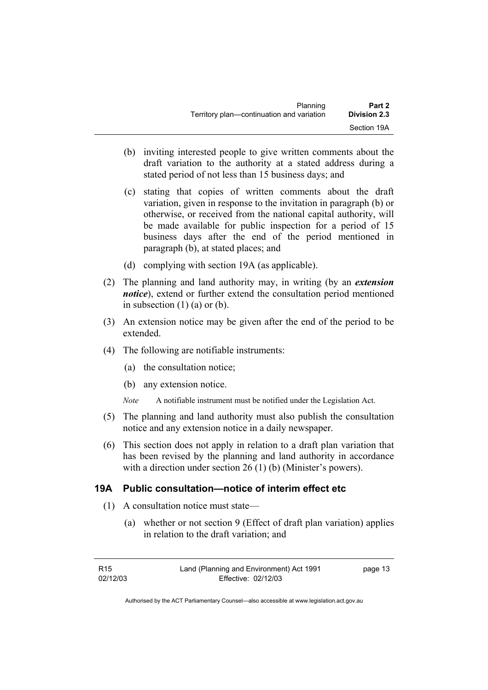| Planning                                  | Part 2              |
|-------------------------------------------|---------------------|
| Territory plan—continuation and variation | <b>Division 2.3</b> |
|                                           | Section 19A         |

- (b) inviting interested people to give written comments about the draft variation to the authority at a stated address during a stated period of not less than 15 business days; and
- (c) stating that copies of written comments about the draft variation, given in response to the invitation in paragraph (b) or otherwise, or received from the national capital authority, will be made available for public inspection for a period of 15 business days after the end of the period mentioned in paragraph (b), at stated places; and
- (d) complying with section 19A (as applicable).
- (2) The planning and land authority may, in writing (by an *extension notice*), extend or further extend the consultation period mentioned in subsection  $(1)$  (a) or (b).
- (3) An extension notice may be given after the end of the period to be extended.
- (4) The following are notifiable instruments:
	- (a) the consultation notice;
	- (b) any extension notice.
	- *Note* A notifiable instrument must be notified under the Legislation Act.
- (5) The planning and land authority must also publish the consultation notice and any extension notice in a daily newspaper.
- (6) This section does not apply in relation to a draft plan variation that has been revised by the planning and land authority in accordance with a direction under section 26 (1) (b) (Minister's powers).

### **19A Public consultation—notice of interim effect etc**

- (1) A consultation notice must state—
	- (a) whether or not section 9 (Effect of draft plan variation) applies in relation to the draft variation; and

| R15      | Land (Planning and Environment) Act 1991 | page 13 |
|----------|------------------------------------------|---------|
| 02/12/03 | Effective: 02/12/03                      |         |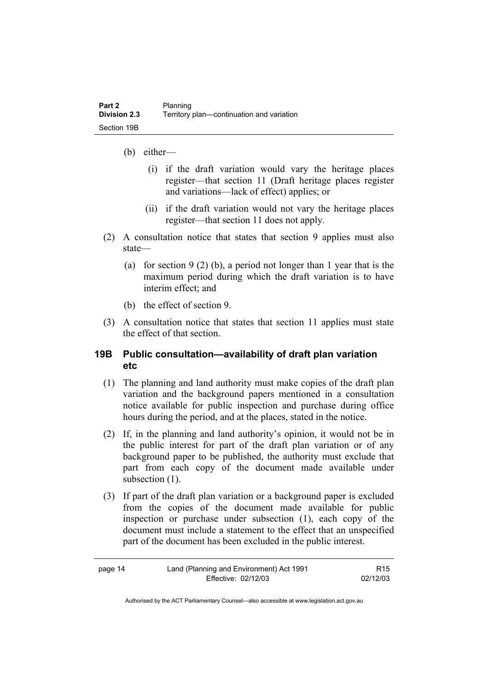- (b) either—
	- (i) if the draft variation would vary the heritage places register—that section 11 (Draft heritage places register and variations—lack of effect) applies; or
	- (ii) if the draft variation would not vary the heritage places register—that section 11 does not apply.
- (2) A consultation notice that states that section 9 applies must also state—
	- (a) for section 9 (2) (b), a period not longer than 1 year that is the maximum period during which the draft variation is to have interim effect; and
	- (b) the effect of section 9.
- (3) A consultation notice that states that section 11 applies must state the effect of that section.

### **19B Public consultation—availability of draft plan variation etc**

- (1) The planning and land authority must make copies of the draft plan variation and the background papers mentioned in a consultation notice available for public inspection and purchase during office hours during the period, and at the places, stated in the notice.
- (2) If, in the planning and land authority's opinion, it would not be in the public interest for part of the draft plan variation or of any background paper to be published, the authority must exclude that part from each copy of the document made available under subsection  $(1)$ .
- (3) If part of the draft plan variation or a background paper is excluded from the copies of the document made available for public inspection or purchase under subsection (1), each copy of the document must include a statement to the effect that an unspecified part of the document has been excluded in the public interest.

| page 14 | Land (Planning and Environment) Act 1991 | R <sub>15</sub> |
|---------|------------------------------------------|-----------------|
|         | Effective: 02/12/03                      | 02/12/03        |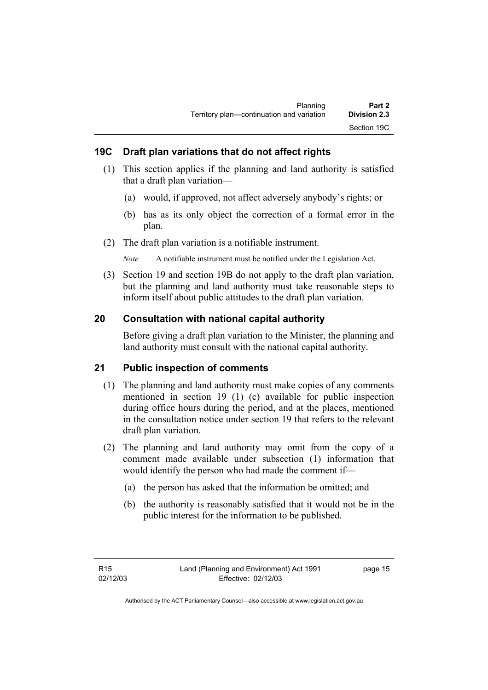# **19C Draft plan variations that do not affect rights**

- (1) This section applies if the planning and land authority is satisfied that a draft plan variation—
	- (a) would, if approved, not affect adversely anybody's rights; or
	- (b) has as its only object the correction of a formal error in the plan.
- (2) The draft plan variation is a notifiable instrument.

*Note* A notifiable instrument must be notified under the Legislation Act.

 (3) Section 19 and section 19B do not apply to the draft plan variation, but the planning and land authority must take reasonable steps to inform itself about public attitudes to the draft plan variation.

# **20 Consultation with national capital authority**

Before giving a draft plan variation to the Minister, the planning and land authority must consult with the national capital authority.

# **21 Public inspection of comments**

- (1) The planning and land authority must make copies of any comments mentioned in section 19 (1) (c) available for public inspection during office hours during the period, and at the places, mentioned in the consultation notice under section 19 that refers to the relevant draft plan variation.
- (2) The planning and land authority may omit from the copy of a comment made available under subsection (1) information that would identify the person who had made the comment if—
	- (a) the person has asked that the information be omitted; and
	- (b) the authority is reasonably satisfied that it would not be in the public interest for the information to be published.

page 15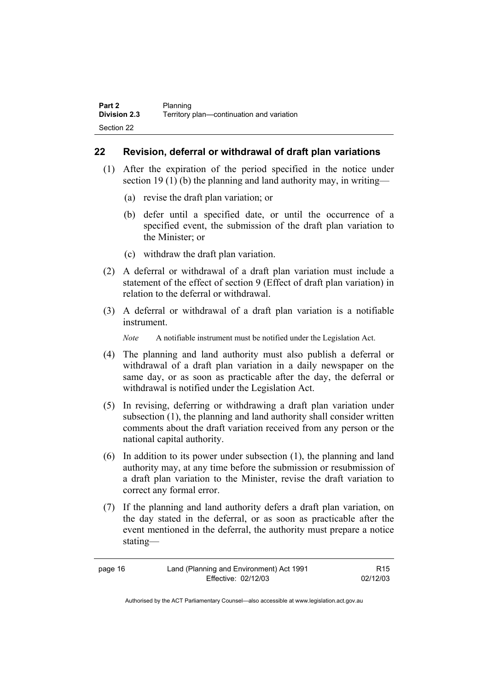### **22 Revision, deferral or withdrawal of draft plan variations**

- (1) After the expiration of the period specified in the notice under section 19 (1) (b) the planning and land authority may, in writing—
	- (a) revise the draft plan variation; or
	- (b) defer until a specified date, or until the occurrence of a specified event, the submission of the draft plan variation to the Minister; or
	- (c) withdraw the draft plan variation.
- (2) A deferral or withdrawal of a draft plan variation must include a statement of the effect of section 9 (Effect of draft plan variation) in relation to the deferral or withdrawal.
- (3) A deferral or withdrawal of a draft plan variation is a notifiable instrument.

*Note* A notifiable instrument must be notified under the Legislation Act.

- (4) The planning and land authority must also publish a deferral or withdrawal of a draft plan variation in a daily newspaper on the same day, or as soon as practicable after the day, the deferral or withdrawal is notified under the Legislation Act.
- (5) In revising, deferring or withdrawing a draft plan variation under subsection (1), the planning and land authority shall consider written comments about the draft variation received from any person or the national capital authority.
- (6) In addition to its power under subsection (1), the planning and land authority may, at any time before the submission or resubmission of a draft plan variation to the Minister, revise the draft variation to correct any formal error.
- (7) If the planning and land authority defers a draft plan variation, on the day stated in the deferral, or as soon as practicable after the event mentioned in the deferral, the authority must prepare a notice stating—

| page 16 | Land (Planning and Environment) Act 1991 | R <sub>15</sub> |
|---------|------------------------------------------|-----------------|
|         | Effective: 02/12/03                      | 02/12/03        |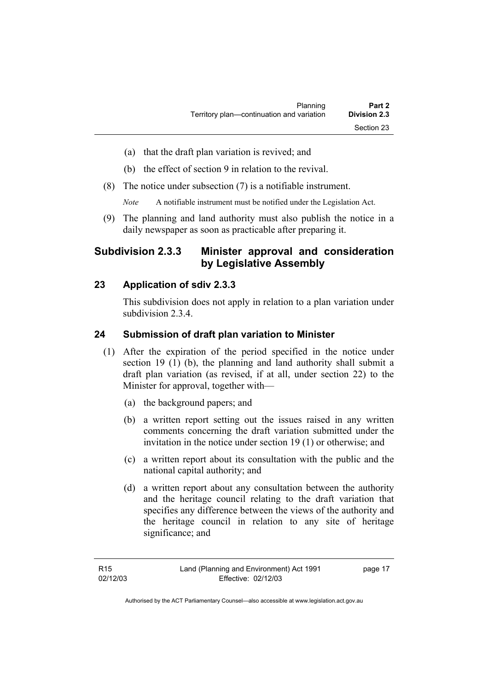- (a) that the draft plan variation is revived; and
- (b) the effect of section 9 in relation to the revival.
- (8) The notice under subsection (7) is a notifiable instrument.

*Note* A notifiable instrument must be notified under the Legislation Act.

(9) The planning and land authority must also publish the notice in a daily newspaper as soon as practicable after preparing it.

# **Subdivision 2.3.3 Minister approval and consideration by Legislative Assembly**

## **23 Application of sdiv 2.3.3**

This subdivision does not apply in relation to a plan variation under subdivision 2.3.4.

### **24 Submission of draft plan variation to Minister**

- (1) After the expiration of the period specified in the notice under section 19 (1) (b), the planning and land authority shall submit a draft plan variation (as revised, if at all, under section 22) to the Minister for approval, together with—
	- (a) the background papers; and
	- (b) a written report setting out the issues raised in any written comments concerning the draft variation submitted under the invitation in the notice under section 19 (1) or otherwise; and
	- (c) a written report about its consultation with the public and the national capital authority; and
	- (d) a written report about any consultation between the authority and the heritage council relating to the draft variation that specifies any difference between the views of the authority and the heritage council in relation to any site of heritage significance; and

page 17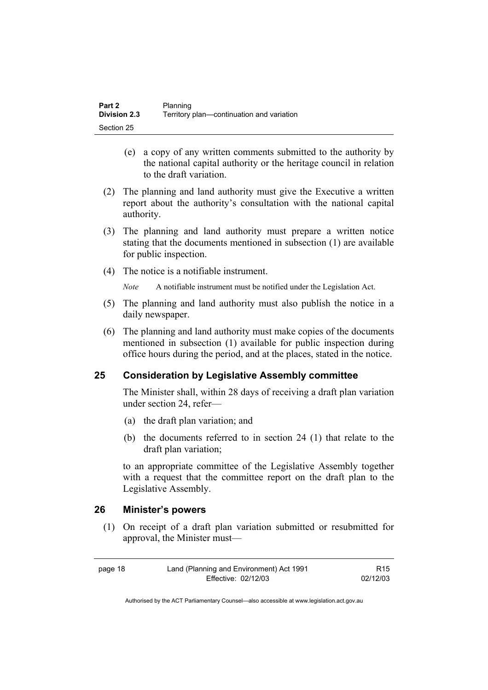| Part 2              | Planning                                  |
|---------------------|-------------------------------------------|
| <b>Division 2.3</b> | Territory plan—continuation and variation |
| Section 25          |                                           |

- (e) a copy of any written comments submitted to the authority by the national capital authority or the heritage council in relation to the draft variation.
- (2) The planning and land authority must give the Executive a written report about the authority's consultation with the national capital authority.
- (3) The planning and land authority must prepare a written notice stating that the documents mentioned in subsection (1) are available for public inspection.
- (4) The notice is a notifiable instrument.

*Note* A notifiable instrument must be notified under the Legislation Act.

- (5) The planning and land authority must also publish the notice in a daily newspaper.
- (6) The planning and land authority must make copies of the documents mentioned in subsection (1) available for public inspection during office hours during the period, and at the places, stated in the notice.

### **25 Consideration by Legislative Assembly committee**

The Minister shall, within 28 days of receiving a draft plan variation under section 24, refer—

- (a) the draft plan variation; and
- (b) the documents referred to in section 24 (1) that relate to the draft plan variation;

to an appropriate committee of the Legislative Assembly together with a request that the committee report on the draft plan to the Legislative Assembly.

#### **26 Minister's powers**

 (1) On receipt of a draft plan variation submitted or resubmitted for approval, the Minister must—

| page 18 | Land (Planning and Environment) Act 1991 | R15      |
|---------|------------------------------------------|----------|
|         | Effective: 02/12/03                      | 02/12/03 |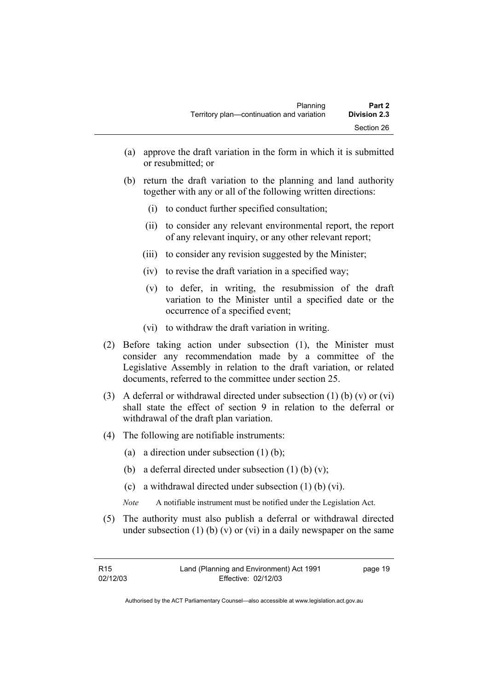- (a) approve the draft variation in the form in which it is submitted or resubmitted; or
- (b) return the draft variation to the planning and land authority together with any or all of the following written directions:
	- (i) to conduct further specified consultation;
	- (ii) to consider any relevant environmental report, the report of any relevant inquiry, or any other relevant report;
	- (iii) to consider any revision suggested by the Minister;
	- (iv) to revise the draft variation in a specified way;
	- (v) to defer, in writing, the resubmission of the draft variation to the Minister until a specified date or the occurrence of a specified event;
	- (vi) to withdraw the draft variation in writing.
- (2) Before taking action under subsection (1), the Minister must consider any recommendation made by a committee of the Legislative Assembly in relation to the draft variation, or related documents, referred to the committee under section 25.
- (3) A deferral or withdrawal directed under subsection (1) (b) (v) or (vi) shall state the effect of section 9 in relation to the deferral or withdrawal of the draft plan variation.
- (4) The following are notifiable instruments:
	- (a) a direction under subsection (1) (b);
	- (b) a deferral directed under subsection  $(1)$  (b)  $(v)$ ;
	- (c) a withdrawal directed under subsection (1) (b) (vi).
	- *Note* A notifiable instrument must be notified under the Legislation Act.
- (5) The authority must also publish a deferral or withdrawal directed under subsection (1) (b) (v) or (vi) in a daily newspaper on the same

page 19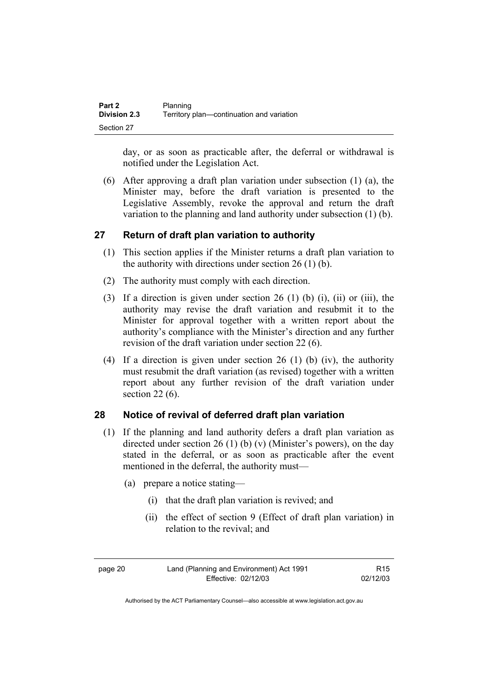| Part 2              | Planning                                  |
|---------------------|-------------------------------------------|
| <b>Division 2.3</b> | Territory plan—continuation and variation |
| Section 27          |                                           |

day, or as soon as practicable after, the deferral or withdrawal is notified under the Legislation Act.

 (6) After approving a draft plan variation under subsection (1) (a), the Minister may, before the draft variation is presented to the Legislative Assembly, revoke the approval and return the draft variation to the planning and land authority under subsection (1) (b).

#### **27 Return of draft plan variation to authority**

- (1) This section applies if the Minister returns a draft plan variation to the authority with directions under section 26 (1) (b).
- (2) The authority must comply with each direction.
- (3) If a direction is given under section 26 (1) (b) (i), (ii) or (iii), the authority may revise the draft variation and resubmit it to the Minister for approval together with a written report about the authority's compliance with the Minister's direction and any further revision of the draft variation under section 22 (6).
- (4) If a direction is given under section 26 (1) (b) (iv), the authority must resubmit the draft variation (as revised) together with a written report about any further revision of the draft variation under section 22 (6).

# **28 Notice of revival of deferred draft plan variation**

- (1) If the planning and land authority defers a draft plan variation as directed under section 26 (1) (b) (v) (Minister's powers), on the day stated in the deferral, or as soon as practicable after the event mentioned in the deferral, the authority must—
	- (a) prepare a notice stating—
		- (i) that the draft plan variation is revived; and
		- (ii) the effect of section 9 (Effect of draft plan variation) in relation to the revival; and

page 20 Land (Planning and Environment) Act 1991 Effective: 02/12/03

R15 02/12/03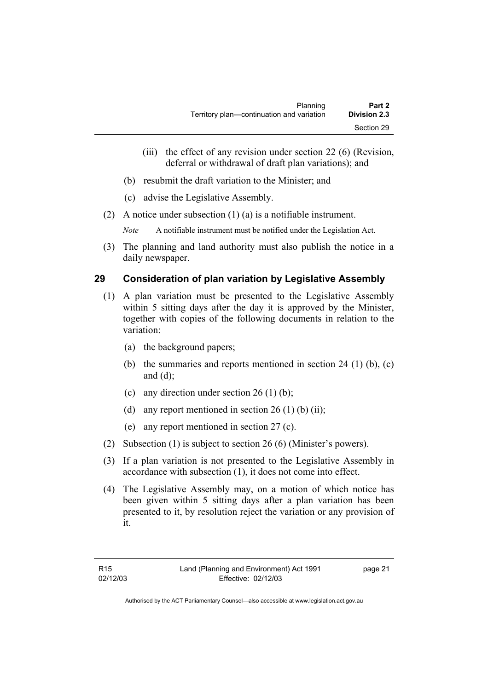- (iii) the effect of any revision under section 22 (6) (Revision, deferral or withdrawal of draft plan variations); and
- (b) resubmit the draft variation to the Minister; and
- (c) advise the Legislative Assembly.
- (2) A notice under subsection (1) (a) is a notifiable instrument.

*Note* A notifiable instrument must be notified under the Legislation Act.

(3) The planning and land authority must also publish the notice in a daily newspaper.

# **29 Consideration of plan variation by Legislative Assembly**

- (1) A plan variation must be presented to the Legislative Assembly within 5 sitting days after the day it is approved by the Minister, together with copies of the following documents in relation to the variation:
	- (a) the background papers;
	- (b) the summaries and reports mentioned in section  $24$  (1) (b), (c) and (d);
	- (c) any direction under section  $26(1)$  (b);
	- (d) any report mentioned in section  $26(1)$  (b) (ii);
	- (e) any report mentioned in section 27 (c).
- (2) Subsection (1) is subject to section 26 (6) (Minister's powers).
- (3) If a plan variation is not presented to the Legislative Assembly in accordance with subsection (1), it does not come into effect.
- (4) The Legislative Assembly may, on a motion of which notice has been given within 5 sitting days after a plan variation has been presented to it, by resolution reject the variation or any provision of it.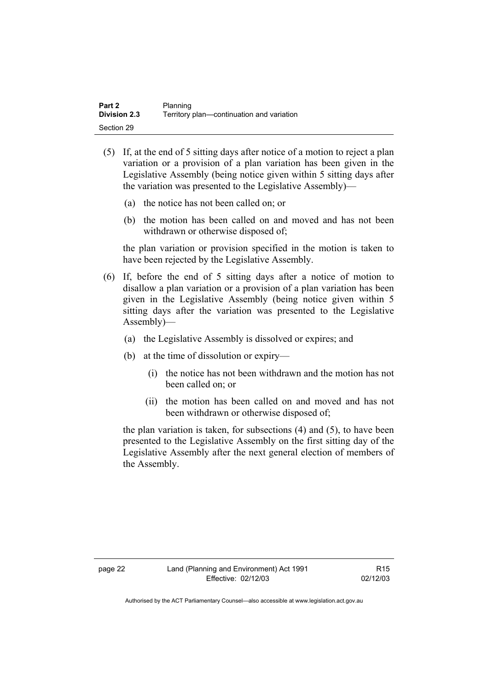| Part 2              | Planning                                  |
|---------------------|-------------------------------------------|
| <b>Division 2.3</b> | Territory plan—continuation and variation |
| Section 29          |                                           |

- (5) If, at the end of 5 sitting days after notice of a motion to reject a plan variation or a provision of a plan variation has been given in the Legislative Assembly (being notice given within 5 sitting days after the variation was presented to the Legislative Assembly)—
	- (a) the notice has not been called on; or
	- (b) the motion has been called on and moved and has not been withdrawn or otherwise disposed of;

the plan variation or provision specified in the motion is taken to have been rejected by the Legislative Assembly.

- (6) If, before the end of 5 sitting days after a notice of motion to disallow a plan variation or a provision of a plan variation has been given in the Legislative Assembly (being notice given within 5 sitting days after the variation was presented to the Legislative Assembly)—
	- (a) the Legislative Assembly is dissolved or expires; and
	- (b) at the time of dissolution or expiry—
		- (i) the notice has not been withdrawn and the motion has not been called on; or
		- (ii) the motion has been called on and moved and has not been withdrawn or otherwise disposed of;

the plan variation is taken, for subsections (4) and (5), to have been presented to the Legislative Assembly on the first sitting day of the Legislative Assembly after the next general election of members of the Assembly.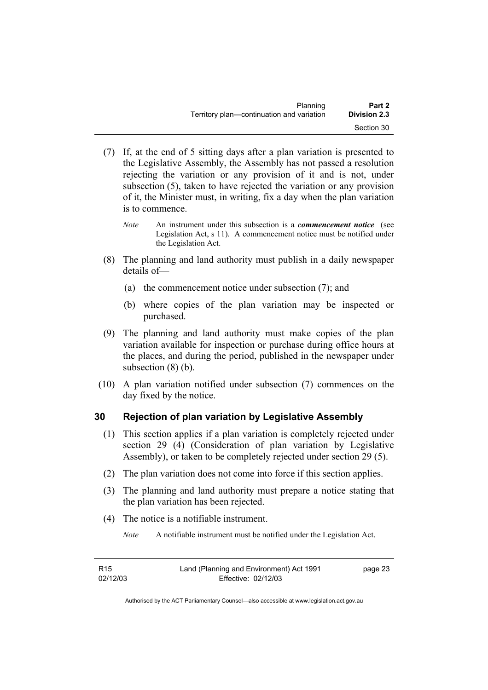| Planning                                  | Part 2              |
|-------------------------------------------|---------------------|
| Territory plan—continuation and variation | <b>Division 2.3</b> |
|                                           | Section 30          |

- (7) If, at the end of 5 sitting days after a plan variation is presented to the Legislative Assembly, the Assembly has not passed a resolution rejecting the variation or any provision of it and is not, under subsection (5), taken to have rejected the variation or any provision of it, the Minister must, in writing, fix a day when the plan variation is to commence.
	- *Note* An instrument under this subsection is a *commencement notice* (see Legislation Act, s 11). A commencement notice must be notified under the Legislation Act.
- (8) The planning and land authority must publish in a daily newspaper details of—
	- (a) the commencement notice under subsection (7); and
	- (b) where copies of the plan variation may be inspected or purchased.
- (9) The planning and land authority must make copies of the plan variation available for inspection or purchase during office hours at the places, and during the period, published in the newspaper under subsection (8) (b).
- (10) A plan variation notified under subsection (7) commences on the day fixed by the notice.

# **30 Rejection of plan variation by Legislative Assembly**

- (1) This section applies if a plan variation is completely rejected under section 29 (4) (Consideration of plan variation by Legislative Assembly), or taken to be completely rejected under section 29 (5).
- (2) The plan variation does not come into force if this section applies.
- (3) The planning and land authority must prepare a notice stating that the plan variation has been rejected.
- (4) The notice is a notifiable instrument.

*Note* A notifiable instrument must be notified under the Legislation Act.

| R15      | Land (Planning and Environment) Act 1991 | page 23 |
|----------|------------------------------------------|---------|
| 02/12/03 | Effective: 02/12/03                      |         |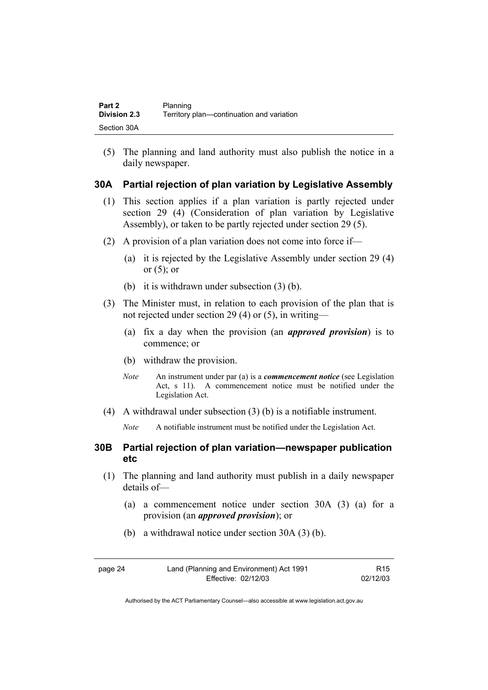| Part 2       | Planning                                  |
|--------------|-------------------------------------------|
| Division 2.3 | Territory plan—continuation and variation |
| Section 30A  |                                           |

(5) The planning and land authority must also publish the notice in a daily newspaper.

#### **30A Partial rejection of plan variation by Legislative Assembly**

- (1) This section applies if a plan variation is partly rejected under section 29 (4) (Consideration of plan variation by Legislative Assembly), or taken to be partly rejected under section 29 (5).
- (2) A provision of a plan variation does not come into force if—
	- (a) it is rejected by the Legislative Assembly under section 29 (4) or  $(5)$ ; or
	- (b) it is withdrawn under subsection (3) (b).
- (3) The Minister must, in relation to each provision of the plan that is not rejected under section 29 (4) or (5), in writing—
	- (a) fix a day when the provision (an *approved provision*) is to commence; or
	- (b) withdraw the provision.
	- *Note* An instrument under par (a) is a *commencement notice* (see Legislation Act, s 11). A commencement notice must be notified under the Legislation Act.
- (4) A withdrawal under subsection (3) (b) is a notifiable instrument.

*Note* A notifiable instrument must be notified under the Legislation Act.

### **30B Partial rejection of plan variation—newspaper publication etc**

- (1) The planning and land authority must publish in a daily newspaper details of—
	- (a) a commencement notice under section 30A (3) (a) for a provision (an *approved provision*); or
	- (b) a withdrawal notice under section 30A (3) (b).

| page 24 | Land (Planning and Environment) Act 1991 | R <sub>15</sub> |
|---------|------------------------------------------|-----------------|
|         | Effective: 02/12/03                      | 02/12/03        |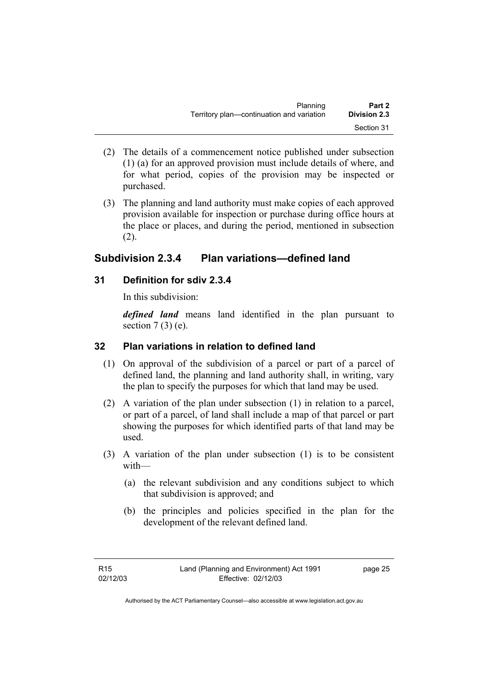| Planning                                  | Part 2              |
|-------------------------------------------|---------------------|
| Territory plan—continuation and variation | <b>Division 2.3</b> |
|                                           | Section 31          |

- (2) The details of a commencement notice published under subsection (1) (a) for an approved provision must include details of where, and for what period, copies of the provision may be inspected or purchased.
- (3) The planning and land authority must make copies of each approved provision available for inspection or purchase during office hours at the place or places, and during the period, mentioned in subsection (2).

# **Subdivision 2.3.4 Plan variations—defined land**

# **31 Definition for sdiv 2.3.4**

In this subdivision:

*defined land* means land identified in the plan pursuant to section  $7(3)$  (e).

# **32 Plan variations in relation to defined land**

- (1) On approval of the subdivision of a parcel or part of a parcel of defined land, the planning and land authority shall, in writing, vary the plan to specify the purposes for which that land may be used.
- (2) A variation of the plan under subsection (1) in relation to a parcel, or part of a parcel, of land shall include a map of that parcel or part showing the purposes for which identified parts of that land may be used.
- (3) A variation of the plan under subsection (1) is to be consistent with—
	- (a) the relevant subdivision and any conditions subject to which that subdivision is approved; and
	- (b) the principles and policies specified in the plan for the development of the relevant defined land.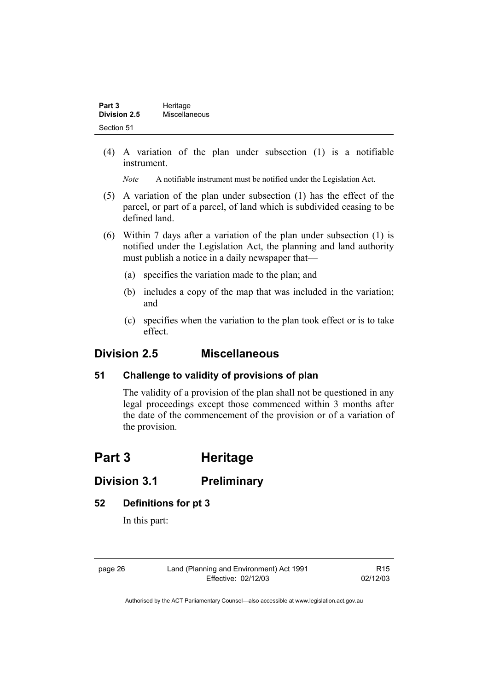| Part 3       | Heritage      |  |
|--------------|---------------|--|
| Division 2.5 | Miscellaneous |  |
| Section 51   |               |  |

(4) A variation of the plan under subsection (1) is a notifiable instrument.

*Note* A notifiable instrument must be notified under the Legislation Act.

- (5) A variation of the plan under subsection (1) has the effect of the parcel, or part of a parcel, of land which is subdivided ceasing to be defined land.
- (6) Within 7 days after a variation of the plan under subsection (1) is notified under the Legislation Act, the planning and land authority must publish a notice in a daily newspaper that—
	- (a) specifies the variation made to the plan; and
	- (b) includes a copy of the map that was included in the variation; and
	- (c) specifies when the variation to the plan took effect or is to take effect.

# **Division 2.5 Miscellaneous**

### **51 Challenge to validity of provisions of plan**

The validity of a provision of the plan shall not be questioned in any legal proceedings except those commenced within 3 months after the date of the commencement of the provision or of a variation of the provision.

# **Part 3 Heritage**

# **Division 3.1 Preliminary**

### **52 Definitions for pt 3**

In this part:

page 26 Land (Planning and Environment) Act 1991 Effective: 02/12/03

R15 02/12/03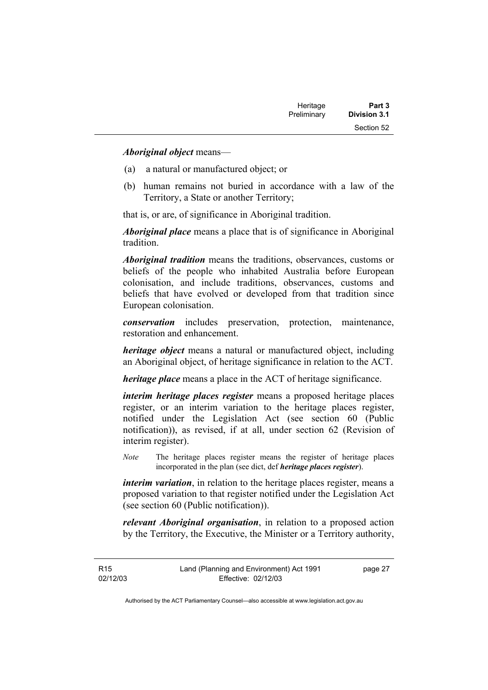| Heritage    | Part 3              |
|-------------|---------------------|
| Preliminary | <b>Division 3.1</b> |
|             | Section 52          |

*Aboriginal object* means—

- (a) a natural or manufactured object; or
- (b) human remains not buried in accordance with a law of the Territory, a State or another Territory;

that is, or are, of significance in Aboriginal tradition.

*Aboriginal place* means a place that is of significance in Aboriginal tradition.

*Aboriginal tradition* means the traditions, observances, customs or beliefs of the people who inhabited Australia before European colonisation, and include traditions, observances, customs and beliefs that have evolved or developed from that tradition since European colonisation.

*conservation* includes preservation, protection, maintenance, restoration and enhancement.

*heritage object* means a natural or manufactured object, including an Aboriginal object, of heritage significance in relation to the ACT.

*heritage place* means a place in the ACT of heritage significance.

*interim heritage places register* means a proposed heritage places register, or an interim variation to the heritage places register, notified under the Legislation Act (see section 60 (Public notification)), as revised, if at all, under section 62 (Revision of interim register).

*Note* The heritage places register means the register of heritage places incorporated in the plan (see dict, def *heritage places register*).

*interim variation*, in relation to the heritage places register, means a proposed variation to that register notified under the Legislation Act (see section 60 (Public notification)).

*relevant Aboriginal organisation*, in relation to a proposed action by the Territory, the Executive, the Minister or a Territory authority,

R15 02/12/03 page 27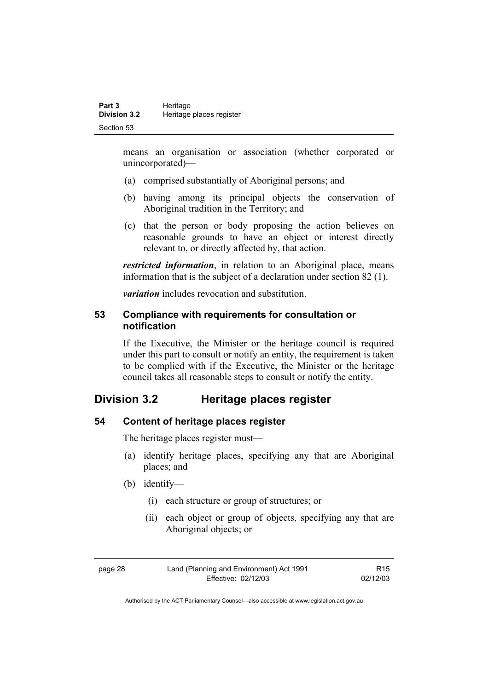means an organisation or association (whether corporated or unincorporated)—

- (a) comprised substantially of Aboriginal persons; and
- (b) having among its principal objects the conservation of Aboriginal tradition in the Territory; and
- (c) that the person or body proposing the action believes on reasonable grounds to have an object or interest directly relevant to, or directly affected by, that action.

*restricted information*, in relation to an Aboriginal place, means information that is the subject of a declaration under section 82 (1).

*variation* includes revocation and substitution.

### **53 Compliance with requirements for consultation or notification**

If the Executive, the Minister or the heritage council is required under this part to consult or notify an entity, the requirement is taken to be complied with if the Executive, the Minister or the heritage council takes all reasonable steps to consult or notify the entity.

# **Division 3.2 Heritage places register**

# **54 Content of heritage places register**

The heritage places register must—

- (a) identify heritage places, specifying any that are Aboriginal places; and
- (b) identify—
	- (i) each structure or group of structures; or
	- (ii) each object or group of objects, specifying any that are Aboriginal objects; or

| page 28 | Land (Planning and Environment) Act 1991 | R <sub>15</sub> |
|---------|------------------------------------------|-----------------|
|         | Effective: 02/12/03                      | 02/12/03        |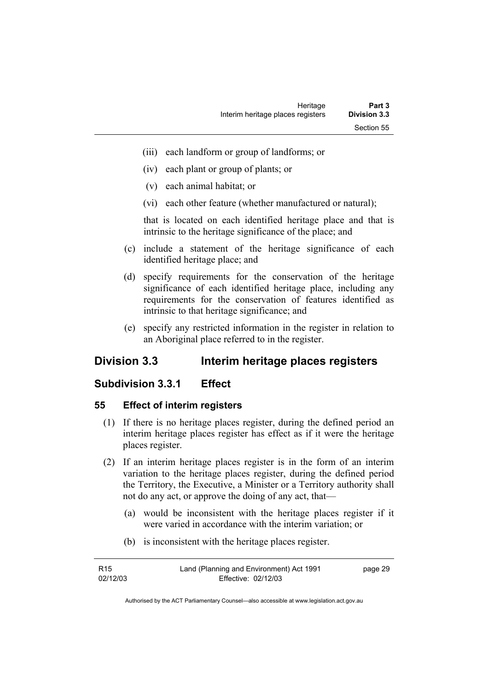- (iii) each landform or group of landforms; or
- (iv) each plant or group of plants; or
- (v) each animal habitat; or
- (vi) each other feature (whether manufactured or natural);

that is located on each identified heritage place and that is intrinsic to the heritage significance of the place; and

- (c) include a statement of the heritage significance of each identified heritage place; and
- (d) specify requirements for the conservation of the heritage significance of each identified heritage place, including any requirements for the conservation of features identified as intrinsic to that heritage significance; and
- (e) specify any restricted information in the register in relation to an Aboriginal place referred to in the register.

# **Division 3.3 Interim heritage places registers**

### **Subdivision 3.3.1 Effect**

### **55 Effect of interim registers**

- (1) If there is no heritage places register, during the defined period an interim heritage places register has effect as if it were the heritage places register.
- (2) If an interim heritage places register is in the form of an interim variation to the heritage places register, during the defined period the Territory, the Executive, a Minister or a Territory authority shall not do any act, or approve the doing of any act, that—
	- (a) would be inconsistent with the heritage places register if it were varied in accordance with the interim variation; or
	- (b) is inconsistent with the heritage places register.

| R <sub>15</sub> | Land (Planning and Environment) Act 1991 | page 29 |
|-----------------|------------------------------------------|---------|
| 02/12/03        | Effective: 02/12/03                      |         |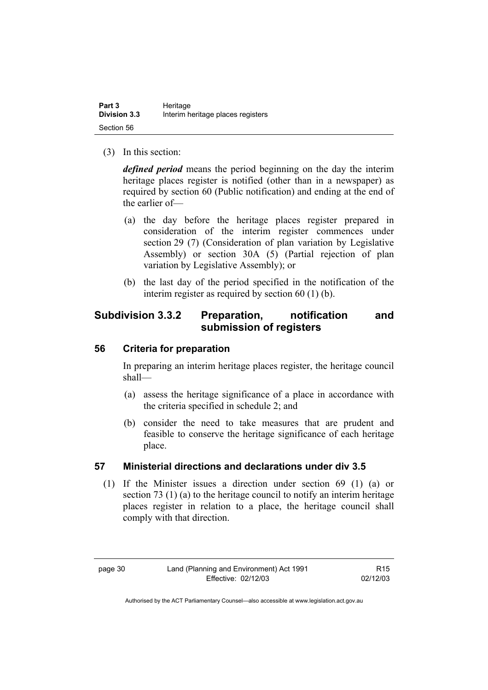(3) In this section:

*defined period* means the period beginning on the day the interim heritage places register is notified (other than in a newspaper) as required by section 60 (Public notification) and ending at the end of the earlier of—

- (a) the day before the heritage places register prepared in consideration of the interim register commences under section 29 (7) (Consideration of plan variation by Legislative Assembly) or section 30A (5) (Partial rejection of plan variation by Legislative Assembly); or
- (b) the last day of the period specified in the notification of the interim register as required by section 60 (1) (b).

# **Subdivision 3.3.2 Preparation, notification and submission of registers**

### **56 Criteria for preparation**

In preparing an interim heritage places register, the heritage council shall—

- (a) assess the heritage significance of a place in accordance with the criteria specified in schedule 2; and
- (b) consider the need to take measures that are prudent and feasible to conserve the heritage significance of each heritage place.

# **57 Ministerial directions and declarations under div 3.5**

 (1) If the Minister issues a direction under section 69 (1) (a) or section 73 (1) (a) to the heritage council to notify an interim heritage places register in relation to a place, the heritage council shall comply with that direction.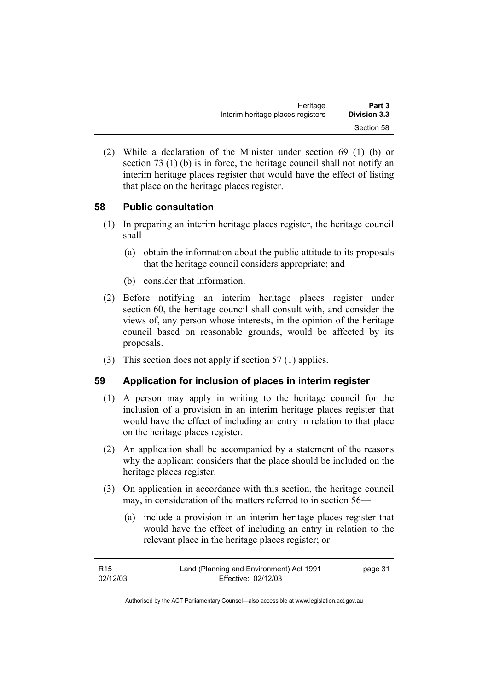| Heritage                          | Part 3              |
|-----------------------------------|---------------------|
| Interim heritage places registers | <b>Division 3.3</b> |
|                                   | Section 58          |

 (2) While a declaration of the Minister under section 69 (1) (b) or section 73 (1) (b) is in force, the heritage council shall not notify an interim heritage places register that would have the effect of listing that place on the heritage places register.

### **58 Public consultation**

- (1) In preparing an interim heritage places register, the heritage council shall—
	- (a) obtain the information about the public attitude to its proposals that the heritage council considers appropriate; and
	- (b) consider that information.
- (2) Before notifying an interim heritage places register under section 60, the heritage council shall consult with, and consider the views of, any person whose interests, in the opinion of the heritage council based on reasonable grounds, would be affected by its proposals.
- (3) This section does not apply if section 57 (1) applies.

### **59 Application for inclusion of places in interim register**

- (1) A person may apply in writing to the heritage council for the inclusion of a provision in an interim heritage places register that would have the effect of including an entry in relation to that place on the heritage places register.
- (2) An application shall be accompanied by a statement of the reasons why the applicant considers that the place should be included on the heritage places register.
- (3) On application in accordance with this section, the heritage council may, in consideration of the matters referred to in section 56—
	- (a) include a provision in an interim heritage places register that would have the effect of including an entry in relation to the relevant place in the heritage places register; or

| R <sub>15</sub> | Land (Planning and Environment) Act 1991 | page 31 |
|-----------------|------------------------------------------|---------|
| 02/12/03        | Effective: 02/12/03                      |         |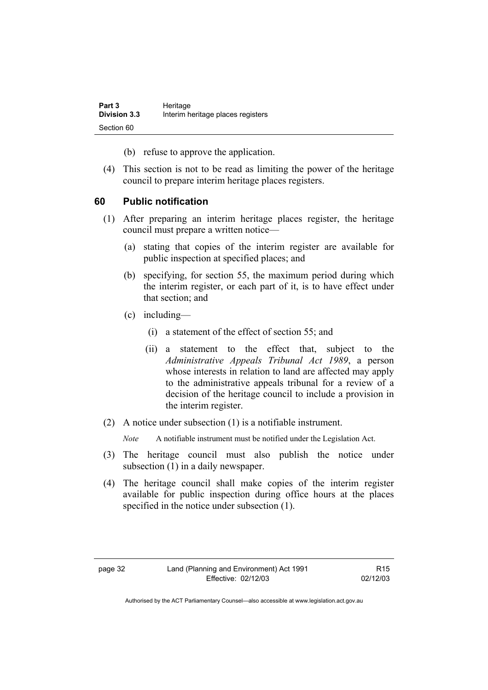| Part 3              | Heritage                          |
|---------------------|-----------------------------------|
| <b>Division 3.3</b> | Interim heritage places registers |
| Section 60          |                                   |

(b) refuse to approve the application.

 (4) This section is not to be read as limiting the power of the heritage council to prepare interim heritage places registers.

### **60 Public notification**

- (1) After preparing an interim heritage places register, the heritage council must prepare a written notice—
	- (a) stating that copies of the interim register are available for public inspection at specified places; and
	- (b) specifying, for section 55, the maximum period during which the interim register, or each part of it, is to have effect under that section; and
	- (c) including—
		- (i) a statement of the effect of section 55; and
		- (ii) a statement to the effect that, subject to the *Administrative Appeals Tribunal Act 1989*, a person whose interests in relation to land are affected may apply to the administrative appeals tribunal for a review of a decision of the heritage council to include a provision in the interim register.
- (2) A notice under subsection (1) is a notifiable instrument.

*Note* A notifiable instrument must be notified under the Legislation Act.

- (3) The heritage council must also publish the notice under subsection (1) in a daily newspaper.
- (4) The heritage council shall make copies of the interim register available for public inspection during office hours at the places specified in the notice under subsection (1).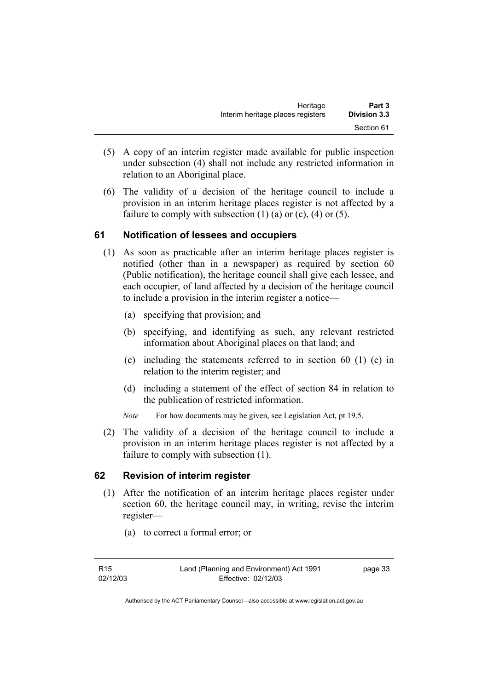| Heritage                          | Part 3              |
|-----------------------------------|---------------------|
| Interim heritage places registers | <b>Division 3.3</b> |
|                                   | Section 61          |

- (5) A copy of an interim register made available for public inspection under subsection (4) shall not include any restricted information in relation to an Aboriginal place.
- (6) The validity of a decision of the heritage council to include a provision in an interim heritage places register is not affected by a failure to comply with subsection  $(1)$   $(a)$  or  $(c)$ ,  $(4)$  or  $(5)$ .

### **61 Notification of lessees and occupiers**

- (1) As soon as practicable after an interim heritage places register is notified (other than in a newspaper) as required by section 60 (Public notification), the heritage council shall give each lessee, and each occupier, of land affected by a decision of the heritage council to include a provision in the interim register a notice—
	- (a) specifying that provision; and
	- (b) specifying, and identifying as such, any relevant restricted information about Aboriginal places on that land; and
	- (c) including the statements referred to in section 60 (1) (c) in relation to the interim register; and
	- (d) including a statement of the effect of section 84 in relation to the publication of restricted information.
	- *Note* For how documents may be given, see Legislation Act, pt 19.5.
- (2) The validity of a decision of the heritage council to include a provision in an interim heritage places register is not affected by a failure to comply with subsection (1).

### **62 Revision of interim register**

- (1) After the notification of an interim heritage places register under section 60, the heritage council may, in writing, revise the interim register—
	- (a) to correct a formal error; or

page 33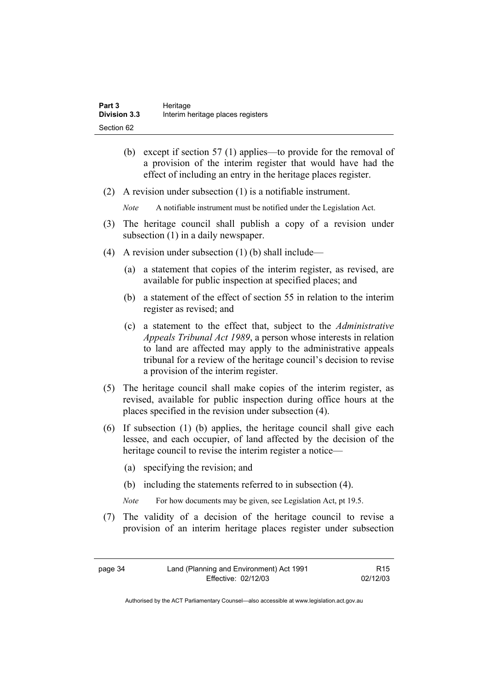| Part 3              | Heritage                          |
|---------------------|-----------------------------------|
| <b>Division 3.3</b> | Interim heritage places registers |
| Section 62          |                                   |

- (b) except if section 57 (1) applies—to provide for the removal of a provision of the interim register that would have had the effect of including an entry in the heritage places register.
- (2) A revision under subsection (1) is a notifiable instrument.

*Note* A notifiable instrument must be notified under the Legislation Act.

- (3) The heritage council shall publish a copy of a revision under subsection  $(1)$  in a daily newspaper.
- (4) A revision under subsection (1) (b) shall include—
	- (a) a statement that copies of the interim register, as revised, are available for public inspection at specified places; and
	- (b) a statement of the effect of section 55 in relation to the interim register as revised; and
	- (c) a statement to the effect that, subject to the *Administrative Appeals Tribunal Act 1989*, a person whose interests in relation to land are affected may apply to the administrative appeals tribunal for a review of the heritage council's decision to revise a provision of the interim register.
- (5) The heritage council shall make copies of the interim register, as revised, available for public inspection during office hours at the places specified in the revision under subsection (4).
- (6) If subsection (1) (b) applies, the heritage council shall give each lessee, and each occupier, of land affected by the decision of the heritage council to revise the interim register a notice—
	- (a) specifying the revision; and
	- (b) including the statements referred to in subsection (4).
	- *Note* For how documents may be given, see Legislation Act, pt 19.5.
- (7) The validity of a decision of the heritage council to revise a provision of an interim heritage places register under subsection

| page 34 | Land (Planning and Environment) Act 1991 | R <sub>15</sub> |
|---------|------------------------------------------|-----------------|
|         | Effective: 02/12/03                      | 02/12/03        |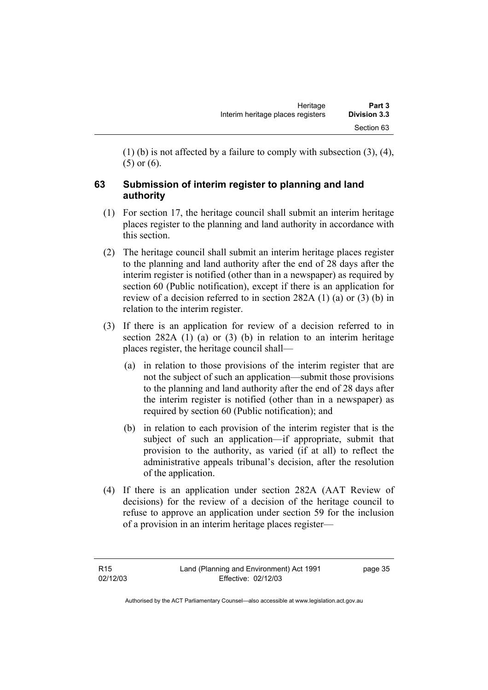(1) (b) is not affected by a failure to comply with subsection (3), (4), (5) or (6).

# **63 Submission of interim register to planning and land authority**

- (1) For section 17, the heritage council shall submit an interim heritage places register to the planning and land authority in accordance with this section.
- (2) The heritage council shall submit an interim heritage places register to the planning and land authority after the end of 28 days after the interim register is notified (other than in a newspaper) as required by section 60 (Public notification), except if there is an application for review of a decision referred to in section 282A (1) (a) or (3) (b) in relation to the interim register.
- (3) If there is an application for review of a decision referred to in section 282A (1) (a) or (3) (b) in relation to an interim heritage places register, the heritage council shall—
	- (a) in relation to those provisions of the interim register that are not the subject of such an application—submit those provisions to the planning and land authority after the end of 28 days after the interim register is notified (other than in a newspaper) as required by section 60 (Public notification); and
	- (b) in relation to each provision of the interim register that is the subject of such an application—if appropriate, submit that provision to the authority, as varied (if at all) to reflect the administrative appeals tribunal's decision, after the resolution of the application.
- (4) If there is an application under section 282A (AAT Review of decisions) for the review of a decision of the heritage council to refuse to approve an application under section 59 for the inclusion of a provision in an interim heritage places register—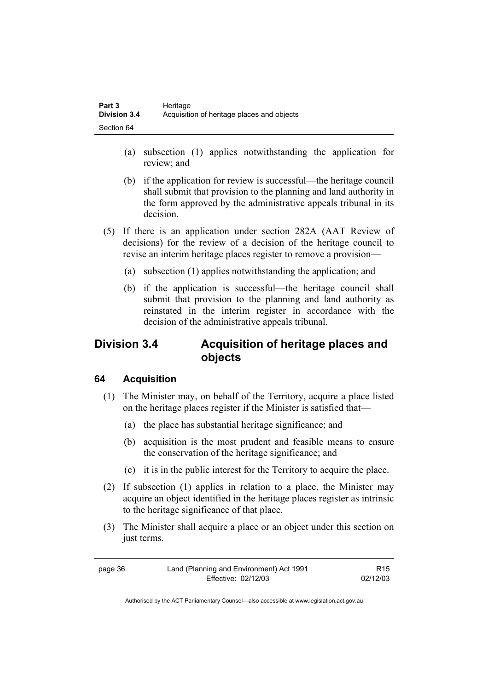- (a) subsection (1) applies notwithstanding the application for review; and
- (b) if the application for review is successful—the heritage council shall submit that provision to the planning and land authority in the form approved by the administrative appeals tribunal in its decision.
- (5) If there is an application under section 282A (AAT Review of decisions) for the review of a decision of the heritage council to revise an interim heritage places register to remove a provision—
	- (a) subsection (1) applies notwithstanding the application; and
	- (b) if the application is successful—the heritage council shall submit that provision to the planning and land authority as reinstated in the interim register in accordance with the decision of the administrative appeals tribunal.

# **Division 3.4 Acquisition of heritage places and objects**

# **64 Acquisition**

- (1) The Minister may, on behalf of the Territory, acquire a place listed on the heritage places register if the Minister is satisfied that—
	- (a) the place has substantial heritage significance; and
	- (b) acquisition is the most prudent and feasible means to ensure the conservation of the heritage significance; and
	- (c) it is in the public interest for the Territory to acquire the place.
- (2) If subsection (1) applies in relation to a place, the Minister may acquire an object identified in the heritage places register as intrinsic to the heritage significance of that place.
- (3) The Minister shall acquire a place or an object under this section on just terms.

| page 36 | Land (Planning and Environment) Act 1991 | R <sub>15</sub> |
|---------|------------------------------------------|-----------------|
|         | Effective: 02/12/03                      | 02/12/03        |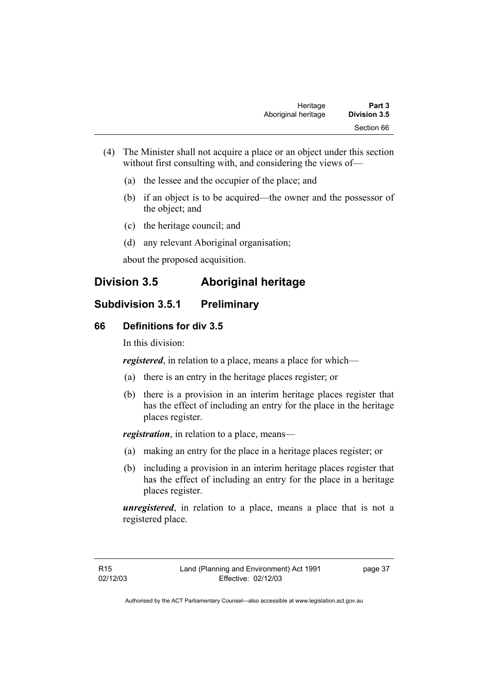- (4) The Minister shall not acquire a place or an object under this section without first consulting with, and considering the views of-
	- (a) the lessee and the occupier of the place; and
	- (b) if an object is to be acquired—the owner and the possessor of the object; and
	- (c) the heritage council; and
	- (d) any relevant Aboriginal organisation;

about the proposed acquisition.

# **Division 3.5 Aboriginal heritage**

# **Subdivision 3.5.1 Preliminary**

# **66 Definitions for div 3.5**

In this division:

*registered*, in relation to a place, means a place for which—

- (a) there is an entry in the heritage places register; or
- (b) there is a provision in an interim heritage places register that has the effect of including an entry for the place in the heritage places register.

*registration*, in relation to a place, means—

- (a) making an entry for the place in a heritage places register; or
- (b) including a provision in an interim heritage places register that has the effect of including an entry for the place in a heritage places register.

*unregistered*, in relation to a place, means a place that is not a registered place.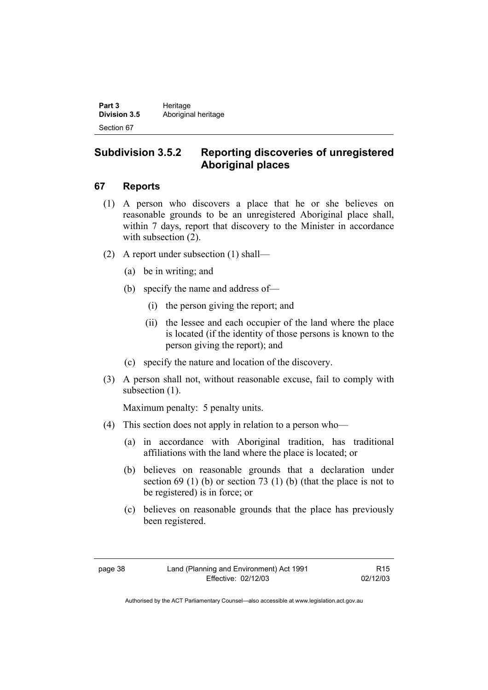Part 3 **Heritage Division 3.5** Aboriginal heritage Section 67

# **Subdivision 3.5.2 Reporting discoveries of unregistered Aboriginal places**

### **67 Reports**

- (1) A person who discovers a place that he or she believes on reasonable grounds to be an unregistered Aboriginal place shall, within 7 days, report that discovery to the Minister in accordance with subsection  $(2)$ .
- (2) A report under subsection (1) shall—
	- (a) be in writing; and
	- (b) specify the name and address of—
		- (i) the person giving the report; and
		- (ii) the lessee and each occupier of the land where the place is located (if the identity of those persons is known to the person giving the report); and
	- (c) specify the nature and location of the discovery.
- (3) A person shall not, without reasonable excuse, fail to comply with subsection  $(1)$ .

Maximum penalty: 5 penalty units.

- (4) This section does not apply in relation to a person who—
	- (a) in accordance with Aboriginal tradition, has traditional affiliations with the land where the place is located; or
	- (b) believes on reasonable grounds that a declaration under section 69 (1) (b) or section 73 (1) (b) (that the place is not to be registered) is in force; or
	- (c) believes on reasonable grounds that the place has previously been registered.

R15 02/12/03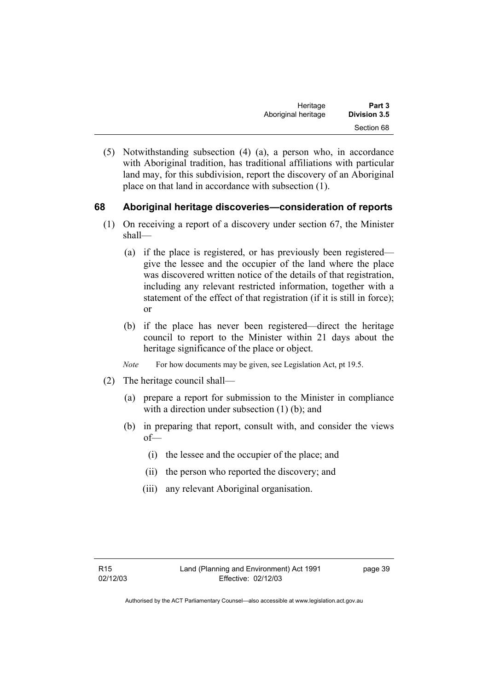| Heritage            | Part 3       |
|---------------------|--------------|
| Aboriginal heritage | Division 3.5 |
|                     | Section 68   |

 (5) Notwithstanding subsection (4) (a), a person who, in accordance with Aboriginal tradition, has traditional affiliations with particular land may, for this subdivision, report the discovery of an Aboriginal place on that land in accordance with subsection (1).

### **68 Aboriginal heritage discoveries—consideration of reports**

- (1) On receiving a report of a discovery under section 67, the Minister shall—
	- (a) if the place is registered, or has previously been registered give the lessee and the occupier of the land where the place was discovered written notice of the details of that registration, including any relevant restricted information, together with a statement of the effect of that registration (if it is still in force); or
	- (b) if the place has never been registered—direct the heritage council to report to the Minister within 21 days about the heritage significance of the place or object.
	- *Note* For how documents may be given, see Legislation Act, pt 19.5.
- (2) The heritage council shall—
	- (a) prepare a report for submission to the Minister in compliance with a direction under subsection (1) (b); and
	- (b) in preparing that report, consult with, and consider the views of—
		- (i) the lessee and the occupier of the place; and
		- (ii) the person who reported the discovery; and
		- (iii) any relevant Aboriginal organisation.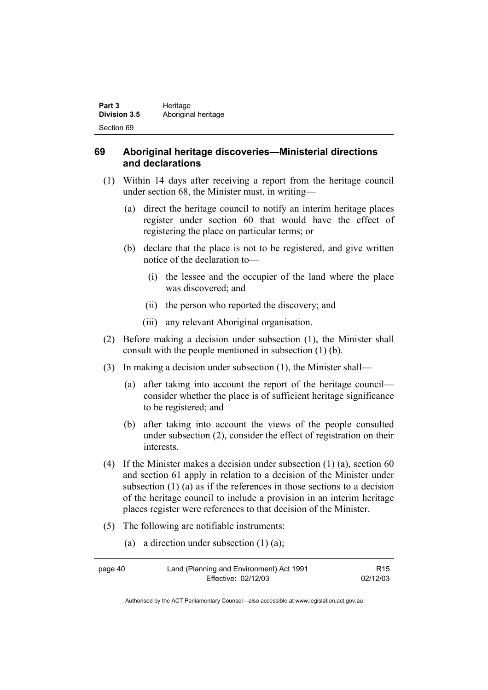| Part 3              | Heritage            |
|---------------------|---------------------|
| <b>Division 3.5</b> | Aboriginal heritage |
| Section 69          |                     |

### **69 Aboriginal heritage discoveries—Ministerial directions and declarations**

- (1) Within 14 days after receiving a report from the heritage council under section 68, the Minister must, in writing—
	- (a) direct the heritage council to notify an interim heritage places register under section 60 that would have the effect of registering the place on particular terms; or
	- (b) declare that the place is not to be registered, and give written notice of the declaration to—
		- (i) the lessee and the occupier of the land where the place was discovered; and
		- (ii) the person who reported the discovery; and
		- (iii) any relevant Aboriginal organisation.
- (2) Before making a decision under subsection (1), the Minister shall consult with the people mentioned in subsection (1) (b).
- (3) In making a decision under subsection (1), the Minister shall—
	- (a) after taking into account the report of the heritage council consider whether the place is of sufficient heritage significance to be registered; and
	- (b) after taking into account the views of the people consulted under subsection (2), consider the effect of registration on their interests.
- (4) If the Minister makes a decision under subsection (1) (a), section 60 and section 61 apply in relation to a decision of the Minister under subsection (1) (a) as if the references in those sections to a decision of the heritage council to include a provision in an interim heritage places register were references to that decision of the Minister.
- (5) The following are notifiable instruments:
	- (a) a direction under subsection (1) (a);

| page 40 | Land (Planning and Environment) Act 1991 | R <sub>15</sub> |
|---------|------------------------------------------|-----------------|
|         | Effective: 02/12/03                      | 02/12/03        |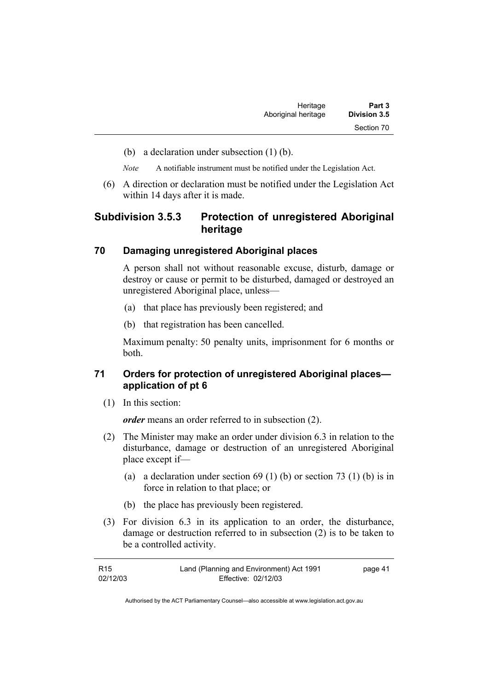- (b) a declaration under subsection (1) (b).
- *Note* A notifiable instrument must be notified under the Legislation Act.
- (6) A direction or declaration must be notified under the Legislation Act within 14 days after it is made.

# **Subdivision 3.5.3 Protection of unregistered Aboriginal heritage**

#### **70 Damaging unregistered Aboriginal places**

A person shall not without reasonable excuse, disturb, damage or destroy or cause or permit to be disturbed, damaged or destroyed an unregistered Aboriginal place, unless—

- (a) that place has previously been registered; and
- (b) that registration has been cancelled.

Maximum penalty: 50 penalty units, imprisonment for 6 months or both.

### **71 Orders for protection of unregistered Aboriginal places application of pt 6**

(1) In this section:

*order* means an order referred to in subsection (2).

- (2) The Minister may make an order under division 6.3 in relation to the disturbance, damage or destruction of an unregistered Aboriginal place except if—
	- (a) a declaration under section  $69 (1) (b)$  or section  $73 (1) (b)$  is in force in relation to that place; or
	- (b) the place has previously been registered.
- (3) For division 6.3 in its application to an order, the disturbance, damage or destruction referred to in subsection (2) is to be taken to be a controlled activity.

| R <sub>15</sub> | Land (Planning and Environment) Act 1991 | page 41 |
|-----------------|------------------------------------------|---------|
| 02/12/03        | Effective: 02/12/03                      |         |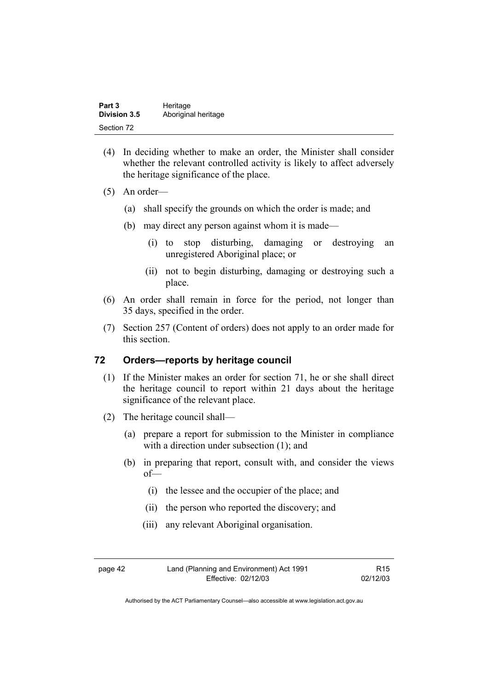| Part 3       | Heritage            |
|--------------|---------------------|
| Division 3.5 | Aboriginal heritage |
| Section 72   |                     |

- (4) In deciding whether to make an order, the Minister shall consider whether the relevant controlled activity is likely to affect adversely the heritage significance of the place.
- (5) An order—
	- (a) shall specify the grounds on which the order is made; and
	- (b) may direct any person against whom it is made—
		- (i) to stop disturbing, damaging or destroying an unregistered Aboriginal place; or
		- (ii) not to begin disturbing, damaging or destroying such a place.
- (6) An order shall remain in force for the period, not longer than 35 days, specified in the order.
- (7) Section 257 (Content of orders) does not apply to an order made for this section.

### **72 Orders—reports by heritage council**

- (1) If the Minister makes an order for section 71, he or she shall direct the heritage council to report within 21 days about the heritage significance of the relevant place.
- (2) The heritage council shall—
	- (a) prepare a report for submission to the Minister in compliance with a direction under subsection (1); and
	- (b) in preparing that report, consult with, and consider the views of—
		- (i) the lessee and the occupier of the place; and
		- (ii) the person who reported the discovery; and
		- (iii) any relevant Aboriginal organisation.

page 42 Land (Planning and Environment) Act 1991 Effective: 02/12/03

R15 02/12/03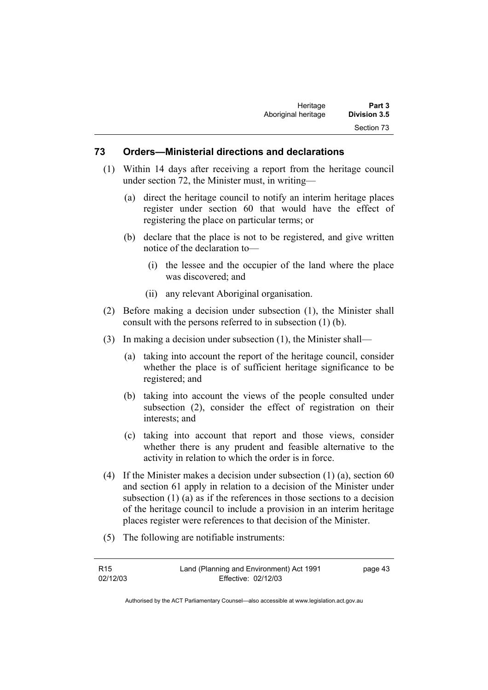#### **73 Orders—Ministerial directions and declarations**

- (1) Within 14 days after receiving a report from the heritage council under section 72, the Minister must, in writing—
	- (a) direct the heritage council to notify an interim heritage places register under section 60 that would have the effect of registering the place on particular terms; or
	- (b) declare that the place is not to be registered, and give written notice of the declaration to—
		- (i) the lessee and the occupier of the land where the place was discovered; and
		- (ii) any relevant Aboriginal organisation.
- (2) Before making a decision under subsection (1), the Minister shall consult with the persons referred to in subsection (1) (b).
- (3) In making a decision under subsection (1), the Minister shall—
	- (a) taking into account the report of the heritage council, consider whether the place is of sufficient heritage significance to be registered; and
	- (b) taking into account the views of the people consulted under subsection (2), consider the effect of registration on their interests; and
	- (c) taking into account that report and those views, consider whether there is any prudent and feasible alternative to the activity in relation to which the order is in force.
- (4) If the Minister makes a decision under subsection (1) (a), section 60 and section 61 apply in relation to a decision of the Minister under subsection (1) (a) as if the references in those sections to a decision of the heritage council to include a provision in an interim heritage places register were references to that decision of the Minister.
- (5) The following are notifiable instruments:

| R <sub>15</sub> | Land (Planning and Environment) Act 1991 | page 43 |
|-----------------|------------------------------------------|---------|
| 02/12/03        | Effective: 02/12/03                      |         |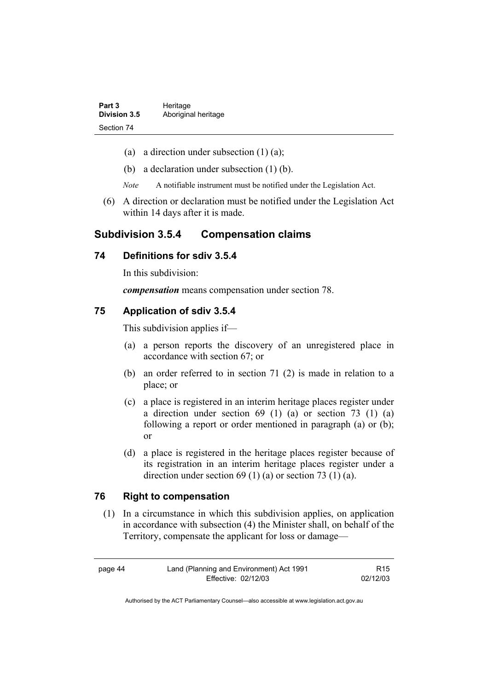| Part 3              | Heritage            |
|---------------------|---------------------|
| <b>Division 3.5</b> | Aboriginal heritage |
| Section 74          |                     |

- (a) a direction under subsection  $(1)$   $(a)$ ;
- (b) a declaration under subsection (1) (b).
- *Note* A notifiable instrument must be notified under the Legislation Act.
- (6) A direction or declaration must be notified under the Legislation Act within 14 days after it is made.

# **Subdivision 3.5.4 Compensation claims**

### **74 Definitions for sdiv 3.5.4**

In this subdivision:

*compensation* means compensation under section 78.

#### **75 Application of sdiv 3.5.4**

This subdivision applies if—

- (a) a person reports the discovery of an unregistered place in accordance with section 67; or
- (b) an order referred to in section 71 (2) is made in relation to a place; or
- (c) a place is registered in an interim heritage places register under a direction under section 69 (1) (a) or section 73 (1) (a) following a report or order mentioned in paragraph (a) or (b); or
- (d) a place is registered in the heritage places register because of its registration in an interim heritage places register under a direction under section 69 (1) (a) or section 73 (1) (a).

### **76 Right to compensation**

 (1) In a circumstance in which this subdivision applies, on application in accordance with subsection (4) the Minister shall, on behalf of the Territory, compensate the applicant for loss or damage—

| page 44 | Land (Planning and Environment) Act 1991 | R <sub>15</sub> |
|---------|------------------------------------------|-----------------|
|         | Effective: 02/12/03                      | 02/12/03        |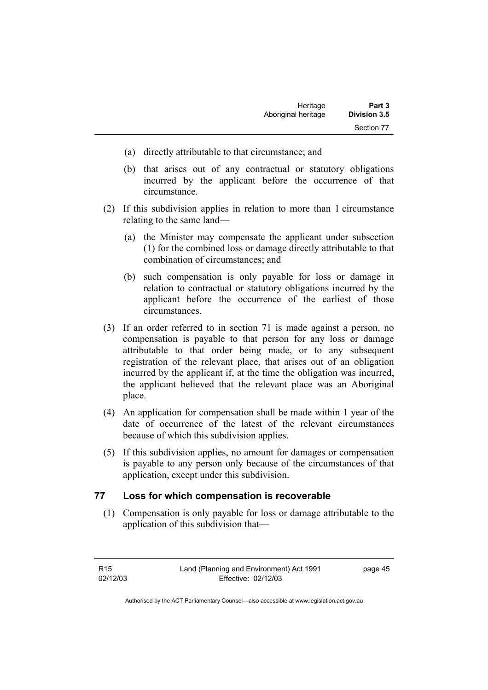- (a) directly attributable to that circumstance; and
- (b) that arises out of any contractual or statutory obligations incurred by the applicant before the occurrence of that circumstance.
- (2) If this subdivision applies in relation to more than 1 circumstance relating to the same land—
	- (a) the Minister may compensate the applicant under subsection (1) for the combined loss or damage directly attributable to that combination of circumstances; and
	- (b) such compensation is only payable for loss or damage in relation to contractual or statutory obligations incurred by the applicant before the occurrence of the earliest of those circumstances.
- (3) If an order referred to in section 71 is made against a person, no compensation is payable to that person for any loss or damage attributable to that order being made, or to any subsequent registration of the relevant place, that arises out of an obligation incurred by the applicant if, at the time the obligation was incurred, the applicant believed that the relevant place was an Aboriginal place.
- (4) An application for compensation shall be made within 1 year of the date of occurrence of the latest of the relevant circumstances because of which this subdivision applies.
- (5) If this subdivision applies, no amount for damages or compensation is payable to any person only because of the circumstances of that application, except under this subdivision.

# **77 Loss for which compensation is recoverable**

 (1) Compensation is only payable for loss or damage attributable to the application of this subdivision that—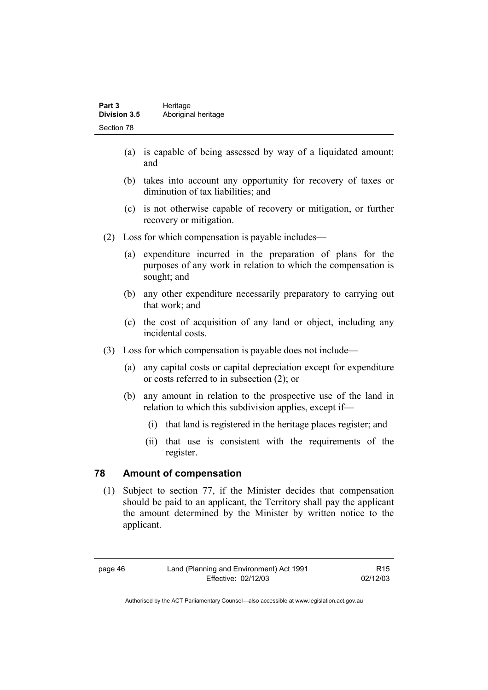| Part 3              | Heritage            |  |
|---------------------|---------------------|--|
| <b>Division 3.5</b> | Aboriginal heritage |  |
| Section 78          |                     |  |

- (a) is capable of being assessed by way of a liquidated amount; and
- (b) takes into account any opportunity for recovery of taxes or diminution of tax liabilities; and
- (c) is not otherwise capable of recovery or mitigation, or further recovery or mitigation.
- (2) Loss for which compensation is payable includes—
	- (a) expenditure incurred in the preparation of plans for the purposes of any work in relation to which the compensation is sought; and
	- (b) any other expenditure necessarily preparatory to carrying out that work; and
	- (c) the cost of acquisition of any land or object, including any incidental costs.
- (3) Loss for which compensation is payable does not include—
	- (a) any capital costs or capital depreciation except for expenditure or costs referred to in subsection (2); or
	- (b) any amount in relation to the prospective use of the land in relation to which this subdivision applies, except if—
		- (i) that land is registered in the heritage places register; and
		- (ii) that use is consistent with the requirements of the register.

### **78 Amount of compensation**

 (1) Subject to section 77, if the Minister decides that compensation should be paid to an applicant, the Territory shall pay the applicant the amount determined by the Minister by written notice to the applicant.

Authorised by the ACT Parliamentary Counsel—also accessible at www.legislation.act.gov.au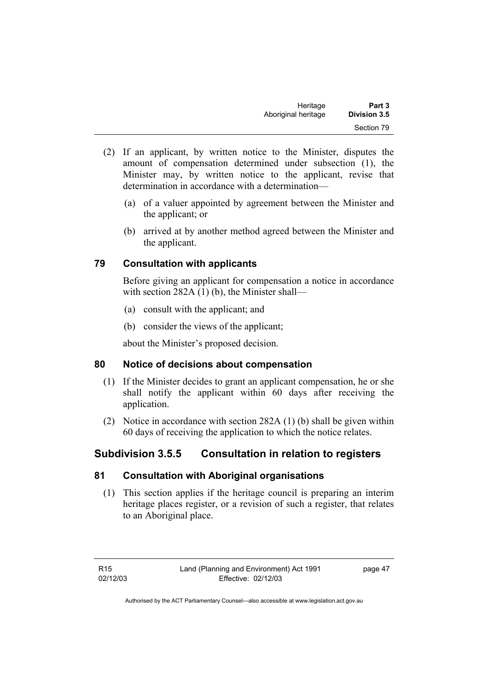| Heritage            | Part 3              |
|---------------------|---------------------|
| Aboriginal heritage | <b>Division 3.5</b> |
|                     | Section 79          |

- (2) If an applicant, by written notice to the Minister, disputes the amount of compensation determined under subsection (1), the Minister may, by written notice to the applicant, revise that determination in accordance with a determination—
	- (a) of a valuer appointed by agreement between the Minister and the applicant; or
	- (b) arrived at by another method agreed between the Minister and the applicant.

### **79 Consultation with applicants**

Before giving an applicant for compensation a notice in accordance with section 282A (1) (b), the Minister shall—

- (a) consult with the applicant; and
- (b) consider the views of the applicant;

about the Minister's proposed decision.

### **80 Notice of decisions about compensation**

- (1) If the Minister decides to grant an applicant compensation, he or she shall notify the applicant within 60 days after receiving the application.
- (2) Notice in accordance with section 282A (1) (b) shall be given within 60 days of receiving the application to which the notice relates.

# **Subdivision 3.5.5 Consultation in relation to registers**

### **81 Consultation with Aboriginal organisations**

 (1) This section applies if the heritage council is preparing an interim heritage places register, or a revision of such a register, that relates to an Aboriginal place.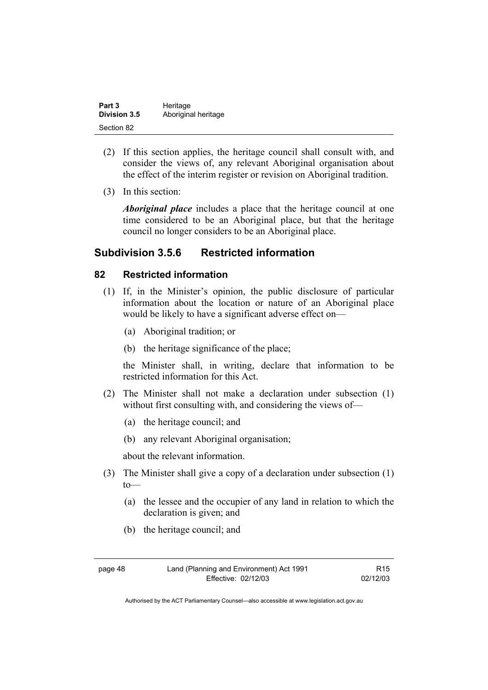| Part 3              | Heritage            |  |
|---------------------|---------------------|--|
| <b>Division 3.5</b> | Aboriginal heritage |  |
| Section 82          |                     |  |

- (2) If this section applies, the heritage council shall consult with, and consider the views of, any relevant Aboriginal organisation about the effect of the interim register or revision on Aboriginal tradition.
- (3) In this section:

*Aboriginal place* includes a place that the heritage council at one time considered to be an Aboriginal place, but that the heritage council no longer considers to be an Aboriginal place.

# **Subdivision 3.5.6 Restricted information**

#### **82 Restricted information**

- (1) If, in the Minister's opinion, the public disclosure of particular information about the location or nature of an Aboriginal place would be likely to have a significant adverse effect on—
	- (a) Aboriginal tradition; or
	- (b) the heritage significance of the place;

the Minister shall, in writing, declare that information to be restricted information for this Act.

- (2) The Minister shall not make a declaration under subsection (1) without first consulting with, and considering the views of—
	- (a) the heritage council; and
	- (b) any relevant Aboriginal organisation;

about the relevant information.

- (3) The Minister shall give a copy of a declaration under subsection (1) to—
	- (a) the lessee and the occupier of any land in relation to which the declaration is given; and
	- (b) the heritage council; and

R15 02/12/03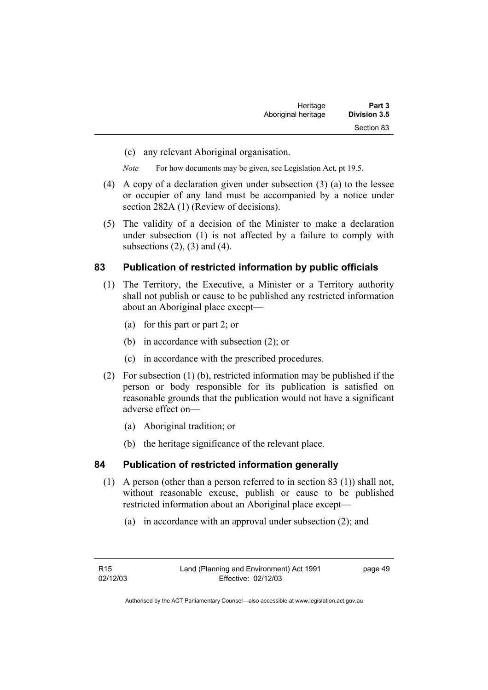| Heritage            | Part 3              |
|---------------------|---------------------|
| Aboriginal heritage | <b>Division 3.5</b> |
|                     | Section 83          |

(c) any relevant Aboriginal organisation.

*Note* For how documents may be given, see Legislation Act, pt 19.5.

- (4) A copy of a declaration given under subsection (3) (a) to the lessee or occupier of any land must be accompanied by a notice under section 282A (1) (Review of decisions).
- (5) The validity of a decision of the Minister to make a declaration under subsection (1) is not affected by a failure to comply with subsections  $(2)$ ,  $(3)$  and  $(4)$ .

### **83 Publication of restricted information by public officials**

- (1) The Territory, the Executive, a Minister or a Territory authority shall not publish or cause to be published any restricted information about an Aboriginal place except—
	- (a) for this part or part 2; or
	- (b) in accordance with subsection (2); or
	- (c) in accordance with the prescribed procedures.
- (2) For subsection (1) (b), restricted information may be published if the person or body responsible for its publication is satisfied on reasonable grounds that the publication would not have a significant adverse effect on—
	- (a) Aboriginal tradition; or
	- (b) the heritage significance of the relevant place.

### **84 Publication of restricted information generally**

- (1) A person (other than a person referred to in section 83 (1)) shall not, without reasonable excuse, publish or cause to be published restricted information about an Aboriginal place except—
	- (a) in accordance with an approval under subsection (2); and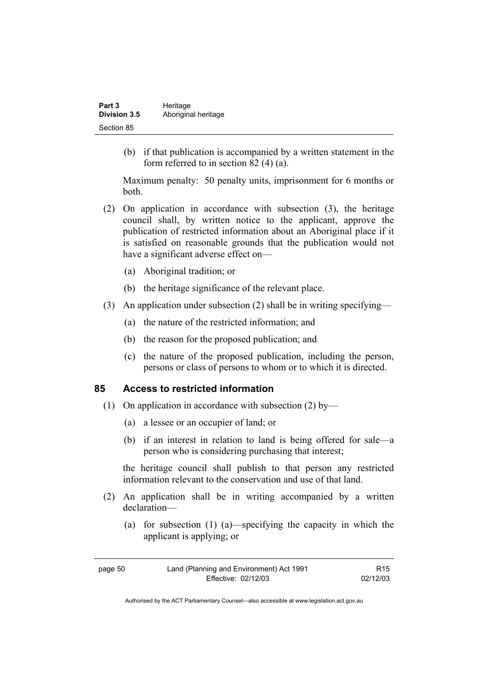| Part 3              | Heritage            |  |
|---------------------|---------------------|--|
| <b>Division 3.5</b> | Aboriginal heritage |  |
| Section 85          |                     |  |

 (b) if that publication is accompanied by a written statement in the form referred to in section 82 (4) (a).

Maximum penalty: 50 penalty units, imprisonment for 6 months or both.

- (2) On application in accordance with subsection (3), the heritage council shall, by written notice to the applicant, approve the publication of restricted information about an Aboriginal place if it is satisfied on reasonable grounds that the publication would not have a significant adverse effect on—
	- (a) Aboriginal tradition; or
	- (b) the heritage significance of the relevant place.
- (3) An application under subsection (2) shall be in writing specifying—
	- (a) the nature of the restricted information; and
	- (b) the reason for the proposed publication; and
	- (c) the nature of the proposed publication, including the person, persons or class of persons to whom or to which it is directed.

#### **85 Access to restricted information**

- (1) On application in accordance with subsection (2) by—
	- (a) a lessee or an occupier of land; or
	- (b) if an interest in relation to land is being offered for sale—a person who is considering purchasing that interest;

the heritage council shall publish to that person any restricted information relevant to the conservation and use of that land.

- (2) An application shall be in writing accompanied by a written declaration—
	- (a) for subsection (1) (a)—specifying the capacity in which the applicant is applying; or

| page 50 | Land (Planning and Environment) Act 1991 | R <sub>15</sub> |
|---------|------------------------------------------|-----------------|
|         | Effective: 02/12/03                      | 02/12/03        |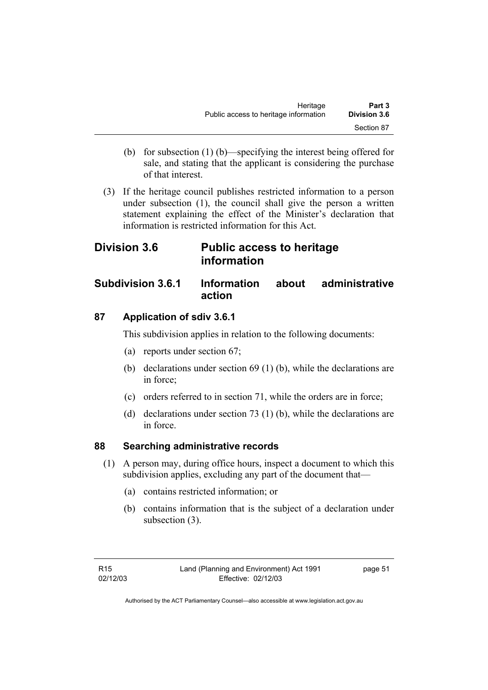- (b) for subsection (1) (b)—specifying the interest being offered for sale, and stating that the applicant is considering the purchase of that interest.
- (3) If the heritage council publishes restricted information to a person under subsection (1), the council shall give the person a written statement explaining the effect of the Minister's declaration that information is restricted information for this Act.

# **Division 3.6 Public access to heritage information**

# **Subdivision 3.6.1 Information about administrative action**

# **87 Application of sdiv 3.6.1**

This subdivision applies in relation to the following documents:

- (a) reports under section 67;
- (b) declarations under section 69 (1) (b), while the declarations are in force;
- (c) orders referred to in section 71, while the orders are in force;
- (d) declarations under section 73 (1) (b), while the declarations are in force.

# **88 Searching administrative records**

- (1) A person may, during office hours, inspect a document to which this subdivision applies, excluding any part of the document that—
	- (a) contains restricted information; or
	- (b) contains information that is the subject of a declaration under subsection (3).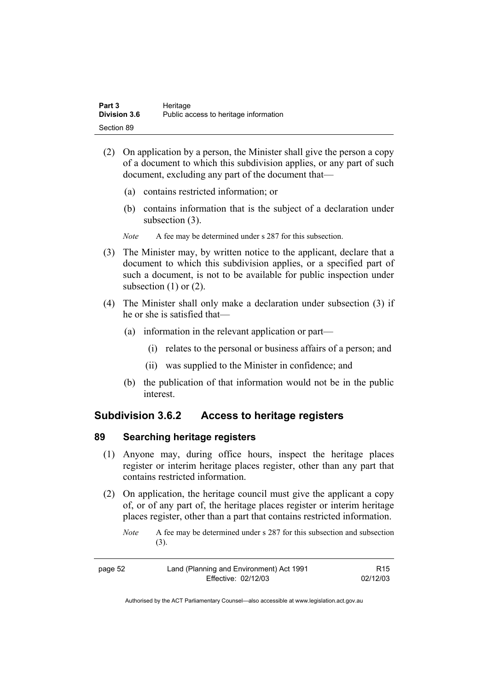| Part 3              | Heritage                              |
|---------------------|---------------------------------------|
| <b>Division 3.6</b> | Public access to heritage information |
| Section 89          |                                       |

- (2) On application by a person, the Minister shall give the person a copy of a document to which this subdivision applies, or any part of such document, excluding any part of the document that—
	- (a) contains restricted information; or
	- (b) contains information that is the subject of a declaration under subsection (3).

*Note* A fee may be determined under s 287 for this subsection.

- (3) The Minister may, by written notice to the applicant, declare that a document to which this subdivision applies, or a specified part of such a document, is not to be available for public inspection under subsection  $(1)$  or  $(2)$ .
- (4) The Minister shall only make a declaration under subsection (3) if he or she is satisfied that—
	- (a) information in the relevant application or part—
		- (i) relates to the personal or business affairs of a person; and
		- (ii) was supplied to the Minister in confidence; and
	- (b) the publication of that information would not be in the public interest.

# **Subdivision 3.6.2 Access to heritage registers**

#### **89 Searching heritage registers**

- (1) Anyone may, during office hours, inspect the heritage places register or interim heritage places register, other than any part that contains restricted information.
- (2) On application, the heritage council must give the applicant a copy of, or of any part of, the heritage places register or interim heritage places register, other than a part that contains restricted information.
	- *Note* A fee may be determined under s 287 for this subsection and subsection (3).

| page 52 | Land (Planning and Environment) Act 1991 | R <sub>15</sub> |
|---------|------------------------------------------|-----------------|
|         | Effective: 02/12/03                      | 02/12/03        |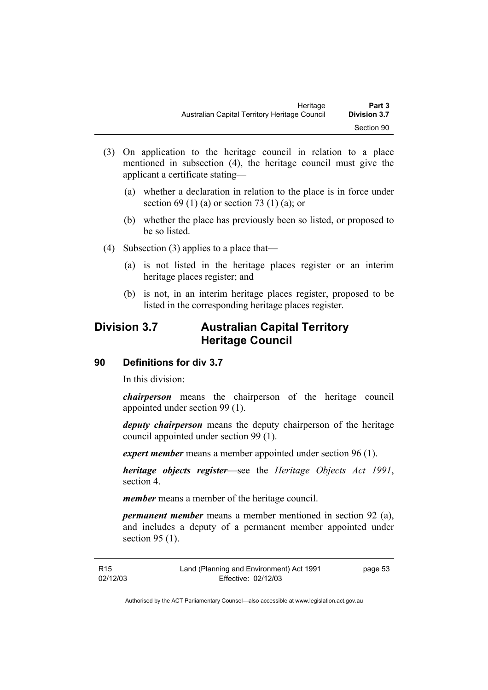- (3) On application to the heritage council in relation to a place mentioned in subsection (4), the heritage council must give the applicant a certificate stating—
	- (a) whether a declaration in relation to the place is in force under section 69 (1) (a) or section 73 (1) (a); or
	- (b) whether the place has previously been so listed, or proposed to be so listed.
- (4) Subsection (3) applies to a place that—
	- (a) is not listed in the heritage places register or an interim heritage places register; and
	- (b) is not, in an interim heritage places register, proposed to be listed in the corresponding heritage places register.

# **Division 3.7 Australian Capital Territory Heritage Council**

# **90 Definitions for div 3.7**

In this division:

*chairperson* means the chairperson of the heritage council appointed under section 99 (1).

*deputy chairperson* means the deputy chairperson of the heritage council appointed under section 99 (1).

*expert member* means a member appointed under section 96 (1).

*heritage objects register*—see the *Heritage Objects Act 1991*, section 4.

*member* means a member of the heritage council.

*permanent member* means a member mentioned in section 92 (a), and includes a deputy of a permanent member appointed under section 95 (1).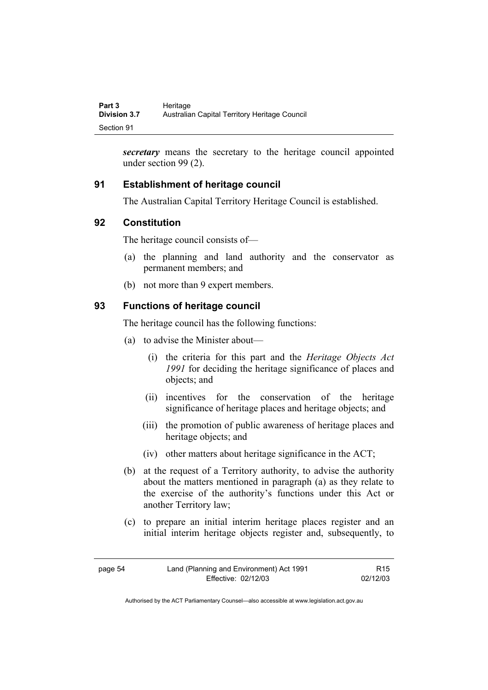*secretary* means the secretary to the heritage council appointed under section 99 (2).

# **91 Establishment of heritage council**

The Australian Capital Territory Heritage Council is established.

# **92 Constitution**

The heritage council consists of—

- (a) the planning and land authority and the conservator as permanent members; and
- (b) not more than 9 expert members.

# **93 Functions of heritage council**

The heritage council has the following functions:

- (a) to advise the Minister about—
	- (i) the criteria for this part and the *Heritage Objects Act 1991* for deciding the heritage significance of places and objects; and
	- (ii) incentives for the conservation of the heritage significance of heritage places and heritage objects; and
	- (iii) the promotion of public awareness of heritage places and heritage objects; and
	- (iv) other matters about heritage significance in the ACT;
- (b) at the request of a Territory authority, to advise the authority about the matters mentioned in paragraph (a) as they relate to the exercise of the authority's functions under this Act or another Territory law;
- (c) to prepare an initial interim heritage places register and an initial interim heritage objects register and, subsequently, to

| page 54 | Land (Planning and Environment) Act 1991 | R <sub>15</sub> |
|---------|------------------------------------------|-----------------|
|         | Effective: 02/12/03                      | 02/12/03        |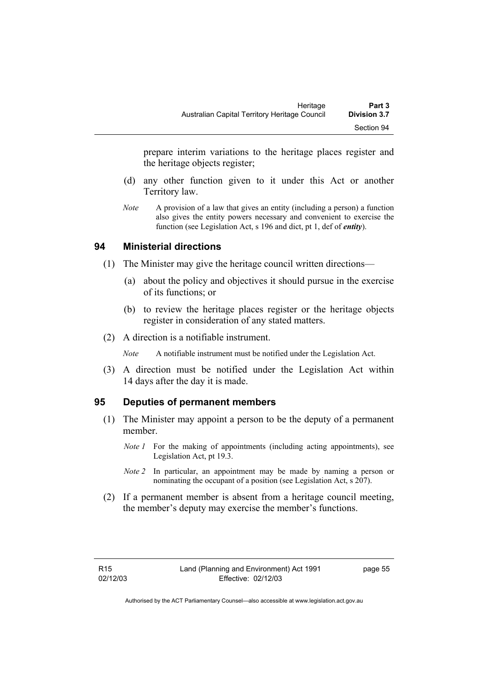prepare interim variations to the heritage places register and the heritage objects register;

- (d) any other function given to it under this Act or another Territory law.
- *Note* A provision of a law that gives an entity (including a person) a function also gives the entity powers necessary and convenient to exercise the function (see Legislation Act, s 196 and dict, pt 1, def of *entity*).

#### **94 Ministerial directions**

- (1) The Minister may give the heritage council written directions—
	- (a) about the policy and objectives it should pursue in the exercise of its functions; or
	- (b) to review the heritage places register or the heritage objects register in consideration of any stated matters.
- (2) A direction is a notifiable instrument.

*Note* A notifiable instrument must be notified under the Legislation Act.

 (3) A direction must be notified under the Legislation Act within 14 days after the day it is made.

### **95 Deputies of permanent members**

- (1) The Minister may appoint a person to be the deputy of a permanent member.
	- *Note 1* For the making of appointments (including acting appointments), see Legislation Act, pt 19.3.
	- *Note 2* In particular, an appointment may be made by naming a person or nominating the occupant of a position (see Legislation Act, s 207).
- (2) If a permanent member is absent from a heritage council meeting, the member's deputy may exercise the member's functions.

page 55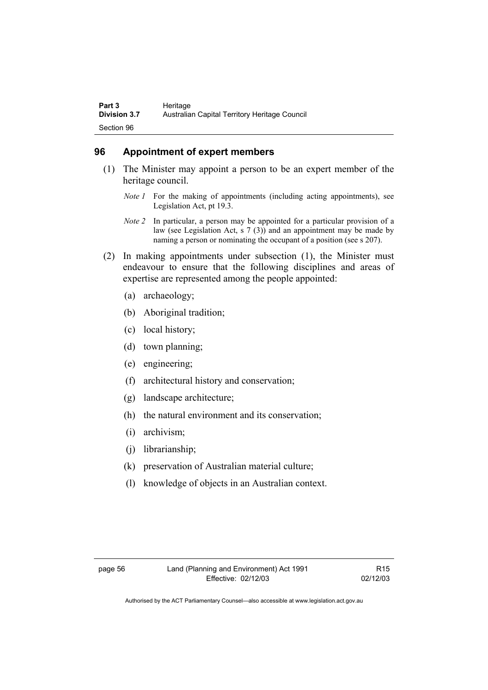### **96 Appointment of expert members**

- (1) The Minister may appoint a person to be an expert member of the heritage council.
	- *Note 1* For the making of appointments (including acting appointments), see Legislation Act, pt 19.3.
	- *Note 2* In particular, a person may be appointed for a particular provision of a law (see Legislation Act, s 7 (3)) and an appointment may be made by naming a person or nominating the occupant of a position (see s 207).
- (2) In making appointments under subsection (1), the Minister must endeavour to ensure that the following disciplines and areas of expertise are represented among the people appointed:
	- (a) archaeology;
	- (b) Aboriginal tradition;
	- (c) local history;
	- (d) town planning;
	- (e) engineering;
	- (f) architectural history and conservation;
	- (g) landscape architecture;
	- (h) the natural environment and its conservation;
	- (i) archivism;
	- (j) librarianship;
	- (k) preservation of Australian material culture;
	- (l) knowledge of objects in an Australian context.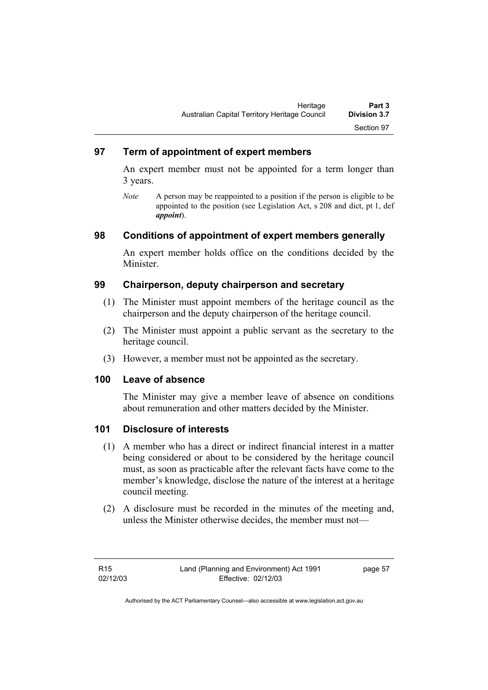### **97 Term of appointment of expert members**

An expert member must not be appointed for a term longer than 3 years.

*Note* A person may be reappointed to a position if the person is eligible to be appointed to the position (see Legislation Act, s 208 and dict, pt 1, def *appoint*).

### **98 Conditions of appointment of expert members generally**

An expert member holds office on the conditions decided by the Minister.

### **99 Chairperson, deputy chairperson and secretary**

- (1) The Minister must appoint members of the heritage council as the chairperson and the deputy chairperson of the heritage council.
- (2) The Minister must appoint a public servant as the secretary to the heritage council.
- (3) However, a member must not be appointed as the secretary.

### **100 Leave of absence**

The Minister may give a member leave of absence on conditions about remuneration and other matters decided by the Minister.

### **101 Disclosure of interests**

- (1) A member who has a direct or indirect financial interest in a matter being considered or about to be considered by the heritage council must, as soon as practicable after the relevant facts have come to the member's knowledge, disclose the nature of the interest at a heritage council meeting.
- (2) A disclosure must be recorded in the minutes of the meeting and, unless the Minister otherwise decides, the member must not—

page 57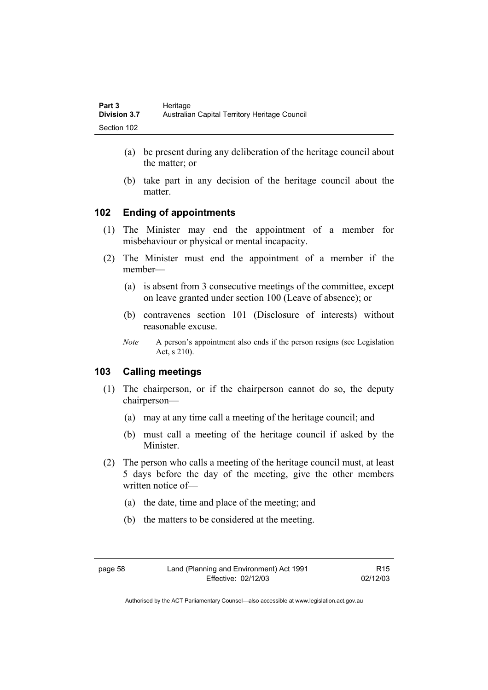- (a) be present during any deliberation of the heritage council about the matter; or
- (b) take part in any decision of the heritage council about the matter.

### **102 Ending of appointments**

- (1) The Minister may end the appointment of a member for misbehaviour or physical or mental incapacity.
- (2) The Minister must end the appointment of a member if the member—
	- (a) is absent from 3 consecutive meetings of the committee, except on leave granted under section 100 (Leave of absence); or
	- (b) contravenes section 101 (Disclosure of interests) without reasonable excuse.
	- *Note* A person's appointment also ends if the person resigns (see Legislation Act, s 210).

### **103 Calling meetings**

- (1) The chairperson, or if the chairperson cannot do so, the deputy chairperson—
	- (a) may at any time call a meeting of the heritage council; and
	- (b) must call a meeting of the heritage council if asked by the Minister.
- (2) The person who calls a meeting of the heritage council must, at least 5 days before the day of the meeting, give the other members written notice of—
	- (a) the date, time and place of the meeting; and
	- (b) the matters to be considered at the meeting.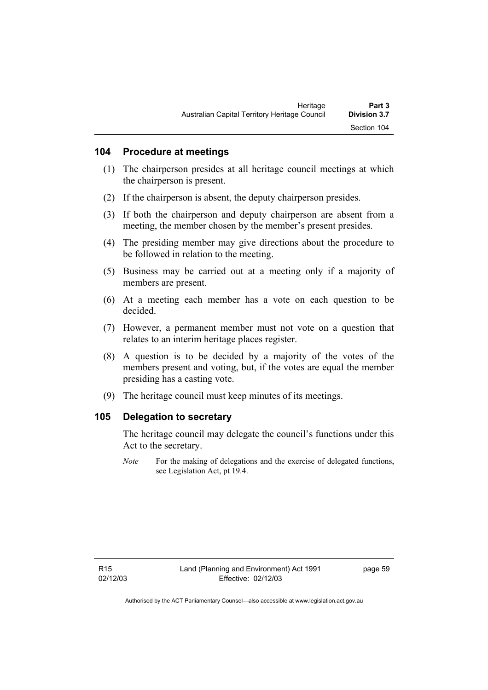### **104 Procedure at meetings**

- (1) The chairperson presides at all heritage council meetings at which the chairperson is present.
- (2) If the chairperson is absent, the deputy chairperson presides.
- (3) If both the chairperson and deputy chairperson are absent from a meeting, the member chosen by the member's present presides.
- (4) The presiding member may give directions about the procedure to be followed in relation to the meeting.
- (5) Business may be carried out at a meeting only if a majority of members are present.
- (6) At a meeting each member has a vote on each question to be decided.
- (7) However, a permanent member must not vote on a question that relates to an interim heritage places register.
- (8) A question is to be decided by a majority of the votes of the members present and voting, but, if the votes are equal the member presiding has a casting vote.
- (9) The heritage council must keep minutes of its meetings.

### **105 Delegation to secretary**

The heritage council may delegate the council's functions under this Act to the secretary.

*Note* For the making of delegations and the exercise of delegated functions, see Legislation Act, pt 19.4.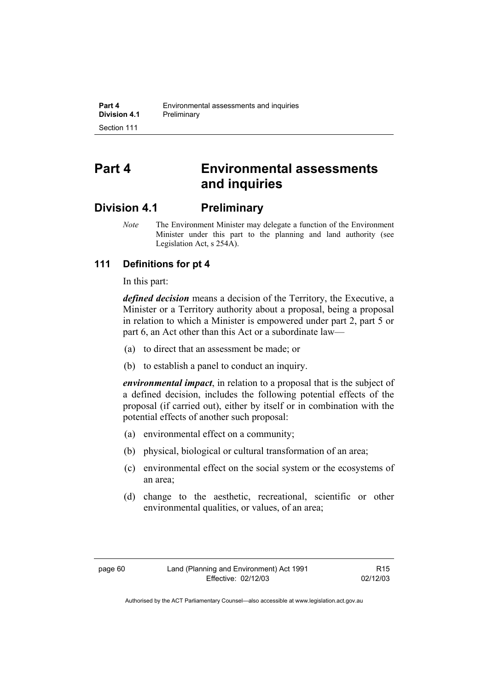# **Part 4 Environmental assessments and inquiries**

### **Division 4.1 Preliminary**

*Note* The Environment Minister may delegate a function of the Environment Minister under this part to the planning and land authority (see Legislation Act, s 254A).

### **111 Definitions for pt 4**

In this part:

*defined decision* means a decision of the Territory, the Executive, a Minister or a Territory authority about a proposal, being a proposal in relation to which a Minister is empowered under part 2, part 5 or part 6, an Act other than this Act or a subordinate law—

- (a) to direct that an assessment be made; or
- (b) to establish a panel to conduct an inquiry.

*environmental impact*, in relation to a proposal that is the subject of a defined decision, includes the following potential effects of the proposal (if carried out), either by itself or in combination with the potential effects of another such proposal:

- (a) environmental effect on a community;
- (b) physical, biological or cultural transformation of an area;
- (c) environmental effect on the social system or the ecosystems of an area;
- (d) change to the aesthetic, recreational, scientific or other environmental qualities, or values, of an area;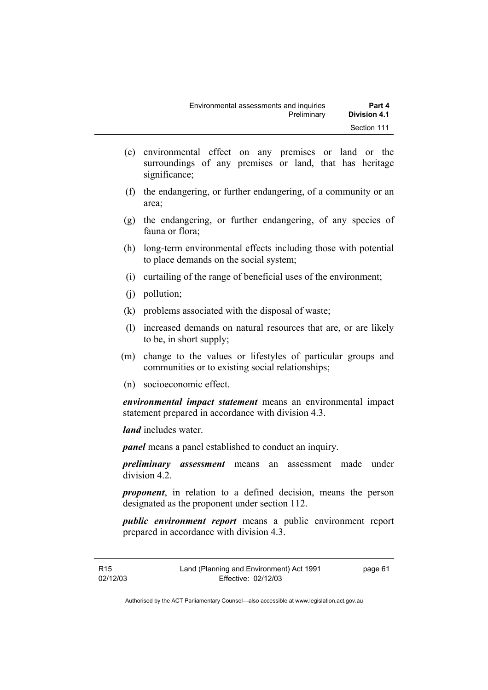- (e) environmental effect on any premises or land or the surroundings of any premises or land, that has heritage significance;
- (f) the endangering, or further endangering, of a community or an area;
- (g) the endangering, or further endangering, of any species of fauna or flora;
- (h) long-term environmental effects including those with potential to place demands on the social system;
- (i) curtailing of the range of beneficial uses of the environment;
- (j) pollution;
- (k) problems associated with the disposal of waste;
- (l) increased demands on natural resources that are, or are likely to be, in short supply;
- (m) change to the values or lifestyles of particular groups and communities or to existing social relationships;
- (n) socioeconomic effect.

*environmental impact statement* means an environmental impact statement prepared in accordance with division 4.3.

*land* includes water.

*panel* means a panel established to conduct an inquiry.

*preliminary assessment* means an assessment made under division 4.2.

*proponent*, in relation to a defined decision, means the person designated as the proponent under section 112.

*public environment report* means a public environment report prepared in accordance with division 4.3.

page 61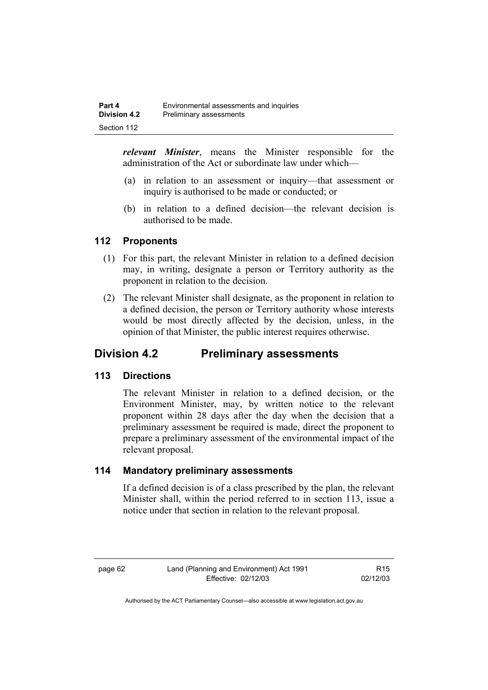*relevant Minister*, means the Minister responsible for the administration of the Act or subordinate law under which—

- (a) in relation to an assessment or inquiry—that assessment or inquiry is authorised to be made or conducted; or
- (b) in relation to a defined decision—the relevant decision is authorised to be made.

### **112 Proponents**

- (1) For this part, the relevant Minister in relation to a defined decision may, in writing, designate a person or Territory authority as the proponent in relation to the decision.
- (2) The relevant Minister shall designate, as the proponent in relation to a defined decision, the person or Territory authority whose interests would be most directly affected by the decision, unless, in the opinion of that Minister, the public interest requires otherwise.

### **Division 4.2 Preliminary assessments**

### **113 Directions**

The relevant Minister in relation to a defined decision, or the Environment Minister, may, by written notice to the relevant proponent within 28 days after the day when the decision that a preliminary assessment be required is made, direct the proponent to prepare a preliminary assessment of the environmental impact of the relevant proposal.

### **114 Mandatory preliminary assessments**

If a defined decision is of a class prescribed by the plan, the relevant Minister shall, within the period referred to in section 113, issue a notice under that section in relation to the relevant proposal.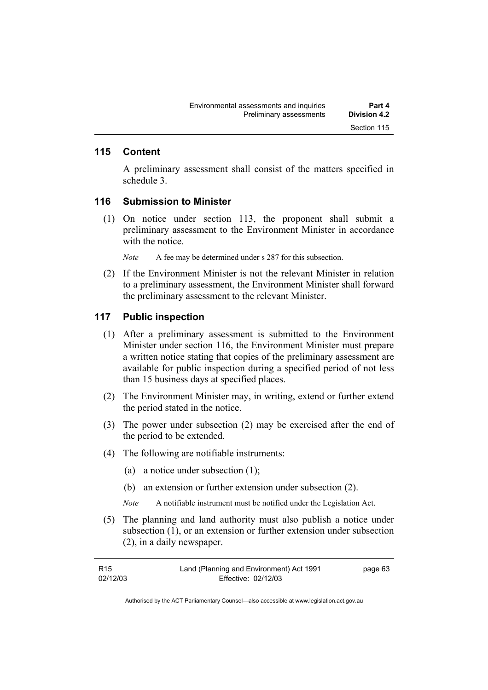### **115 Content**

A preliminary assessment shall consist of the matters specified in schedule 3.

### **116 Submission to Minister**

 (1) On notice under section 113, the proponent shall submit a preliminary assessment to the Environment Minister in accordance with the notice.

*Note* A fee may be determined under s 287 for this subsection.

 (2) If the Environment Minister is not the relevant Minister in relation to a preliminary assessment, the Environment Minister shall forward the preliminary assessment to the relevant Minister.

### **117 Public inspection**

- (1) After a preliminary assessment is submitted to the Environment Minister under section 116, the Environment Minister must prepare a written notice stating that copies of the preliminary assessment are available for public inspection during a specified period of not less than 15 business days at specified places.
- (2) The Environment Minister may, in writing, extend or further extend the period stated in the notice.
- (3) The power under subsection (2) may be exercised after the end of the period to be extended.
- (4) The following are notifiable instruments:
	- (a) a notice under subsection (1);
	- (b) an extension or further extension under subsection (2).
	- *Note* A notifiable instrument must be notified under the Legislation Act.
- (5) The planning and land authority must also publish a notice under subsection (1), or an extension or further extension under subsection (2), in a daily newspaper.

| R <sub>15</sub> | Land (Planning and Environment) Act 1991 | page 63 |
|-----------------|------------------------------------------|---------|
| 02/12/03        | Effective: 02/12/03                      |         |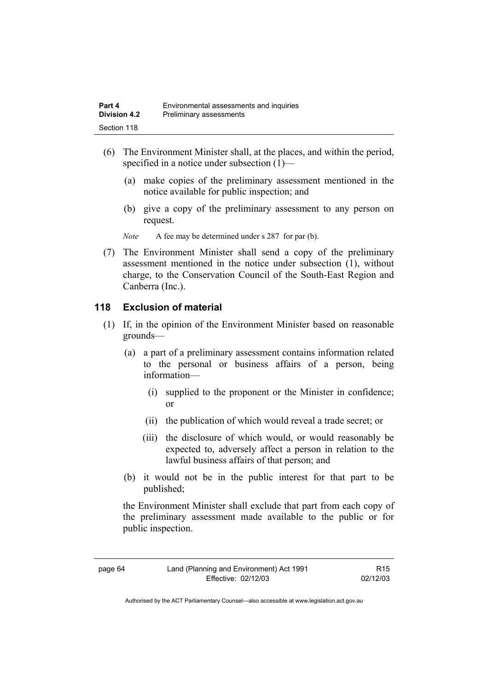- (6) The Environment Minister shall, at the places, and within the period, specified in a notice under subsection (1)—
	- (a) make copies of the preliminary assessment mentioned in the notice available for public inspection; and
	- (b) give a copy of the preliminary assessment to any person on request.
	- *Note* A fee may be determined under s 287 for par (b).
- (7) The Environment Minister shall send a copy of the preliminary assessment mentioned in the notice under subsection (1), without charge, to the Conservation Council of the South-East Region and Canberra (Inc.).

### **118 Exclusion of material**

- (1) If, in the opinion of the Environment Minister based on reasonable grounds—
	- (a) a part of a preliminary assessment contains information related to the personal or business affairs of a person, being information—
		- (i) supplied to the proponent or the Minister in confidence; or
		- (ii) the publication of which would reveal a trade secret; or
		- (iii) the disclosure of which would, or would reasonably be expected to, adversely affect a person in relation to the lawful business affairs of that person; and
	- (b) it would not be in the public interest for that part to be published;

the Environment Minister shall exclude that part from each copy of the preliminary assessment made available to the public or for public inspection.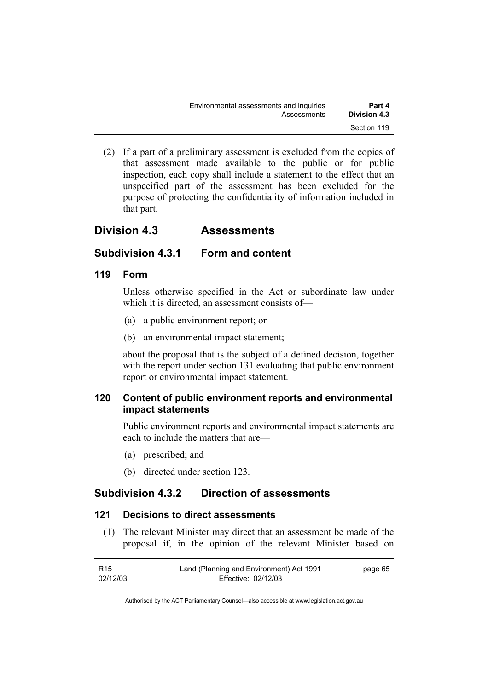| Environmental assessments and inquiries | Part 4              |
|-----------------------------------------|---------------------|
| Assessments                             | <b>Division 4.3</b> |
|                                         | Section 119         |

 (2) If a part of a preliminary assessment is excluded from the copies of that assessment made available to the public or for public inspection, each copy shall include a statement to the effect that an unspecified part of the assessment has been excluded for the purpose of protecting the confidentiality of information included in that part.

### **Division 4.3 Assessments**

### **Subdivision 4.3.1 Form and content**

### **119 Form**

Unless otherwise specified in the Act or subordinate law under which it is directed, an assessment consists of—

- (a) a public environment report; or
- (b) an environmental impact statement;

about the proposal that is the subject of a defined decision, together with the report under section 131 evaluating that public environment report or environmental impact statement.

### **120 Content of public environment reports and environmental impact statements**

Public environment reports and environmental impact statements are each to include the matters that are—

- (a) prescribed; and
- (b) directed under section 123.

### **Subdivision 4.3.2 Direction of assessments**

### **121 Decisions to direct assessments**

 (1) The relevant Minister may direct that an assessment be made of the proposal if, in the opinion of the relevant Minister based on

| R <sub>15</sub> | Land (Planning and Environment) Act 1991 | page 65 |
|-----------------|------------------------------------------|---------|
| 02/12/03        | Effective: 02/12/03                      |         |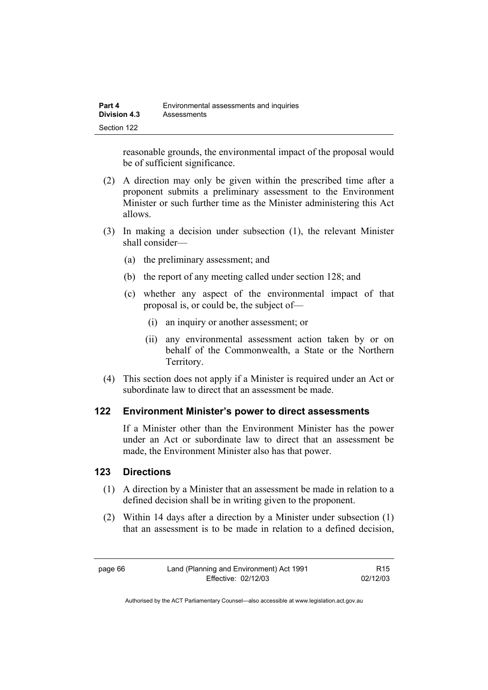| Part 4              | Environmental assessments and inquiries |
|---------------------|-----------------------------------------|
| <b>Division 4.3</b> | Assessments                             |
| Section 122         |                                         |

reasonable grounds, the environmental impact of the proposal would be of sufficient significance.

- (2) A direction may only be given within the prescribed time after a proponent submits a preliminary assessment to the Environment Minister or such further time as the Minister administering this Act allows.
- (3) In making a decision under subsection (1), the relevant Minister shall consider—
	- (a) the preliminary assessment; and
	- (b) the report of any meeting called under section 128; and
	- (c) whether any aspect of the environmental impact of that proposal is, or could be, the subject of—
		- (i) an inquiry or another assessment; or
		- (ii) any environmental assessment action taken by or on behalf of the Commonwealth, a State or the Northern Territory.
- (4) This section does not apply if a Minister is required under an Act or subordinate law to direct that an assessment be made.

#### **122 Environment Minister's power to direct assessments**

If a Minister other than the Environment Minister has the power under an Act or subordinate law to direct that an assessment be made, the Environment Minister also has that power.

### **123 Directions**

- (1) A direction by a Minister that an assessment be made in relation to a defined decision shall be in writing given to the proponent.
- (2) Within 14 days after a direction by a Minister under subsection (1) that an assessment is to be made in relation to a defined decision,

R15 02/12/03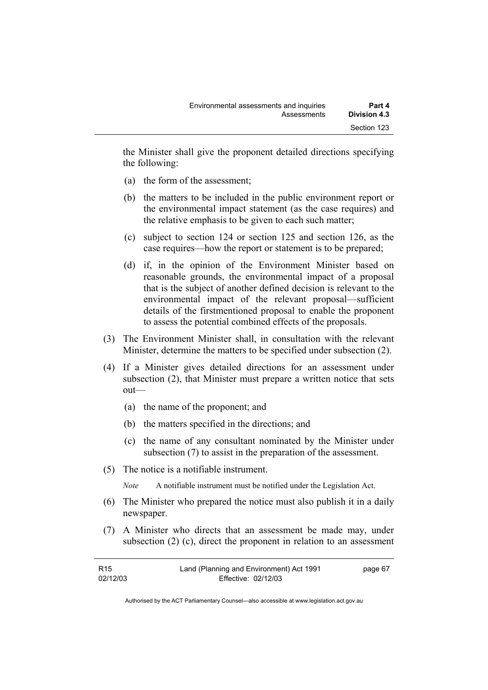the Minister shall give the proponent detailed directions specifying the following:

- (a) the form of the assessment;
- (b) the matters to be included in the public environment report or the environmental impact statement (as the case requires) and the relative emphasis to be given to each such matter;
- (c) subject to section 124 or section 125 and section 126, as the case requires—how the report or statement is to be prepared;
- (d) if, in the opinion of the Environment Minister based on reasonable grounds, the environmental impact of a proposal that is the subject of another defined decision is relevant to the environmental impact of the relevant proposal—sufficient details of the firstmentioned proposal to enable the proponent to assess the potential combined effects of the proposals.
- (3) The Environment Minister shall, in consultation with the relevant Minister, determine the matters to be specified under subsection (2).
- (4) If a Minister gives detailed directions for an assessment under subsection (2), that Minister must prepare a written notice that sets out—
	- (a) the name of the proponent; and
	- (b) the matters specified in the directions; and
	- (c) the name of any consultant nominated by the Minister under subsection (7) to assist in the preparation of the assessment.
- (5) The notice is a notifiable instrument.

*Note* A notifiable instrument must be notified under the Legislation Act.

- (6) The Minister who prepared the notice must also publish it in a daily newspaper.
- (7) A Minister who directs that an assessment be made may, under subsection (2) (c), direct the proponent in relation to an assessment

| R <sub>15</sub> | Land (Planning and Environment) Act 1991 | page 67 |
|-----------------|------------------------------------------|---------|
| 02/12/03        | Effective: 02/12/03                      |         |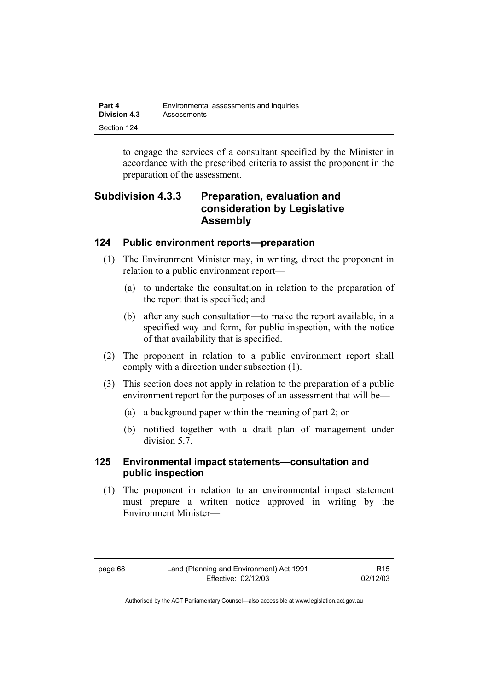| Part 4              | Environmental assessments and inquiries |
|---------------------|-----------------------------------------|
| <b>Division 4.3</b> | Assessments                             |
| Section 124         |                                         |

to engage the services of a consultant specified by the Minister in accordance with the prescribed criteria to assist the proponent in the preparation of the assessment.

### **Subdivision 4.3.3 Preparation, evaluation and consideration by Legislative Assembly**

### **124 Public environment reports—preparation**

- (1) The Environment Minister may, in writing, direct the proponent in relation to a public environment report—
	- (a) to undertake the consultation in relation to the preparation of the report that is specified; and
	- (b) after any such consultation—to make the report available, in a specified way and form, for public inspection, with the notice of that availability that is specified.
- (2) The proponent in relation to a public environment report shall comply with a direction under subsection (1).
- (3) This section does not apply in relation to the preparation of a public environment report for the purposes of an assessment that will be—
	- (a) a background paper within the meaning of part 2; or
	- (b) notified together with a draft plan of management under division 5.7.

### **125 Environmental impact statements—consultation and public inspection**

 (1) The proponent in relation to an environmental impact statement must prepare a written notice approved in writing by the Environment Minister—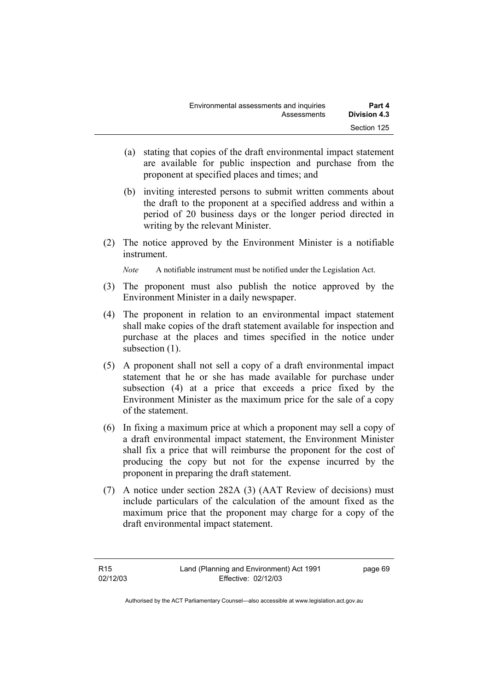| Environmental assessments and inquiries | Part 4              |
|-----------------------------------------|---------------------|
| Assessments                             | <b>Division 4.3</b> |
|                                         | Section 125         |

- (a) stating that copies of the draft environmental impact statement are available for public inspection and purchase from the proponent at specified places and times; and
- (b) inviting interested persons to submit written comments about the draft to the proponent at a specified address and within a period of 20 business days or the longer period directed in writing by the relevant Minister.
- (2) The notice approved by the Environment Minister is a notifiable instrument.

*Note* A notifiable instrument must be notified under the Legislation Act.

- (3) The proponent must also publish the notice approved by the Environment Minister in a daily newspaper.
- (4) The proponent in relation to an environmental impact statement shall make copies of the draft statement available for inspection and purchase at the places and times specified in the notice under subsection  $(1)$ .
- (5) A proponent shall not sell a copy of a draft environmental impact statement that he or she has made available for purchase under subsection (4) at a price that exceeds a price fixed by the Environment Minister as the maximum price for the sale of a copy of the statement.
- (6) In fixing a maximum price at which a proponent may sell a copy of a draft environmental impact statement, the Environment Minister shall fix a price that will reimburse the proponent for the cost of producing the copy but not for the expense incurred by the proponent in preparing the draft statement.
- (7) A notice under section 282A (3) (AAT Review of decisions) must include particulars of the calculation of the amount fixed as the maximum price that the proponent may charge for a copy of the draft environmental impact statement.

page 69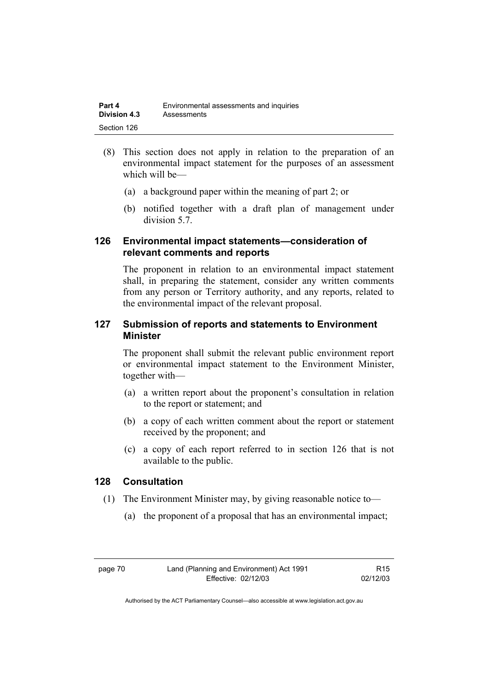- (8) This section does not apply in relation to the preparation of an environmental impact statement for the purposes of an assessment which will be—
	- (a) a background paper within the meaning of part 2; or
	- (b) notified together with a draft plan of management under division 5.7.

### **126 Environmental impact statements—consideration of relevant comments and reports**

The proponent in relation to an environmental impact statement shall, in preparing the statement, consider any written comments from any person or Territory authority, and any reports, related to the environmental impact of the relevant proposal.

### **127 Submission of reports and statements to Environment Minister**

The proponent shall submit the relevant public environment report or environmental impact statement to the Environment Minister, together with—

- (a) a written report about the proponent's consultation in relation to the report or statement; and
- (b) a copy of each written comment about the report or statement received by the proponent; and
- (c) a copy of each report referred to in section 126 that is not available to the public.

### **128 Consultation**

- (1) The Environment Minister may, by giving reasonable notice to—
	- (a) the proponent of a proposal that has an environmental impact;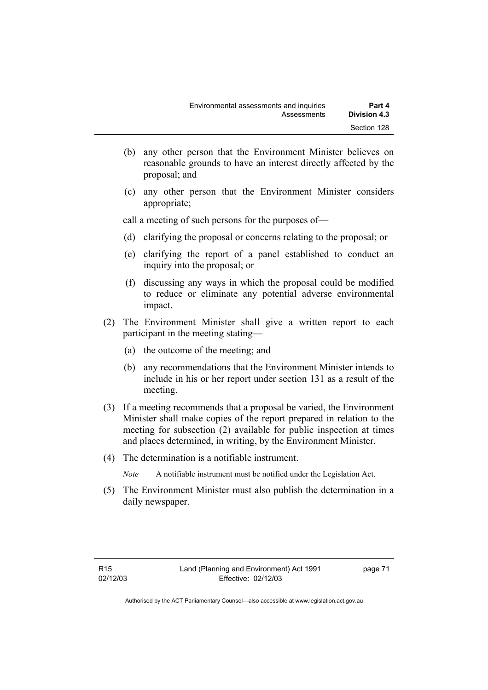- (b) any other person that the Environment Minister believes on reasonable grounds to have an interest directly affected by the proposal; and
- (c) any other person that the Environment Minister considers appropriate;

call a meeting of such persons for the purposes of—

- (d) clarifying the proposal or concerns relating to the proposal; or
- (e) clarifying the report of a panel established to conduct an inquiry into the proposal; or
- (f) discussing any ways in which the proposal could be modified to reduce or eliminate any potential adverse environmental impact.
- (2) The Environment Minister shall give a written report to each participant in the meeting stating—
	- (a) the outcome of the meeting; and
	- (b) any recommendations that the Environment Minister intends to include in his or her report under section 131 as a result of the meeting.
- (3) If a meeting recommends that a proposal be varied, the Environment Minister shall make copies of the report prepared in relation to the meeting for subsection (2) available for public inspection at times and places determined, in writing, by the Environment Minister.
- (4) The determination is a notifiable instrument.
	- *Note* A notifiable instrument must be notified under the Legislation Act.
- (5) The Environment Minister must also publish the determination in a daily newspaper.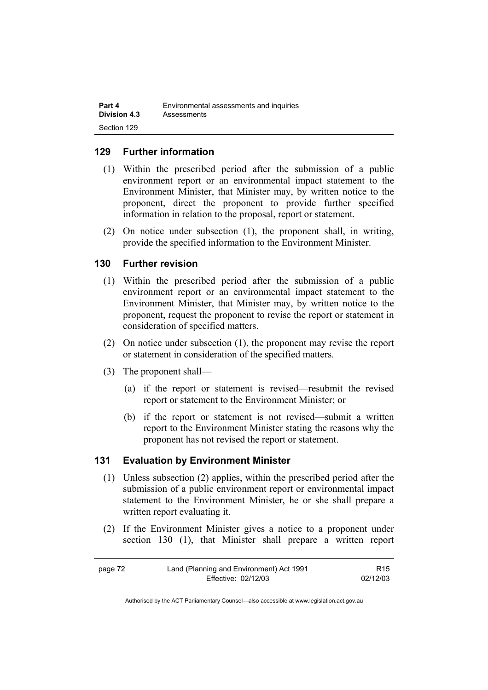| Part 4              | Environmental assessments and inquiries |
|---------------------|-----------------------------------------|
| <b>Division 4.3</b> | Assessments                             |
| Section 129         |                                         |

### **129 Further information**

- (1) Within the prescribed period after the submission of a public environment report or an environmental impact statement to the Environment Minister, that Minister may, by written notice to the proponent, direct the proponent to provide further specified information in relation to the proposal, report or statement.
- (2) On notice under subsection (1), the proponent shall, in writing, provide the specified information to the Environment Minister.

### **130 Further revision**

- (1) Within the prescribed period after the submission of a public environment report or an environmental impact statement to the Environment Minister, that Minister may, by written notice to the proponent, request the proponent to revise the report or statement in consideration of specified matters.
- (2) On notice under subsection (1), the proponent may revise the report or statement in consideration of the specified matters.
- (3) The proponent shall—
	- (a) if the report or statement is revised—resubmit the revised report or statement to the Environment Minister; or
	- (b) if the report or statement is not revised—submit a written report to the Environment Minister stating the reasons why the proponent has not revised the report or statement.

#### **131 Evaluation by Environment Minister**

- (1) Unless subsection (2) applies, within the prescribed period after the submission of a public environment report or environmental impact statement to the Environment Minister, he or she shall prepare a written report evaluating it.
- (2) If the Environment Minister gives a notice to a proponent under section 130 (1), that Minister shall prepare a written report

| page 72 | Land (Planning and Environment) Act 1991 | R <sub>15</sub> |
|---------|------------------------------------------|-----------------|
|         | Effective: 02/12/03                      | 02/12/03        |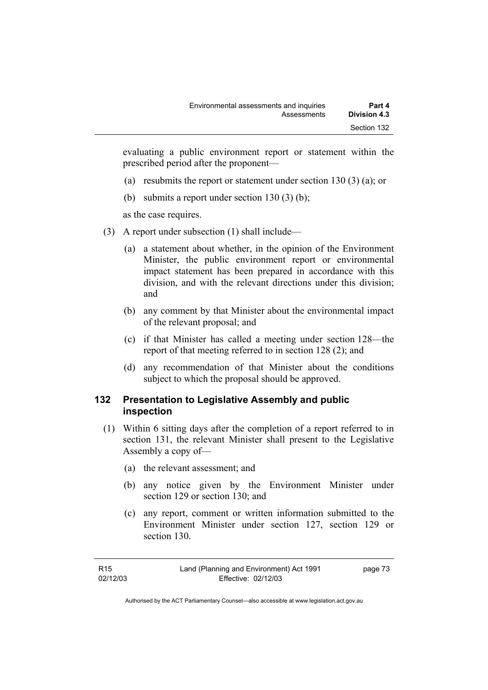evaluating a public environment report or statement within the prescribed period after the proponent—

- (a) resubmits the report or statement under section 130 (3) (a); or
- (b) submits a report under section 130 (3) (b);

as the case requires.

- (3) A report under subsection (1) shall include—
	- (a) a statement about whether, in the opinion of the Environment Minister, the public environment report or environmental impact statement has been prepared in accordance with this division, and with the relevant directions under this division; and
	- (b) any comment by that Minister about the environmental impact of the relevant proposal; and
	- (c) if that Minister has called a meeting under section 128—the report of that meeting referred to in section 128 (2); and
	- (d) any recommendation of that Minister about the conditions subject to which the proposal should be approved.

### **132 Presentation to Legislative Assembly and public inspection**

- (1) Within 6 sitting days after the completion of a report referred to in section 131, the relevant Minister shall present to the Legislative Assembly a copy of—
	- (a) the relevant assessment; and
	- (b) any notice given by the Environment Minister under section 129 or section 130; and
	- (c) any report, comment or written information submitted to the Environment Minister under section 127, section 129 or section 130.

Authorised by the ACT Parliamentary Counsel—also accessible at www.legislation.act.gov.au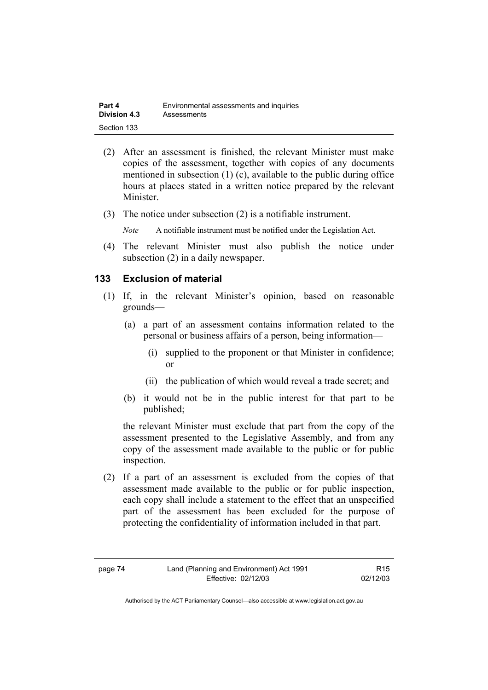| Part 4              | Environmental assessments and inquiries |
|---------------------|-----------------------------------------|
| <b>Division 4.3</b> | Assessments                             |
| Section 133         |                                         |

- (2) After an assessment is finished, the relevant Minister must make copies of the assessment, together with copies of any documents mentioned in subsection (1) (c), available to the public during office hours at places stated in a written notice prepared by the relevant Minister.
- (3) The notice under subsection (2) is a notifiable instrument.

*Note* A notifiable instrument must be notified under the Legislation Act.

(4) The relevant Minister must also publish the notice under subsection (2) in a daily newspaper.

#### **133 Exclusion of material**

- (1) If, in the relevant Minister's opinion, based on reasonable grounds—
	- (a) a part of an assessment contains information related to the personal or business affairs of a person, being information—
		- (i) supplied to the proponent or that Minister in confidence; or
		- (ii) the publication of which would reveal a trade secret; and
	- (b) it would not be in the public interest for that part to be published;

the relevant Minister must exclude that part from the copy of the assessment presented to the Legislative Assembly, and from any copy of the assessment made available to the public or for public inspection.

 (2) If a part of an assessment is excluded from the copies of that assessment made available to the public or for public inspection, each copy shall include a statement to the effect that an unspecified part of the assessment has been excluded for the purpose of protecting the confidentiality of information included in that part.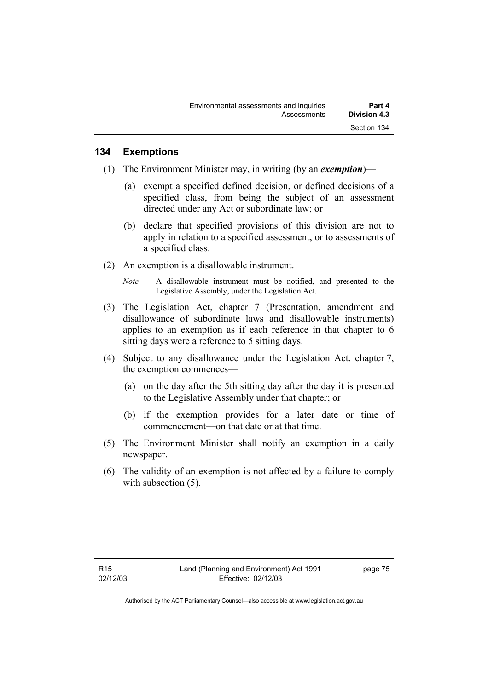### **134 Exemptions**

- (1) The Environment Minister may, in writing (by an *exemption*)—
	- (a) exempt a specified defined decision, or defined decisions of a specified class, from being the subject of an assessment directed under any Act or subordinate law; or
	- (b) declare that specified provisions of this division are not to apply in relation to a specified assessment, or to assessments of a specified class.
- (2) An exemption is a disallowable instrument.
	- *Note* A disallowable instrument must be notified, and presented to the Legislative Assembly, under the Legislation Act.
- (3) The Legislation Act, chapter 7 (Presentation, amendment and disallowance of subordinate laws and disallowable instruments) applies to an exemption as if each reference in that chapter to 6 sitting days were a reference to 5 sitting days.
- (4) Subject to any disallowance under the Legislation Act, chapter 7, the exemption commences—
	- (a) on the day after the 5th sitting day after the day it is presented to the Legislative Assembly under that chapter; or
	- (b) if the exemption provides for a later date or time of commencement—on that date or at that time.
- (5) The Environment Minister shall notify an exemption in a daily newspaper.
- (6) The validity of an exemption is not affected by a failure to comply with subsection  $(5)$ .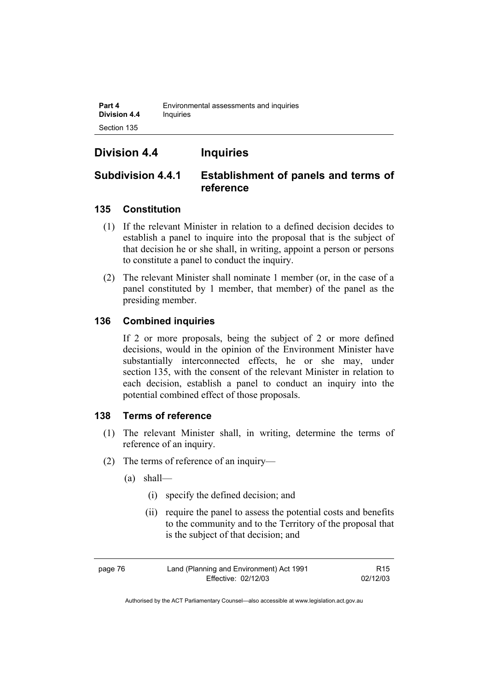**Part 4 Environmental assessments and inquiries Division 4.4 Inquiries** Section 135

## **Division 4.4 Inquiries**

### **Subdivision 4.4.1 Establishment of panels and terms of reference**

### **135 Constitution**

- (1) If the relevant Minister in relation to a defined decision decides to establish a panel to inquire into the proposal that is the subject of that decision he or she shall, in writing, appoint a person or persons to constitute a panel to conduct the inquiry.
- (2) The relevant Minister shall nominate 1 member (or, in the case of a panel constituted by 1 member, that member) of the panel as the presiding member.

### **136 Combined inquiries**

If 2 or more proposals, being the subject of 2 or more defined decisions, would in the opinion of the Environment Minister have substantially interconnected effects, he or she may, under section 135, with the consent of the relevant Minister in relation to each decision, establish a panel to conduct an inquiry into the potential combined effect of those proposals.

### **138 Terms of reference**

- (1) The relevant Minister shall, in writing, determine the terms of reference of an inquiry.
- (2) The terms of reference of an inquiry—
	- (a) shall—
		- (i) specify the defined decision; and
		- (ii) require the panel to assess the potential costs and benefits to the community and to the Territory of the proposal that is the subject of that decision; and

page 76 Land (Planning and Environment) Act 1991 Effective: 02/12/03

R15 02/12/03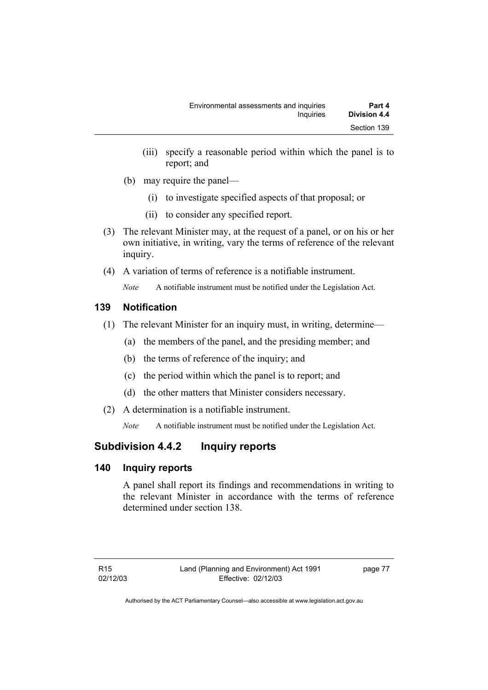- (iii) specify a reasonable period within which the panel is to report; and
- (b) may require the panel—
	- (i) to investigate specified aspects of that proposal; or
	- (ii) to consider any specified report.
- (3) The relevant Minister may, at the request of a panel, or on his or her own initiative, in writing, vary the terms of reference of the relevant inquiry.
- (4) A variation of terms of reference is a notifiable instrument.

*Note* A notifiable instrument must be notified under the Legislation Act.

### **139 Notification**

- (1) The relevant Minister for an inquiry must, in writing, determine—
	- (a) the members of the panel, and the presiding member; and
	- (b) the terms of reference of the inquiry; and
	- (c) the period within which the panel is to report; and
	- (d) the other matters that Minister considers necessary.
- (2) A determination is a notifiable instrument.

*Note* A notifiable instrument must be notified under the Legislation Act.

## **Subdivision 4.4.2 Inquiry reports**

### **140 Inquiry reports**

A panel shall report its findings and recommendations in writing to the relevant Minister in accordance with the terms of reference determined under section 138.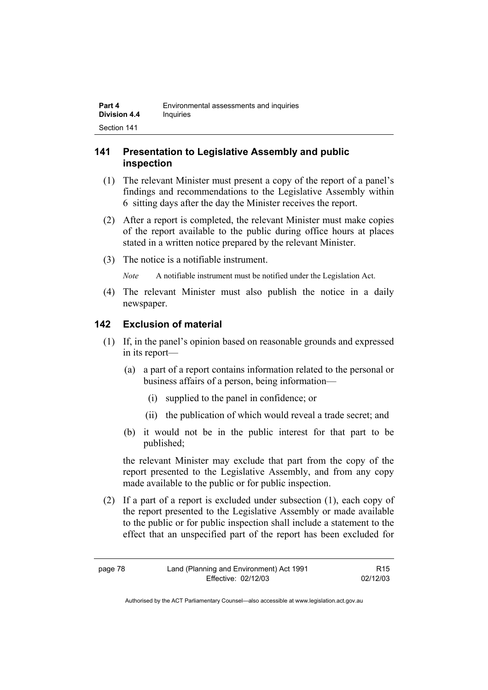### **141 Presentation to Legislative Assembly and public inspection**

- (1) The relevant Minister must present a copy of the report of a panel's findings and recommendations to the Legislative Assembly within 6 sitting days after the day the Minister receives the report.
- (2) After a report is completed, the relevant Minister must make copies of the report available to the public during office hours at places stated in a written notice prepared by the relevant Minister.
- (3) The notice is a notifiable instrument.

*Note* A notifiable instrument must be notified under the Legislation Act.

(4) The relevant Minister must also publish the notice in a daily newspaper.

### **142 Exclusion of material**

- (1) If, in the panel's opinion based on reasonable grounds and expressed in its report—
	- (a) a part of a report contains information related to the personal or business affairs of a person, being information—
		- (i) supplied to the panel in confidence; or
		- (ii) the publication of which would reveal a trade secret; and
	- (b) it would not be in the public interest for that part to be published;

the relevant Minister may exclude that part from the copy of the report presented to the Legislative Assembly, and from any copy made available to the public or for public inspection.

 (2) If a part of a report is excluded under subsection (1), each copy of the report presented to the Legislative Assembly or made available to the public or for public inspection shall include a statement to the effect that an unspecified part of the report has been excluded for

R15 02/12/03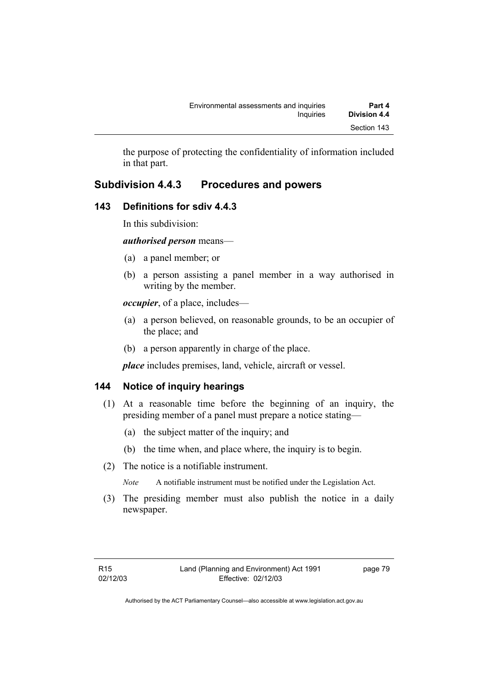the purpose of protecting the confidentiality of information included in that part.

## **Subdivision 4.4.3 Procedures and powers**

### **143 Definitions for sdiv 4.4.3**

In this subdivision:

*authorised person* means—

- (a) a panel member; or
- (b) a person assisting a panel member in a way authorised in writing by the member.

*occupier*, of a place, includes—

- (a) a person believed, on reasonable grounds, to be an occupier of the place; and
- (b) a person apparently in charge of the place.

*place* includes premises, land, vehicle, aircraft or vessel.

## **144 Notice of inquiry hearings**

- (1) At a reasonable time before the beginning of an inquiry, the presiding member of a panel must prepare a notice stating—
	- (a) the subject matter of the inquiry; and
	- (b) the time when, and place where, the inquiry is to begin.
- (2) The notice is a notifiable instrument.

*Note* A notifiable instrument must be notified under the Legislation Act.

(3) The presiding member must also publish the notice in a daily newspaper.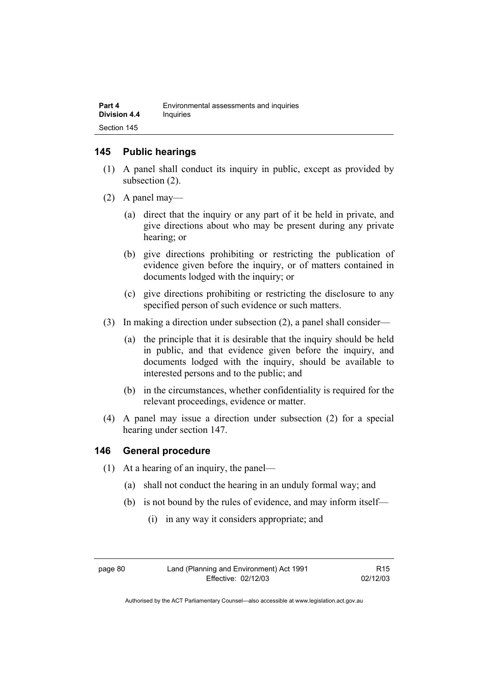### **145 Public hearings**

- (1) A panel shall conduct its inquiry in public, except as provided by subsection (2).
- (2) A panel may—
	- (a) direct that the inquiry or any part of it be held in private, and give directions about who may be present during any private hearing; or
	- (b) give directions prohibiting or restricting the publication of evidence given before the inquiry, or of matters contained in documents lodged with the inquiry; or
	- (c) give directions prohibiting or restricting the disclosure to any specified person of such evidence or such matters.
- (3) In making a direction under subsection (2), a panel shall consider—
	- (a) the principle that it is desirable that the inquiry should be held in public, and that evidence given before the inquiry, and documents lodged with the inquiry, should be available to interested persons and to the public; and
	- (b) in the circumstances, whether confidentiality is required for the relevant proceedings, evidence or matter.
- (4) A panel may issue a direction under subsection (2) for a special hearing under section 147.

### **146 General procedure**

- (1) At a hearing of an inquiry, the panel—
	- (a) shall not conduct the hearing in an unduly formal way; and
	- (b) is not bound by the rules of evidence, and may inform itself—
		- (i) in any way it considers appropriate; and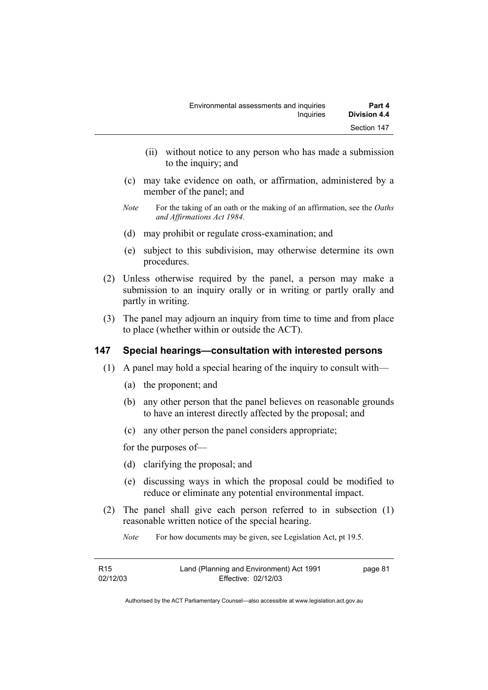- (ii) without notice to any person who has made a submission to the inquiry; and
- (c) may take evidence on oath, or affirmation, administered by a member of the panel; and
- *Note* For the taking of an oath or the making of an affirmation, see the *Oaths and Affirmations Act 1984.*
- (d) may prohibit or regulate cross-examination; and
- (e) subject to this subdivision, may otherwise determine its own procedures.
- (2) Unless otherwise required by the panel, a person may make a submission to an inquiry orally or in writing or partly orally and partly in writing.
- (3) The panel may adjourn an inquiry from time to time and from place to place (whether within or outside the ACT).

### **147 Special hearings—consultation with interested persons**

- (1) A panel may hold a special hearing of the inquiry to consult with—
	- (a) the proponent; and
	- (b) any other person that the panel believes on reasonable grounds to have an interest directly affected by the proposal; and
	- (c) any other person the panel considers appropriate;

for the purposes of—

- (d) clarifying the proposal; and
- (e) discussing ways in which the proposal could be modified to reduce or eliminate any potential environmental impact.
- (2) The panel shall give each person referred to in subsection (1) reasonable written notice of the special hearing.
	- *Note* For how documents may be given, see Legislation Act, pt 19.5.

| R15      | Land (Planning and Environment) Act 1991 | page 81 |
|----------|------------------------------------------|---------|
| 02/12/03 | Effective: 02/12/03                      |         |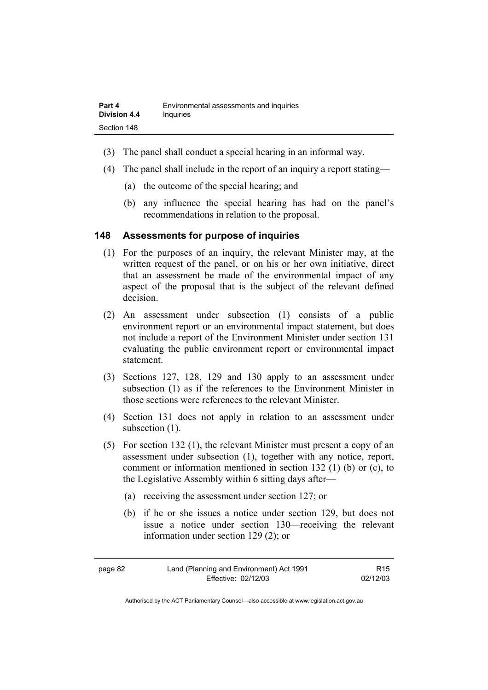- (3) The panel shall conduct a special hearing in an informal way.
- (4) The panel shall include in the report of an inquiry a report stating—
	- (a) the outcome of the special hearing; and
	- (b) any influence the special hearing has had on the panel's recommendations in relation to the proposal.

#### **148 Assessments for purpose of inquiries**

- (1) For the purposes of an inquiry, the relevant Minister may, at the written request of the panel, or on his or her own initiative, direct that an assessment be made of the environmental impact of any aspect of the proposal that is the subject of the relevant defined decision.
- (2) An assessment under subsection (1) consists of a public environment report or an environmental impact statement, but does not include a report of the Environment Minister under section 131 evaluating the public environment report or environmental impact statement.
- (3) Sections 127, 128, 129 and 130 apply to an assessment under subsection (1) as if the references to the Environment Minister in those sections were references to the relevant Minister.
- (4) Section 131 does not apply in relation to an assessment under subsection  $(1)$ .
- (5) For section 132 (1), the relevant Minister must present a copy of an assessment under subsection (1), together with any notice, report, comment or information mentioned in section 132 (1) (b) or (c), to the Legislative Assembly within 6 sitting days after—
	- (a) receiving the assessment under section 127; or
	- (b) if he or she issues a notice under section 129, but does not issue a notice under section 130—receiving the relevant information under section 129 (2); or

| page 82 | Land (Planning and Environment) Act 1991 | R15      |
|---------|------------------------------------------|----------|
|         | Effective: 02/12/03                      | 02/12/03 |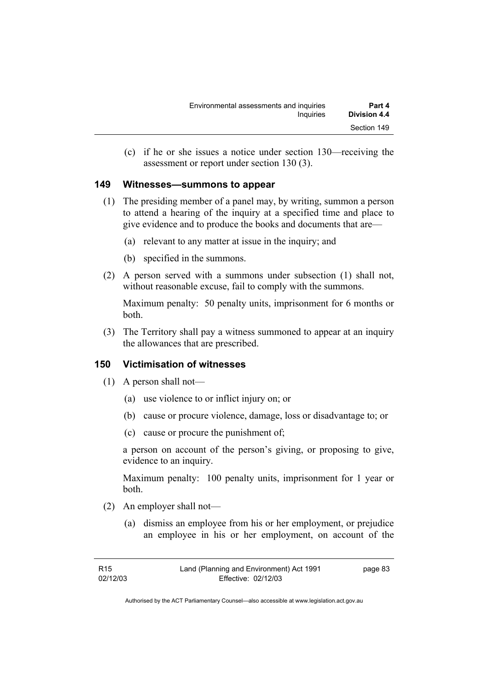(c) if he or she issues a notice under section 130—receiving the assessment or report under section 130 (3).

### **149 Witnesses—summons to appear**

- (1) The presiding member of a panel may, by writing, summon a person to attend a hearing of the inquiry at a specified time and place to give evidence and to produce the books and documents that are—
	- (a) relevant to any matter at issue in the inquiry; and
	- (b) specified in the summons.
- (2) A person served with a summons under subsection (1) shall not, without reasonable excuse, fail to comply with the summons.

Maximum penalty: 50 penalty units, imprisonment for 6 months or both.

 (3) The Territory shall pay a witness summoned to appear at an inquiry the allowances that are prescribed.

### **150 Victimisation of witnesses**

- (1) A person shall not—
	- (a) use violence to or inflict injury on; or
	- (b) cause or procure violence, damage, loss or disadvantage to; or
	- (c) cause or procure the punishment of;

a person on account of the person's giving, or proposing to give, evidence to an inquiry.

Maximum penalty: 100 penalty units, imprisonment for 1 year or both.

- (2) An employer shall not—
	- (a) dismiss an employee from his or her employment, or prejudice an employee in his or her employment, on account of the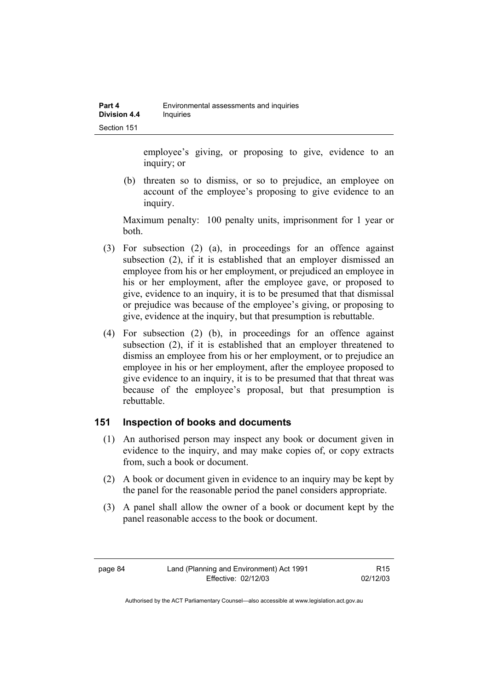employee's giving, or proposing to give, evidence to an inquiry; or

 (b) threaten so to dismiss, or so to prejudice, an employee on account of the employee's proposing to give evidence to an inquiry.

Maximum penalty: 100 penalty units, imprisonment for 1 year or both.

- (3) For subsection (2) (a), in proceedings for an offence against subsection (2), if it is established that an employer dismissed an employee from his or her employment, or prejudiced an employee in his or her employment, after the employee gave, or proposed to give, evidence to an inquiry, it is to be presumed that that dismissal or prejudice was because of the employee's giving, or proposing to give, evidence at the inquiry, but that presumption is rebuttable.
- (4) For subsection (2) (b), in proceedings for an offence against subsection (2), if it is established that an employer threatened to dismiss an employee from his or her employment, or to prejudice an employee in his or her employment, after the employee proposed to give evidence to an inquiry, it is to be presumed that that threat was because of the employee's proposal, but that presumption is rebuttable.

### **151 Inspection of books and documents**

- (1) An authorised person may inspect any book or document given in evidence to the inquiry, and may make copies of, or copy extracts from, such a book or document.
- (2) A book or document given in evidence to an inquiry may be kept by the panel for the reasonable period the panel considers appropriate.
- (3) A panel shall allow the owner of a book or document kept by the panel reasonable access to the book or document.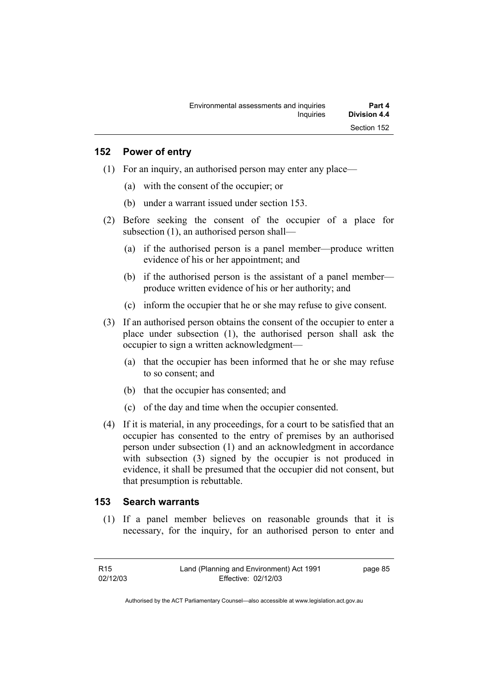### **152 Power of entry**

- (1) For an inquiry, an authorised person may enter any place—
	- (a) with the consent of the occupier; or
	- (b) under a warrant issued under section 153.
- (2) Before seeking the consent of the occupier of a place for subsection (1), an authorised person shall—
	- (a) if the authorised person is a panel member—produce written evidence of his or her appointment; and
	- (b) if the authorised person is the assistant of a panel member produce written evidence of his or her authority; and
	- (c) inform the occupier that he or she may refuse to give consent.
- (3) If an authorised person obtains the consent of the occupier to enter a place under subsection (1), the authorised person shall ask the occupier to sign a written acknowledgment—
	- (a) that the occupier has been informed that he or she may refuse to so consent; and
	- (b) that the occupier has consented; and
	- (c) of the day and time when the occupier consented.
- (4) If it is material, in any proceedings, for a court to be satisfied that an occupier has consented to the entry of premises by an authorised person under subsection (1) and an acknowledgment in accordance with subsection (3) signed by the occupier is not produced in evidence, it shall be presumed that the occupier did not consent, but that presumption is rebuttable.

### **153 Search warrants**

 (1) If a panel member believes on reasonable grounds that it is necessary, for the inquiry, for an authorised person to enter and

page 85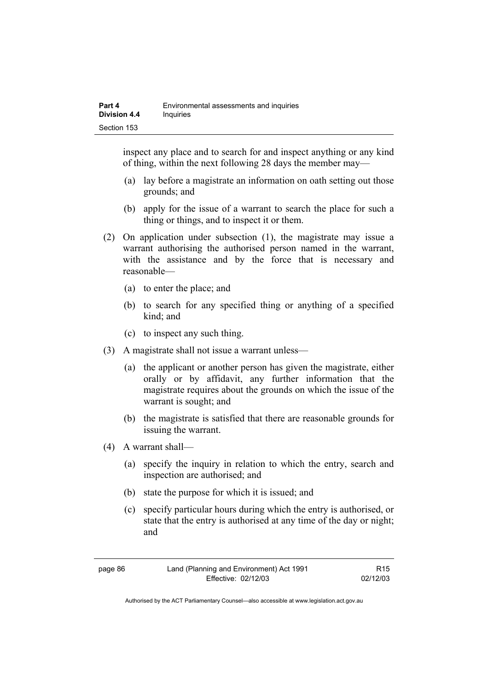inspect any place and to search for and inspect anything or any kind of thing, within the next following 28 days the member may—

- (a) lay before a magistrate an information on oath setting out those grounds; and
- (b) apply for the issue of a warrant to search the place for such a thing or things, and to inspect it or them.
- (2) On application under subsection (1), the magistrate may issue a warrant authorising the authorised person named in the warrant, with the assistance and by the force that is necessary and reasonable—
	- (a) to enter the place; and
	- (b) to search for any specified thing or anything of a specified kind; and
	- (c) to inspect any such thing.
- (3) A magistrate shall not issue a warrant unless—
	- (a) the applicant or another person has given the magistrate, either orally or by affidavit, any further information that the magistrate requires about the grounds on which the issue of the warrant is sought; and
	- (b) the magistrate is satisfied that there are reasonable grounds for issuing the warrant.
- (4) A warrant shall—
	- (a) specify the inquiry in relation to which the entry, search and inspection are authorised; and
	- (b) state the purpose for which it is issued; and
	- (c) specify particular hours during which the entry is authorised, or state that the entry is authorised at any time of the day or night; and

page 86 Land (Planning and Environment) Act 1991 Effective: 02/12/03

R15 02/12/03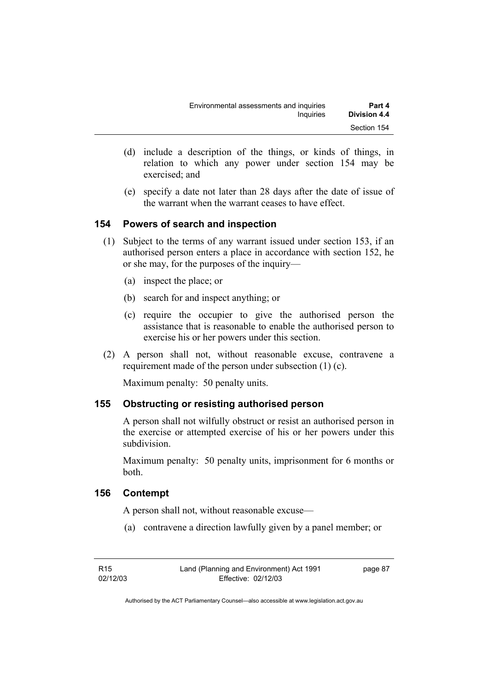| Environmental assessments and inquiries | Part 4       |
|-----------------------------------------|--------------|
| Inquiries                               | Division 4.4 |
|                                         | Section 154  |

- (d) include a description of the things, or kinds of things, in relation to which any power under section 154 may be exercised; and
- (e) specify a date not later than 28 days after the date of issue of the warrant when the warrant ceases to have effect.

### **154 Powers of search and inspection**

- (1) Subject to the terms of any warrant issued under section 153, if an authorised person enters a place in accordance with section 152, he or she may, for the purposes of the inquiry—
	- (a) inspect the place; or
	- (b) search for and inspect anything; or
	- (c) require the occupier to give the authorised person the assistance that is reasonable to enable the authorised person to exercise his or her powers under this section.
- (2) A person shall not, without reasonable excuse, contravene a requirement made of the person under subsection (1) (c).

Maximum penalty: 50 penalty units.

### **155 Obstructing or resisting authorised person**

A person shall not wilfully obstruct or resist an authorised person in the exercise or attempted exercise of his or her powers under this subdivision.

Maximum penalty: 50 penalty units, imprisonment for 6 months or both.

### **156 Contempt**

A person shall not, without reasonable excuse—

(a) contravene a direction lawfully given by a panel member; or

page 87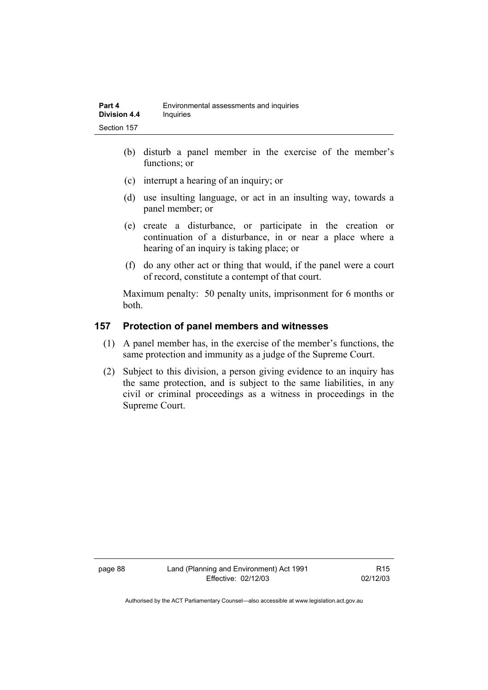- (b) disturb a panel member in the exercise of the member's functions; or
- (c) interrupt a hearing of an inquiry; or
- (d) use insulting language, or act in an insulting way, towards a panel member; or
- (e) create a disturbance, or participate in the creation or continuation of a disturbance, in or near a place where a hearing of an inquiry is taking place; or
- (f) do any other act or thing that would, if the panel were a court of record, constitute a contempt of that court.

Maximum penalty: 50 penalty units, imprisonment for 6 months or both.

### **157 Protection of panel members and witnesses**

- (1) A panel member has, in the exercise of the member's functions, the same protection and immunity as a judge of the Supreme Court.
- (2) Subject to this division, a person giving evidence to an inquiry has the same protection, and is subject to the same liabilities, in any civil or criminal proceedings as a witness in proceedings in the Supreme Court.

page 88 Land (Planning and Environment) Act 1991 Effective: 02/12/03

R15 02/12/03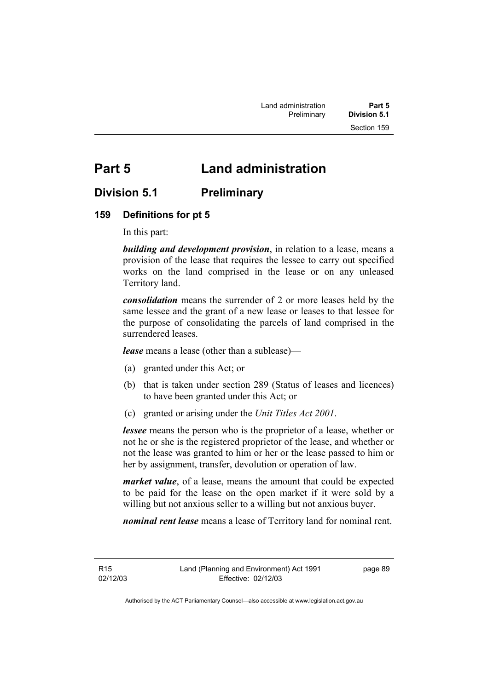# **Part 5 Land administration**

### **Division 5.1 Preliminary**

### **159 Definitions for pt 5**

In this part:

*building and development provision*, in relation to a lease, means a provision of the lease that requires the lessee to carry out specified works on the land comprised in the lease or on any unleased Territory land.

*consolidation* means the surrender of 2 or more leases held by the same lessee and the grant of a new lease or leases to that lessee for the purpose of consolidating the parcels of land comprised in the surrendered leases.

*lease* means a lease (other than a sublease)—

- (a) granted under this Act; or
- (b) that is taken under section 289 (Status of leases and licences) to have been granted under this Act; or
- (c) granted or arising under the *Unit Titles Act 2001*.

*lessee* means the person who is the proprietor of a lease, whether or not he or she is the registered proprietor of the lease, and whether or not the lease was granted to him or her or the lease passed to him or her by assignment, transfer, devolution or operation of law.

*market value*, of a lease, means the amount that could be expected to be paid for the lease on the open market if it were sold by a willing but not anxious seller to a willing but not anxious buyer.

*nominal rent lease* means a lease of Territory land for nominal rent.

R15 02/12/03 page 89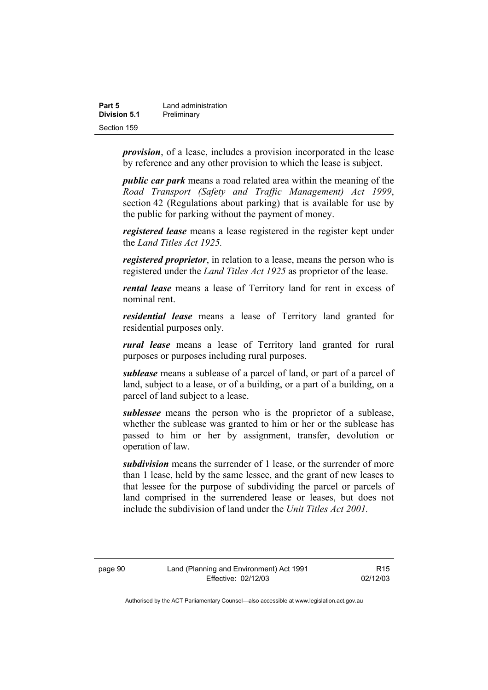| Part 5       | Land administration |
|--------------|---------------------|
| Division 5.1 | Preliminary         |
| Section 159  |                     |

*provision*, of a lease, includes a provision incorporated in the lease by reference and any other provision to which the lease is subject.

*public car park* means a road related area within the meaning of the *Road Transport (Safety and Traffic Management) Act 1999*, section 42 (Regulations about parking) that is available for use by the public for parking without the payment of money.

*registered lease* means a lease registered in the register kept under the *Land Titles Act 1925.*

*registered proprietor*, in relation to a lease, means the person who is registered under the *Land Titles Act 1925* as proprietor of the lease.

*rental lease* means a lease of Territory land for rent in excess of nominal rent.

*residential lease* means a lease of Territory land granted for residential purposes only.

*rural lease* means a lease of Territory land granted for rural purposes or purposes including rural purposes.

*sublease* means a sublease of a parcel of land, or part of a parcel of land, subject to a lease, or of a building, or a part of a building, on a parcel of land subject to a lease.

*sublessee* means the person who is the proprietor of a sublease, whether the sublease was granted to him or her or the sublease has passed to him or her by assignment, transfer, devolution or operation of law.

*subdivision* means the surrender of 1 lease, or the surrender of more than 1 lease, held by the same lessee, and the grant of new leases to that lessee for the purpose of subdividing the parcel or parcels of land comprised in the surrendered lease or leases, but does not include the subdivision of land under the *Unit Titles Act 2001.* 

R15 02/12/03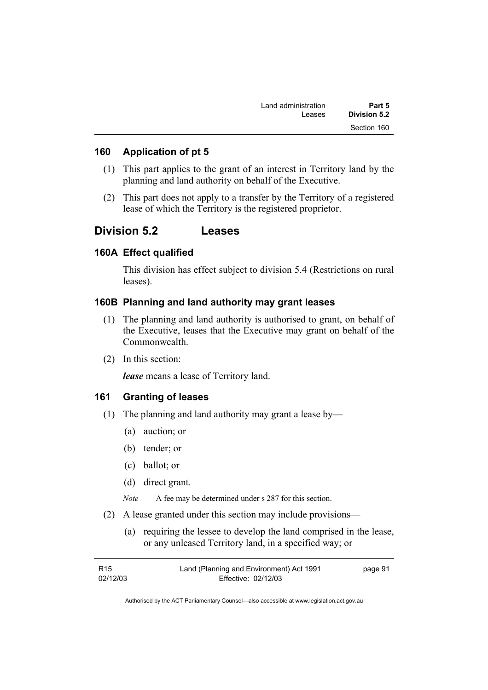| Part 5       | Land administration |
|--------------|---------------------|
| Division 5.2 | Leases              |
| Section 160  |                     |

### **160 Application of pt 5**

- (1) This part applies to the grant of an interest in Territory land by the planning and land authority on behalf of the Executive.
- (2) This part does not apply to a transfer by the Territory of a registered lease of which the Territory is the registered proprietor.

### **Division 5.2 Leases**

### **160A Effect qualified**

This division has effect subject to division 5.4 (Restrictions on rural leases).

### **160B Planning and land authority may grant leases**

- (1) The planning and land authority is authorised to grant, on behalf of the Executive, leases that the Executive may grant on behalf of the Commonwealth.
- (2) In this section:

*lease* means a lease of Territory land.

#### **161 Granting of leases**

- (1) The planning and land authority may grant a lease by—
	- (a) auction; or
	- (b) tender; or
	- (c) ballot; or
	- (d) direct grant.

*Note* A fee may be determined under s 287 for this section.

- (2) A lease granted under this section may include provisions—
	- (a) requiring the lessee to develop the land comprised in the lease, or any unleased Territory land, in a specified way; or

| R15      | Land (Planning and Environment) Act 1991 | page 91 |
|----------|------------------------------------------|---------|
| 02/12/03 | Effective: 02/12/03                      |         |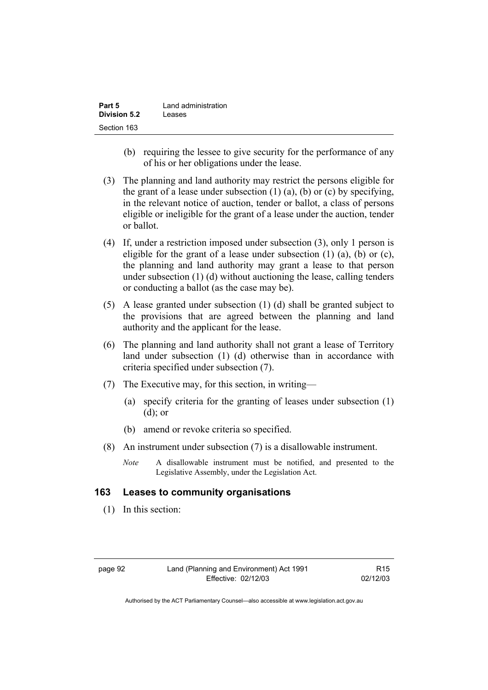| Part 5              | Land administration |
|---------------------|---------------------|
| <b>Division 5.2</b> | Leases              |
| Section 163         |                     |

- (b) requiring the lessee to give security for the performance of any of his or her obligations under the lease.
- (3) The planning and land authority may restrict the persons eligible for the grant of a lease under subsection  $(1)$   $(a)$ ,  $(b)$  or  $(c)$  by specifying, in the relevant notice of auction, tender or ballot, a class of persons eligible or ineligible for the grant of a lease under the auction, tender or ballot.
- (4) If, under a restriction imposed under subsection (3), only 1 person is eligible for the grant of a lease under subsection (1) (a), (b) or (c), the planning and land authority may grant a lease to that person under subsection (1) (d) without auctioning the lease, calling tenders or conducting a ballot (as the case may be).
- (5) A lease granted under subsection (1) (d) shall be granted subject to the provisions that are agreed between the planning and land authority and the applicant for the lease.
- (6) The planning and land authority shall not grant a lease of Territory land under subsection (1) (d) otherwise than in accordance with criteria specified under subsection (7).
- (7) The Executive may, for this section, in writing—
	- (a) specify criteria for the granting of leases under subsection (1) (d); or
	- (b) amend or revoke criteria so specified.
- (8) An instrument under subsection (7) is a disallowable instrument.
	- *Note* A disallowable instrument must be notified, and presented to the Legislative Assembly, under the Legislation Act.

### **163 Leases to community organisations**

(1) In this section: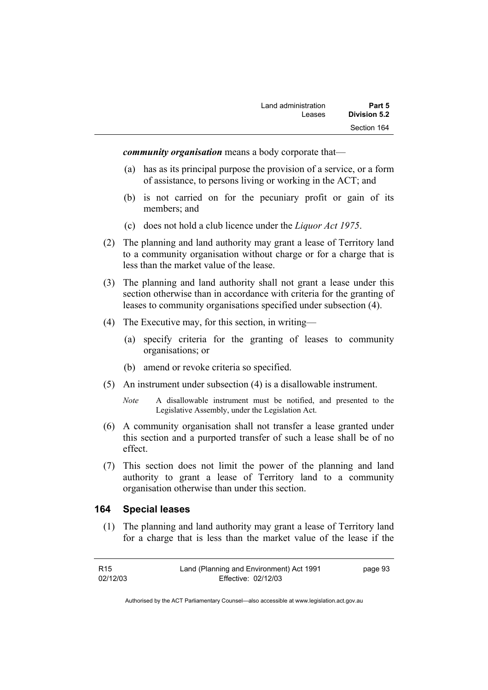*community organisation* means a body corporate that—

- (a) has as its principal purpose the provision of a service, or a form of assistance, to persons living or working in the ACT; and
- (b) is not carried on for the pecuniary profit or gain of its members; and
- (c) does not hold a club licence under the *Liquor Act 1975*.
- (2) The planning and land authority may grant a lease of Territory land to a community organisation without charge or for a charge that is less than the market value of the lease.
- (3) The planning and land authority shall not grant a lease under this section otherwise than in accordance with criteria for the granting of leases to community organisations specified under subsection (4).
- (4) The Executive may, for this section, in writing—
	- (a) specify criteria for the granting of leases to community organisations; or
	- (b) amend or revoke criteria so specified.
- (5) An instrument under subsection (4) is a disallowable instrument.
	- *Note* A disallowable instrument must be notified, and presented to the Legislative Assembly, under the Legislation Act.
- (6) A community organisation shall not transfer a lease granted under this section and a purported transfer of such a lease shall be of no effect.
- (7) This section does not limit the power of the planning and land authority to grant a lease of Territory land to a community organisation otherwise than under this section.

#### **164 Special leases**

 (1) The planning and land authority may grant a lease of Territory land for a charge that is less than the market value of the lease if the

| R <sub>15</sub> | Land (Planning and Environment) Act 1991 | page 93 |
|-----------------|------------------------------------------|---------|
| 02/12/03        | Effective: 02/12/03                      |         |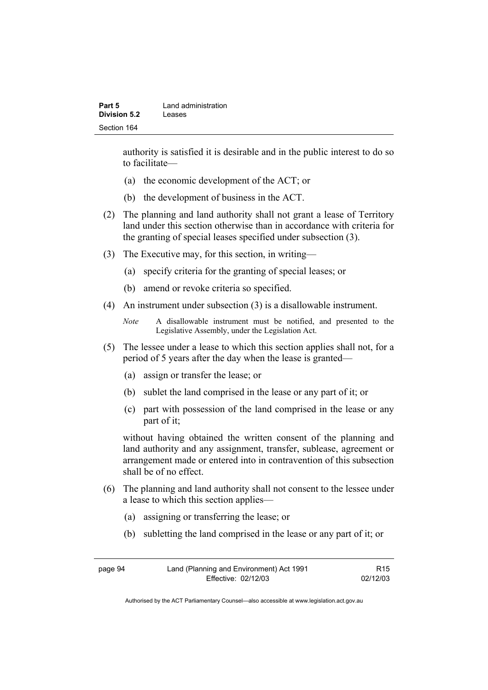| Part 5              | Land administration |
|---------------------|---------------------|
| <b>Division 5.2</b> | Leases              |
| Section 164         |                     |

authority is satisfied it is desirable and in the public interest to do so to facilitate—

- (a) the economic development of the ACT; or
- (b) the development of business in the ACT.
- (2) The planning and land authority shall not grant a lease of Territory land under this section otherwise than in accordance with criteria for the granting of special leases specified under subsection (3).
- (3) The Executive may, for this section, in writing—
	- (a) specify criteria for the granting of special leases; or
	- (b) amend or revoke criteria so specified.
- (4) An instrument under subsection (3) is a disallowable instrument.

- (5) The lessee under a lease to which this section applies shall not, for a period of 5 years after the day when the lease is granted—
	- (a) assign or transfer the lease; or
	- (b) sublet the land comprised in the lease or any part of it; or
	- (c) part with possession of the land comprised in the lease or any part of it;

without having obtained the written consent of the planning and land authority and any assignment, transfer, sublease, agreement or arrangement made or entered into in contravention of this subsection shall be of no effect.

- (6) The planning and land authority shall not consent to the lessee under a lease to which this section applies—
	- (a) assigning or transferring the lease; or
	- (b) subletting the land comprised in the lease or any part of it; or

| page 94 | Land (Planning and Environment) Act 1991 | R <sub>15</sub> |
|---------|------------------------------------------|-----------------|
|         | Effective: 02/12/03                      | 02/12/03        |

*Note* A disallowable instrument must be notified, and presented to the Legislative Assembly, under the Legislation Act.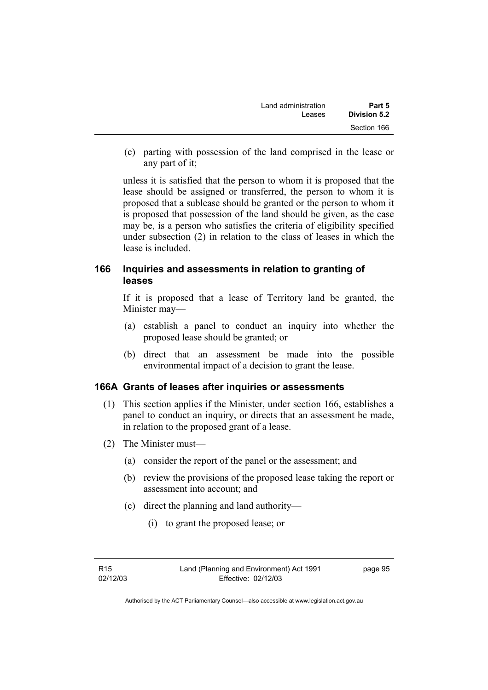| Land administration | Part 5       |
|---------------------|--------------|
| Leases              | Division 5.2 |
|                     | Section 166  |

 (c) parting with possession of the land comprised in the lease or any part of it;

unless it is satisfied that the person to whom it is proposed that the lease should be assigned or transferred, the person to whom it is proposed that a sublease should be granted or the person to whom it is proposed that possession of the land should be given, as the case may be, is a person who satisfies the criteria of eligibility specified under subsection (2) in relation to the class of leases in which the lease is included.

### **166 Inquiries and assessments in relation to granting of leases**

If it is proposed that a lease of Territory land be granted, the Minister may—

- (a) establish a panel to conduct an inquiry into whether the proposed lease should be granted; or
- (b) direct that an assessment be made into the possible environmental impact of a decision to grant the lease.

#### **166A Grants of leases after inquiries or assessments**

- (1) This section applies if the Minister, under section 166, establishes a panel to conduct an inquiry, or directs that an assessment be made, in relation to the proposed grant of a lease.
- (2) The Minister must—
	- (a) consider the report of the panel or the assessment; and
	- (b) review the provisions of the proposed lease taking the report or assessment into account; and
	- (c) direct the planning and land authority—
		- (i) to grant the proposed lease; or

page 95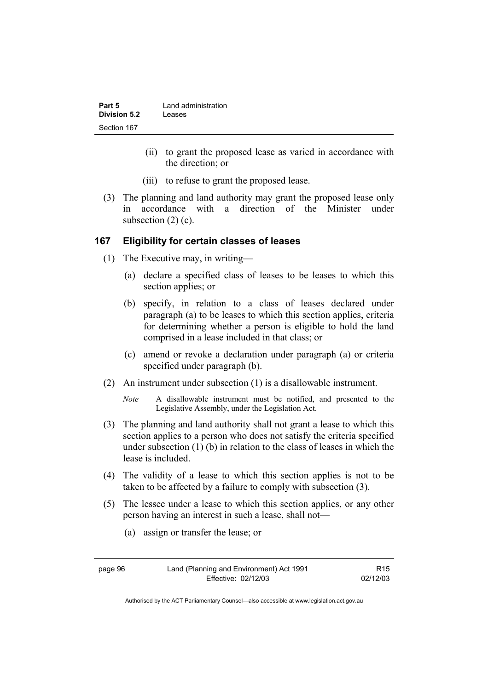| Part 5       | Land administration |
|--------------|---------------------|
| Division 5.2 | Leases              |
| Section 167  |                     |

- (ii) to grant the proposed lease as varied in accordance with the direction; or
- (iii) to refuse to grant the proposed lease.
- (3) The planning and land authority may grant the proposed lease only in accordance with a direction of the Minister under subsection (2) (c).

#### **167 Eligibility for certain classes of leases**

- (1) The Executive may, in writing—
	- (a) declare a specified class of leases to be leases to which this section applies; or
	- (b) specify, in relation to a class of leases declared under paragraph (a) to be leases to which this section applies, criteria for determining whether a person is eligible to hold the land comprised in a lease included in that class; or
	- (c) amend or revoke a declaration under paragraph (a) or criteria specified under paragraph (b).
- (2) An instrument under subsection (1) is a disallowable instrument.
	- *Note* A disallowable instrument must be notified, and presented to the Legislative Assembly, under the Legislation Act.
- (3) The planning and land authority shall not grant a lease to which this section applies to a person who does not satisfy the criteria specified under subsection (1) (b) in relation to the class of leases in which the lease is included.
- (4) The validity of a lease to which this section applies is not to be taken to be affected by a failure to comply with subsection (3).
- (5) The lessee under a lease to which this section applies, or any other person having an interest in such a lease, shall not—
	- (a) assign or transfer the lease; or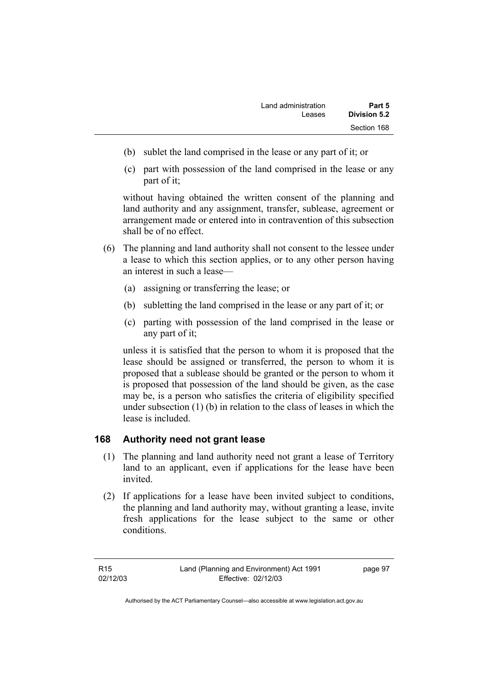- (b) sublet the land comprised in the lease or any part of it; or
- (c) part with possession of the land comprised in the lease or any part of it;

without having obtained the written consent of the planning and land authority and any assignment, transfer, sublease, agreement or arrangement made or entered into in contravention of this subsection shall be of no effect.

- (6) The planning and land authority shall not consent to the lessee under a lease to which this section applies, or to any other person having an interest in such a lease—
	- (a) assigning or transferring the lease; or
	- (b) subletting the land comprised in the lease or any part of it; or
	- (c) parting with possession of the land comprised in the lease or any part of it;

unless it is satisfied that the person to whom it is proposed that the lease should be assigned or transferred, the person to whom it is proposed that a sublease should be granted or the person to whom it is proposed that possession of the land should be given, as the case may be, is a person who satisfies the criteria of eligibility specified under subsection (1) (b) in relation to the class of leases in which the lease is included.

# **168 Authority need not grant lease**

- (1) The planning and land authority need not grant a lease of Territory land to an applicant, even if applications for the lease have been invited.
- (2) If applications for a lease have been invited subject to conditions, the planning and land authority may, without granting a lease, invite fresh applications for the lease subject to the same or other conditions.

R15 02/12/03 page 97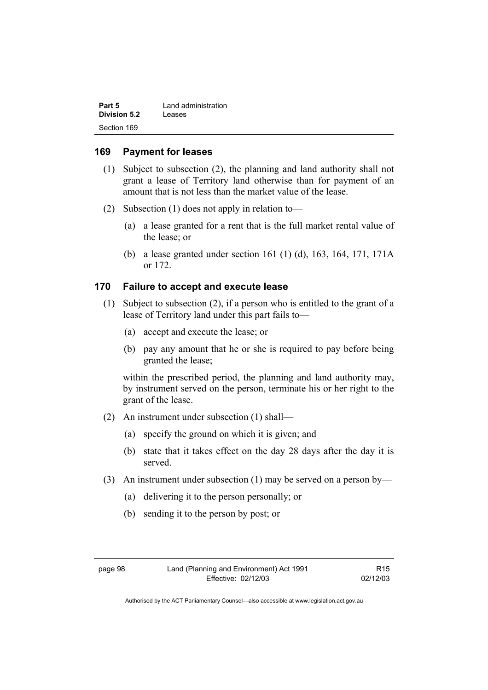| Part 5              | Land administration |
|---------------------|---------------------|
| <b>Division 5.2</b> | Leases              |
| Section 169         |                     |

#### **169 Payment for leases**

- (1) Subject to subsection (2), the planning and land authority shall not grant a lease of Territory land otherwise than for payment of an amount that is not less than the market value of the lease.
- (2) Subsection (1) does not apply in relation to—
	- (a) a lease granted for a rent that is the full market rental value of the lease; or
	- (b) a lease granted under section 161 (1) (d), 163, 164, 171, 171A or 172.

### **170 Failure to accept and execute lease**

- (1) Subject to subsection (2), if a person who is entitled to the grant of a lease of Territory land under this part fails to—
	- (a) accept and execute the lease; or
	- (b) pay any amount that he or she is required to pay before being granted the lease;

within the prescribed period, the planning and land authority may, by instrument served on the person, terminate his or her right to the grant of the lease.

- (2) An instrument under subsection (1) shall—
	- (a) specify the ground on which it is given; and
	- (b) state that it takes effect on the day 28 days after the day it is served.
- (3) An instrument under subsection (1) may be served on a person by—
	- (a) delivering it to the person personally; or
	- (b) sending it to the person by post; or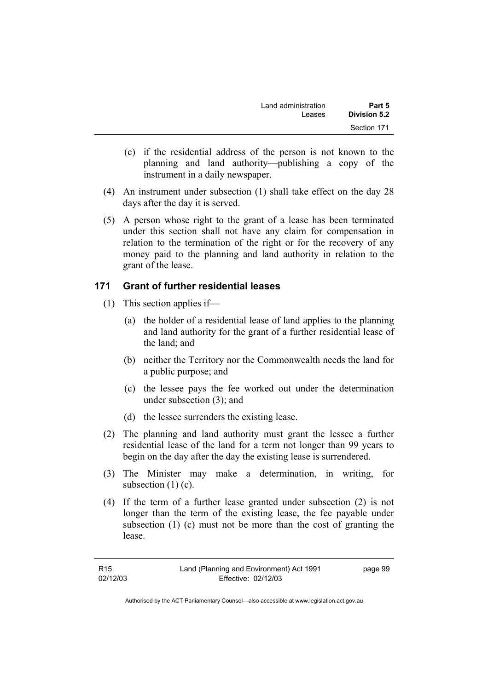| Land administration | Part 5       |
|---------------------|--------------|
| Leases              | Division 5.2 |
|                     | Section 171  |

- (c) if the residential address of the person is not known to the planning and land authority—publishing a copy of the instrument in a daily newspaper.
- (4) An instrument under subsection (1) shall take effect on the day 28 days after the day it is served.
- (5) A person whose right to the grant of a lease has been terminated under this section shall not have any claim for compensation in relation to the termination of the right or for the recovery of any money paid to the planning and land authority in relation to the grant of the lease.

#### **171 Grant of further residential leases**

- (1) This section applies if—
	- (a) the holder of a residential lease of land applies to the planning and land authority for the grant of a further residential lease of the land; and
	- (b) neither the Territory nor the Commonwealth needs the land for a public purpose; and
	- (c) the lessee pays the fee worked out under the determination under subsection (3); and
	- (d) the lessee surrenders the existing lease.
- (2) The planning and land authority must grant the lessee a further residential lease of the land for a term not longer than 99 years to begin on the day after the day the existing lease is surrendered.
- (3) The Minister may make a determination, in writing, for subsection (1) (c).
- (4) If the term of a further lease granted under subsection (2) is not longer than the term of the existing lease, the fee payable under subsection (1) (c) must not be more than the cost of granting the lease.

| R <sub>15</sub> | Land (Planning and Environment) Act 1991 | page 99 |
|-----------------|------------------------------------------|---------|
| 02/12/03        | Effective: 02/12/03                      |         |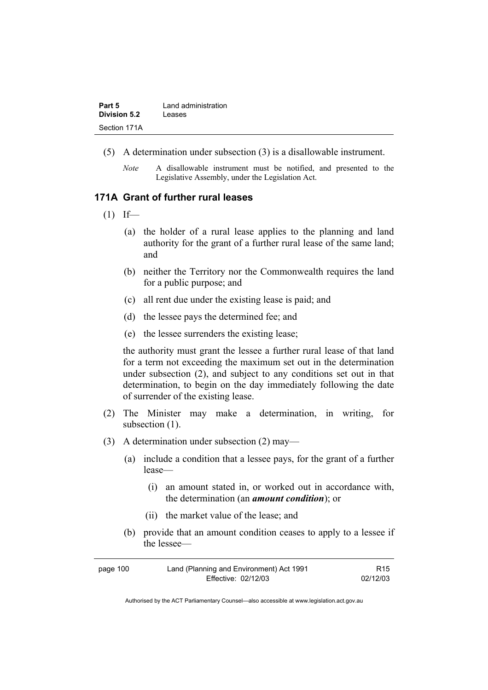| Part 5              | Land administration |
|---------------------|---------------------|
| <b>Division 5.2</b> | Leases              |
| Section 171A        |                     |

- (5) A determination under subsection (3) is a disallowable instrument.
	- *Note* A disallowable instrument must be notified, and presented to the Legislative Assembly, under the Legislation Act.

### **171A Grant of further rural leases**

- $(1)$  If—
	- (a) the holder of a rural lease applies to the planning and land authority for the grant of a further rural lease of the same land; and
	- (b) neither the Territory nor the Commonwealth requires the land for a public purpose; and
	- (c) all rent due under the existing lease is paid; and
	- (d) the lessee pays the determined fee; and
	- (e) the lessee surrenders the existing lease;

the authority must grant the lessee a further rural lease of that land for a term not exceeding the maximum set out in the determination under subsection (2), and subject to any conditions set out in that determination, to begin on the day immediately following the date of surrender of the existing lease.

- (2) The Minister may make a determination, in writing, for subsection  $(1)$ .
- (3) A determination under subsection (2) may—
	- (a) include a condition that a lessee pays, for the grant of a further lease—
		- (i) an amount stated in, or worked out in accordance with, the determination (an *amount condition*); or
		- (ii) the market value of the lease; and
	- (b) provide that an amount condition ceases to apply to a lessee if the lessee—

| page 100 | Land (Planning and Environment) Act 1991 | R <sub>15</sub> |
|----------|------------------------------------------|-----------------|
|          | Effective: 02/12/03                      | 02/12/03        |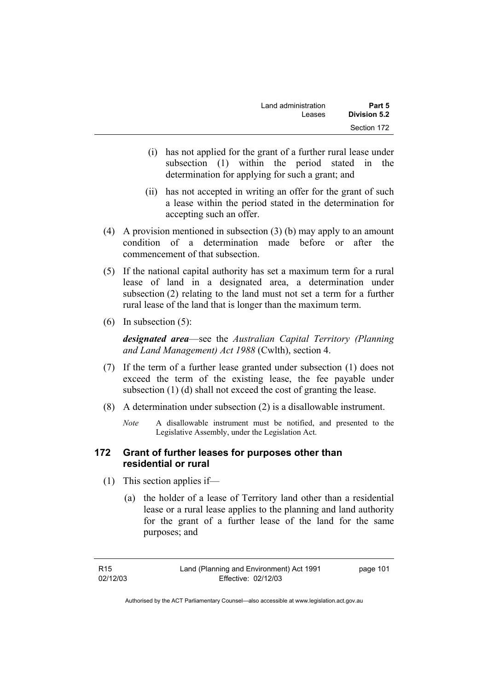| Land administration | Part 5       |
|---------------------|--------------|
| Leases              | Division 5.2 |
|                     | Section 172  |

- (i) has not applied for the grant of a further rural lease under subsection (1) within the period stated in the determination for applying for such a grant; and
- (ii) has not accepted in writing an offer for the grant of such a lease within the period stated in the determination for accepting such an offer.
- (4) A provision mentioned in subsection (3) (b) may apply to an amount condition of a determination made before or after the commencement of that subsection.
- (5) If the national capital authority has set a maximum term for a rural lease of land in a designated area, a determination under subsection (2) relating to the land must not set a term for a further rural lease of the land that is longer than the maximum term.
- (6) In subsection (5):

*designated area*—see the *Australian Capital Territory (Planning and Land Management) Act 1988* (Cwlth), section 4.

- (7) If the term of a further lease granted under subsection (1) does not exceed the term of the existing lease, the fee payable under subsection (1) (d) shall not exceed the cost of granting the lease.
- (8) A determination under subsection (2) is a disallowable instrument.
	- *Note* A disallowable instrument must be notified, and presented to the Legislative Assembly, under the Legislation Act.

### **172 Grant of further leases for purposes other than residential or rural**

- (1) This section applies if—
	- (a) the holder of a lease of Territory land other than a residential lease or a rural lease applies to the planning and land authority for the grant of a further lease of the land for the same purposes; and

page 101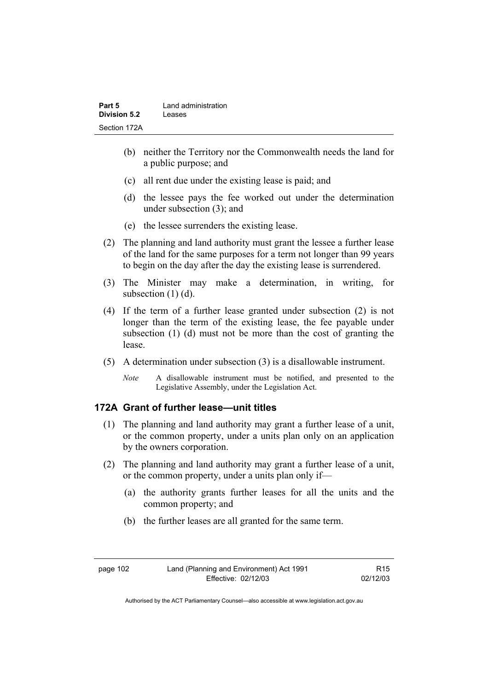| Part 5       | Land administration |
|--------------|---------------------|
| Division 5.2 | Leases              |
| Section 172A |                     |

- (b) neither the Territory nor the Commonwealth needs the land for a public purpose; and
- (c) all rent due under the existing lease is paid; and
- (d) the lessee pays the fee worked out under the determination under subsection (3); and
- (e) the lessee surrenders the existing lease.
- (2) The planning and land authority must grant the lessee a further lease of the land for the same purposes for a term not longer than 99 years to begin on the day after the day the existing lease is surrendered.
- (3) The Minister may make a determination, in writing, for subsection (1) (d).
- (4) If the term of a further lease granted under subsection (2) is not longer than the term of the existing lease, the fee payable under subsection (1) (d) must not be more than the cost of granting the lease.
- (5) A determination under subsection (3) is a disallowable instrument.
	- *Note* A disallowable instrument must be notified, and presented to the Legislative Assembly, under the Legislation Act.

# **172A Grant of further lease—unit titles**

- (1) The planning and land authority may grant a further lease of a unit, or the common property, under a units plan only on an application by the owners corporation.
- (2) The planning and land authority may grant a further lease of a unit, or the common property, under a units plan only if—
	- (a) the authority grants further leases for all the units and the common property; and
	- (b) the further leases are all granted for the same term.

Authorised by the ACT Parliamentary Counsel—also accessible at www.legislation.act.gov.au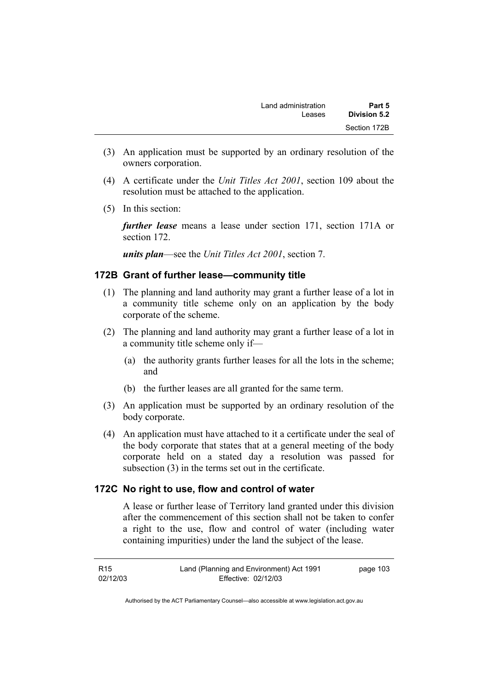- (3) An application must be supported by an ordinary resolution of the owners corporation.
- (4) A certificate under the *Unit Titles Act 2001*, section 109 about the resolution must be attached to the application.
- (5) In this section:

*further lease* means a lease under section 171, section 171A or section 172.

*units plan*—see the *Unit Titles Act 2001*, section 7.

# **172B Grant of further lease—community title**

- (1) The planning and land authority may grant a further lease of a lot in a community title scheme only on an application by the body corporate of the scheme.
- (2) The planning and land authority may grant a further lease of a lot in a community title scheme only if—
	- (a) the authority grants further leases for all the lots in the scheme; and
	- (b) the further leases are all granted for the same term.
- (3) An application must be supported by an ordinary resolution of the body corporate.
- (4) An application must have attached to it a certificate under the seal of the body corporate that states that at a general meeting of the body corporate held on a stated day a resolution was passed for subsection (3) in the terms set out in the certificate.

# **172C No right to use, flow and control of water**

A lease or further lease of Territory land granted under this division after the commencement of this section shall not be taken to confer a right to the use, flow and control of water (including water containing impurities) under the land the subject of the lease.

R15 02/12/03 Land (Planning and Environment) Act 1991 Effective: 02/12/03 page 103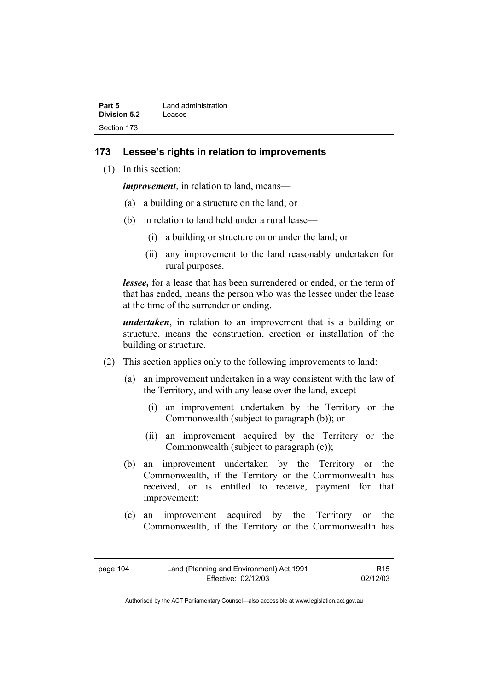| Part 5              | Land administration |
|---------------------|---------------------|
| <b>Division 5.2</b> | Leases              |
| Section 173         |                     |

### **173 Lessee's rights in relation to improvements**

(1) In this section:

*improvement*, in relation to land, means—

- (a) a building or a structure on the land; or
- (b) in relation to land held under a rural lease—
	- (i) a building or structure on or under the land; or
	- (ii) any improvement to the land reasonably undertaken for rural purposes.

*lessee,* for a lease that has been surrendered or ended, or the term of that has ended, means the person who was the lessee under the lease at the time of the surrender or ending.

*undertaken*, in relation to an improvement that is a building or structure, means the construction, erection or installation of the building or structure.

- (2) This section applies only to the following improvements to land:
	- (a) an improvement undertaken in a way consistent with the law of the Territory, and with any lease over the land, except—
		- (i) an improvement undertaken by the Territory or the Commonwealth (subject to paragraph (b)); or
		- (ii) an improvement acquired by the Territory or the Commonwealth (subject to paragraph (c));
	- (b) an improvement undertaken by the Territory or the Commonwealth, if the Territory or the Commonwealth has received, or is entitled to receive, payment for that improvement;
	- (c) an improvement acquired by the Territory or the Commonwealth, if the Territory or the Commonwealth has

Authorised by the ACT Parliamentary Counsel—also accessible at www.legislation.act.gov.au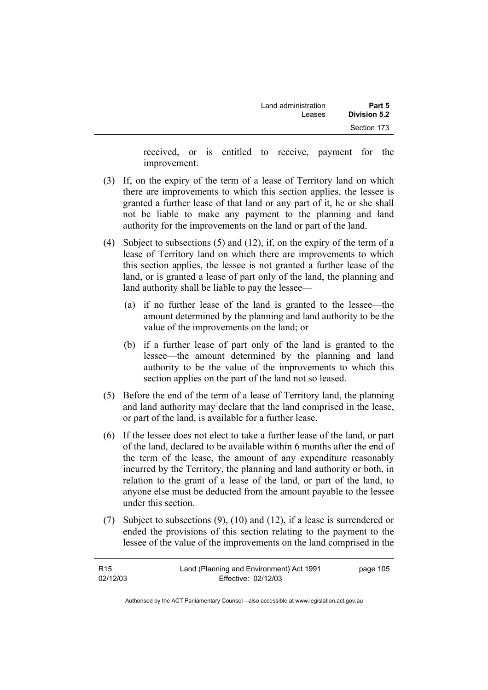| Part 5       | Land administration |  |
|--------------|---------------------|--|
| Division 5.2 | Leases              |  |
| Section 173  |                     |  |

received, or is entitled to receive, payment for the improvement.

- (3) If, on the expiry of the term of a lease of Territory land on which there are improvements to which this section applies, the lessee is granted a further lease of that land or any part of it, he or she shall not be liable to make any payment to the planning and land authority for the improvements on the land or part of the land.
- (4) Subject to subsections (5) and (12), if, on the expiry of the term of a lease of Territory land on which there are improvements to which this section applies, the lessee is not granted a further lease of the land, or is granted a lease of part only of the land, the planning and land authority shall be liable to pay the lessee—
	- (a) if no further lease of the land is granted to the lessee—the amount determined by the planning and land authority to be the value of the improvements on the land; or
	- (b) if a further lease of part only of the land is granted to the lessee—the amount determined by the planning and land authority to be the value of the improvements to which this section applies on the part of the land not so leased.
- (5) Before the end of the term of a lease of Territory land, the planning and land authority may declare that the land comprised in the lease, or part of the land, is available for a further lease.
- (6) If the lessee does not elect to take a further lease of the land, or part of the land, declared to be available within 6 months after the end of the term of the lease, the amount of any expenditure reasonably incurred by the Territory, the planning and land authority or both, in relation to the grant of a lease of the land, or part of the land, to anyone else must be deducted from the amount payable to the lessee under this section.
- (7) Subject to subsections (9), (10) and (12), if a lease is surrendered or ended the provisions of this section relating to the payment to the lessee of the value of the improvements on the land comprised in the

| R <sub>15</sub> | Land (Planning and Environment) Act 1991 | page 105 |
|-----------------|------------------------------------------|----------|
| 02/12/03        | Effective: 02/12/03                      |          |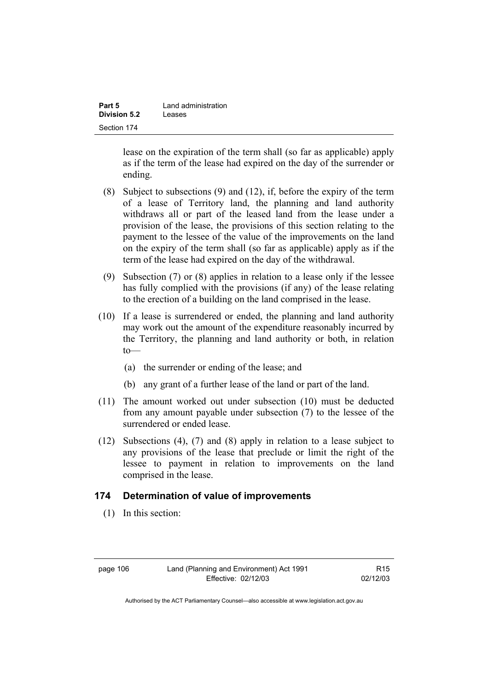| Part 5              | Land administration |
|---------------------|---------------------|
| <b>Division 5.2</b> | Leases              |
| Section 174         |                     |

lease on the expiration of the term shall (so far as applicable) apply as if the term of the lease had expired on the day of the surrender or ending.

- (8) Subject to subsections (9) and (12), if, before the expiry of the term of a lease of Territory land, the planning and land authority withdraws all or part of the leased land from the lease under a provision of the lease, the provisions of this section relating to the payment to the lessee of the value of the improvements on the land on the expiry of the term shall (so far as applicable) apply as if the term of the lease had expired on the day of the withdrawal.
- (9) Subsection (7) or (8) applies in relation to a lease only if the lessee has fully complied with the provisions (if any) of the lease relating to the erection of a building on the land comprised in the lease.
- (10) If a lease is surrendered or ended, the planning and land authority may work out the amount of the expenditure reasonably incurred by the Territory, the planning and land authority or both, in relation to—
	- (a) the surrender or ending of the lease; and
	- (b) any grant of a further lease of the land or part of the land.
- (11) The amount worked out under subsection (10) must be deducted from any amount payable under subsection (7) to the lessee of the surrendered or ended lease.
- (12) Subsections (4), (7) and (8) apply in relation to a lease subject to any provisions of the lease that preclude or limit the right of the lessee to payment in relation to improvements on the land comprised in the lease.

#### **174 Determination of value of improvements**

(1) In this section:

R15 02/12/03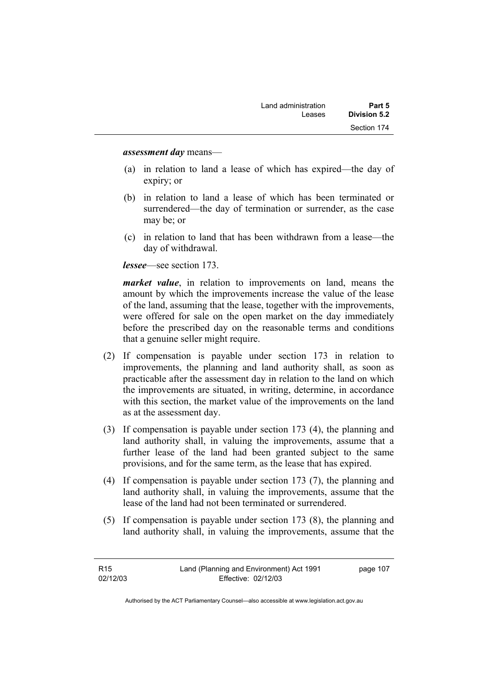*assessment day* means—

- (a) in relation to land a lease of which has expired—the day of expiry; or
- (b) in relation to land a lease of which has been terminated or surrendered—the day of termination or surrender, as the case may be; or
- (c) in relation to land that has been withdrawn from a lease—the day of withdrawal.

*lessee*—see section 173.

*market value*, in relation to improvements on land, means the amount by which the improvements increase the value of the lease of the land, assuming that the lease, together with the improvements, were offered for sale on the open market on the day immediately before the prescribed day on the reasonable terms and conditions that a genuine seller might require.

- (2) If compensation is payable under section 173 in relation to improvements, the planning and land authority shall, as soon as practicable after the assessment day in relation to the land on which the improvements are situated, in writing, determine, in accordance with this section, the market value of the improvements on the land as at the assessment day.
- (3) If compensation is payable under section 173 (4), the planning and land authority shall, in valuing the improvements, assume that a further lease of the land had been granted subject to the same provisions, and for the same term, as the lease that has expired.
- (4) If compensation is payable under section 173 (7), the planning and land authority shall, in valuing the improvements, assume that the lease of the land had not been terminated or surrendered.
- (5) If compensation is payable under section 173 (8), the planning and land authority shall, in valuing the improvements, assume that the

| R <sub>15</sub> | Land (Planning and Environment) Act 1991 | page 107 |
|-----------------|------------------------------------------|----------|
| 02/12/03        | Effective: 02/12/03                      |          |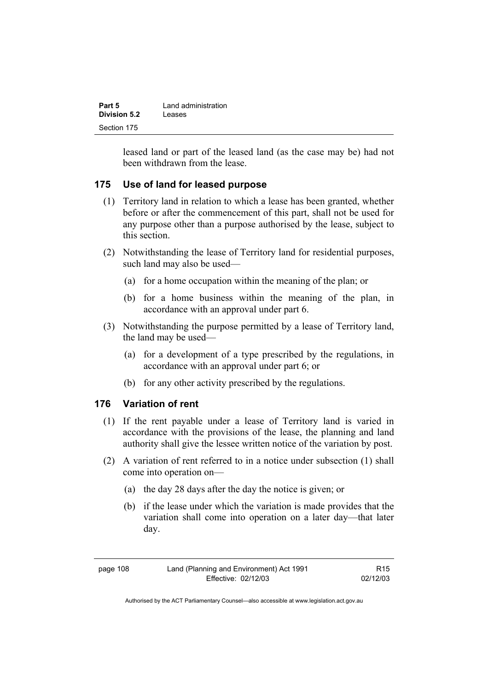| Part 5       | Land administration |
|--------------|---------------------|
| Division 5.2 | Leases              |
| Section 175  |                     |

leased land or part of the leased land (as the case may be) had not been withdrawn from the lease.

### **175 Use of land for leased purpose**

- (1) Territory land in relation to which a lease has been granted, whether before or after the commencement of this part, shall not be used for any purpose other than a purpose authorised by the lease, subject to this section.
- (2) Notwithstanding the lease of Territory land for residential purposes, such land may also be used—
	- (a) for a home occupation within the meaning of the plan; or
	- (b) for a home business within the meaning of the plan, in accordance with an approval under part 6.
- (3) Notwithstanding the purpose permitted by a lease of Territory land, the land may be used—
	- (a) for a development of a type prescribed by the regulations, in accordance with an approval under part 6; or
	- (b) for any other activity prescribed by the regulations.

### **176 Variation of rent**

- (1) If the rent payable under a lease of Territory land is varied in accordance with the provisions of the lease, the planning and land authority shall give the lessee written notice of the variation by post.
- (2) A variation of rent referred to in a notice under subsection (1) shall come into operation on—
	- (a) the day 28 days after the day the notice is given; or
	- (b) if the lease under which the variation is made provides that the variation shall come into operation on a later day—that later day.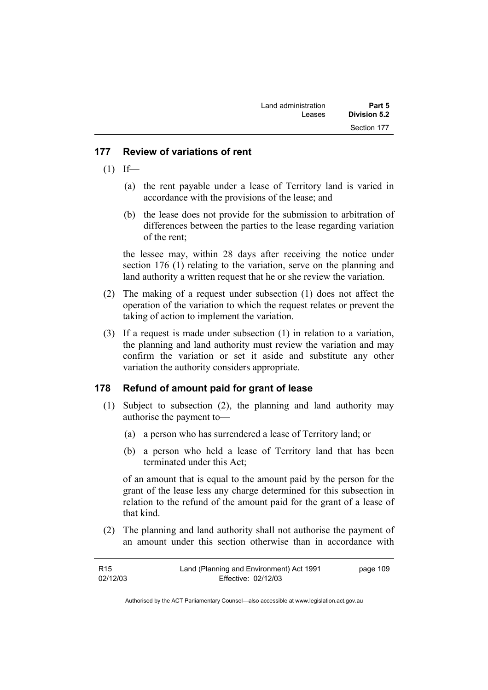| Land administration | Part 5       |
|---------------------|--------------|
| Leases              | Division 5.2 |
|                     | Section 177  |

#### **177 Review of variations of rent**

- $(1)$  If—
	- (a) the rent payable under a lease of Territory land is varied in accordance with the provisions of the lease; and
	- (b) the lease does not provide for the submission to arbitration of differences between the parties to the lease regarding variation of the rent;

the lessee may, within 28 days after receiving the notice under section 176 (1) relating to the variation, serve on the planning and land authority a written request that he or she review the variation.

- (2) The making of a request under subsection (1) does not affect the operation of the variation to which the request relates or prevent the taking of action to implement the variation.
- (3) If a request is made under subsection (1) in relation to a variation, the planning and land authority must review the variation and may confirm the variation or set it aside and substitute any other variation the authority considers appropriate.

#### **178 Refund of amount paid for grant of lease**

- (1) Subject to subsection (2), the planning and land authority may authorise the payment to—
	- (a) a person who has surrendered a lease of Territory land; or
	- (b) a person who held a lease of Territory land that has been terminated under this Act;

of an amount that is equal to the amount paid by the person for the grant of the lease less any charge determined for this subsection in relation to the refund of the amount paid for the grant of a lease of that kind.

 (2) The planning and land authority shall not authorise the payment of an amount under this section otherwise than in accordance with

| R <sub>15</sub> | Land (Planning and Environment) Act 1991 | page 109 |
|-----------------|------------------------------------------|----------|
| 02/12/03        | Effective: 02/12/03                      |          |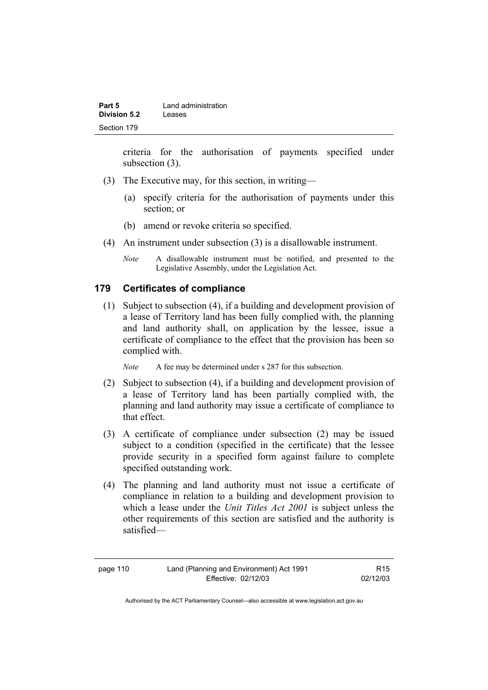| Part 5              | Land administration |
|---------------------|---------------------|
| <b>Division 5.2</b> | Leases              |
| Section 179         |                     |

criteria for the authorisation of payments specified under subsection  $(3)$ .

- (3) The Executive may, for this section, in writing—
	- (a) specify criteria for the authorisation of payments under this section; or
	- (b) amend or revoke criteria so specified.
- (4) An instrument under subsection (3) is a disallowable instrument.
	- *Note* A disallowable instrument must be notified, and presented to the Legislative Assembly, under the Legislation Act.

#### **179 Certificates of compliance**

 (1) Subject to subsection (4), if a building and development provision of a lease of Territory land has been fully complied with, the planning and land authority shall, on application by the lessee, issue a certificate of compliance to the effect that the provision has been so complied with.

*Note* A fee may be determined under s 287 for this subsection.

- (2) Subject to subsection (4), if a building and development provision of a lease of Territory land has been partially complied with, the planning and land authority may issue a certificate of compliance to that effect.
- (3) A certificate of compliance under subsection (2) may be issued subject to a condition (specified in the certificate) that the lessee provide security in a specified form against failure to complete specified outstanding work.
- (4) The planning and land authority must not issue a certificate of compliance in relation to a building and development provision to which a lease under the *Unit Titles Act 2001* is subject unless the other requirements of this section are satisfied and the authority is satisfied—

page 110 Land (Planning and Environment) Act 1991 Effective: 02/12/03

R15 02/12/03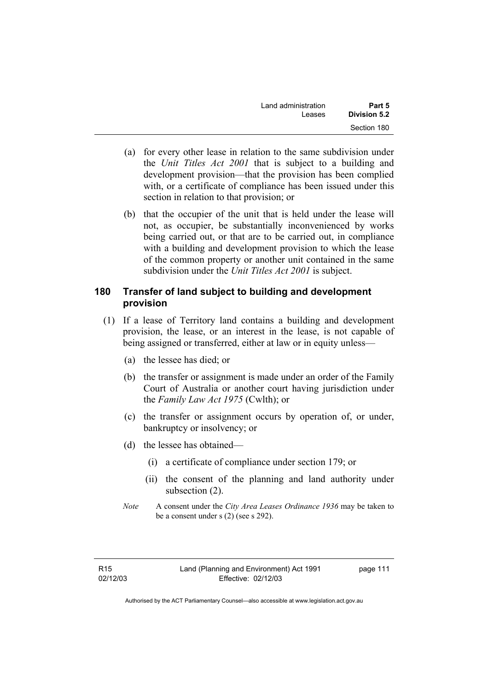| Land administration | Part 5              |
|---------------------|---------------------|
| Leases              | <b>Division 5.2</b> |
|                     | Section 180         |

- (a) for every other lease in relation to the same subdivision under the *Unit Titles Act 2001* that is subject to a building and development provision—that the provision has been complied with, or a certificate of compliance has been issued under this section in relation to that provision; or
- (b) that the occupier of the unit that is held under the lease will not, as occupier, be substantially inconvenienced by works being carried out, or that are to be carried out, in compliance with a building and development provision to which the lease of the common property or another unit contained in the same subdivision under the *Unit Titles Act 2001* is subject.

#### **180 Transfer of land subject to building and development provision**

- (1) If a lease of Territory land contains a building and development provision, the lease, or an interest in the lease, is not capable of being assigned or transferred, either at law or in equity unless—
	- (a) the lessee has died; or
	- (b) the transfer or assignment is made under an order of the Family Court of Australia or another court having jurisdiction under the *Family Law Act 1975* (Cwlth); or
	- (c) the transfer or assignment occurs by operation of, or under, bankruptcy or insolvency; or
	- (d) the lessee has obtained—
		- (i) a certificate of compliance under section 179; or
		- (ii) the consent of the planning and land authority under subsection (2).
	- *Note* A consent under the *City Area Leases Ordinance 1936* may be taken to be a consent under s (2) (see s 292).

page 111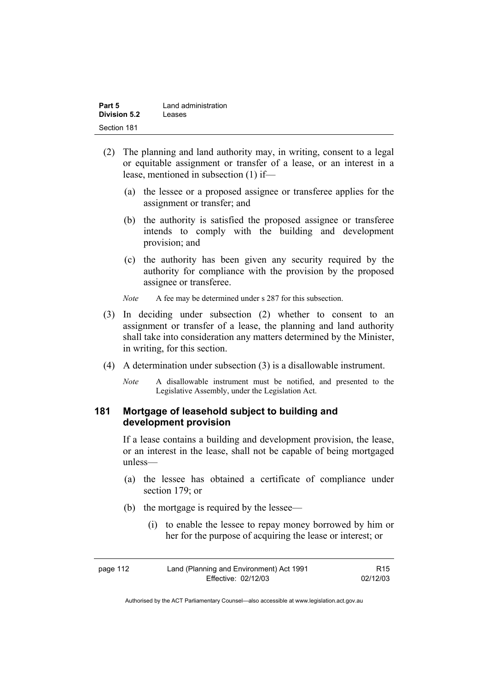| Part 5       | Land administration |
|--------------|---------------------|
| Division 5.2 | Leases              |
| Section 181  |                     |

- (2) The planning and land authority may, in writing, consent to a legal or equitable assignment or transfer of a lease, or an interest in a lease, mentioned in subsection (1) if—
	- (a) the lessee or a proposed assignee or transferee applies for the assignment or transfer; and
	- (b) the authority is satisfied the proposed assignee or transferee intends to comply with the building and development provision; and
	- (c) the authority has been given any security required by the authority for compliance with the provision by the proposed assignee or transferee.

*Note* A fee may be determined under s 287 for this subsection.

- (3) In deciding under subsection (2) whether to consent to an assignment or transfer of a lease, the planning and land authority shall take into consideration any matters determined by the Minister, in writing, for this section.
- (4) A determination under subsection (3) is a disallowable instrument.
	- *Note* A disallowable instrument must be notified, and presented to the Legislative Assembly, under the Legislation Act.

### **181 Mortgage of leasehold subject to building and development provision**

If a lease contains a building and development provision, the lease, or an interest in the lease, shall not be capable of being mortgaged unless—

- (a) the lessee has obtained a certificate of compliance under section 179; or
- (b) the mortgage is required by the lessee—
	- (i) to enable the lessee to repay money borrowed by him or her for the purpose of acquiring the lease or interest; or

| page 112 | Land (Planning and Environment) Act 1991 | R <sub>15</sub> |
|----------|------------------------------------------|-----------------|
|          | Effective: 02/12/03                      | 02/12/03        |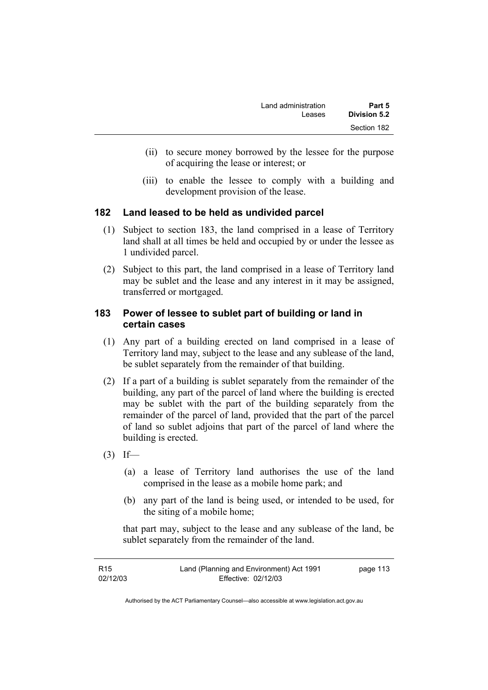- (ii) to secure money borrowed by the lessee for the purpose of acquiring the lease or interest; or
- (iii) to enable the lessee to comply with a building and development provision of the lease.

# **182 Land leased to be held as undivided parcel**

- (1) Subject to section 183, the land comprised in a lease of Territory land shall at all times be held and occupied by or under the lessee as 1 undivided parcel.
- (2) Subject to this part, the land comprised in a lease of Territory land may be sublet and the lease and any interest in it may be assigned, transferred or mortgaged.

### **183 Power of lessee to sublet part of building or land in certain cases**

- (1) Any part of a building erected on land comprised in a lease of Territory land may, subject to the lease and any sublease of the land, be sublet separately from the remainder of that building.
- (2) If a part of a building is sublet separately from the remainder of the building, any part of the parcel of land where the building is erected may be sublet with the part of the building separately from the remainder of the parcel of land, provided that the part of the parcel of land so sublet adjoins that part of the parcel of land where the building is erected.
- $(3)$  If—
	- (a) a lease of Territory land authorises the use of the land comprised in the lease as a mobile home park; and
	- (b) any part of the land is being used, or intended to be used, for the siting of a mobile home;

that part may, subject to the lease and any sublease of the land, be sublet separately from the remainder of the land.

| R15      | Land (Planning and Environment) Act 1991 | page 113 |
|----------|------------------------------------------|----------|
| 02/12/03 | Effective: 02/12/03                      |          |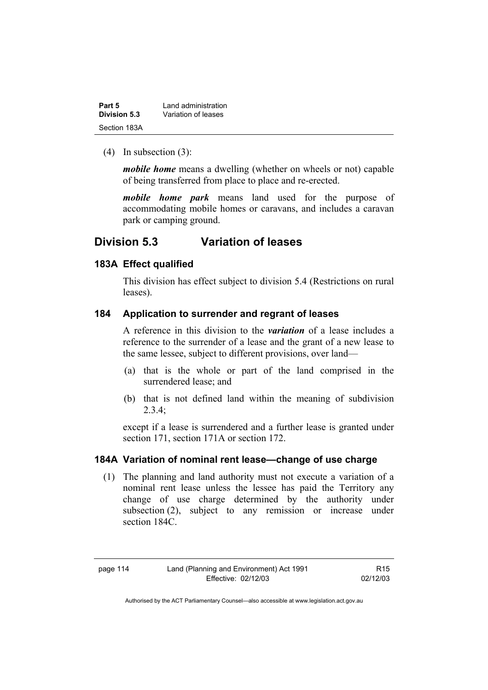| Part 5              | Land administration |
|---------------------|---------------------|
| <b>Division 5.3</b> | Variation of leases |
| Section 183A        |                     |

(4) In subsection (3):

*mobile home* means a dwelling (whether on wheels or not) capable of being transferred from place to place and re-erected.

*mobile home park* means land used for the purpose of accommodating mobile homes or caravans, and includes a caravan park or camping ground.

# **Division 5.3 Variation of leases**

#### **183A Effect qualified**

This division has effect subject to division 5.4 (Restrictions on rural leases).

#### **184 Application to surrender and regrant of leases**

A reference in this division to the *variation* of a lease includes a reference to the surrender of a lease and the grant of a new lease to the same lessee, subject to different provisions, over land—

- (a) that is the whole or part of the land comprised in the surrendered lease; and
- (b) that is not defined land within the meaning of subdivision 2.3.4;

except if a lease is surrendered and a further lease is granted under section 171, section 171A or section 172.

#### **184A Variation of nominal rent lease—change of use charge**

 (1) The planning and land authority must not execute a variation of a nominal rent lease unless the lessee has paid the Territory any change of use charge determined by the authority under subsection (2), subject to any remission or increase under section 184C.

R15 02/12/03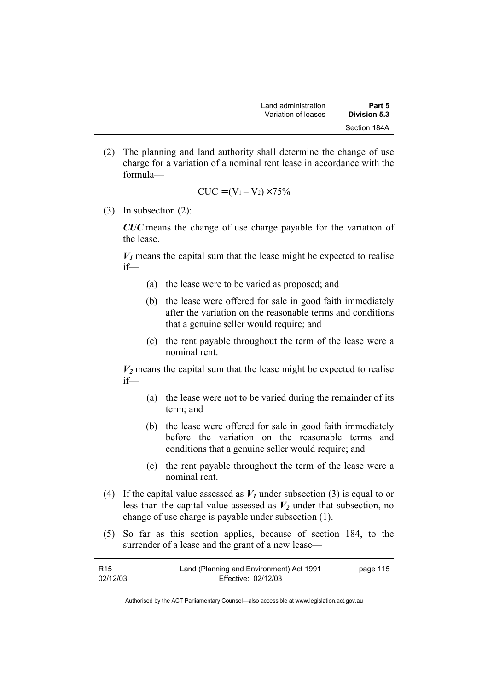(2) The planning and land authority shall determine the change of use charge for a variation of a nominal rent lease in accordance with the formula—

$$
CUC = (V_1 - V_2) \times 75\%
$$

(3) In subsection (2):

*CUC* means the change of use charge payable for the variation of the lease.

 $V_1$  means the capital sum that the lease might be expected to realise if—

- (a) the lease were to be varied as proposed; and
- (b) the lease were offered for sale in good faith immediately after the variation on the reasonable terms and conditions that a genuine seller would require; and
- (c) the rent payable throughout the term of the lease were a nominal rent.

 $V_2$  means the capital sum that the lease might be expected to realise if—

- (a) the lease were not to be varied during the remainder of its term; and
- (b) the lease were offered for sale in good faith immediately before the variation on the reasonable terms and conditions that a genuine seller would require; and
- (c) the rent payable throughout the term of the lease were a nominal rent.
- (4) If the capital value assessed as  $V_I$  under subsection (3) is equal to or less than the capital value assessed as  $V_2$  under that subsection, no change of use charge is payable under subsection (1).
- (5) So far as this section applies, because of section 184, to the surrender of a lease and the grant of a new lease—

| R <sub>15</sub> | Land (Planning and Environment) Act 1991 | page 115 |
|-----------------|------------------------------------------|----------|
| 02/12/03        | Effective: 02/12/03                      |          |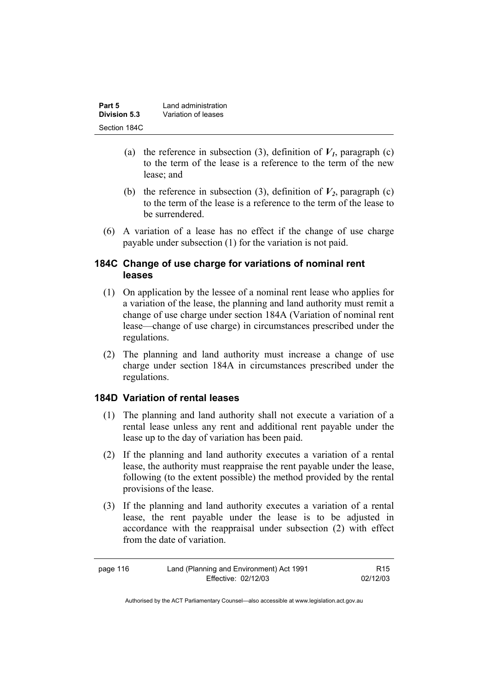| Part 5       | Land administration |
|--------------|---------------------|
| Division 5.3 | Variation of leases |
| Section 184C |                     |

- (a) the reference in subsection (3), definition of  $V_I$ , paragraph (c) to the term of the lease is a reference to the term of the new lease; and
- (b) the reference in subsection (3), definition of  $V_2$ , paragraph (c) to the term of the lease is a reference to the term of the lease to be surrendered.
- (6) A variation of a lease has no effect if the change of use charge payable under subsection (1) for the variation is not paid.

### **184C Change of use charge for variations of nominal rent leases**

- (1) On application by the lessee of a nominal rent lease who applies for a variation of the lease, the planning and land authority must remit a change of use charge under section 184A (Variation of nominal rent lease—change of use charge) in circumstances prescribed under the regulations.
- (2) The planning and land authority must increase a change of use charge under section 184A in circumstances prescribed under the regulations.

# **184D Variation of rental leases**

- (1) The planning and land authority shall not execute a variation of a rental lease unless any rent and additional rent payable under the lease up to the day of variation has been paid.
- (2) If the planning and land authority executes a variation of a rental lease, the authority must reappraise the rent payable under the lease, following (to the extent possible) the method provided by the rental provisions of the lease.
- (3) If the planning and land authority executes a variation of a rental lease, the rent payable under the lease is to be adjusted in accordance with the reappraisal under subsection (2) with effect from the date of variation.

| page 116 | Land (Planning and Environment) Act 1991 | R <sub>15</sub> |
|----------|------------------------------------------|-----------------|
|          | Effective: 02/12/03                      | 02/12/03        |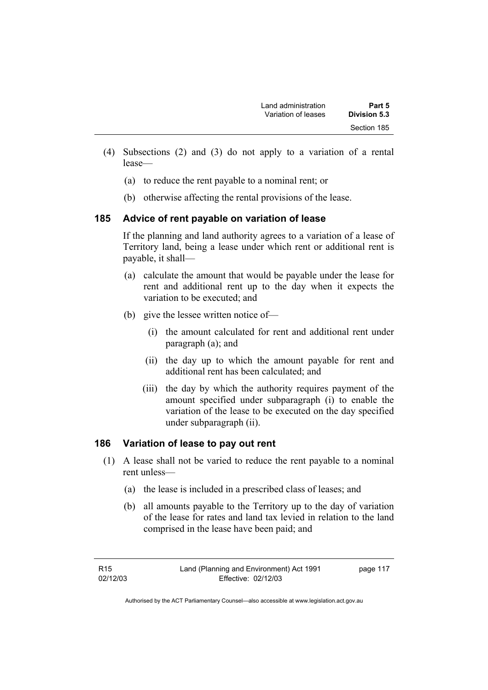- (4) Subsections (2) and (3) do not apply to a variation of a rental lease—
	- (a) to reduce the rent payable to a nominal rent; or
	- (b) otherwise affecting the rental provisions of the lease.

# **185 Advice of rent payable on variation of lease**

If the planning and land authority agrees to a variation of a lease of Territory land, being a lease under which rent or additional rent is payable, it shall—

- (a) calculate the amount that would be payable under the lease for rent and additional rent up to the day when it expects the variation to be executed; and
- (b) give the lessee written notice of—
	- (i) the amount calculated for rent and additional rent under paragraph (a); and
	- (ii) the day up to which the amount payable for rent and additional rent has been calculated; and
	- (iii) the day by which the authority requires payment of the amount specified under subparagraph (i) to enable the variation of the lease to be executed on the day specified under subparagraph (ii).

# **186 Variation of lease to pay out rent**

- (1) A lease shall not be varied to reduce the rent payable to a nominal rent unless—
	- (a) the lease is included in a prescribed class of leases; and
	- (b) all amounts payable to the Territory up to the day of variation of the lease for rates and land tax levied in relation to the land comprised in the lease have been paid; and

page 117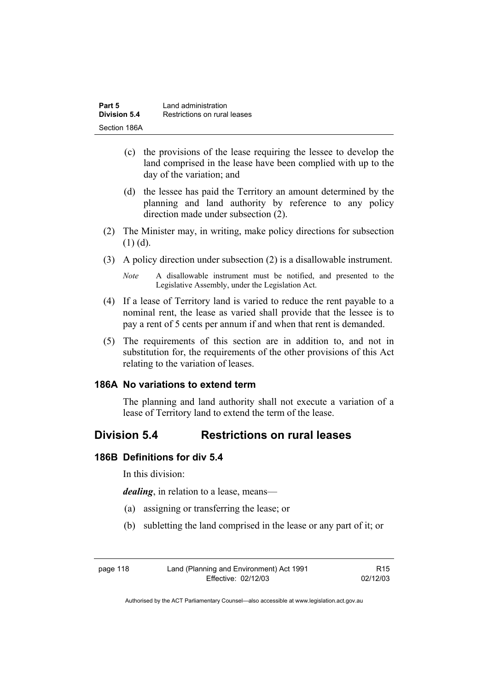| Part 5       | Land administration          |
|--------------|------------------------------|
| Division 5.4 | Restrictions on rural leases |
| Section 186A |                              |

- (c) the provisions of the lease requiring the lessee to develop the land comprised in the lease have been complied with up to the day of the variation; and
- (d) the lessee has paid the Territory an amount determined by the planning and land authority by reference to any policy direction made under subsection (2).
- (2) The Minister may, in writing, make policy directions for subsection (1) (d).
- (3) A policy direction under subsection (2) is a disallowable instrument.

*Note* A disallowable instrument must be notified, and presented to the Legislative Assembly, under the Legislation Act.

- (4) If a lease of Territory land is varied to reduce the rent payable to a nominal rent, the lease as varied shall provide that the lessee is to pay a rent of 5 cents per annum if and when that rent is demanded.
- (5) The requirements of this section are in addition to, and not in substitution for, the requirements of the other provisions of this Act relating to the variation of leases.

#### **186A No variations to extend term**

The planning and land authority shall not execute a variation of a lease of Territory land to extend the term of the lease.

# **Division 5.4 Restrictions on rural leases**

#### **186B Definitions for div 5.4**

In this division:

*dealing*, in relation to a lease, means—

- (a) assigning or transferring the lease; or
- (b) subletting the land comprised in the lease or any part of it; or

| page 118 | Land (Planning and Environment) Act 1991 | R <sub>15</sub> |
|----------|------------------------------------------|-----------------|
|          | Effective: 02/12/03                      | 02/12/03        |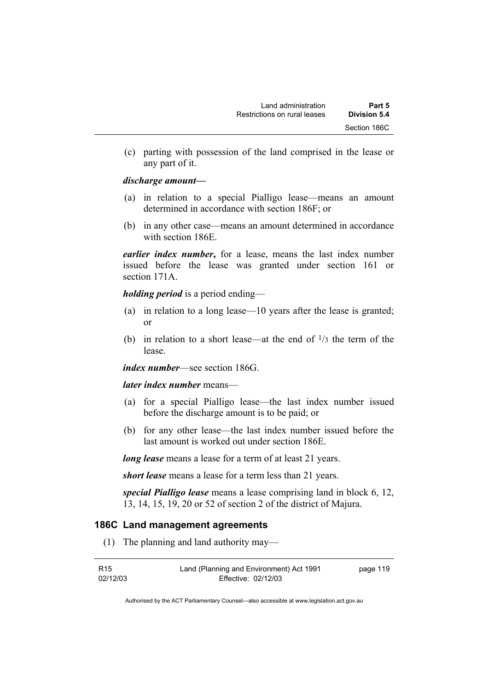(c) parting with possession of the land comprised in the lease or any part of it.

#### *discharge amount—*

- (a) in relation to a special Pialligo lease—means an amount determined in accordance with section 186F; or
- (b) in any other case—means an amount determined in accordance with section 186E.

*earlier index number***,** for a lease, means the last index number issued before the lease was granted under section 161 or section 171A.

*holding period* is a period ending—

- (a) in relation to a long lease—10 years after the lease is granted; or
- (b) in relation to a short lease—at the end of  $\frac{1}{3}$  the term of the lease.

*index number*—see section 186G.

*later index number* means—

- (a) for a special Pialligo lease—the last index number issued before the discharge amount is to be paid; or
- (b) for any other lease—the last index number issued before the last amount is worked out under section 186E.

*long lease* means a lease for a term of at least 21 years.

*short lease* means a lease for a term less than 21 years.

*special Pialligo lease* means a lease comprising land in block 6, 12, 13, 14, 15, 19, 20 or 52 of section 2 of the district of Majura.

### **186C Land management agreements**

(1) The planning and land authority may—

| R <sub>15</sub> | Land (Planning and Environment) Act 1991 | page 119 |
|-----------------|------------------------------------------|----------|
| 02/12/03        | Effective: 02/12/03                      |          |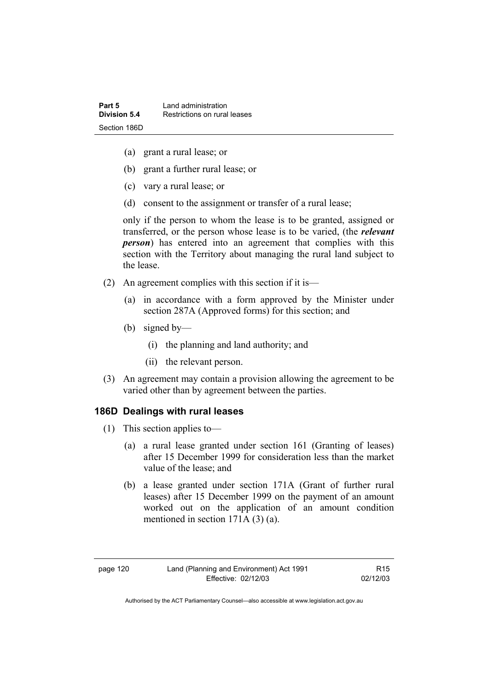- (a) grant a rural lease; or
- (b) grant a further rural lease; or
- (c) vary a rural lease; or
- (d) consent to the assignment or transfer of a rural lease;

only if the person to whom the lease is to be granted, assigned or transferred, or the person whose lease is to be varied, (the *relevant person*) has entered into an agreement that complies with this section with the Territory about managing the rural land subject to the lease.

- (2) An agreement complies with this section if it is—
	- (a) in accordance with a form approved by the Minister under section 287A (Approved forms) for this section; and
	- (b) signed by—
		- (i) the planning and land authority; and
		- (ii) the relevant person.
- (3) An agreement may contain a provision allowing the agreement to be varied other than by agreement between the parties.

### **186D Dealings with rural leases**

- (1) This section applies to—
	- (a) a rural lease granted under section 161 (Granting of leases) after 15 December 1999 for consideration less than the market value of the lease; and
	- (b) a lease granted under section 171A (Grant of further rural leases) after 15 December 1999 on the payment of an amount worked out on the application of an amount condition mentioned in section 171A (3) (a).

R15 02/12/03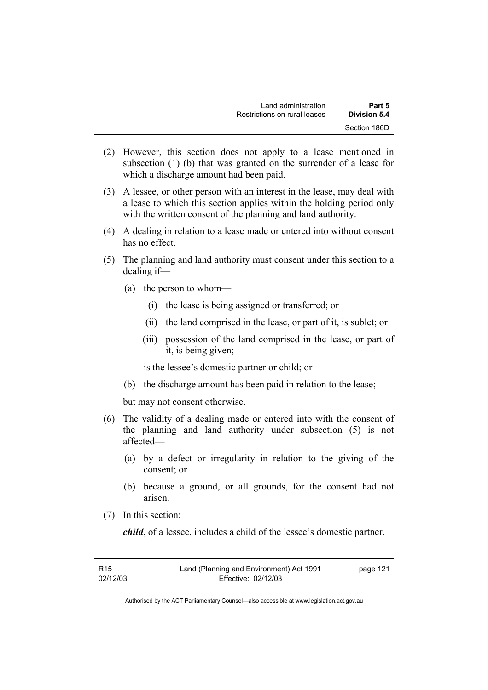| Land administration          | Part 5       |
|------------------------------|--------------|
| Restrictions on rural leases | Division 5.4 |
|                              | Section 186D |

- (2) However, this section does not apply to a lease mentioned in subsection (1) (b) that was granted on the surrender of a lease for which a discharge amount had been paid.
- (3) A lessee, or other person with an interest in the lease, may deal with a lease to which this section applies within the holding period only with the written consent of the planning and land authority.
- (4) A dealing in relation to a lease made or entered into without consent has no effect.
- (5) The planning and land authority must consent under this section to a dealing if—
	- (a) the person to whom—
		- (i) the lease is being assigned or transferred; or
		- (ii) the land comprised in the lease, or part of it, is sublet; or
		- (iii) possession of the land comprised in the lease, or part of it, is being given;

is the lessee's domestic partner or child; or

(b) the discharge amount has been paid in relation to the lease;

but may not consent otherwise.

- (6) The validity of a dealing made or entered into with the consent of the planning and land authority under subsection (5) is not affected—
	- (a) by a defect or irregularity in relation to the giving of the consent; or
	- (b) because a ground, or all grounds, for the consent had not arisen.
- (7) In this section:

*child*, of a lessee, includes a child of the lessee's domestic partner.

| R <sub>15</sub> | Land (Planning and Environment) Act 1991 | page 121 |
|-----------------|------------------------------------------|----------|
| 02/12/03        | Effective: 02/12/03                      |          |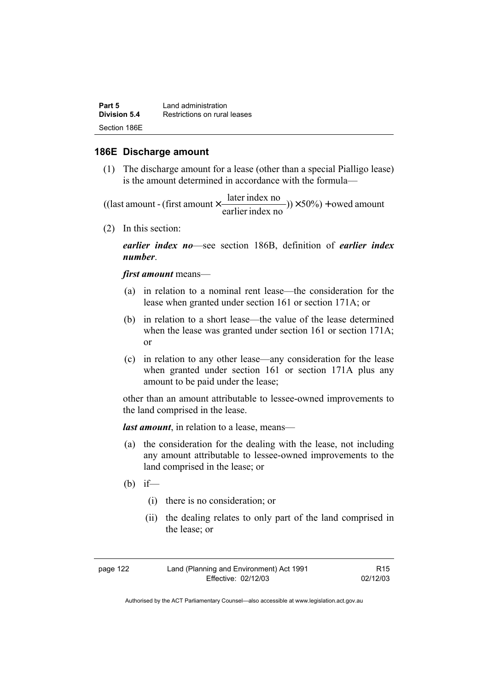| Part 5       | Land administration          |
|--------------|------------------------------|
| Division 5.4 | Restrictions on rural leases |
| Section 186E |                              |

#### **186E Discharge amount**

 (1) The discharge amount for a lease (other than a special Pialligo lease) is the amount determined in accordance with the formula—

 $(y) \times 50\%$  + owed amount earlier index no ((last amount - (first amount  $\times \frac{\text{later index no}}{\text{inter index}}$ )) $\times 50\%$ ) +

(2) In this section:

*earlier index no*—see section 186B, definition of *earlier index number*.

*first amount* means—

- (a) in relation to a nominal rent lease—the consideration for the lease when granted under section 161 or section 171A; or
- (b) in relation to a short lease—the value of the lease determined when the lease was granted under section 161 or section 171A; or
- (c) in relation to any other lease—any consideration for the lease when granted under section 161 or section 171A plus any amount to be paid under the lease;

other than an amount attributable to lessee-owned improvements to the land comprised in the lease.

*last amount*, in relation to a lease, means—

- (a) the consideration for the dealing with the lease, not including any amount attributable to lessee-owned improvements to the land comprised in the lease; or
- $(b)$  if—
	- (i) there is no consideration; or
	- (ii) the dealing relates to only part of the land comprised in the lease; or

| page 122 | Land (Planning and Environment) Act 1991 | R <sub>15</sub> |
|----------|------------------------------------------|-----------------|
|          | Effective: 02/12/03                      | 02/12/03        |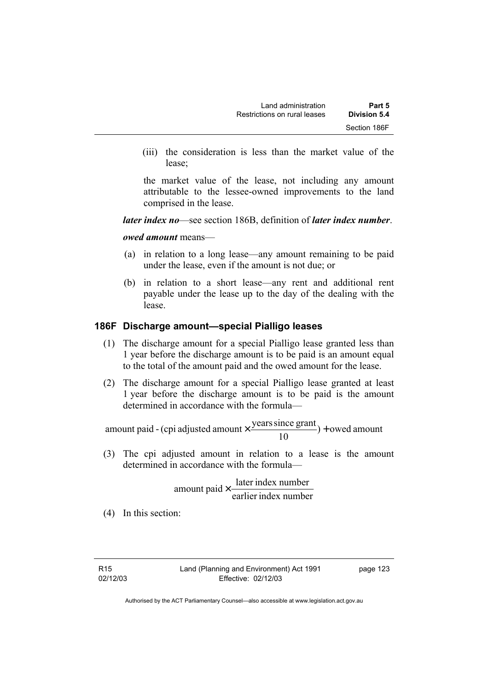(iii) the consideration is less than the market value of the lease;

the market value of the lease, not including any amount attributable to the lessee-owned improvements to the land comprised in the lease.

*later index no*—see section 186B, definition of *later index number*.

*owed amount* means—

- (a) in relation to a long lease—any amount remaining to be paid under the lease, even if the amount is not due; or
- (b) in relation to a short lease—any rent and additional rent payable under the lease up to the day of the dealing with the lease.

### **186F Discharge amount—special Pialligo leases**

- (1) The discharge amount for a special Pialligo lease granted less than 1 year before the discharge amount is to be paid is an amount equal to the total of the amount paid and the owed amount for the lease.
- (2) The discharge amount for a special Pialligo lease granted at least 1 year before the discharge amount is to be paid is the amount determined in accordance with the formula—

 $) +$  owed amount 10 amount paid - (cpi adjusted amount  $\times \frac{\text{years since grant}}{10}$ ) +

 (3) The cpi adjusted amount in relation to a lease is the amount determined in accordance with the formula—

> earlier index number  $amount$  paid  $\times$   $\frac{later$  index number

(4) In this section:

page 123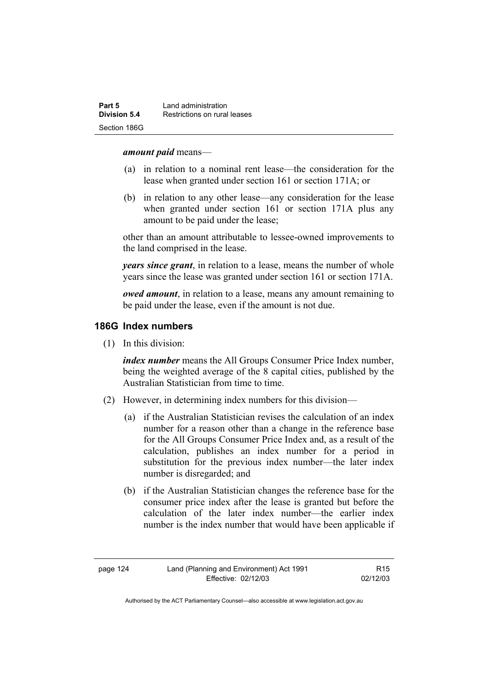#### *amount paid* means—

- (a) in relation to a nominal rent lease—the consideration for the lease when granted under section 161 or section 171A; or
- (b) in relation to any other lease—any consideration for the lease when granted under section 161 or section 171A plus any amount to be paid under the lease;

other than an amount attributable to lessee-owned improvements to the land comprised in the lease.

*years since grant*, in relation to a lease, means the number of whole years since the lease was granted under section 161 or section 171A.

*owed amount*, in relation to a lease, means any amount remaining to be paid under the lease, even if the amount is not due.

#### **186G Index numbers**

(1) In this division:

*index number* means the All Groups Consumer Price Index number, being the weighted average of the 8 capital cities, published by the Australian Statistician from time to time.

- (2) However, in determining index numbers for this division—
	- (a) if the Australian Statistician revises the calculation of an index number for a reason other than a change in the reference base for the All Groups Consumer Price Index and, as a result of the calculation, publishes an index number for a period in substitution for the previous index number—the later index number is disregarded; and
	- (b) if the Australian Statistician changes the reference base for the consumer price index after the lease is granted but before the calculation of the later index number—the earlier index number is the index number that would have been applicable if

Authorised by the ACT Parliamentary Counsel—also accessible at www.legislation.act.gov.au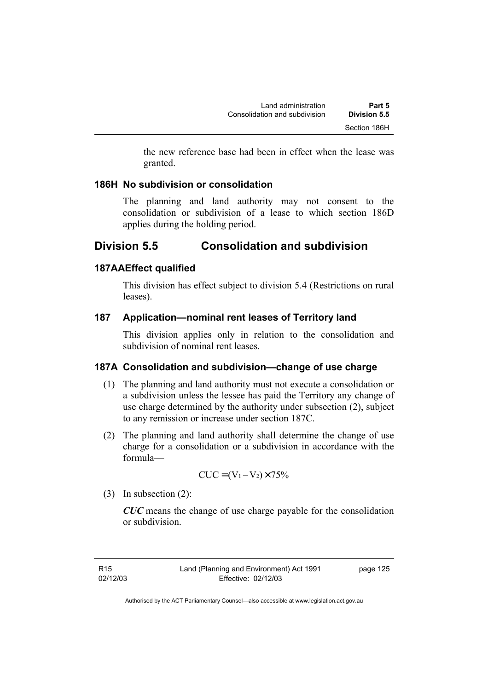the new reference base had been in effect when the lease was granted.

### **186H No subdivision or consolidation**

The planning and land authority may not consent to the consolidation or subdivision of a lease to which section 186D applies during the holding period.

# **Division 5.5 Consolidation and subdivision**

# **187AAEffect qualified**

This division has effect subject to division 5.4 (Restrictions on rural leases).

# **187 Application—nominal rent leases of Territory land**

This division applies only in relation to the consolidation and subdivision of nominal rent leases.

# **187A Consolidation and subdivision—change of use charge**

- (1) The planning and land authority must not execute a consolidation or a subdivision unless the lessee has paid the Territory any change of use charge determined by the authority under subsection (2), subject to any remission or increase under section 187C.
- (2) The planning and land authority shall determine the change of use charge for a consolidation or a subdivision in accordance with the formula—

$$
CUC = (V_1 - V_2) \times 75\%
$$

(3) In subsection (2):

*CUC* means the change of use charge payable for the consolidation or subdivision.

R15 02/12/03 page 125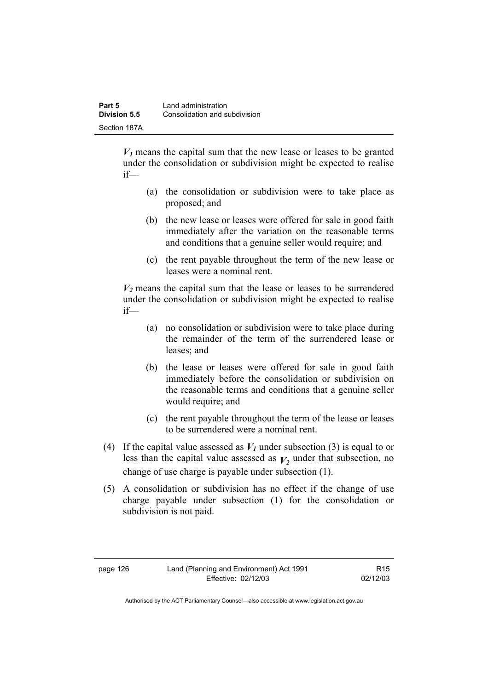$V_1$  means the capital sum that the new lease or leases to be granted under the consolidation or subdivision might be expected to realise if—

- (a) the consolidation or subdivision were to take place as proposed; and
- (b) the new lease or leases were offered for sale in good faith immediately after the variation on the reasonable terms and conditions that a genuine seller would require; and
- (c) the rent payable throughout the term of the new lease or leases were a nominal rent.

 $V_2$  means the capital sum that the lease or leases to be surrendered under the consolidation or subdivision might be expected to realise if—

- (a) no consolidation or subdivision were to take place during the remainder of the term of the surrendered lease or leases; and
- (b) the lease or leases were offered for sale in good faith immediately before the consolidation or subdivision on the reasonable terms and conditions that a genuine seller would require; and
- (c) the rent payable throughout the term of the lease or leases to be surrendered were a nominal rent.
- (4) If the capital value assessed as  $V_I$  under subsection (3) is equal to or less than the capital value assessed as  $V_2$  under that subsection, no change of use charge is payable under subsection (1).
- (5) A consolidation or subdivision has no effect if the change of use charge payable under subsection (1) for the consolidation or subdivision is not paid.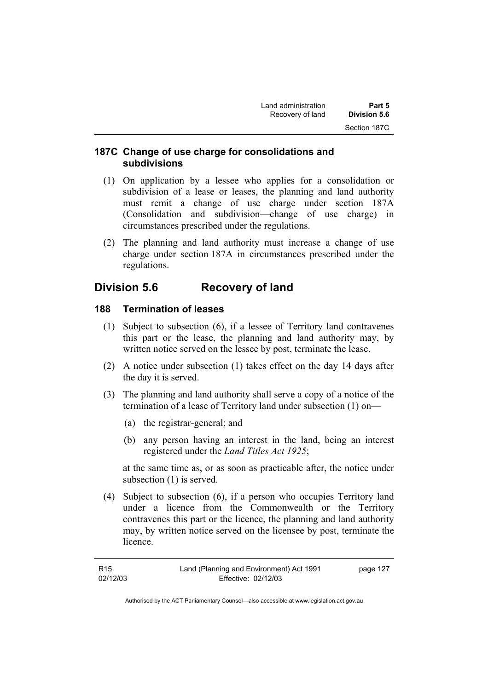# **187C Change of use charge for consolidations and subdivisions**

- (1) On application by a lessee who applies for a consolidation or subdivision of a lease or leases, the planning and land authority must remit a change of use charge under section 187A (Consolidation and subdivision—change of use charge) in circumstances prescribed under the regulations.
- (2) The planning and land authority must increase a change of use charge under section 187A in circumstances prescribed under the regulations.

# **Division 5.6 Recovery of land**

# **188 Termination of leases**

- (1) Subject to subsection (6), if a lessee of Territory land contravenes this part or the lease, the planning and land authority may, by written notice served on the lessee by post, terminate the lease.
- (2) A notice under subsection (1) takes effect on the day 14 days after the day it is served.
- (3) The planning and land authority shall serve a copy of a notice of the termination of a lease of Territory land under subsection (1) on—
	- (a) the registrar-general; and
	- (b) any person having an interest in the land, being an interest registered under the *Land Titles Act 1925*;

at the same time as, or as soon as practicable after, the notice under subsection (1) is served.

 (4) Subject to subsection (6), if a person who occupies Territory land under a licence from the Commonwealth or the Territory contravenes this part or the licence, the planning and land authority may, by written notice served on the licensee by post, terminate the licence.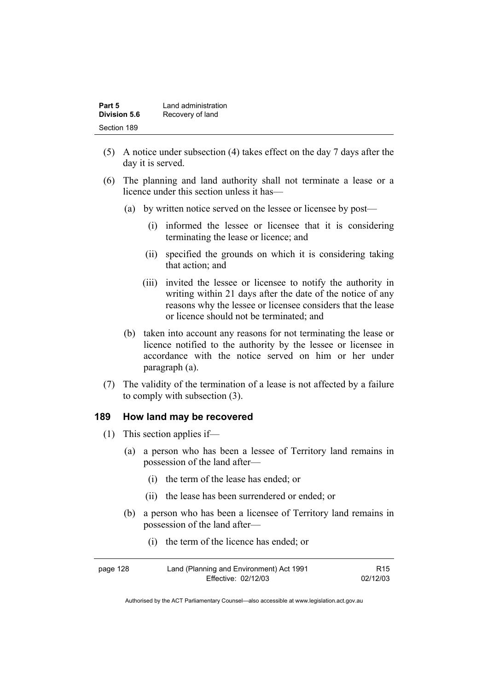| Part 5       | Land administration |
|--------------|---------------------|
| Division 5.6 | Recovery of land    |
| Section 189  |                     |

- (5) A notice under subsection (4) takes effect on the day 7 days after the day it is served.
- (6) The planning and land authority shall not terminate a lease or a licence under this section unless it has—
	- (a) by written notice served on the lessee or licensee by post—
		- (i) informed the lessee or licensee that it is considering terminating the lease or licence; and
		- (ii) specified the grounds on which it is considering taking that action; and
		- (iii) invited the lessee or licensee to notify the authority in writing within 21 days after the date of the notice of any reasons why the lessee or licensee considers that the lease or licence should not be terminated; and
	- (b) taken into account any reasons for not terminating the lease or licence notified to the authority by the lessee or licensee in accordance with the notice served on him or her under paragraph (a).
- (7) The validity of the termination of a lease is not affected by a failure to comply with subsection (3).

#### **189 How land may be recovered**

- (1) This section applies if—
	- (a) a person who has been a lessee of Territory land remains in possession of the land after—
		- (i) the term of the lease has ended; or
		- (ii) the lease has been surrendered or ended; or
	- (b) a person who has been a licensee of Territory land remains in possession of the land after—
		- (i) the term of the licence has ended; or

| page 128 | Land (Planning and Environment) Act 1991 | R15      |
|----------|------------------------------------------|----------|
|          | Effective: 02/12/03                      | 02/12/03 |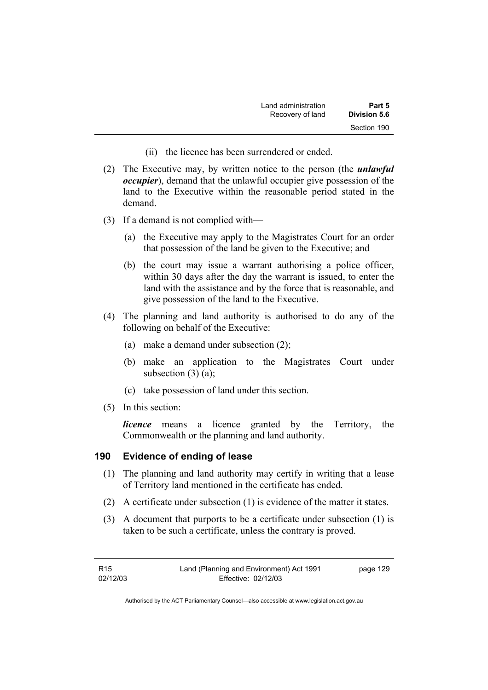| Land administration | Part 5       |
|---------------------|--------------|
| Recovery of land    | Division 5.6 |
|                     | Section 190  |

- (ii) the licence has been surrendered or ended.
- (2) The Executive may, by written notice to the person (the *unlawful occupier*), demand that the unlawful occupier give possession of the land to the Executive within the reasonable period stated in the demand.
- (3) If a demand is not complied with—
	- (a) the Executive may apply to the Magistrates Court for an order that possession of the land be given to the Executive; and
	- (b) the court may issue a warrant authorising a police officer, within 30 days after the day the warrant is issued, to enter the land with the assistance and by the force that is reasonable, and give possession of the land to the Executive.
- (4) The planning and land authority is authorised to do any of the following on behalf of the Executive:
	- (a) make a demand under subsection (2);
	- (b) make an application to the Magistrates Court under subsection  $(3)$   $(a)$ ;
	- (c) take possession of land under this section.
- (5) In this section:

*licence* means a licence granted by the Territory, the Commonwealth or the planning and land authority.

## **190 Evidence of ending of lease**

- (1) The planning and land authority may certify in writing that a lease of Territory land mentioned in the certificate has ended.
- (2) A certificate under subsection (1) is evidence of the matter it states.
- (3) A document that purports to be a certificate under subsection (1) is taken to be such a certificate, unless the contrary is proved.

| R <sub>15</sub> | Land (Planning and Environment) Act 1991 | page 129 |
|-----------------|------------------------------------------|----------|
| 02/12/03        | Effective: 02/12/03                      |          |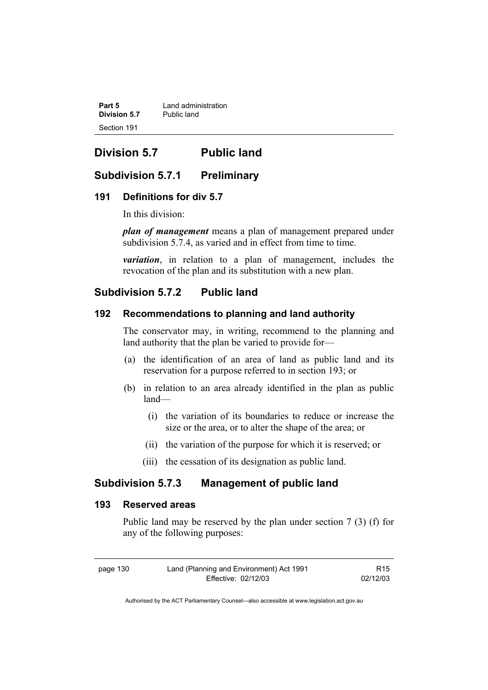**Part 5** *Land administration*<br>Division 5.7 *Public land* **Division 5.7** Section 191

# **Division 5.7 Public land**

# **Subdivision 5.7.1 Preliminary**

## **191 Definitions for div 5.7**

In this division:

*plan of management* means a plan of management prepared under subdivision 5.7.4, as varied and in effect from time to time.

*variation*, in relation to a plan of management, includes the revocation of the plan and its substitution with a new plan.

# **Subdivision 5.7.2 Public land**

## **192 Recommendations to planning and land authority**

The conservator may, in writing, recommend to the planning and land authority that the plan be varied to provide for—

- (a) the identification of an area of land as public land and its reservation for a purpose referred to in section 193; or
- (b) in relation to an area already identified in the plan as public land—
	- (i) the variation of its boundaries to reduce or increase the size or the area, or to alter the shape of the area; or
	- (ii) the variation of the purpose for which it is reserved; or
	- (iii) the cessation of its designation as public land.

# **Subdivision 5.7.3 Management of public land**

## **193 Reserved areas**

Public land may be reserved by the plan under section 7 (3) (f) for any of the following purposes:

| page 130 | Land (Planning and Environment) Act 1991 | R <sub>15</sub> |
|----------|------------------------------------------|-----------------|
|          | Effective: 02/12/03                      | 02/12/03        |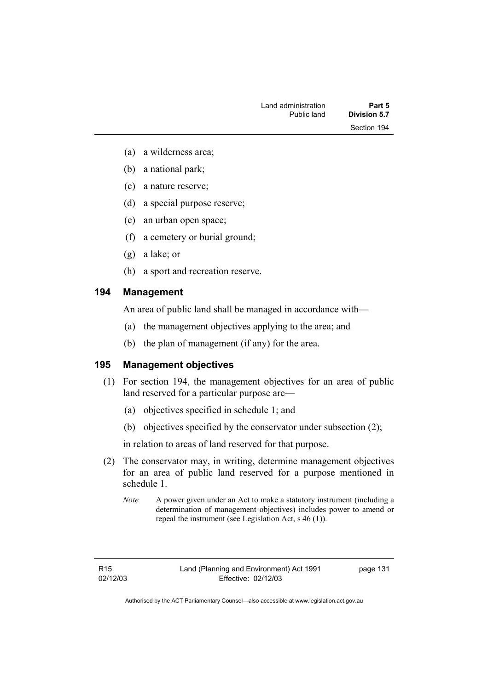- (a) a wilderness area;
- (b) a national park;
- (c) a nature reserve;
- (d) a special purpose reserve;
- (e) an urban open space;
- (f) a cemetery or burial ground;
- (g) a lake; or
- (h) a sport and recreation reserve.

## **194 Management**

An area of public land shall be managed in accordance with—

- (a) the management objectives applying to the area; and
- (b) the plan of management (if any) for the area.

# **195 Management objectives**

- (1) For section 194, the management objectives for an area of public land reserved for a particular purpose are—
	- (a) objectives specified in schedule 1; and
	- (b) objectives specified by the conservator under subsection (2);

in relation to areas of land reserved for that purpose.

- (2) The conservator may, in writing, determine management objectives for an area of public land reserved for a purpose mentioned in schedule 1.
	- *Note* A power given under an Act to make a statutory instrument (including a determination of management objectives) includes power to amend or repeal the instrument (see Legislation Act, s 46 (1)).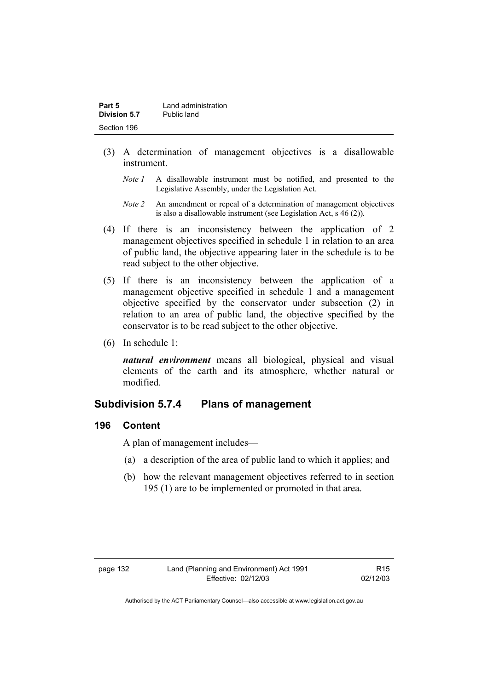| Part 5       | Land administration |
|--------------|---------------------|
| Division 5.7 | Public land         |
| Section 196  |                     |

- (3) A determination of management objectives is a disallowable instrument.
	- *Note 1* A disallowable instrument must be notified, and presented to the Legislative Assembly, under the Legislation Act.
	- *Note 2* An amendment or repeal of a determination of management objectives is also a disallowable instrument (see Legislation Act, s 46 (2))*.*
- (4) If there is an inconsistency between the application of 2 management objectives specified in schedule 1 in relation to an area of public land, the objective appearing later in the schedule is to be read subject to the other objective.
- (5) If there is an inconsistency between the application of a management objective specified in schedule 1 and a management objective specified by the conservator under subsection (2) in relation to an area of public land, the objective specified by the conservator is to be read subject to the other objective.
- (6) In schedule 1:

*natural environment* means all biological, physical and visual elements of the earth and its atmosphere, whether natural or modified.

# **Subdivision 5.7.4 Plans of management**

#### **196 Content**

A plan of management includes—

- (a) a description of the area of public land to which it applies; and
- (b) how the relevant management objectives referred to in section 195 (1) are to be implemented or promoted in that area.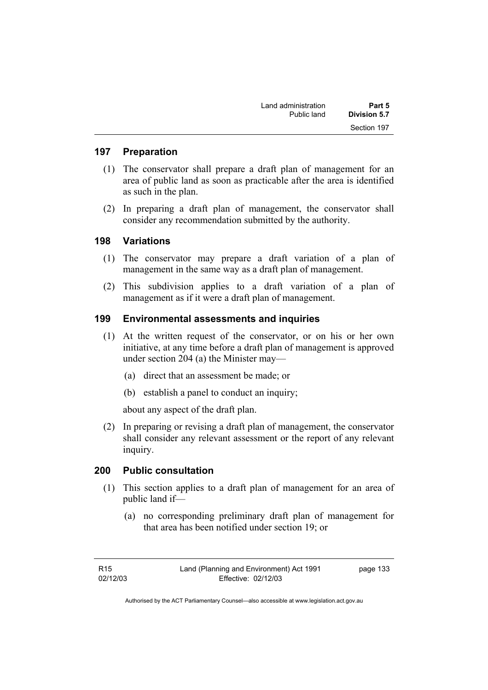| Land administration | Part 5       |
|---------------------|--------------|
| Public land         | Division 5.7 |
|                     | Section 197  |

## **197 Preparation**

- (1) The conservator shall prepare a draft plan of management for an area of public land as soon as practicable after the area is identified as such in the plan.
- (2) In preparing a draft plan of management, the conservator shall consider any recommendation submitted by the authority.

#### **198 Variations**

- (1) The conservator may prepare a draft variation of a plan of management in the same way as a draft plan of management.
- (2) This subdivision applies to a draft variation of a plan of management as if it were a draft plan of management.

## **199 Environmental assessments and inquiries**

- (1) At the written request of the conservator, or on his or her own initiative, at any time before a draft plan of management is approved under section 204 (a) the Minister may—
	- (a) direct that an assessment be made; or
	- (b) establish a panel to conduct an inquiry;

about any aspect of the draft plan.

 (2) In preparing or revising a draft plan of management, the conservator shall consider any relevant assessment or the report of any relevant inquiry.

## **200 Public consultation**

- (1) This section applies to a draft plan of management for an area of public land if—
	- (a) no corresponding preliminary draft plan of management for that area has been notified under section 19; or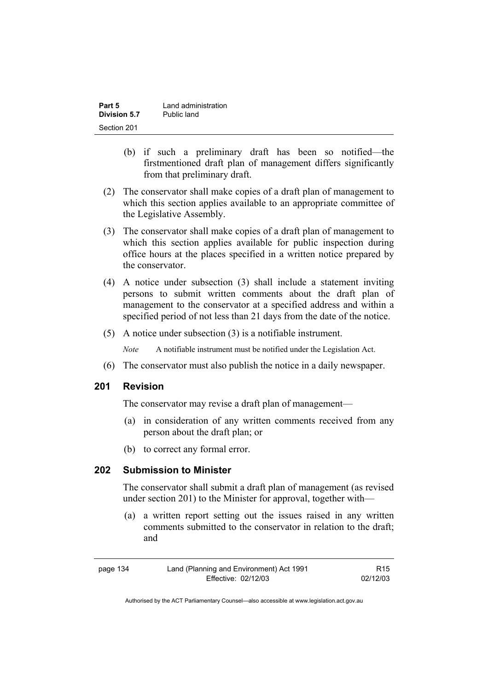| Part 5       | Land administration |
|--------------|---------------------|
| Division 5.7 | Public land         |
| Section 201  |                     |

- (b) if such a preliminary draft has been so notified—the firstmentioned draft plan of management differs significantly from that preliminary draft.
- (2) The conservator shall make copies of a draft plan of management to which this section applies available to an appropriate committee of the Legislative Assembly.
- (3) The conservator shall make copies of a draft plan of management to which this section applies available for public inspection during office hours at the places specified in a written notice prepared by the conservator.
- (4) A notice under subsection (3) shall include a statement inviting persons to submit written comments about the draft plan of management to the conservator at a specified address and within a specified period of not less than 21 days from the date of the notice.
- (5) A notice under subsection (3) is a notifiable instrument.

*Note* A notifiable instrument must be notified under the Legislation Act.

(6) The conservator must also publish the notice in a daily newspaper.

## **201 Revision**

The conservator may revise a draft plan of management—

- (a) in consideration of any written comments received from any person about the draft plan; or
- (b) to correct any formal error.

## **202 Submission to Minister**

The conservator shall submit a draft plan of management (as revised under section 201) to the Minister for approval, together with—

 (a) a written report setting out the issues raised in any written comments submitted to the conservator in relation to the draft; and

| page 134 | Land (Planning and Environment) Act 1991 | R15      |
|----------|------------------------------------------|----------|
|          | Effective: 02/12/03                      | 02/12/03 |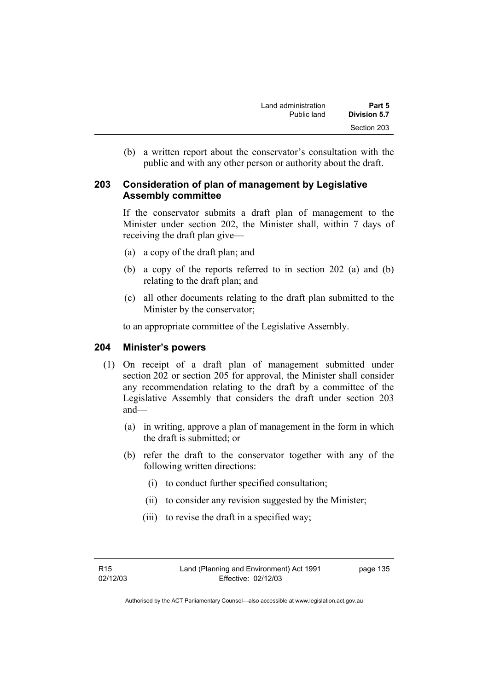(b) a written report about the conservator's consultation with the public and with any other person or authority about the draft.

## **203 Consideration of plan of management by Legislative Assembly committee**

If the conservator submits a draft plan of management to the Minister under section 202, the Minister shall, within 7 days of receiving the draft plan give—

- (a) a copy of the draft plan; and
- (b) a copy of the reports referred to in section 202 (a) and (b) relating to the draft plan; and
- (c) all other documents relating to the draft plan submitted to the Minister by the conservator;

to an appropriate committee of the Legislative Assembly.

## **204 Minister's powers**

- (1) On receipt of a draft plan of management submitted under section 202 or section 205 for approval, the Minister shall consider any recommendation relating to the draft by a committee of the Legislative Assembly that considers the draft under section 203 and—
	- (a) in writing, approve a plan of management in the form in which the draft is submitted; or
	- (b) refer the draft to the conservator together with any of the following written directions:
		- (i) to conduct further specified consultation;
		- (ii) to consider any revision suggested by the Minister;
		- (iii) to revise the draft in a specified way;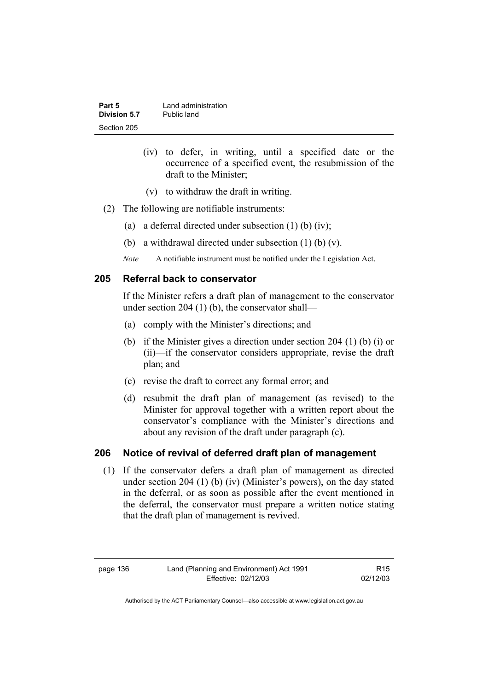| Part 5       | Land administration |
|--------------|---------------------|
| Division 5.7 | Public land         |
| Section 205  |                     |

- (iv) to defer, in writing, until a specified date or the occurrence of a specified event, the resubmission of the draft to the Minister;
- (v) to withdraw the draft in writing.
- (2) The following are notifiable instruments:
	- (a) a deferral directed under subsection  $(1)$  (b)  $(iv)$ ;
	- (b) a withdrawal directed under subsection (1) (b) (v).
	- *Note* A notifiable instrument must be notified under the Legislation Act.

## **205 Referral back to conservator**

If the Minister refers a draft plan of management to the conservator under section 204 (1) (b), the conservator shall—

- (a) comply with the Minister's directions; and
- (b) if the Minister gives a direction under section 204 (1) (b) (i) or (ii)—if the conservator considers appropriate, revise the draft plan; and
- (c) revise the draft to correct any formal error; and
- (d) resubmit the draft plan of management (as revised) to the Minister for approval together with a written report about the conservator's compliance with the Minister's directions and about any revision of the draft under paragraph (c).

## **206 Notice of revival of deferred draft plan of management**

(1) If the conservator defers a draft plan of management as directed under section 204 (1) (b) (iv) (Minister's powers), on the day stated in the deferral, or as soon as possible after the event mentioned in the deferral, the conservator must prepare a written notice stating that the draft plan of management is revived.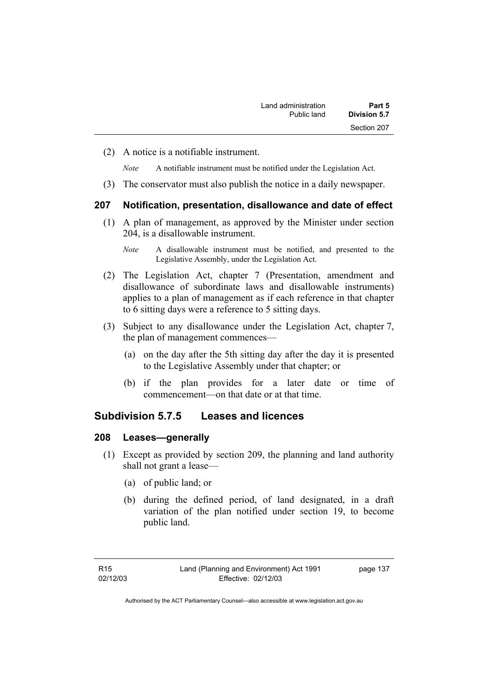(2) A notice is a notifiable instrument.

*Note* A notifiable instrument must be notified under the Legislation Act.

(3) The conservator must also publish the notice in a daily newspaper.

#### **207 Notification, presentation, disallowance and date of effect**

 (1) A plan of management, as approved by the Minister under section 204, is a disallowable instrument.

- (2) The Legislation Act, chapter 7 (Presentation, amendment and disallowance of subordinate laws and disallowable instruments) applies to a plan of management as if each reference in that chapter to 6 sitting days were a reference to 5 sitting days.
- (3) Subject to any disallowance under the Legislation Act, chapter 7, the plan of management commences—
	- (a) on the day after the 5th sitting day after the day it is presented to the Legislative Assembly under that chapter; or
	- (b) if the plan provides for a later date or time of commencement—on that date or at that time.

## **Subdivision 5.7.5 Leases and licences**

#### **208 Leases—generally**

- (1) Except as provided by section 209, the planning and land authority shall not grant a lease—
	- (a) of public land; or
	- (b) during the defined period, of land designated, in a draft variation of the plan notified under section 19, to become public land.

*Note* A disallowable instrument must be notified, and presented to the Legislative Assembly, under the Legislation Act.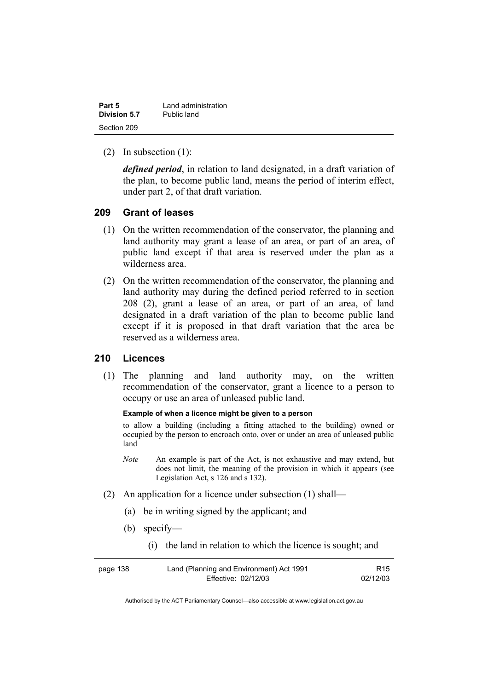| Part 5       | Land administration |
|--------------|---------------------|
| Division 5.7 | Public land         |
| Section 209  |                     |

(2) In subsection (1):

*defined period*, in relation to land designated, in a draft variation of the plan, to become public land, means the period of interim effect, under part 2, of that draft variation.

## **209 Grant of leases**

- (1) On the written recommendation of the conservator, the planning and land authority may grant a lease of an area, or part of an area, of public land except if that area is reserved under the plan as a wilderness area.
- (2) On the written recommendation of the conservator, the planning and land authority may during the defined period referred to in section 208 (2), grant a lease of an area, or part of an area, of land designated in a draft variation of the plan to become public land except if it is proposed in that draft variation that the area be reserved as a wilderness area.

## **210 Licences**

 (1) The planning and land authority may, on the written recommendation of the conservator, grant a licence to a person to occupy or use an area of unleased public land.

#### **Example of when a licence might be given to a person**

to allow a building (including a fitting attached to the building) owned or occupied by the person to encroach onto, over or under an area of unleased public land

- *Note* An example is part of the Act, is not exhaustive and may extend, but does not limit, the meaning of the provision in which it appears (see Legislation Act, s 126 and s 132).
- (2) An application for a licence under subsection (1) shall—
	- (a) be in writing signed by the applicant; and
	- (b) specify—
		- (i) the land in relation to which the licence is sought; and

| page 138 | Land (Planning and Environment) Act 1991 | R <sub>15</sub> |
|----------|------------------------------------------|-----------------|
|          | Effective: 02/12/03                      | 02/12/03        |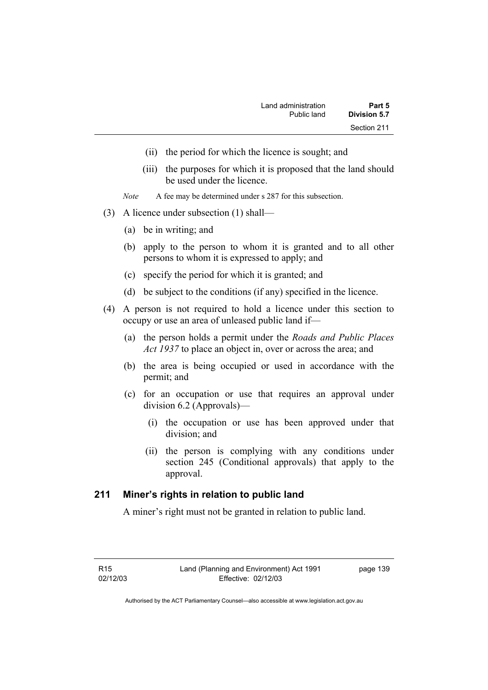- (ii) the period for which the licence is sought; and
- (iii) the purposes for which it is proposed that the land should be used under the licence.
- *Note* A fee may be determined under s 287 for this subsection.
- (3) A licence under subsection (1) shall—
	- (a) be in writing; and
	- (b) apply to the person to whom it is granted and to all other persons to whom it is expressed to apply; and
	- (c) specify the period for which it is granted; and
	- (d) be subject to the conditions (if any) specified in the licence.
- (4) A person is not required to hold a licence under this section to occupy or use an area of unleased public land if—
	- (a) the person holds a permit under the *Roads and Public Places Act 1937* to place an object in, over or across the area; and
	- (b) the area is being occupied or used in accordance with the permit; and
	- (c) for an occupation or use that requires an approval under division 6.2 (Approvals)—
		- (i) the occupation or use has been approved under that division; and
		- (ii) the person is complying with any conditions under section 245 (Conditional approvals) that apply to the approval.

## **211 Miner's rights in relation to public land**

A miner's right must not be granted in relation to public land.

page 139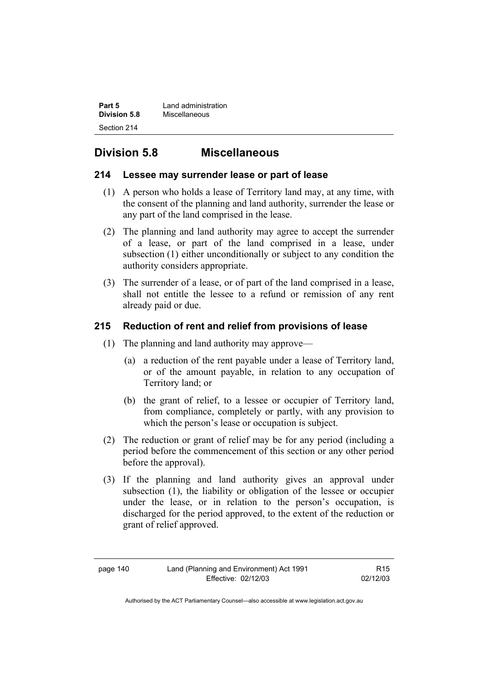| Part 5              | Land administration |
|---------------------|---------------------|
| <b>Division 5.8</b> | Miscellaneous       |
| Section 214         |                     |

# **Division 5.8 Miscellaneous**

## **214 Lessee may surrender lease or part of lease**

- (1) A person who holds a lease of Territory land may, at any time, with the consent of the planning and land authority, surrender the lease or any part of the land comprised in the lease.
- (2) The planning and land authority may agree to accept the surrender of a lease, or part of the land comprised in a lease, under subsection (1) either unconditionally or subject to any condition the authority considers appropriate.
- (3) The surrender of a lease, or of part of the land comprised in a lease, shall not entitle the lessee to a refund or remission of any rent already paid or due.

# **215 Reduction of rent and relief from provisions of lease**

- (1) The planning and land authority may approve—
	- (a) a reduction of the rent payable under a lease of Territory land, or of the amount payable, in relation to any occupation of Territory land; or
	- (b) the grant of relief, to a lessee or occupier of Territory land, from compliance, completely or partly, with any provision to which the person's lease or occupation is subject.
- (2) The reduction or grant of relief may be for any period (including a period before the commencement of this section or any other period before the approval).
- (3) If the planning and land authority gives an approval under subsection (1), the liability or obligation of the lessee or occupier under the lease, or in relation to the person's occupation, is discharged for the period approved, to the extent of the reduction or grant of relief approved.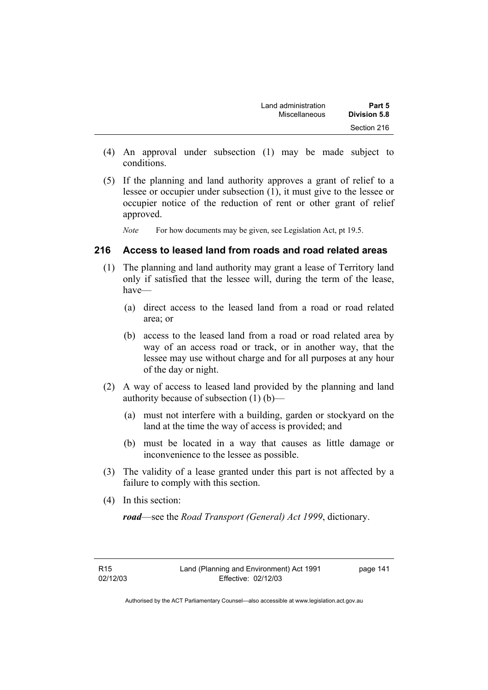| Land administration | Part 5              |
|---------------------|---------------------|
| Miscellaneous       | <b>Division 5.8</b> |
|                     | Section 216         |

- (4) An approval under subsection (1) may be made subject to conditions.
- (5) If the planning and land authority approves a grant of relief to a lessee or occupier under subsection (1), it must give to the lessee or occupier notice of the reduction of rent or other grant of relief approved.

*Note* For how documents may be given, see Legislation Act, pt 19.5.

## **216 Access to leased land from roads and road related areas**

- (1) The planning and land authority may grant a lease of Territory land only if satisfied that the lessee will, during the term of the lease, have—
	- (a) direct access to the leased land from a road or road related area; or
	- (b) access to the leased land from a road or road related area by way of an access road or track, or in another way, that the lessee may use without charge and for all purposes at any hour of the day or night.
- (2) A way of access to leased land provided by the planning and land authority because of subsection (1) (b)—
	- (a) must not interfere with a building, garden or stockyard on the land at the time the way of access is provided; and
	- (b) must be located in a way that causes as little damage or inconvenience to the lessee as possible.
- (3) The validity of a lease granted under this part is not affected by a failure to comply with this section.
- (4) In this section:

*road*—see the *Road Transport (General) Act 1999*, dictionary.

R15 02/12/03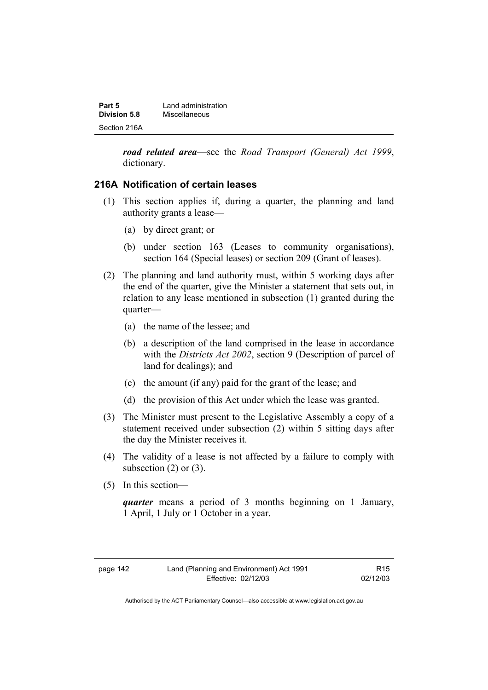| Part 5       | Land administration |
|--------------|---------------------|
| Division 5.8 | Miscellaneous       |
| Section 216A |                     |

*road related area*—see the *Road Transport (General) Act 1999*, dictionary.

## **216A Notification of certain leases**

- (1) This section applies if, during a quarter, the planning and land authority grants a lease—
	- (a) by direct grant; or
	- (b) under section 163 (Leases to community organisations), section 164 (Special leases) or section 209 (Grant of leases).
- (2) The planning and land authority must, within 5 working days after the end of the quarter, give the Minister a statement that sets out, in relation to any lease mentioned in subsection (1) granted during the quarter—
	- (a) the name of the lessee; and
	- (b) a description of the land comprised in the lease in accordance with the *Districts Act 2002*, section 9 (Description of parcel of land for dealings); and
	- (c) the amount (if any) paid for the grant of the lease; and
	- (d) the provision of this Act under which the lease was granted.
- (3) The Minister must present to the Legislative Assembly a copy of a statement received under subsection (2) within 5 sitting days after the day the Minister receives it.
- (4) The validity of a lease is not affected by a failure to comply with subsection  $(2)$  or  $(3)$ .
- (5) In this section—

*quarter* means a period of 3 months beginning on 1 January, 1 April, 1 July or 1 October in a year.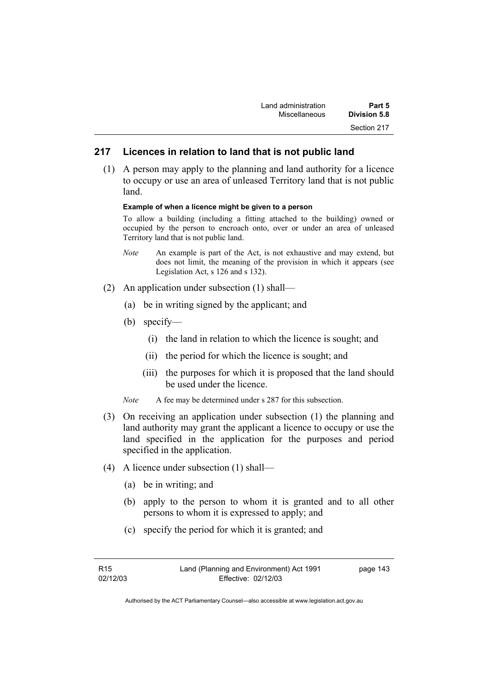| Land administration | Part 5              |
|---------------------|---------------------|
| Miscellaneous       | <b>Division 5.8</b> |
|                     | Section 217         |

## **217 Licences in relation to land that is not public land**

 (1) A person may apply to the planning and land authority for a licence to occupy or use an area of unleased Territory land that is not public land.

#### **Example of when a licence might be given to a person**

To allow a building (including a fitting attached to the building) owned or occupied by the person to encroach onto, over or under an area of unleased Territory land that is not public land.

- *Note* An example is part of the Act, is not exhaustive and may extend, but does not limit, the meaning of the provision in which it appears (see Legislation Act, s 126 and s 132).
- (2) An application under subsection (1) shall—
	- (a) be in writing signed by the applicant; and
	- (b) specify—
		- (i) the land in relation to which the licence is sought; and
		- (ii) the period for which the licence is sought; and
		- (iii) the purposes for which it is proposed that the land should be used under the licence.
	- *Note* A fee may be determined under s 287 for this subsection.
- (3) On receiving an application under subsection (1) the planning and land authority may grant the applicant a licence to occupy or use the land specified in the application for the purposes and period specified in the application.
- (4) A licence under subsection (1) shall—
	- (a) be in writing; and
	- (b) apply to the person to whom it is granted and to all other persons to whom it is expressed to apply; and
	- (c) specify the period for which it is granted; and

| R15      | Land (Planning and Environment) Act 1991 | page 143 |
|----------|------------------------------------------|----------|
| 02/12/03 | Effective: 02/12/03                      |          |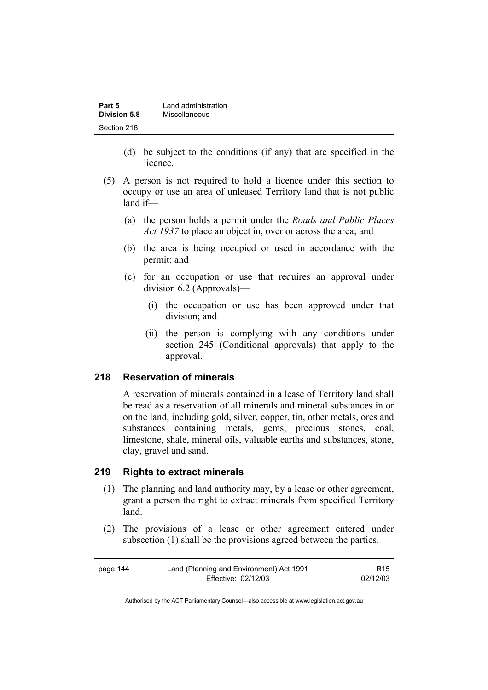| Part 5       | Land administration |
|--------------|---------------------|
| Division 5.8 | Miscellaneous       |
| Section 218  |                     |

- (d) be subject to the conditions (if any) that are specified in the licence.
- (5) A person is not required to hold a licence under this section to occupy or use an area of unleased Territory land that is not public land if—
	- (a) the person holds a permit under the *Roads and Public Places Act 1937* to place an object in, over or across the area; and
	- (b) the area is being occupied or used in accordance with the permit; and
	- (c) for an occupation or use that requires an approval under division 6.2 (Approvals)—
		- (i) the occupation or use has been approved under that division; and
		- (ii) the person is complying with any conditions under section 245 (Conditional approvals) that apply to the approval.

#### **218 Reservation of minerals**

A reservation of minerals contained in a lease of Territory land shall be read as a reservation of all minerals and mineral substances in or on the land, including gold, silver, copper, tin, other metals, ores and substances containing metals, gems, precious stones, coal, limestone, shale, mineral oils, valuable earths and substances, stone, clay, gravel and sand.

## **219 Rights to extract minerals**

- (1) The planning and land authority may, by a lease or other agreement, grant a person the right to extract minerals from specified Territory land.
- (2) The provisions of a lease or other agreement entered under subsection (1) shall be the provisions agreed between the parties.

| page 144 | Land (Planning and Environment) Act 1991 | R15      |
|----------|------------------------------------------|----------|
|          | Effective: 02/12/03                      | 02/12/03 |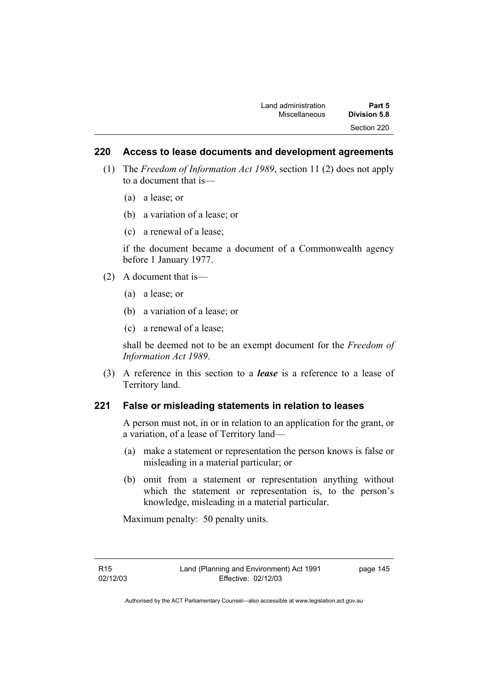## **220 Access to lease documents and development agreements**

- (1) The *Freedom of Information Act 1989*, section 11 (2) does not apply to a document that is—
	- (a) a lease; or
	- (b) a variation of a lease; or
	- (c) a renewal of a lease;

if the document became a document of a Commonwealth agency before 1 January 1977.

- (2) A document that is—
	- (a) a lease; or
	- (b) a variation of a lease; or
	- (c) a renewal of a lease;

shall be deemed not to be an exempt document for the *Freedom of Information Act 1989*.

 (3) A reference in this section to a *lease* is a reference to a lease of Territory land.

## **221 False or misleading statements in relation to leases**

A person must not, in or in relation to an application for the grant, or a variation, of a lease of Territory land—

- (a) make a statement or representation the person knows is false or misleading in a material particular; or
- (b) omit from a statement or representation anything without which the statement or representation is, to the person's knowledge, misleading in a material particular.

Maximum penalty: 50 penalty units.

page 145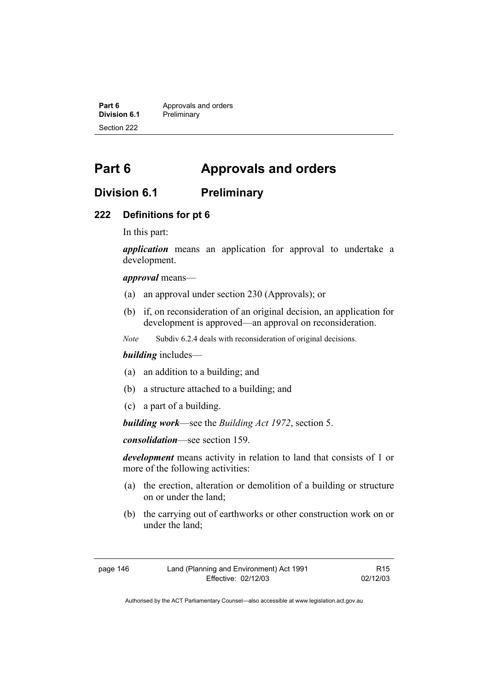**Part 6 Approvals and orders**<br>**Division 6.1 Preliminary Division 6.1** Preliminary Section 222

# **Part 6 Approvals and orders**

# **Division 6.1 Preliminary**

#### **222 Definitions for pt 6**

In this part:

*application* means an application for approval to undertake a development.

*approval* means—

- (a) an approval under section 230 (Approvals); or
- (b) if, on reconsideration of an original decision, an application for development is approved—an approval on reconsideration.
- *Note* Subdiv 6.2.4 deals with reconsideration of original decisions.

## *building* includes—

- (a) an addition to a building; and
- (b) a structure attached to a building; and
- (c) a part of a building.

*building work*—see the *Building Act 1972*, section 5.

*consolidation*—see section 159.

*development* means activity in relation to land that consists of 1 or more of the following activities:

- (a) the erection, alteration or demolition of a building or structure on or under the land;
- (b) the carrying out of earthworks or other construction work on or under the land;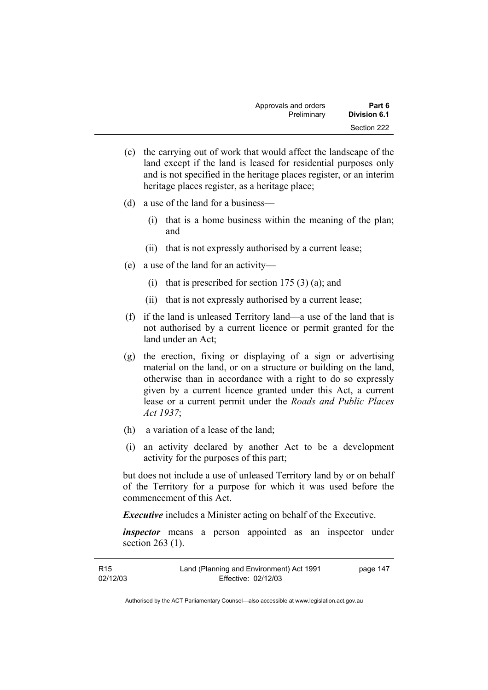| Approvals and orders | Part 6              |
|----------------------|---------------------|
| Preliminary          | <b>Division 6.1</b> |
|                      | Section 222         |

- (c) the carrying out of work that would affect the landscape of the land except if the land is leased for residential purposes only and is not specified in the heritage places register, or an interim heritage places register, as a heritage place;
- (d) a use of the land for a business—
	- (i) that is a home business within the meaning of the plan; and
	- (ii) that is not expressly authorised by a current lease;
- (e) a use of the land for an activity—
	- (i) that is prescribed for section  $175(3)(a)$ ; and
	- (ii) that is not expressly authorised by a current lease;
- (f) if the land is unleased Territory land—a use of the land that is not authorised by a current licence or permit granted for the land under an Act;
- (g) the erection, fixing or displaying of a sign or advertising material on the land, or on a structure or building on the land, otherwise than in accordance with a right to do so expressly given by a current licence granted under this Act, a current lease or a current permit under the *Roads and Public Places Act 1937*;
- (h) a variation of a lease of the land;
- (i) an activity declared by another Act to be a development activity for the purposes of this part;

but does not include a use of unleased Territory land by or on behalf of the Territory for a purpose for which it was used before the commencement of this Act.

*Executive* includes a Minister acting on behalf of the Executive.

*inspector* means a person appointed as an inspector under section 263 (1).

| R <sub>15</sub> | Land (Planning and Environment) Act 1991 | page 147 |
|-----------------|------------------------------------------|----------|
| 02/12/03        | Effective: 02/12/03                      |          |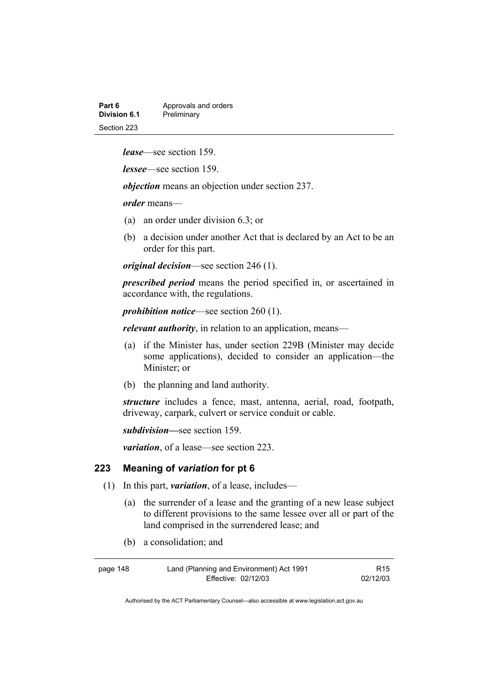| Part 6       | Approvals and orders |
|--------------|----------------------|
| Division 6.1 | Preliminary          |
| Section 223  |                      |

*lease*—see section 159.

*lessee*—see section 159.

*objection* means an objection under section 237.

*order* means—

- (a) an order under division 6.3; or
- (b) a decision under another Act that is declared by an Act to be an order for this part.

*original decision*—see section 246 (1).

*prescribed period* means the period specified in, or ascertained in accordance with, the regulations.

*prohibition notice*—see section 260 (1).

*relevant authority*, in relation to an application, means—

- (a) if the Minister has, under section 229B (Minister may decide some applications), decided to consider an application—the Minister; or
- (b) the planning and land authority.

*structure* includes a fence, mast, antenna, aerial, road, footpath, driveway, carpark, culvert or service conduit or cable.

*subdivision—*see section 159.

*variation*, of a lease—see section 223.

#### **223 Meaning of** *variation* **for pt 6**

- (1) In this part, *variation*, of a lease, includes—
	- (a) the surrender of a lease and the granting of a new lease subject to different provisions to the same lessee over all or part of the land comprised in the surrendered lease; and
	- (b) a consolidation; and

| page 148 | Land (Planning and Environment) Act 1991 | R15      |
|----------|------------------------------------------|----------|
|          | Effective: 02/12/03                      | 02/12/03 |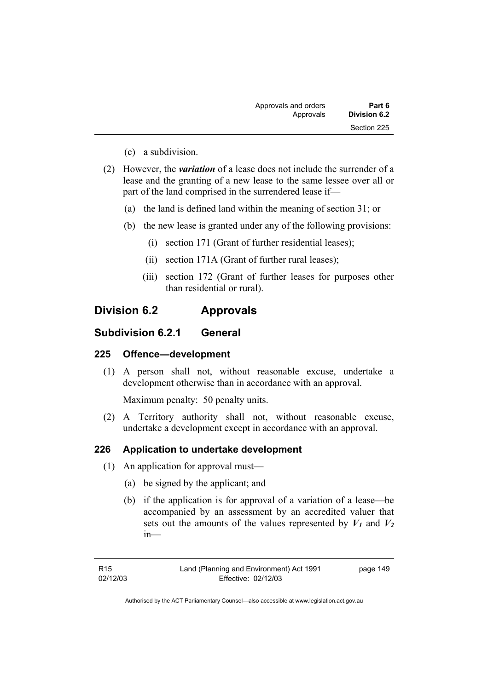| Part 6       | Approvals and orders |
|--------------|----------------------|
| Division 6.2 | Approvals            |
| Section 225  |                      |

- (c) a subdivision.
- (2) However, the *variation* of a lease does not include the surrender of a lease and the granting of a new lease to the same lessee over all or part of the land comprised in the surrendered lease if—
	- (a) the land is defined land within the meaning of section 31; or
	- (b) the new lease is granted under any of the following provisions:
		- (i) section 171 (Grant of further residential leases);
		- (ii) section 171A (Grant of further rural leases);
		- (iii) section 172 (Grant of further leases for purposes other than residential or rural).

# **Division 6.2 Approvals**

## **Subdivision 6.2.1 General**

## **225 Offence—development**

 (1) A person shall not, without reasonable excuse, undertake a development otherwise than in accordance with an approval.

Maximum penalty: 50 penalty units.

 (2) A Territory authority shall not, without reasonable excuse, undertake a development except in accordance with an approval.

## **226 Application to undertake development**

- (1) An application for approval must—
	- (a) be signed by the applicant; and
	- (b) if the application is for approval of a variation of a lease—be accompanied by an assessment by an accredited valuer that sets out the amounts of the values represented by  $V_1$  and  $V_2$ in—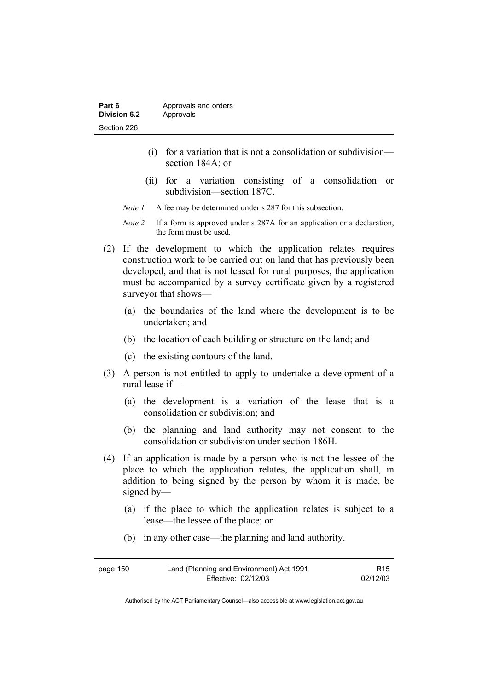| Part 6       | Approvals and orders |
|--------------|----------------------|
| Division 6.2 | Approvals            |
| Section 226  |                      |

- (i) for a variation that is not a consolidation or subdivision section 184A; or
- (ii) for a variation consisting of a consolidation or subdivision—section 187C.
- *Note 1* A fee may be determined under s 287 for this subsection.
- *Note 2* If a form is approved under s 287A for an application or a declaration, the form must be used.
- (2) If the development to which the application relates requires construction work to be carried out on land that has previously been developed, and that is not leased for rural purposes, the application must be accompanied by a survey certificate given by a registered surveyor that shows—
	- (a) the boundaries of the land where the development is to be undertaken; and
	- (b) the location of each building or structure on the land; and
	- (c) the existing contours of the land.
- (3) A person is not entitled to apply to undertake a development of a rural lease if—
	- (a) the development is a variation of the lease that is a consolidation or subdivision; and
	- (b) the planning and land authority may not consent to the consolidation or subdivision under section 186H.
- (4) If an application is made by a person who is not the lessee of the place to which the application relates, the application shall, in addition to being signed by the person by whom it is made, be signed by—
	- (a) if the place to which the application relates is subject to a lease—the lessee of the place; or
	- (b) in any other case—the planning and land authority.

| page 150 | Land (Planning and Environment) Act 1991 | R15      |
|----------|------------------------------------------|----------|
|          | Effective: 02/12/03                      | 02/12/03 |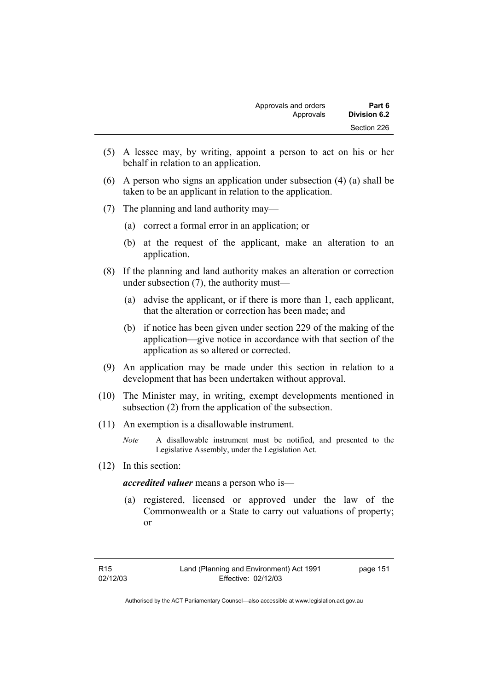| Approvals and orders | Part 6       |
|----------------------|--------------|
| Approvals            | Division 6.2 |
|                      | Section 226  |

- (5) A lessee may, by writing, appoint a person to act on his or her behalf in relation to an application.
- (6) A person who signs an application under subsection (4) (a) shall be taken to be an applicant in relation to the application.
- (7) The planning and land authority may—
	- (a) correct a formal error in an application; or
	- (b) at the request of the applicant, make an alteration to an application.
- (8) If the planning and land authority makes an alteration or correction under subsection (7), the authority must—
	- (a) advise the applicant, or if there is more than 1, each applicant, that the alteration or correction has been made; and
	- (b) if notice has been given under section 229 of the making of the application—give notice in accordance with that section of the application as so altered or corrected.
- (9) An application may be made under this section in relation to a development that has been undertaken without approval.
- (10) The Minister may, in writing, exempt developments mentioned in subsection (2) from the application of the subsection.
- (11) An exemption is a disallowable instrument.
	- *Note* A disallowable instrument must be notified, and presented to the Legislative Assembly, under the Legislation Act.
- (12) In this section:

*accredited valuer* means a person who is—

 (a) registered, licensed or approved under the law of the Commonwealth or a State to carry out valuations of property; or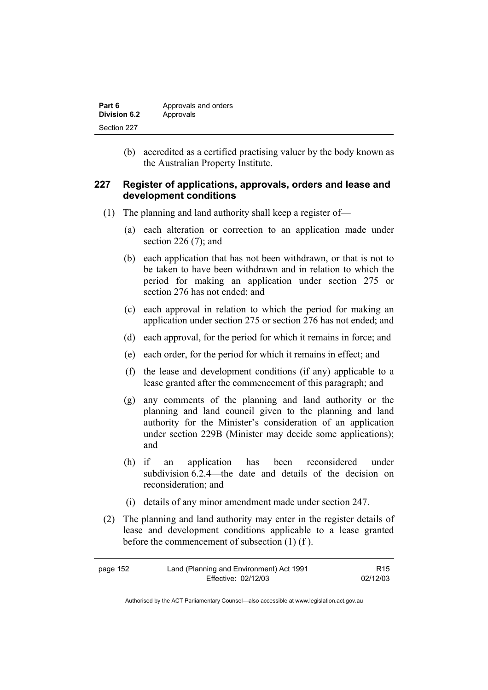| Part 6       | Approvals and orders |
|--------------|----------------------|
| Division 6.2 | Approvals            |
| Section 227  |                      |

 (b) accredited as a certified practising valuer by the body known as the Australian Property Institute.

## **227 Register of applications, approvals, orders and lease and development conditions**

- (1) The planning and land authority shall keep a register of—
	- (a) each alteration or correction to an application made under section 226 (7); and
	- (b) each application that has not been withdrawn, or that is not to be taken to have been withdrawn and in relation to which the period for making an application under section 275 or section 276 has not ended; and
	- (c) each approval in relation to which the period for making an application under section 275 or section 276 has not ended; and
	- (d) each approval, for the period for which it remains in force; and
	- (e) each order, for the period for which it remains in effect; and
	- (f) the lease and development conditions (if any) applicable to a lease granted after the commencement of this paragraph; and
	- (g) any comments of the planning and land authority or the planning and land council given to the planning and land authority for the Minister's consideration of an application under section 229B (Minister may decide some applications); and
	- (h) if an application has been reconsidered under subdivision 6.2.4—the date and details of the decision on reconsideration; and
	- (i) details of any minor amendment made under section 247.
- (2) The planning and land authority may enter in the register details of lease and development conditions applicable to a lease granted before the commencement of subsection (1) (f ).

| page 152 | Land (Planning and Environment) Act 1991 | R <sub>15</sub> |
|----------|------------------------------------------|-----------------|
|          | Effective: 02/12/03                      | 02/12/03        |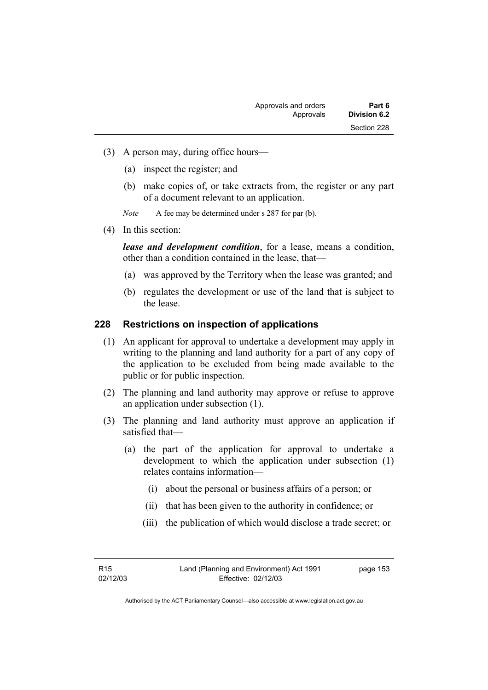- (3) A person may, during office hours—
	- (a) inspect the register; and
	- (b) make copies of, or take extracts from, the register or any part of a document relevant to an application.
	- *Note* A fee may be determined under s 287 for par (b).
- (4) In this section:

*lease and development condition*, for a lease, means a condition, other than a condition contained in the lease, that—

- (a) was approved by the Territory when the lease was granted; and
- (b) regulates the development or use of the land that is subject to the lease.

## **228 Restrictions on inspection of applications**

- (1) An applicant for approval to undertake a development may apply in writing to the planning and land authority for a part of any copy of the application to be excluded from being made available to the public or for public inspection.
- (2) The planning and land authority may approve or refuse to approve an application under subsection (1).
- (3) The planning and land authority must approve an application if satisfied that—
	- (a) the part of the application for approval to undertake a development to which the application under subsection (1) relates contains information—
		- (i) about the personal or business affairs of a person; or
		- (ii) that has been given to the authority in confidence; or
		- (iii) the publication of which would disclose a trade secret; or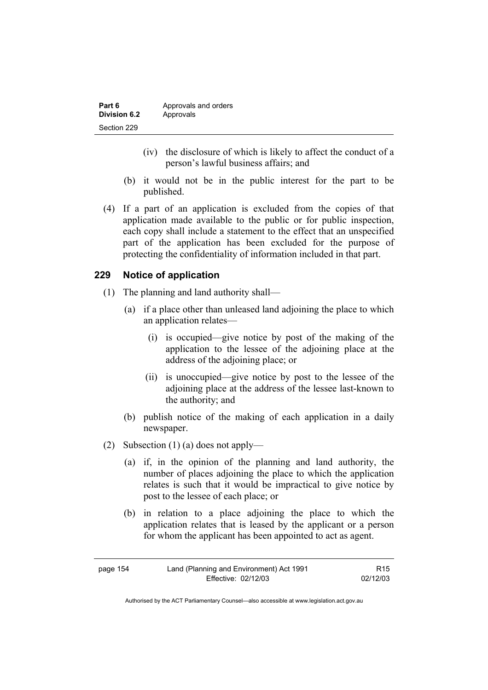| Part 6       | Approvals and orders |
|--------------|----------------------|
| Division 6.2 | Approvals            |
| Section 229  |                      |

- (iv) the disclosure of which is likely to affect the conduct of a person's lawful business affairs; and
- (b) it would not be in the public interest for the part to be published.
- (4) If a part of an application is excluded from the copies of that application made available to the public or for public inspection, each copy shall include a statement to the effect that an unspecified part of the application has been excluded for the purpose of protecting the confidentiality of information included in that part.

## **229 Notice of application**

- (1) The planning and land authority shall—
	- (a) if a place other than unleased land adjoining the place to which an application relates—
		- (i) is occupied—give notice by post of the making of the application to the lessee of the adjoining place at the address of the adjoining place; or
		- (ii) is unoccupied—give notice by post to the lessee of the adjoining place at the address of the lessee last-known to the authority; and
	- (b) publish notice of the making of each application in a daily newspaper.
- (2) Subsection (1) (a) does not apply—
	- (a) if, in the opinion of the planning and land authority, the number of places adjoining the place to which the application relates is such that it would be impractical to give notice by post to the lessee of each place; or
	- (b) in relation to a place adjoining the place to which the application relates that is leased by the applicant or a person for whom the applicant has been appointed to act as agent.

| page 154 | Land (Planning and Environment) Act 1991 | R15      |
|----------|------------------------------------------|----------|
|          | Effective: 02/12/03                      | 02/12/03 |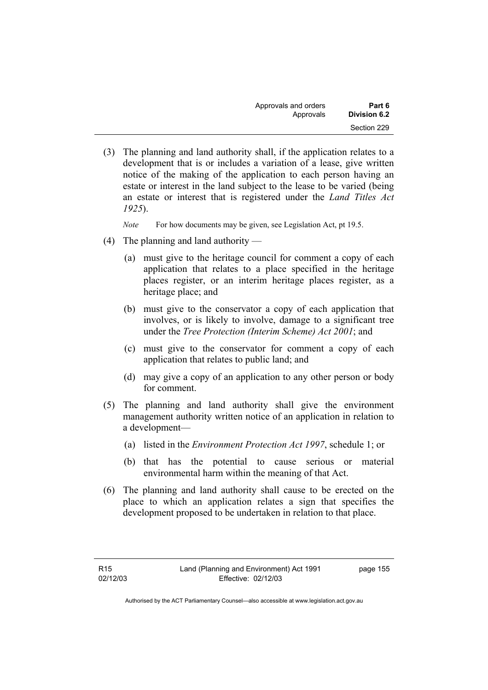| Approvals and orders | Part 6       |
|----------------------|--------------|
| Approvals            | Division 6.2 |
|                      | Section 229  |

 (3) The planning and land authority shall, if the application relates to a development that is or includes a variation of a lease, give written notice of the making of the application to each person having an estate or interest in the land subject to the lease to be varied (being an estate or interest that is registered under the *Land Titles Act 1925*).

*Note* For how documents may be given, see Legislation Act, pt 19.5.

- (4) The planning and land authority
	- (a) must give to the heritage council for comment a copy of each application that relates to a place specified in the heritage places register, or an interim heritage places register, as a heritage place; and
	- (b) must give to the conservator a copy of each application that involves, or is likely to involve, damage to a significant tree under the *Tree Protection (Interim Scheme) Act 2001*; and
	- (c) must give to the conservator for comment a copy of each application that relates to public land; and
	- (d) may give a copy of an application to any other person or body for comment.
- (5) The planning and land authority shall give the environment management authority written notice of an application in relation to a development—
	- (a) listed in the *Environment Protection Act 1997*, schedule 1; or
	- (b) that has the potential to cause serious or material environmental harm within the meaning of that Act.
- (6) The planning and land authority shall cause to be erected on the place to which an application relates a sign that specifies the development proposed to be undertaken in relation to that place.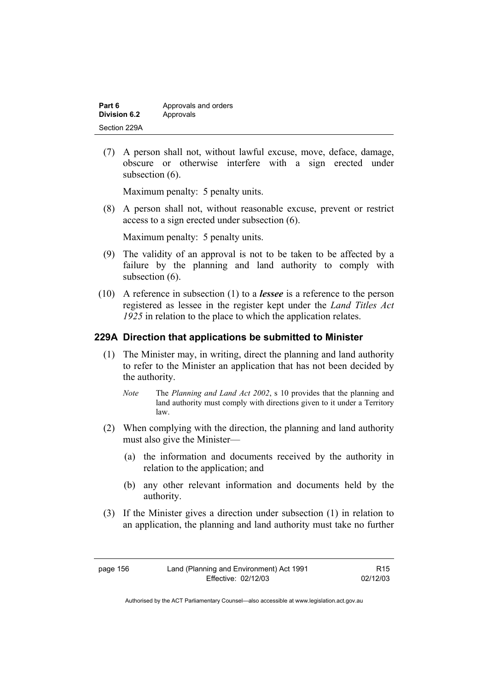| Part 6       | Approvals and orders |
|--------------|----------------------|
| Division 6.2 | Approvals            |
| Section 229A |                      |

 (7) A person shall not, without lawful excuse, move, deface, damage, obscure or otherwise interfere with a sign erected under subsection  $(6)$ .

Maximum penalty: 5 penalty units.

 (8) A person shall not, without reasonable excuse, prevent or restrict access to a sign erected under subsection (6).

Maximum penalty: 5 penalty units.

- (9) The validity of an approval is not to be taken to be affected by a failure by the planning and land authority to comply with subsection  $(6)$ .
- (10) A reference in subsection (1) to a *lessee* is a reference to the person registered as lessee in the register kept under the *Land Titles Act 1925* in relation to the place to which the application relates.

## **229A Direction that applications be submitted to Minister**

- (1) The Minister may, in writing, direct the planning and land authority to refer to the Minister an application that has not been decided by the authority.
	- *Note* The *Planning and Land Act 2002*, s 10 provides that the planning and land authority must comply with directions given to it under a Territory law.
- (2) When complying with the direction, the planning and land authority must also give the Minister—
	- (a) the information and documents received by the authority in relation to the application; and
	- (b) any other relevant information and documents held by the authority.
- (3) If the Minister gives a direction under subsection (1) in relation to an application, the planning and land authority must take no further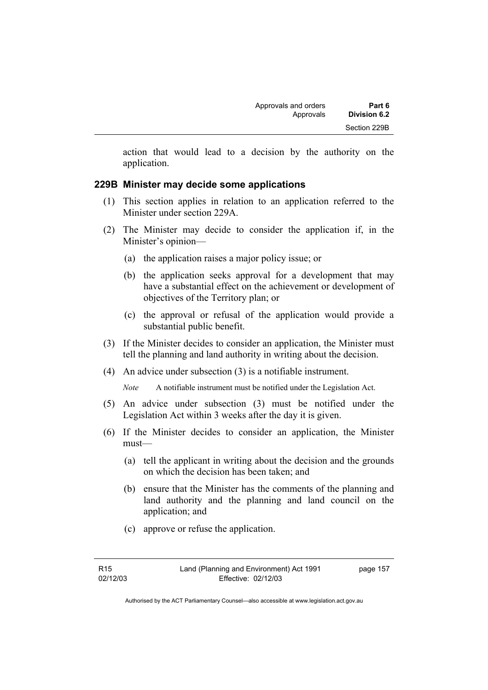action that would lead to a decision by the authority on the application.

## **229B Minister may decide some applications**

- (1) This section applies in relation to an application referred to the Minister under section 229A.
- (2) The Minister may decide to consider the application if, in the Minister's opinion—
	- (a) the application raises a major policy issue; or
	- (b) the application seeks approval for a development that may have a substantial effect on the achievement or development of objectives of the Territory plan; or
	- (c) the approval or refusal of the application would provide a substantial public benefit.
- (3) If the Minister decides to consider an application, the Minister must tell the planning and land authority in writing about the decision.
- (4) An advice under subsection (3) is a notifiable instrument.
	- *Note* A notifiable instrument must be notified under the Legislation Act.
- (5) An advice under subsection (3) must be notified under the Legislation Act within 3 weeks after the day it is given.
- (6) If the Minister decides to consider an application, the Minister must—
	- (a) tell the applicant in writing about the decision and the grounds on which the decision has been taken; and
	- (b) ensure that the Minister has the comments of the planning and land authority and the planning and land council on the application; and
	- (c) approve or refuse the application.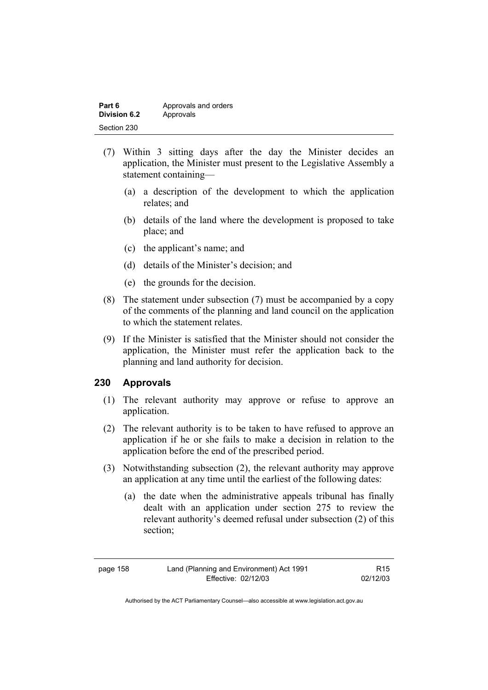| Part 6              | Approvals and orders |
|---------------------|----------------------|
| <b>Division 6.2</b> | Approvals            |
| Section 230         |                      |

- (7) Within 3 sitting days after the day the Minister decides an application, the Minister must present to the Legislative Assembly a statement containing—
	- (a) a description of the development to which the application relates; and
	- (b) details of the land where the development is proposed to take place; and
	- (c) the applicant's name; and
	- (d) details of the Minister's decision; and
	- (e) the grounds for the decision.
- (8) The statement under subsection (7) must be accompanied by a copy of the comments of the planning and land council on the application to which the statement relates.
- (9) If the Minister is satisfied that the Minister should not consider the application, the Minister must refer the application back to the planning and land authority for decision.

## **230 Approvals**

- (1) The relevant authority may approve or refuse to approve an application.
- (2) The relevant authority is to be taken to have refused to approve an application if he or she fails to make a decision in relation to the application before the end of the prescribed period.
- (3) Notwithstanding subsection (2), the relevant authority may approve an application at any time until the earliest of the following dates:
	- (a) the date when the administrative appeals tribunal has finally dealt with an application under section 275 to review the relevant authority's deemed refusal under subsection (2) of this section;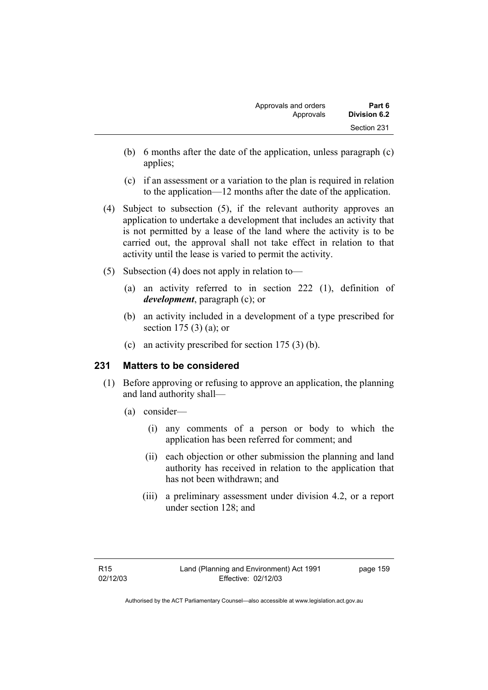- (b) 6 months after the date of the application, unless paragraph (c) applies;
- (c) if an assessment or a variation to the plan is required in relation to the application—12 months after the date of the application.
- (4) Subject to subsection (5), if the relevant authority approves an application to undertake a development that includes an activity that is not permitted by a lease of the land where the activity is to be carried out, the approval shall not take effect in relation to that activity until the lease is varied to permit the activity.
- (5) Subsection (4) does not apply in relation to—
	- (a) an activity referred to in section 222 (1), definition of *development*, paragraph (c); or
	- (b) an activity included in a development of a type prescribed for section 175 (3) (a); or
	- (c) an activity prescribed for section 175 (3) (b).

# **231 Matters to be considered**

- (1) Before approving or refusing to approve an application, the planning and land authority shall—
	- (a) consider—
		- (i) any comments of a person or body to which the application has been referred for comment; and
		- (ii) each objection or other submission the planning and land authority has received in relation to the application that has not been withdrawn; and
		- (iii) a preliminary assessment under division 4.2, or a report under section 128; and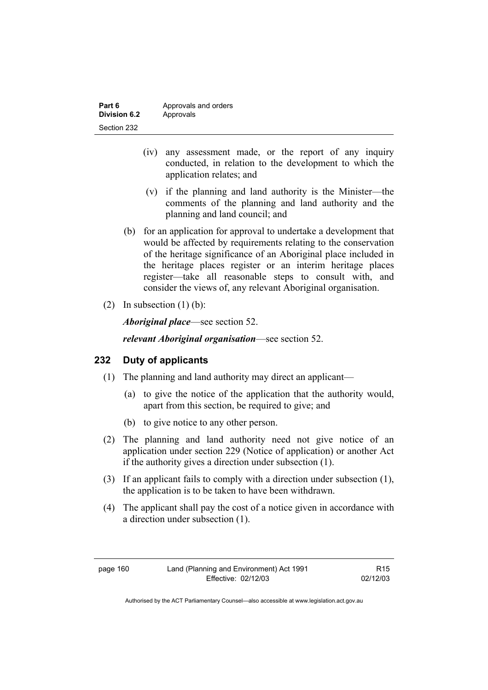| Part 6       | Approvals and orders |
|--------------|----------------------|
| Division 6.2 | Approvals            |
| Section 232  |                      |

- (iv) any assessment made, or the report of any inquiry conducted, in relation to the development to which the application relates; and
- (v) if the planning and land authority is the Minister—the comments of the planning and land authority and the planning and land council; and
- (b) for an application for approval to undertake a development that would be affected by requirements relating to the conservation of the heritage significance of an Aboriginal place included in the heritage places register or an interim heritage places register—take all reasonable steps to consult with, and consider the views of, any relevant Aboriginal organisation.
- (2) In subsection  $(1)$  (b):

*Aboriginal place*—see section 52.

*relevant Aboriginal organisation*—see section 52.

# **232 Duty of applicants**

- (1) The planning and land authority may direct an applicant—
	- (a) to give the notice of the application that the authority would, apart from this section, be required to give; and
	- (b) to give notice to any other person.
- (2) The planning and land authority need not give notice of an application under section 229 (Notice of application) or another Act if the authority gives a direction under subsection (1).
- (3) If an applicant fails to comply with a direction under subsection (1), the application is to be taken to have been withdrawn.
- (4) The applicant shall pay the cost of a notice given in accordance with a direction under subsection (1).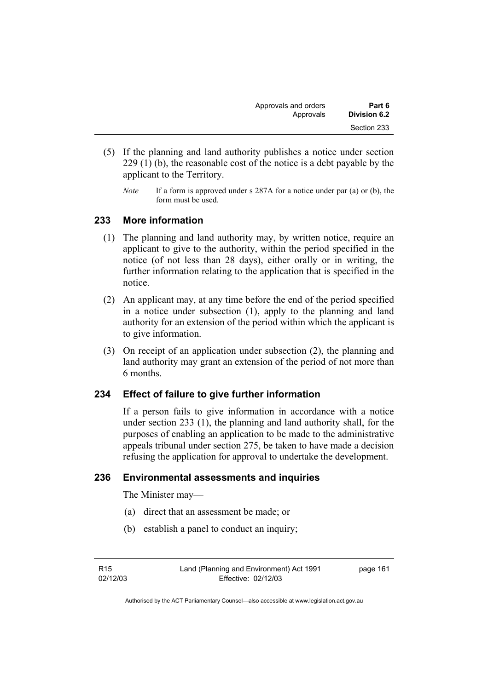| Approvals and orders | Part 6       |
|----------------------|--------------|
| Approvals            | Division 6.2 |
|                      | Section 233  |

- (5) If the planning and land authority publishes a notice under section 229 (1) (b), the reasonable cost of the notice is a debt payable by the applicant to the Territory.
	- *Note* If a form is approved under s 287A for a notice under par (a) or (b), the form must be used.

## **233 More information**

- (1) The planning and land authority may, by written notice, require an applicant to give to the authority, within the period specified in the notice (of not less than 28 days), either orally or in writing, the further information relating to the application that is specified in the notice.
- (2) An applicant may, at any time before the end of the period specified in a notice under subsection (1), apply to the planning and land authority for an extension of the period within which the applicant is to give information.
- (3) On receipt of an application under subsection (2), the planning and land authority may grant an extension of the period of not more than 6 months.

# **234 Effect of failure to give further information**

If a person fails to give information in accordance with a notice under section 233 (1), the planning and land authority shall, for the purposes of enabling an application to be made to the administrative appeals tribunal under section 275, be taken to have made a decision refusing the application for approval to undertake the development.

## **236 Environmental assessments and inquiries**

The Minister may—

- (a) direct that an assessment be made; or
- (b) establish a panel to conduct an inquiry;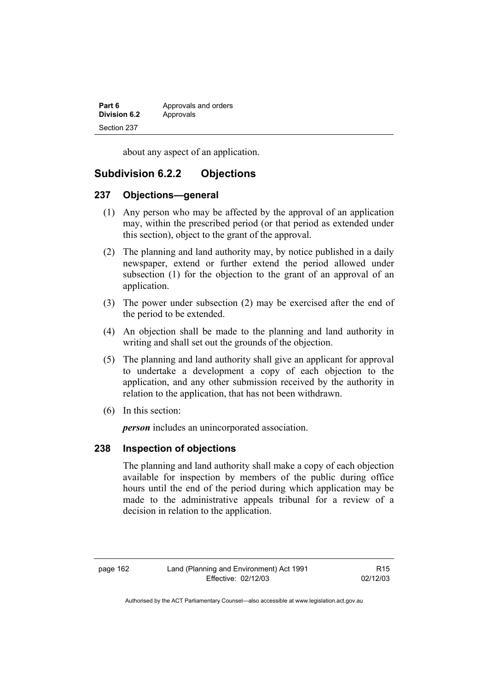| Part 6       | Approvals and orders |
|--------------|----------------------|
| Division 6.2 | Approvals            |
| Section 237  |                      |

about any aspect of an application.

# **Subdivision 6.2.2 Objections**

## **237 Objections—general**

- (1) Any person who may be affected by the approval of an application may, within the prescribed period (or that period as extended under this section), object to the grant of the approval.
- (2) The planning and land authority may, by notice published in a daily newspaper, extend or further extend the period allowed under subsection (1) for the objection to the grant of an approval of an application.
- (3) The power under subsection (2) may be exercised after the end of the period to be extended.
- (4) An objection shall be made to the planning and land authority in writing and shall set out the grounds of the objection.
- (5) The planning and land authority shall give an applicant for approval to undertake a development a copy of each objection to the application, and any other submission received by the authority in relation to the application, that has not been withdrawn.
- (6) In this section:

*person* includes an unincorporated association.

## **238 Inspection of objections**

The planning and land authority shall make a copy of each objection available for inspection by members of the public during office hours until the end of the period during which application may be made to the administrative appeals tribunal for a review of a decision in relation to the application.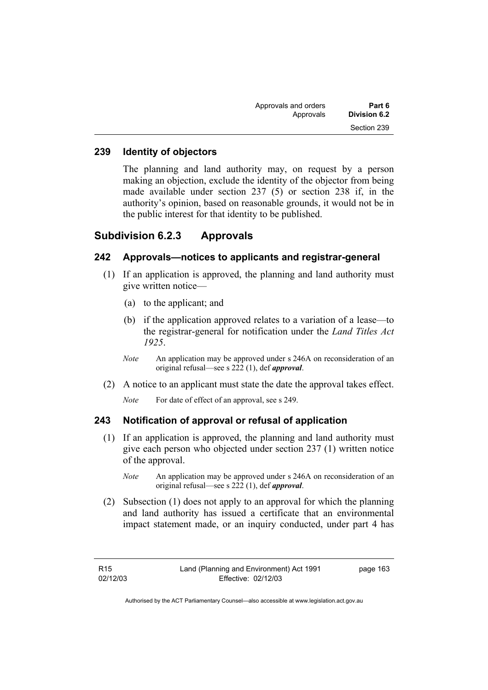| Part 6       | Approvals and orders |
|--------------|----------------------|
| Division 6.2 | Approvals            |
| Section 239  |                      |

## **239 Identity of objectors**

The planning and land authority may, on request by a person making an objection, exclude the identity of the objector from being made available under section 237 (5) or section 238 if, in the authority's opinion, based on reasonable grounds, it would not be in the public interest for that identity to be published.

# **Subdivision 6.2.3 Approvals**

## **242 Approvals—notices to applicants and registrar-general**

- (1) If an application is approved, the planning and land authority must give written notice—
	- (a) to the applicant; and
	- (b) if the application approved relates to a variation of a lease—to the registrar-general for notification under the *Land Titles Act 1925*.
	- *Note* An application may be approved under s 246A on reconsideration of an original refusal—see s 222 (1), def *approval*.
- (2) A notice to an applicant must state the date the approval takes effect.
	- *Note* For date of effect of an approval, see s 249.

## **243 Notification of approval or refusal of application**

- (1) If an application is approved, the planning and land authority must give each person who objected under section 237 (1) written notice of the approval.
	- *Note* An application may be approved under s 246A on reconsideration of an original refusal—see s 222 (1), def *approval*.
- (2) Subsection (1) does not apply to an approval for which the planning and land authority has issued a certificate that an environmental impact statement made, or an inquiry conducted, under part 4 has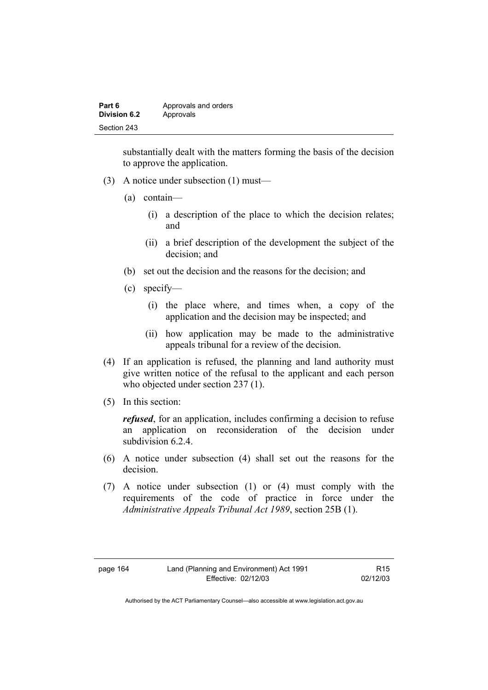| Part 6       | Approvals and orders |
|--------------|----------------------|
| Division 6.2 | Approvals            |
| Section 243  |                      |

substantially dealt with the matters forming the basis of the decision to approve the application.

- (3) A notice under subsection (1) must—
	- (a) contain—
		- (i) a description of the place to which the decision relates; and
		- (ii) a brief description of the development the subject of the decision; and
	- (b) set out the decision and the reasons for the decision; and
	- (c) specify—
		- (i) the place where, and times when, a copy of the application and the decision may be inspected; and
		- (ii) how application may be made to the administrative appeals tribunal for a review of the decision.
- (4) If an application is refused, the planning and land authority must give written notice of the refusal to the applicant and each person who objected under section 237 (1).
- (5) In this section:

*refused*, for an application, includes confirming a decision to refuse an application on reconsideration of the decision under subdivision 6.2.4

- (6) A notice under subsection (4) shall set out the reasons for the decision.
- (7) A notice under subsection (1) or (4) must comply with the requirements of the code of practice in force under the *Administrative Appeals Tribunal Act 1989*, section 25B (1).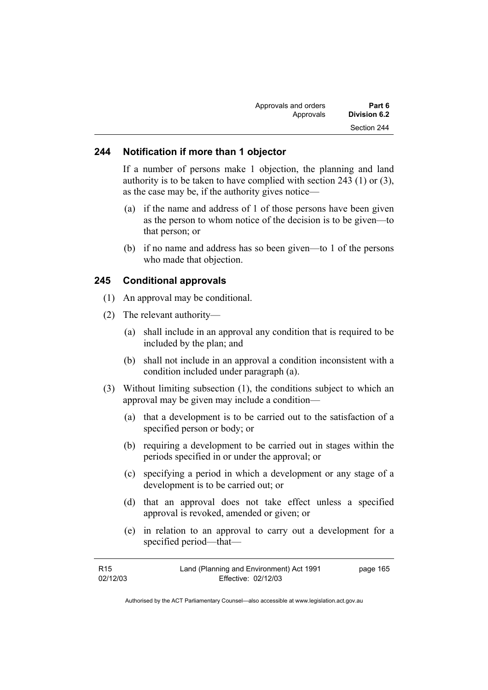| Part 6       | Approvals and orders |
|--------------|----------------------|
| Division 6.2 | Approvals            |
| Section 244  |                      |

#### **244 Notification if more than 1 objector**

If a number of persons make 1 objection, the planning and land authority is to be taken to have complied with section 243 (1) or (3), as the case may be, if the authority gives notice—

- (a) if the name and address of 1 of those persons have been given as the person to whom notice of the decision is to be given—to that person; or
- (b) if no name and address has so been given—to 1 of the persons who made that objection.

## **245 Conditional approvals**

- (1) An approval may be conditional.
- (2) The relevant authority—
	- (a) shall include in an approval any condition that is required to be included by the plan; and
	- (b) shall not include in an approval a condition inconsistent with a condition included under paragraph (a).
- (3) Without limiting subsection (1), the conditions subject to which an approval may be given may include a condition—
	- (a) that a development is to be carried out to the satisfaction of a specified person or body; or
	- (b) requiring a development to be carried out in stages within the periods specified in or under the approval; or
	- (c) specifying a period in which a development or any stage of a development is to be carried out; or
	- (d) that an approval does not take effect unless a specified approval is revoked, amended or given; or
	- (e) in relation to an approval to carry out a development for a specified period—that—

| R15      | Land (Planning and Environment) Act 1991 | page 165 |
|----------|------------------------------------------|----------|
| 02/12/03 | Effective: 02/12/03                      |          |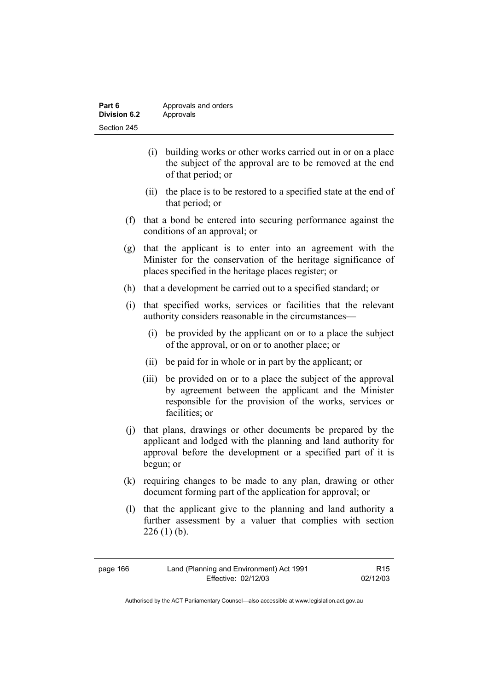| Part 6       | Approvals and orders |
|--------------|----------------------|
| Division 6.2 | Approvals            |
| Section 245  |                      |

- (i) building works or other works carried out in or on a place the subject of the approval are to be removed at the end of that period; or
- (ii) the place is to be restored to a specified state at the end of that period; or
- (f) that a bond be entered into securing performance against the conditions of an approval; or
- (g) that the applicant is to enter into an agreement with the Minister for the conservation of the heritage significance of places specified in the heritage places register; or
- (h) that a development be carried out to a specified standard; or
- (i) that specified works, services or facilities that the relevant authority considers reasonable in the circumstances—
	- (i) be provided by the applicant on or to a place the subject of the approval, or on or to another place; or
	- (ii) be paid for in whole or in part by the applicant; or
	- (iii) be provided on or to a place the subject of the approval by agreement between the applicant and the Minister responsible for the provision of the works, services or facilities; or
- (j) that plans, drawings or other documents be prepared by the applicant and lodged with the planning and land authority for approval before the development or a specified part of it is begun; or
- (k) requiring changes to be made to any plan, drawing or other document forming part of the application for approval; or
- (l) that the applicant give to the planning and land authority a further assessment by a valuer that complies with section  $226 (1) (b)$ .

R15 02/12/03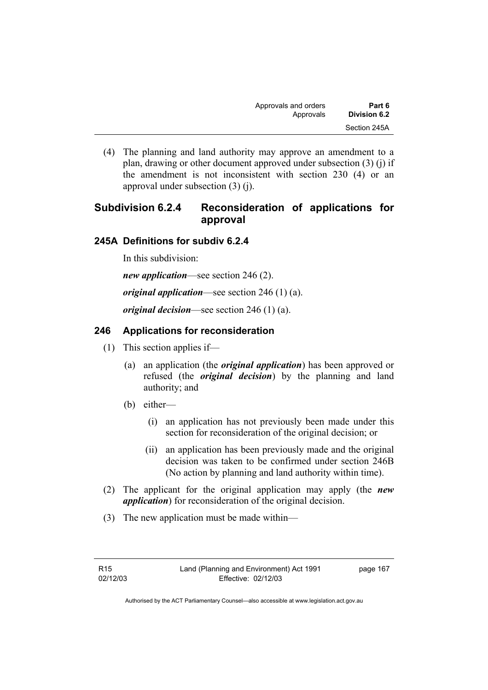| Approvals and orders | Part 6       |
|----------------------|--------------|
| Approvals            | Division 6.2 |
|                      | Section 245A |

 (4) The planning and land authority may approve an amendment to a plan, drawing or other document approved under subsection (3) (j) if the amendment is not inconsistent with section 230 (4) or an approval under subsection (3) (j).

# **Subdivision 6.2.4 Reconsideration of applications for approval**

## **245A Definitions for subdiv 6.2.4**

In this subdivision:

*new application*—see section 246 (2).

*original application*—see section 246 (1) (a).

*original decision*—see section 246 (1) (a).

## **246 Applications for reconsideration**

- (1) This section applies if—
	- (a) an application (the *original application*) has been approved or refused (the *original decision*) by the planning and land authority; and
	- (b) either—
		- (i) an application has not previously been made under this section for reconsideration of the original decision; or
		- (ii) an application has been previously made and the original decision was taken to be confirmed under section 246B (No action by planning and land authority within time).
- (2) The applicant for the original application may apply (the *new application*) for reconsideration of the original decision.
- (3) The new application must be made within—

page 167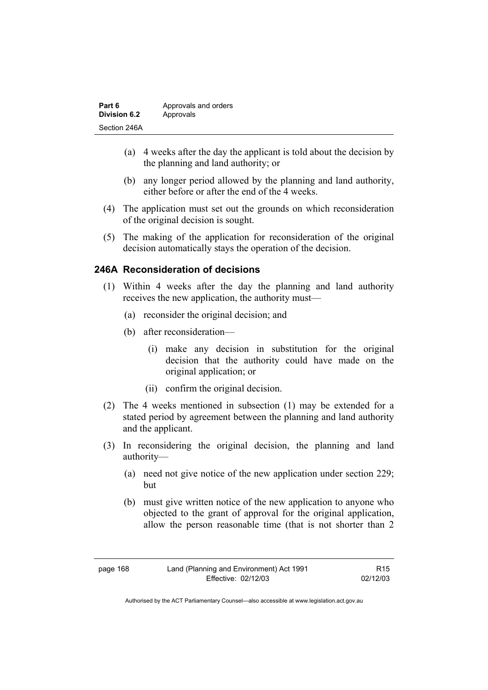| Part 6       | Approvals and orders |
|--------------|----------------------|
| Division 6.2 | Approvals            |
| Section 246A |                      |

- (a) 4 weeks after the day the applicant is told about the decision by the planning and land authority; or
- (b) any longer period allowed by the planning and land authority, either before or after the end of the 4 weeks.
- (4) The application must set out the grounds on which reconsideration of the original decision is sought.
- (5) The making of the application for reconsideration of the original decision automatically stays the operation of the decision.

## **246A Reconsideration of decisions**

- (1) Within 4 weeks after the day the planning and land authority receives the new application, the authority must—
	- (a) reconsider the original decision; and
	- (b) after reconsideration—
		- (i) make any decision in substitution for the original decision that the authority could have made on the original application; or
		- (ii) confirm the original decision.
- (2) The 4 weeks mentioned in subsection (1) may be extended for a stated period by agreement between the planning and land authority and the applicant.
- (3) In reconsidering the original decision, the planning and land authority—
	- (a) need not give notice of the new application under section 229; but
	- (b) must give written notice of the new application to anyone who objected to the grant of approval for the original application, allow the person reasonable time (that is not shorter than 2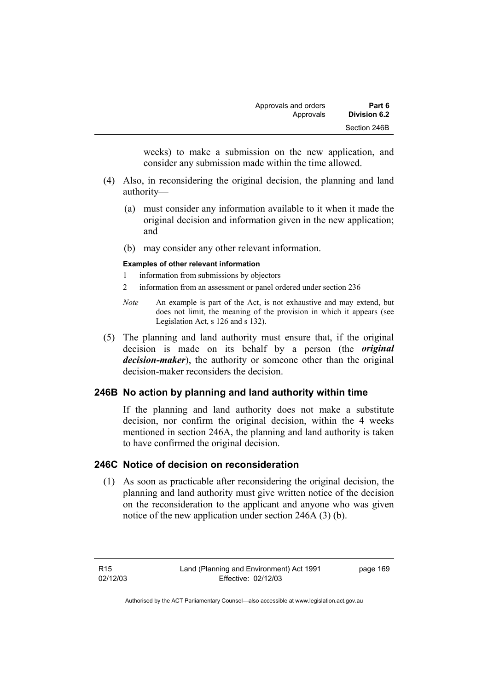weeks) to make a submission on the new application, and consider any submission made within the time allowed.

- (4) Also, in reconsidering the original decision, the planning and land authority—
	- (a) must consider any information available to it when it made the original decision and information given in the new application; and
	- (b) may consider any other relevant information.

#### **Examples of other relevant information**

- 1 information from submissions by objectors
- 2 information from an assessment or panel ordered under section 236
- *Note* An example is part of the Act, is not exhaustive and may extend, but does not limit, the meaning of the provision in which it appears (see Legislation Act, s 126 and s 132).
- (5) The planning and land authority must ensure that, if the original decision is made on its behalf by a person (the *original decision-maker*), the authority or someone other than the original decision-maker reconsiders the decision.

## **246B No action by planning and land authority within time**

If the planning and land authority does not make a substitute decision, nor confirm the original decision, within the 4 weeks mentioned in section 246A, the planning and land authority is taken to have confirmed the original decision.

## **246C Notice of decision on reconsideration**

 (1) As soon as practicable after reconsidering the original decision, the planning and land authority must give written notice of the decision on the reconsideration to the applicant and anyone who was given notice of the new application under section 246A (3) (b).

R15 02/12/03 page 169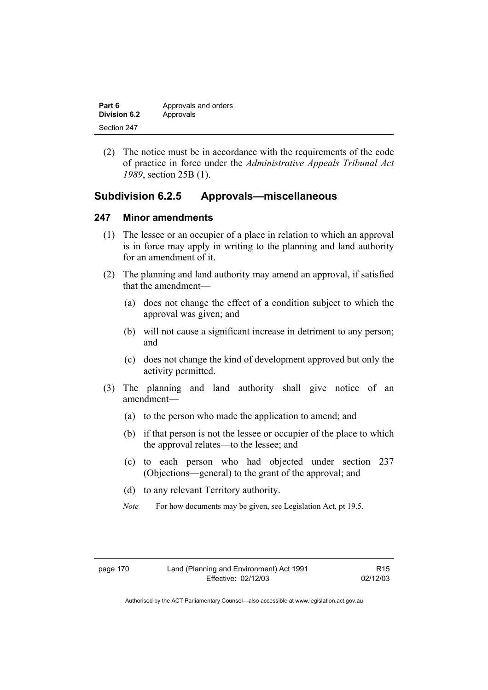| Part 6              | Approvals and orders |
|---------------------|----------------------|
| <b>Division 6.2</b> | Approvals            |
| Section 247         |                      |

 (2) The notice must be in accordance with the requirements of the code of practice in force under the *Administrative Appeals Tribunal Act 1989*, section 25B (1).

## **Subdivision 6.2.5 Approvals—miscellaneous**

### **247 Minor amendments**

- (1) The lessee or an occupier of a place in relation to which an approval is in force may apply in writing to the planning and land authority for an amendment of it.
- (2) The planning and land authority may amend an approval, if satisfied that the amendment—
	- (a) does not change the effect of a condition subject to which the approval was given; and
	- (b) will not cause a significant increase in detriment to any person; and
	- (c) does not change the kind of development approved but only the activity permitted.
- (3) The planning and land authority shall give notice of an amendment—
	- (a) to the person who made the application to amend; and
	- (b) if that person is not the lessee or occupier of the place to which the approval relates—to the lessee; and
	- (c) to each person who had objected under section 237 (Objections—general) to the grant of the approval; and
	- (d) to any relevant Territory authority.
	- *Note* For how documents may be given, see Legislation Act, pt 19.5.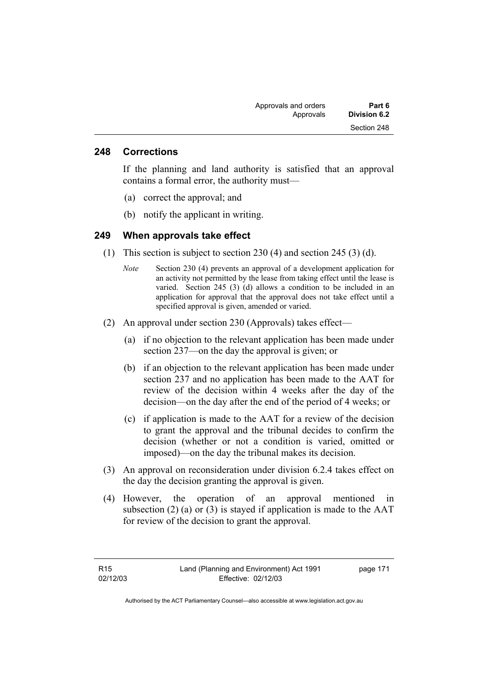### **248 Corrections**

If the planning and land authority is satisfied that an approval contains a formal error, the authority must—

- (a) correct the approval; and
- (b) notify the applicant in writing.

### **249 When approvals take effect**

- (1) This section is subject to section 230 (4) and section 245 (3) (d).
	- *Note* Section 230 (4) prevents an approval of a development application for an activity not permitted by the lease from taking effect until the lease is varied. Section 245 (3) (d) allows a condition to be included in an application for approval that the approval does not take effect until a specified approval is given, amended or varied.
- (2) An approval under section 230 (Approvals) takes effect—
	- (a) if no objection to the relevant application has been made under section 237—on the day the approval is given; or
	- (b) if an objection to the relevant application has been made under section 237 and no application has been made to the AAT for review of the decision within 4 weeks after the day of the decision—on the day after the end of the period of 4 weeks; or
	- (c) if application is made to the AAT for a review of the decision to grant the approval and the tribunal decides to confirm the decision (whether or not a condition is varied, omitted or imposed)—on the day the tribunal makes its decision.
- (3) An approval on reconsideration under division 6.2.4 takes effect on the day the decision granting the approval is given.
- (4) However, the operation of an approval mentioned in subsection (2) (a) or (3) is stayed if application is made to the  $AAT$ for review of the decision to grant the approval.

page 171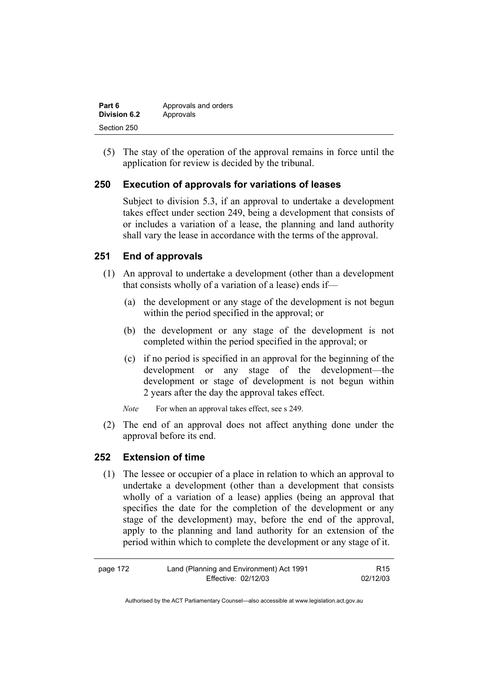| Part 6       | Approvals and orders |
|--------------|----------------------|
| Division 6.2 | Approvals            |
| Section 250  |                      |

 (5) The stay of the operation of the approval remains in force until the application for review is decided by the tribunal.

## **250 Execution of approvals for variations of leases**

Subject to division 5.3, if an approval to undertake a development takes effect under section 249, being a development that consists of or includes a variation of a lease, the planning and land authority shall vary the lease in accordance with the terms of the approval.

## **251 End of approvals**

- (1) An approval to undertake a development (other than a development that consists wholly of a variation of a lease) ends if—
	- (a) the development or any stage of the development is not begun within the period specified in the approval; or
	- (b) the development or any stage of the development is not completed within the period specified in the approval; or
	- (c) if no period is specified in an approval for the beginning of the development or any stage of the development—the development or stage of development is not begun within 2 years after the day the approval takes effect.

*Note* For when an approval takes effect, see s 249.

 (2) The end of an approval does not affect anything done under the approval before its end.

## **252 Extension of time**

 (1) The lessee or occupier of a place in relation to which an approval to undertake a development (other than a development that consists wholly of a variation of a lease) applies (being an approval that specifies the date for the completion of the development or any stage of the development) may, before the end of the approval, apply to the planning and land authority for an extension of the period within which to complete the development or any stage of it.

| page 172 | Land (Planning and Environment) Act 1991 | R <sub>15</sub> |
|----------|------------------------------------------|-----------------|
|          | Effective: 02/12/03                      | 02/12/03        |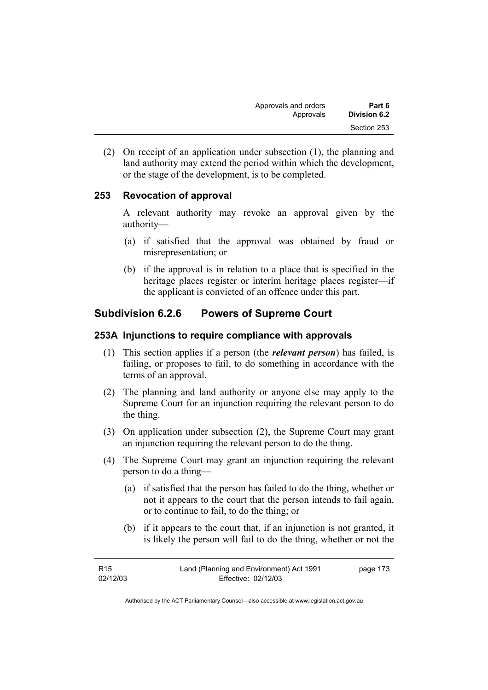| Part 6       | Approvals and orders |
|--------------|----------------------|
| Division 6.2 | Approvals            |
| Section 253  |                      |

 (2) On receipt of an application under subsection (1), the planning and land authority may extend the period within which the development, or the stage of the development, is to be completed.

## **253 Revocation of approval**

A relevant authority may revoke an approval given by the authority—

- (a) if satisfied that the approval was obtained by fraud or misrepresentation; or
- (b) if the approval is in relation to a place that is specified in the heritage places register or interim heritage places register—if the applicant is convicted of an offence under this part.

## **Subdivision 6.2.6 Powers of Supreme Court**

### **253A Injunctions to require compliance with approvals**

- (1) This section applies if a person (the *relevant person*) has failed, is failing, or proposes to fail, to do something in accordance with the terms of an approval.
- (2) The planning and land authority or anyone else may apply to the Supreme Court for an injunction requiring the relevant person to do the thing.
- (3) On application under subsection (2), the Supreme Court may grant an injunction requiring the relevant person to do the thing.
- (4) The Supreme Court may grant an injunction requiring the relevant person to do a thing—
	- (a) if satisfied that the person has failed to do the thing, whether or not it appears to the court that the person intends to fail again, or to continue to fail, to do the thing; or
	- (b) if it appears to the court that, if an injunction is not granted, it is likely the person will fail to do the thing, whether or not the

| R15      | Land (Planning and Environment) Act 1991 | page 173 |
|----------|------------------------------------------|----------|
| 02/12/03 | Effective: 02/12/03                      |          |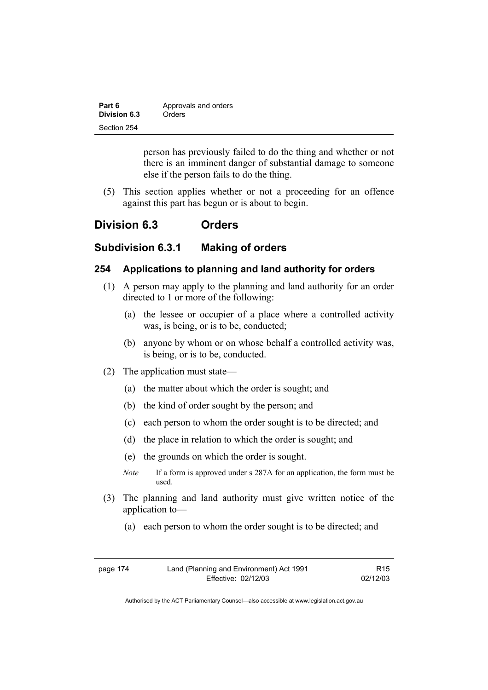| Part 6       | Approvals and orders |
|--------------|----------------------|
| Division 6.3 | Orders               |
| Section 254  |                      |

person has previously failed to do the thing and whether or not there is an imminent danger of substantial damage to someone else if the person fails to do the thing.

 (5) This section applies whether or not a proceeding for an offence against this part has begun or is about to begin.

## **Division 6.3 Orders**

## **Subdivision 6.3.1 Making of orders**

### **254 Applications to planning and land authority for orders**

- (1) A person may apply to the planning and land authority for an order directed to 1 or more of the following:
	- (a) the lessee or occupier of a place where a controlled activity was, is being, or is to be, conducted;
	- (b) anyone by whom or on whose behalf a controlled activity was, is being, or is to be, conducted.
- (2) The application must state—
	- (a) the matter about which the order is sought; and
	- (b) the kind of order sought by the person; and
	- (c) each person to whom the order sought is to be directed; and
	- (d) the place in relation to which the order is sought; and
	- (e) the grounds on which the order is sought.
	- *Note* If a form is approved under s 287A for an application, the form must be used.
- (3) The planning and land authority must give written notice of the application to—
	- (a) each person to whom the order sought is to be directed; and

| page 174 | Land (Planning and Environment) Act 1991 | R <sub>15</sub> |
|----------|------------------------------------------|-----------------|
|          | Effective: 02/12/03                      | 02/12/03        |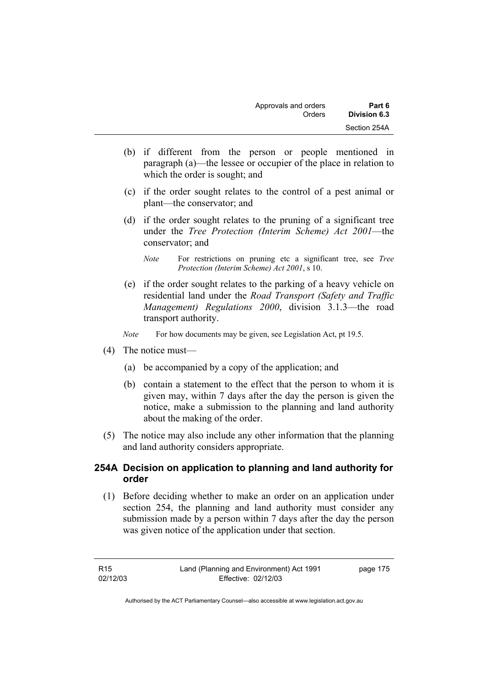- (b) if different from the person or people mentioned in paragraph (a)—the lessee or occupier of the place in relation to which the order is sought; and
- (c) if the order sought relates to the control of a pest animal or plant—the conservator; and
- (d) if the order sought relates to the pruning of a significant tree under the *Tree Protection (Interim Scheme) Act 2001*—the conservator; and

- (e) if the order sought relates to the parking of a heavy vehicle on residential land under the *Road Transport (Safety and Traffic Management) Regulations 2000*, division 3.1.3—the road transport authority.
- *Note* For how documents may be given, see Legislation Act, pt 19.5.
- (4) The notice must—
	- (a) be accompanied by a copy of the application; and
	- (b) contain a statement to the effect that the person to whom it is given may, within 7 days after the day the person is given the notice, make a submission to the planning and land authority about the making of the order.
- (5) The notice may also include any other information that the planning and land authority considers appropriate.

## **254A Decision on application to planning and land authority for order**

 (1) Before deciding whether to make an order on an application under section 254, the planning and land authority must consider any submission made by a person within 7 days after the day the person was given notice of the application under that section.

*Note* For restrictions on pruning etc a significant tree, see *Tree Protection (Interim Scheme) Act 2001*, s 10.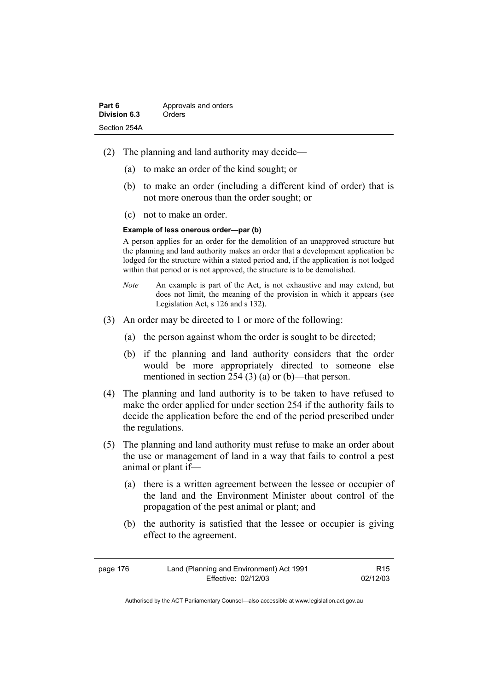| Part 6       | Approvals and orders |
|--------------|----------------------|
| Division 6.3 | Orders               |
| Section 254A |                      |

- (2) The planning and land authority may decide—
	- (a) to make an order of the kind sought; or
	- (b) to make an order (including a different kind of order) that is not more onerous than the order sought; or
	- (c) not to make an order.

#### **Example of less onerous order—par (b)**

A person applies for an order for the demolition of an unapproved structure but the planning and land authority makes an order that a development application be lodged for the structure within a stated period and, if the application is not lodged within that period or is not approved, the structure is to be demolished.

- *Note* An example is part of the Act, is not exhaustive and may extend, but does not limit, the meaning of the provision in which it appears (see Legislation Act, s 126 and s 132).
- (3) An order may be directed to 1 or more of the following:
	- (a) the person against whom the order is sought to be directed;
	- (b) if the planning and land authority considers that the order would be more appropriately directed to someone else mentioned in section 254 (3) (a) or (b)—that person.
- (4) The planning and land authority is to be taken to have refused to make the order applied for under section 254 if the authority fails to decide the application before the end of the period prescribed under the regulations.
- (5) The planning and land authority must refuse to make an order about the use or management of land in a way that fails to control a pest animal or plant if—
	- (a) there is a written agreement between the lessee or occupier of the land and the Environment Minister about control of the propagation of the pest animal or plant; and
	- (b) the authority is satisfied that the lessee or occupier is giving effect to the agreement.

| page 176 | Land (Planning and Environment) Act 1991 | R <sub>15</sub> |
|----------|------------------------------------------|-----------------|
|          | Effective: 02/12/03                      | 02/12/03        |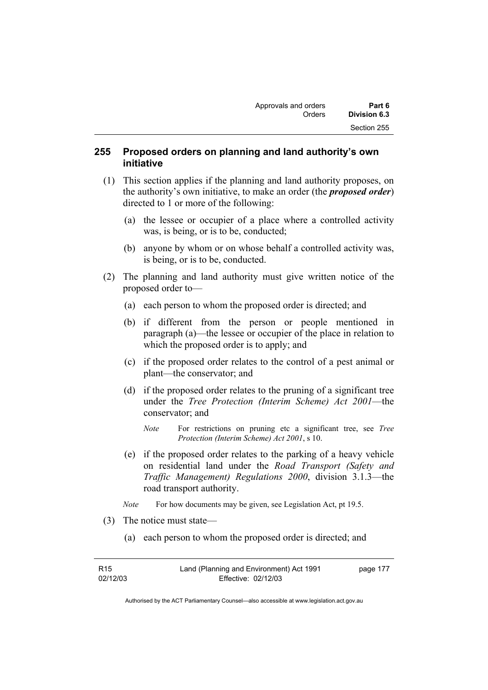## **255 Proposed orders on planning and land authority's own initiative**

- (1) This section applies if the planning and land authority proposes, on the authority's own initiative, to make an order (the *proposed order*) directed to 1 or more of the following:
	- (a) the lessee or occupier of a place where a controlled activity was, is being, or is to be, conducted;
	- (b) anyone by whom or on whose behalf a controlled activity was, is being, or is to be, conducted.
- (2) The planning and land authority must give written notice of the proposed order to—
	- (a) each person to whom the proposed order is directed; and
	- (b) if different from the person or people mentioned in paragraph (a)—the lessee or occupier of the place in relation to which the proposed order is to apply; and
	- (c) if the proposed order relates to the control of a pest animal or plant—the conservator; and
	- (d) if the proposed order relates to the pruning of a significant tree under the *Tree Protection (Interim Scheme) Act 2001*—the conservator; and
		- *Note* For restrictions on pruning etc a significant tree, see *Tree Protection (Interim Scheme) Act 2001*, s 10.
	- (e) if the proposed order relates to the parking of a heavy vehicle on residential land under the *Road Transport (Safety and Traffic Management) Regulations 2000*, division 3.1.3—the road transport authority.
	- *Note* For how documents may be given, see Legislation Act, pt 19.5.
- (3) The notice must state—
	- (a) each person to whom the proposed order is directed; and

| R <sub>15</sub> | Land (Planning and Environment) Act 1991 | page 177 |
|-----------------|------------------------------------------|----------|
| 02/12/03        | Effective: 02/12/03                      |          |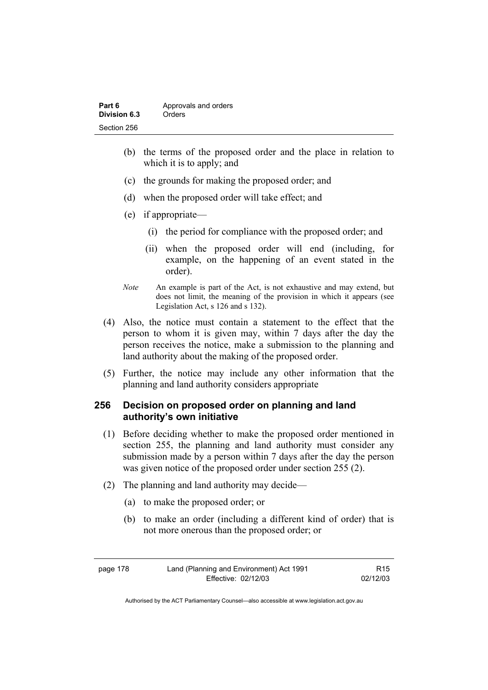| Part 6       | Approvals and orders |
|--------------|----------------------|
| Division 6.3 | Orders               |
| Section 256  |                      |

- (b) the terms of the proposed order and the place in relation to which it is to apply; and
- (c) the grounds for making the proposed order; and
- (d) when the proposed order will take effect; and
- (e) if appropriate—
	- (i) the period for compliance with the proposed order; and
	- (ii) when the proposed order will end (including, for example, on the happening of an event stated in the order).
- *Note* An example is part of the Act, is not exhaustive and may extend, but does not limit, the meaning of the provision in which it appears (see Legislation Act, s 126 and s 132).
- (4) Also, the notice must contain a statement to the effect that the person to whom it is given may, within 7 days after the day the person receives the notice, make a submission to the planning and land authority about the making of the proposed order.
- (5) Further, the notice may include any other information that the planning and land authority considers appropriate

## **256 Decision on proposed order on planning and land authority's own initiative**

- (1) Before deciding whether to make the proposed order mentioned in section 255, the planning and land authority must consider any submission made by a person within 7 days after the day the person was given notice of the proposed order under section 255 (2).
- (2) The planning and land authority may decide—
	- (a) to make the proposed order; or
	- (b) to make an order (including a different kind of order) that is not more onerous than the proposed order; or

page 178 Land (Planning and Environment) Act 1991 Effective: 02/12/03

R15 02/12/03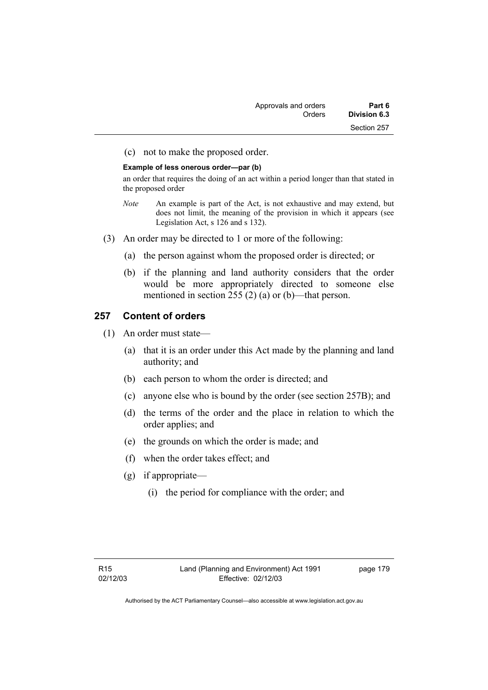| Approvals and orders | Part 6       |
|----------------------|--------------|
| Orders               | Division 6.3 |
|                      | Section 257  |

(c) not to make the proposed order.

#### **Example of less onerous order—par (b)**

an order that requires the doing of an act within a period longer than that stated in the proposed order

- *Note* An example is part of the Act, is not exhaustive and may extend, but does not limit, the meaning of the provision in which it appears (see Legislation Act, s 126 and s 132).
- (3) An order may be directed to 1 or more of the following:
	- (a) the person against whom the proposed order is directed; or
	- (b) if the planning and land authority considers that the order would be more appropriately directed to someone else mentioned in section 255 (2) (a) or (b)—that person.

#### **257 Content of orders**

- (1) An order must state—
	- (a) that it is an order under this Act made by the planning and land authority; and
	- (b) each person to whom the order is directed; and
	- (c) anyone else who is bound by the order (see section 257B); and
	- (d) the terms of the order and the place in relation to which the order applies; and
	- (e) the grounds on which the order is made; and
	- (f) when the order takes effect; and
	- (g) if appropriate—
		- (i) the period for compliance with the order; and

page 179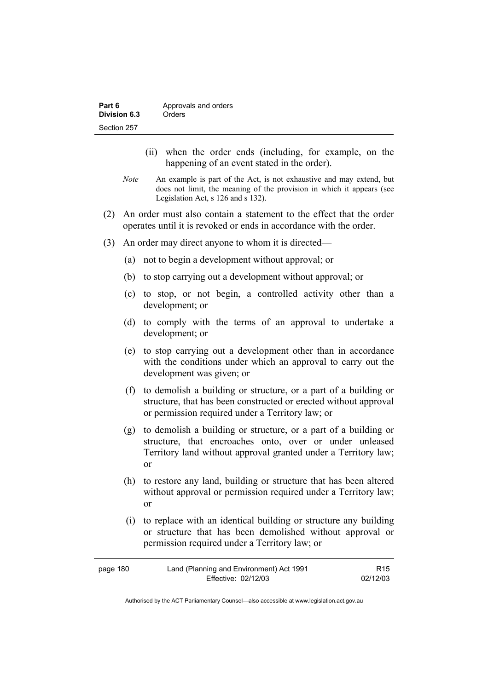| Part 6       | Approvals and orders |
|--------------|----------------------|
| Division 6.3 | Orders               |
| Section 257  |                      |

- (ii) when the order ends (including, for example, on the happening of an event stated in the order).
- *Note* An example is part of the Act, is not exhaustive and may extend, but does not limit, the meaning of the provision in which it appears (see Legislation Act, s 126 and s 132).
- (2) An order must also contain a statement to the effect that the order operates until it is revoked or ends in accordance with the order.
- (3) An order may direct anyone to whom it is directed—
	- (a) not to begin a development without approval; or
	- (b) to stop carrying out a development without approval; or
	- (c) to stop, or not begin, a controlled activity other than a development; or
	- (d) to comply with the terms of an approval to undertake a development; or
	- (e) to stop carrying out a development other than in accordance with the conditions under which an approval to carry out the development was given; or
	- (f) to demolish a building or structure, or a part of a building or structure, that has been constructed or erected without approval or permission required under a Territory law; or
	- (g) to demolish a building or structure, or a part of a building or structure, that encroaches onto, over or under unleased Territory land without approval granted under a Territory law; or
	- (h) to restore any land, building or structure that has been altered without approval or permission required under a Territory law; or
	- (i) to replace with an identical building or structure any building or structure that has been demolished without approval or permission required under a Territory law; or

| page 180 | Land (Planning and Environment) Act 1991 | R <sub>15</sub> |
|----------|------------------------------------------|-----------------|
|          | Effective: 02/12/03                      | 02/12/03        |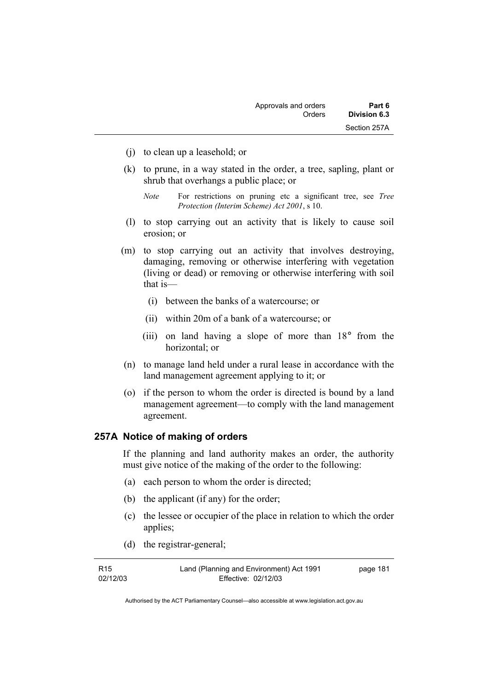- (j) to clean up a leasehold; or
- (k) to prune, in a way stated in the order, a tree, sapling, plant or shrub that overhangs a public place; or

- (l) to stop carrying out an activity that is likely to cause soil erosion; or
- (m) to stop carrying out an activity that involves destroying, damaging, removing or otherwise interfering with vegetation (living or dead) or removing or otherwise interfering with soil that is—
	- (i) between the banks of a watercourse; or
	- (ii) within 20m of a bank of a watercourse; or
	- (iii) on land having a slope of more than 18° from the horizontal; or
- (n) to manage land held under a rural lease in accordance with the land management agreement applying to it; or
- (o) if the person to whom the order is directed is bound by a land management agreement—to comply with the land management agreement.

## **257A Notice of making of orders**

If the planning and land authority makes an order, the authority must give notice of the making of the order to the following:

- (a) each person to whom the order is directed;
- (b) the applicant (if any) for the order;
- (c) the lessee or occupier of the place in relation to which the order applies;
- (d) the registrar-general;

| R <sub>15</sub> | Land (Planning and Environment) Act 1991 | page 181 |
|-----------------|------------------------------------------|----------|
| 02/12/03        | Effective: 02/12/03                      |          |

*Note* For restrictions on pruning etc a significant tree, see *Tree Protection (Interim Scheme) Act 2001*, s 10.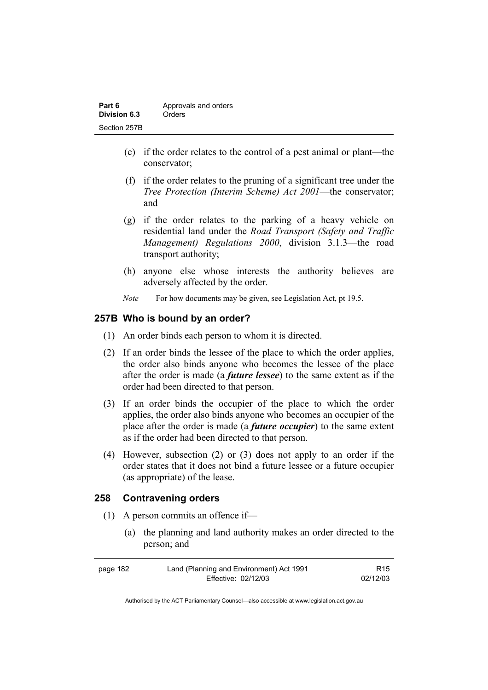| Part 6       | Approvals and orders |
|--------------|----------------------|
| Division 6.3 | Orders               |
| Section 257B |                      |

- (e) if the order relates to the control of a pest animal or plant—the conservator;
- (f) if the order relates to the pruning of a significant tree under the *Tree Protection (Interim Scheme) Act 2001*—the conservator; and
- (g) if the order relates to the parking of a heavy vehicle on residential land under the *Road Transport (Safety and Traffic Management) Regulations 2000*, division 3.1.3—the road transport authority;
- (h) anyone else whose interests the authority believes are adversely affected by the order.
- *Note* For how documents may be given, see Legislation Act, pt 19.5.

## **257B Who is bound by an order?**

- (1) An order binds each person to whom it is directed.
- (2) If an order binds the lessee of the place to which the order applies, the order also binds anyone who becomes the lessee of the place after the order is made (a *future lessee*) to the same extent as if the order had been directed to that person.
- (3) If an order binds the occupier of the place to which the order applies, the order also binds anyone who becomes an occupier of the place after the order is made (a *future occupier*) to the same extent as if the order had been directed to that person.
- (4) However, subsection (2) or (3) does not apply to an order if the order states that it does not bind a future lessee or a future occupier (as appropriate) of the lease.

## **258 Contravening orders**

- (1) A person commits an offence if—
	- (a) the planning and land authority makes an order directed to the person; and

| page 182 | Land (Planning and Environment) Act 1991 | R15      |
|----------|------------------------------------------|----------|
|          | Effective: 02/12/03                      | 02/12/03 |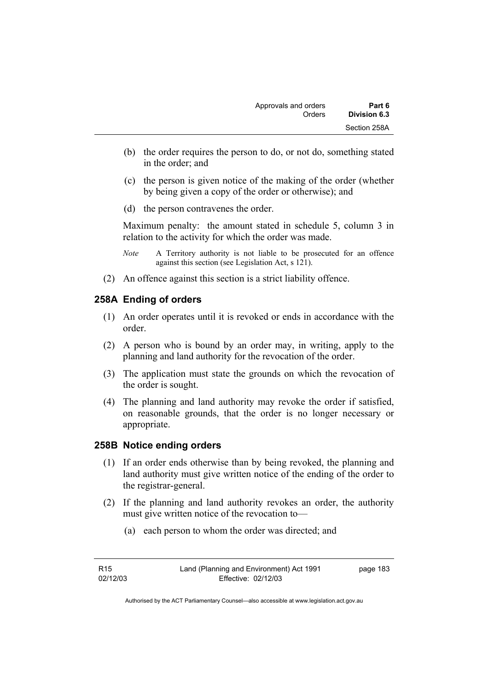- (b) the order requires the person to do, or not do, something stated in the order; and
- (c) the person is given notice of the making of the order (whether by being given a copy of the order or otherwise); and
- (d) the person contravenes the order.

Maximum penalty: the amount stated in schedule 5, column 3 in relation to the activity for which the order was made.

- *Note* A Territory authority is not liable to be prosecuted for an offence against this section (see Legislation Act, s 121).
- (2) An offence against this section is a strict liability offence.

## **258A Ending of orders**

- (1) An order operates until it is revoked or ends in accordance with the order.
- (2) A person who is bound by an order may, in writing, apply to the planning and land authority for the revocation of the order.
- (3) The application must state the grounds on which the revocation of the order is sought.
- (4) The planning and land authority may revoke the order if satisfied, on reasonable grounds, that the order is no longer necessary or appropriate.

## **258B Notice ending orders**

- (1) If an order ends otherwise than by being revoked, the planning and land authority must give written notice of the ending of the order to the registrar-general.
- (2) If the planning and land authority revokes an order, the authority must give written notice of the revocation to—
	- (a) each person to whom the order was directed; and

| R <sub>15</sub> | Land (Planning and Environment) Act 1991 | page 183 |
|-----------------|------------------------------------------|----------|
| 02/12/03        | Effective: 02/12/03                      |          |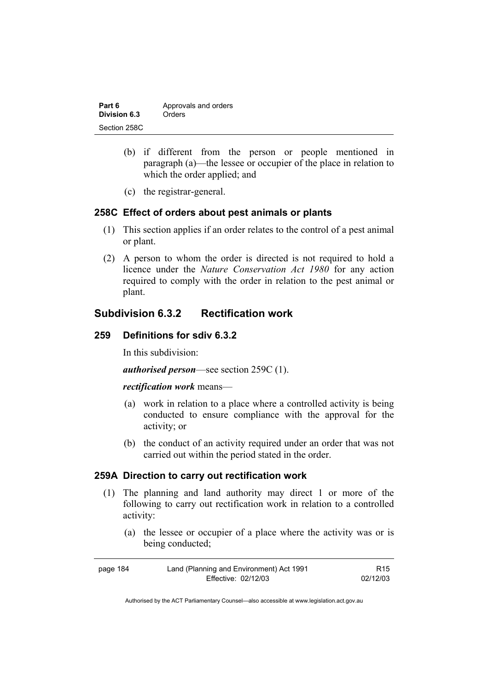| Part 6       | Approvals and orders |
|--------------|----------------------|
| Division 6.3 | Orders               |
| Section 258C |                      |

- (b) if different from the person or people mentioned in paragraph (a)—the lessee or occupier of the place in relation to which the order applied; and
- (c) the registrar-general.

## **258C Effect of orders about pest animals or plants**

- (1) This section applies if an order relates to the control of a pest animal or plant.
- (2) A person to whom the order is directed is not required to hold a licence under the *Nature Conservation Act 1980* for any action required to comply with the order in relation to the pest animal or plant.

## **Subdivision 6.3.2 Rectification work**

## **259 Definitions for sdiv 6.3.2**

In this subdivision:

*authorised person*—see section 259C (1).

#### *rectification work* means—

- (a) work in relation to a place where a controlled activity is being conducted to ensure compliance with the approval for the activity; or
- (b) the conduct of an activity required under an order that was not carried out within the period stated in the order.

## **259A Direction to carry out rectification work**

- (1) The planning and land authority may direct 1 or more of the following to carry out rectification work in relation to a controlled activity:
	- (a) the lessee or occupier of a place where the activity was or is being conducted;

| page 184 | Land (Planning and Environment) Act 1991 | R <sub>15</sub> |
|----------|------------------------------------------|-----------------|
|          | Effective: 02/12/03                      | 02/12/03        |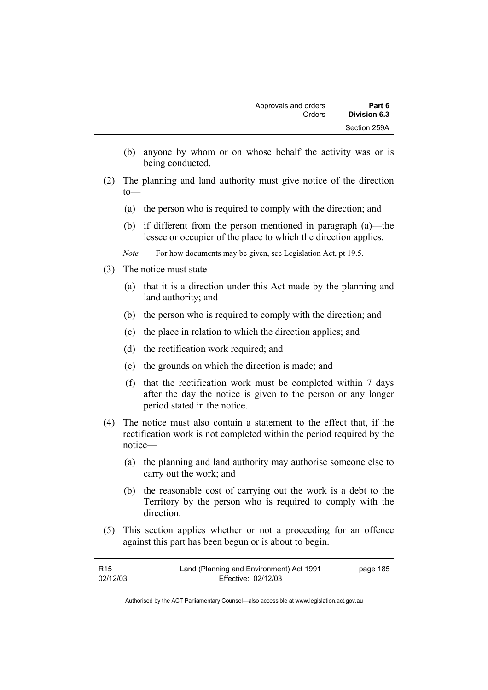- (b) anyone by whom or on whose behalf the activity was or is being conducted.
- (2) The planning and land authority must give notice of the direction to—
	- (a) the person who is required to comply with the direction; and
	- (b) if different from the person mentioned in paragraph (a)—the lessee or occupier of the place to which the direction applies.
	- *Note* For how documents may be given, see Legislation Act, pt 19.5.
- (3) The notice must state—
	- (a) that it is a direction under this Act made by the planning and land authority; and
	- (b) the person who is required to comply with the direction; and
	- (c) the place in relation to which the direction applies; and
	- (d) the rectification work required; and
	- (e) the grounds on which the direction is made; and
	- (f) that the rectification work must be completed within 7 days after the day the notice is given to the person or any longer period stated in the notice.
- (4) The notice must also contain a statement to the effect that, if the rectification work is not completed within the period required by the notice—
	- (a) the planning and land authority may authorise someone else to carry out the work; and
	- (b) the reasonable cost of carrying out the work is a debt to the Territory by the person who is required to comply with the direction.
- (5) This section applies whether or not a proceeding for an offence against this part has been begun or is about to begin.

| R <sub>15</sub> | Land (Planning and Environment) Act 1991 | page 185 |
|-----------------|------------------------------------------|----------|
| 02/12/03        | Effective: 02/12/03                      |          |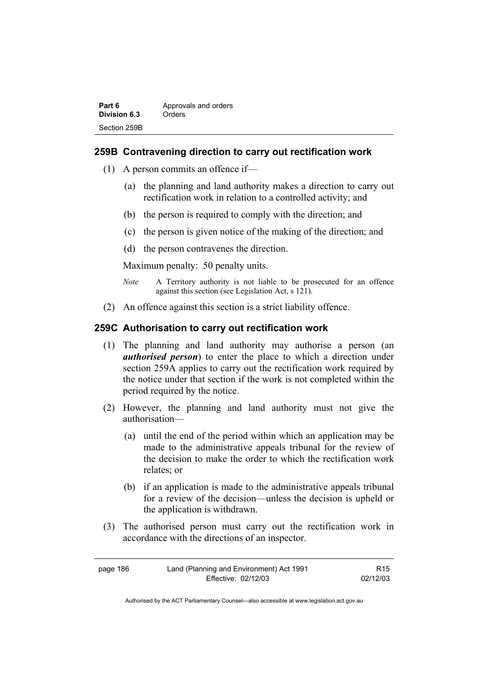| Part 6       | Approvals and orders |
|--------------|----------------------|
| Division 6.3 | Orders               |
| Section 259B |                      |

## **259B Contravening direction to carry out rectification work**

- (1) A person commits an offence if—
	- (a) the planning and land authority makes a direction to carry out rectification work in relation to a controlled activity; and
	- (b) the person is required to comply with the direction; and
	- (c) the person is given notice of the making of the direction; and
	- (d) the person contravenes the direction.

Maximum penalty: 50 penalty units.

- *Note* A Territory authority is not liable to be prosecuted for an offence against this section (see Legislation Act, s 121).
- (2) An offence against this section is a strict liability offence.

## **259C Authorisation to carry out rectification work**

- (1) The planning and land authority may authorise a person (an *authorised person*) to enter the place to which a direction under section 259A applies to carry out the rectification work required by the notice under that section if the work is not completed within the period required by the notice.
- (2) However, the planning and land authority must not give the authorisation—
	- (a) until the end of the period within which an application may be made to the administrative appeals tribunal for the review of the decision to make the order to which the rectification work relates; or
	- (b) if an application is made to the administrative appeals tribunal for a review of the decision—unless the decision is upheld or the application is withdrawn.
- (3) The authorised person must carry out the rectification work in accordance with the directions of an inspector.

| page 186 | Land (Planning and Environment) Act 1991 | R15      |
|----------|------------------------------------------|----------|
|          | Effective: 02/12/03                      | 02/12/03 |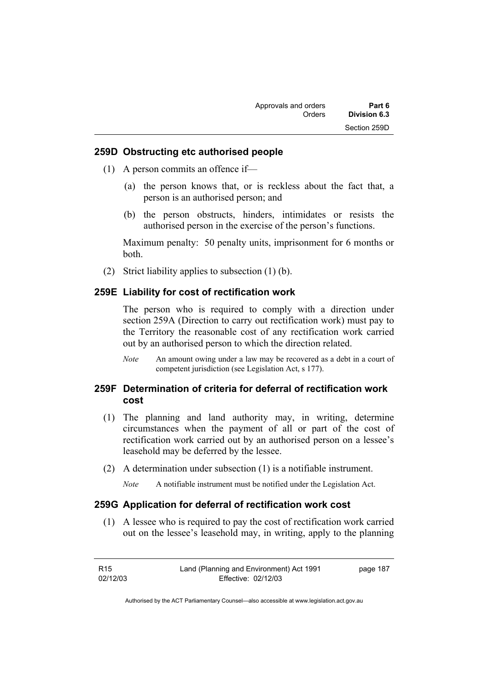### **259D Obstructing etc authorised people**

- (1) A person commits an offence if—
	- (a) the person knows that, or is reckless about the fact that, a person is an authorised person; and
	- (b) the person obstructs, hinders, intimidates or resists the authorised person in the exercise of the person's functions.

Maximum penalty: 50 penalty units, imprisonment for 6 months or both.

(2) Strict liability applies to subsection (1) (b).

### **259E Liability for cost of rectification work**

The person who is required to comply with a direction under section 259A (Direction to carry out rectification work) must pay to the Territory the reasonable cost of any rectification work carried out by an authorised person to which the direction related.

*Note* An amount owing under a law may be recovered as a debt in a court of competent jurisdiction (see Legislation Act, s 177).

## **259F Determination of criteria for deferral of rectification work cost**

- (1) The planning and land authority may, in writing, determine circumstances when the payment of all or part of the cost of rectification work carried out by an authorised person on a lessee's leasehold may be deferred by the lessee.
- (2) A determination under subsection (1) is a notifiable instrument.

*Note* A notifiable instrument must be notified under the Legislation Act.

#### **259G Application for deferral of rectification work cost**

 (1) A lessee who is required to pay the cost of rectification work carried out on the lessee's leasehold may, in writing, apply to the planning

| R15      | Land (Planning and Environment) Act 1991 | page 187 |
|----------|------------------------------------------|----------|
| 02/12/03 | Effective: 02/12/03                      |          |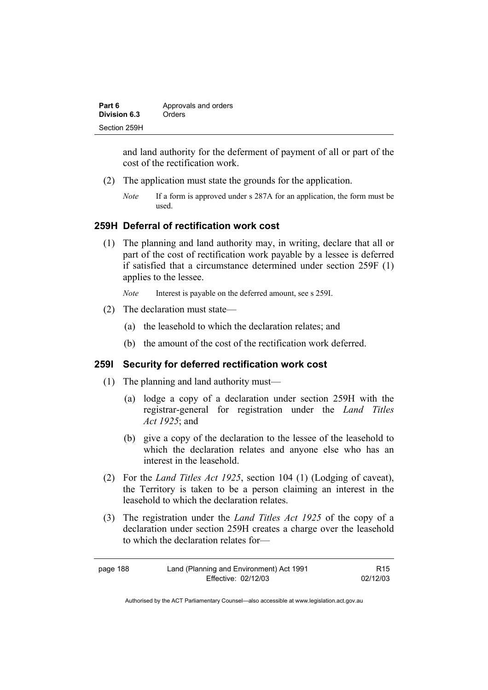| Part 6       | Approvals and orders |
|--------------|----------------------|
| Division 6.3 | Orders               |
| Section 259H |                      |

and land authority for the deferment of payment of all or part of the cost of the rectification work.

- (2) The application must state the grounds for the application.
	- *Note* If a form is approved under s 287A for an application, the form must be used.

### **259H Deferral of rectification work cost**

 (1) The planning and land authority may, in writing, declare that all or part of the cost of rectification work payable by a lessee is deferred if satisfied that a circumstance determined under section 259F (1) applies to the lessee.

*Note* Interest is payable on the deferred amount, see s 259I.

- (2) The declaration must state—
	- (a) the leasehold to which the declaration relates; and
	- (b) the amount of the cost of the rectification work deferred.

### **259I Security for deferred rectification work cost**

- (1) The planning and land authority must—
	- (a) lodge a copy of a declaration under section 259H with the registrar-general for registration under the *Land Titles Act 1925*; and
	- (b) give a copy of the declaration to the lessee of the leasehold to which the declaration relates and anyone else who has an interest in the leasehold.
- (2) For the *Land Titles Act 1925*, section 104 (1) (Lodging of caveat), the Territory is taken to be a person claiming an interest in the leasehold to which the declaration relates.
- (3) The registration under the *Land Titles Act 1925* of the copy of a declaration under section 259H creates a charge over the leasehold to which the declaration relates for—

| page 188 | Land (Planning and Environment) Act 1991 | R <sub>15</sub> |
|----------|------------------------------------------|-----------------|
|          | Effective: 02/12/03                      | 02/12/03        |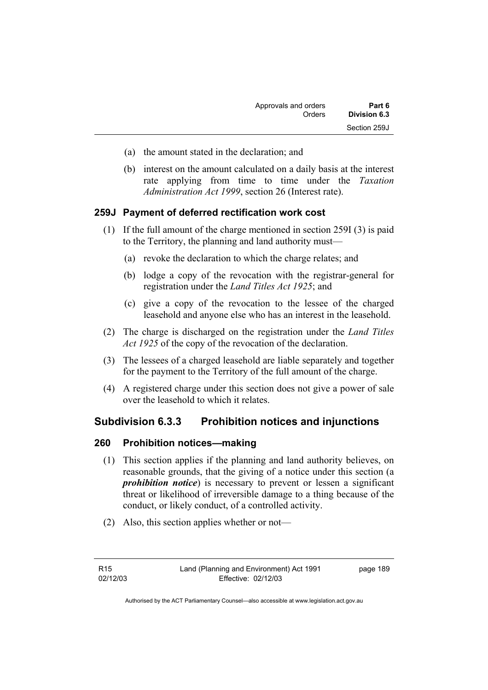- (a) the amount stated in the declaration; and
- (b) interest on the amount calculated on a daily basis at the interest rate applying from time to time under the *Taxation Administration Act 1999*, section 26 (Interest rate).

## **259J Payment of deferred rectification work cost**

- (1) If the full amount of the charge mentioned in section 259I (3) is paid to the Territory, the planning and land authority must—
	- (a) revoke the declaration to which the charge relates; and
	- (b) lodge a copy of the revocation with the registrar-general for registration under the *Land Titles Act 1925*; and
	- (c) give a copy of the revocation to the lessee of the charged leasehold and anyone else who has an interest in the leasehold.
- (2) The charge is discharged on the registration under the *Land Titles Act 1925* of the copy of the revocation of the declaration.
- (3) The lessees of a charged leasehold are liable separately and together for the payment to the Territory of the full amount of the charge.
- (4) A registered charge under this section does not give a power of sale over the leasehold to which it relates.

## **Subdivision 6.3.3 Prohibition notices and injunctions**

## **260 Prohibition notices—making**

- (1) This section applies if the planning and land authority believes, on reasonable grounds, that the giving of a notice under this section (a *prohibition notice*) is necessary to prevent or lessen a significant threat or likelihood of irreversible damage to a thing because of the conduct, or likely conduct, of a controlled activity.
- (2) Also, this section applies whether or not—

page 189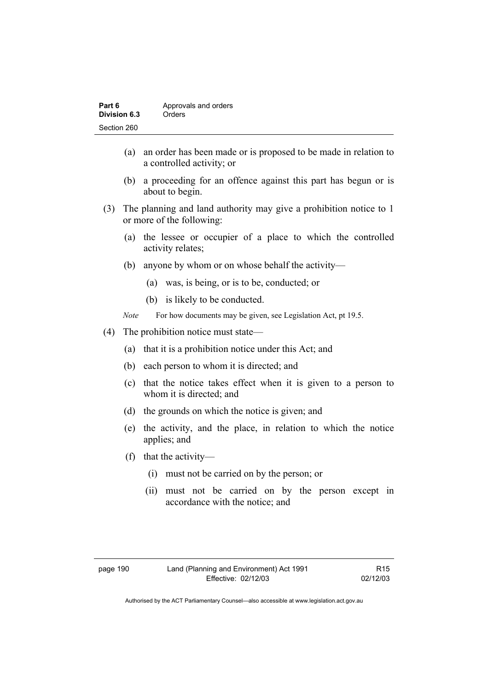| Part 6       | Approvals and orders |
|--------------|----------------------|
| Division 6.3 | Orders               |
| Section 260  |                      |

- (a) an order has been made or is proposed to be made in relation to a controlled activity; or
- (b) a proceeding for an offence against this part has begun or is about to begin.
- (3) The planning and land authority may give a prohibition notice to 1 or more of the following:
	- (a) the lessee or occupier of a place to which the controlled activity relates;
	- (b) anyone by whom or on whose behalf the activity—
		- (a) was, is being, or is to be, conducted; or
		- (b) is likely to be conducted.
	- *Note* For how documents may be given, see Legislation Act, pt 19.5.
- (4) The prohibition notice must state—
	- (a) that it is a prohibition notice under this Act; and
	- (b) each person to whom it is directed; and
	- (c) that the notice takes effect when it is given to a person to whom it is directed; and
	- (d) the grounds on which the notice is given; and
	- (e) the activity, and the place, in relation to which the notice applies; and
	- (f) that the activity—
		- (i) must not be carried on by the person; or
		- (ii) must not be carried on by the person except in accordance with the notice; and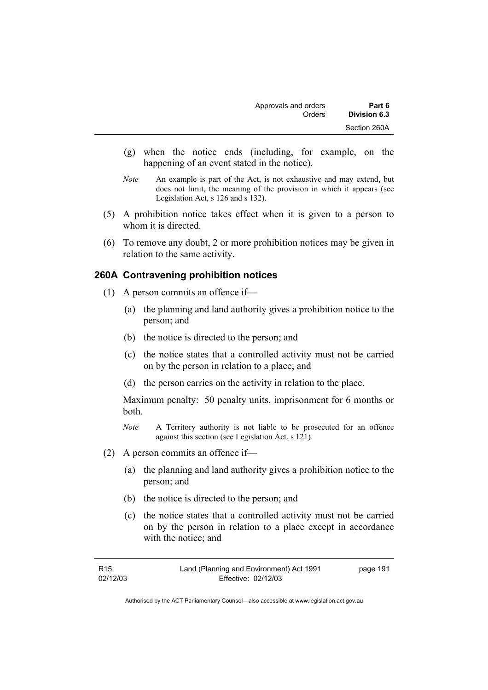- (g) when the notice ends (including, for example, on the happening of an event stated in the notice).
- *Note* An example is part of the Act, is not exhaustive and may extend, but does not limit, the meaning of the provision in which it appears (see Legislation Act, s 126 and s 132).
- (5) A prohibition notice takes effect when it is given to a person to whom it is directed.
- (6) To remove any doubt, 2 or more prohibition notices may be given in relation to the same activity.

## **260A Contravening prohibition notices**

- (1) A person commits an offence if—
	- (a) the planning and land authority gives a prohibition notice to the person; and
	- (b) the notice is directed to the person; and
	- (c) the notice states that a controlled activity must not be carried on by the person in relation to a place; and
	- (d) the person carries on the activity in relation to the place.

Maximum penalty: 50 penalty units, imprisonment for 6 months or both.

- *Note* A Territory authority is not liable to be prosecuted for an offence against this section (see Legislation Act, s 121).
- (2) A person commits an offence if—
	- (a) the planning and land authority gives a prohibition notice to the person; and
	- (b) the notice is directed to the person; and
	- (c) the notice states that a controlled activity must not be carried on by the person in relation to a place except in accordance with the notice; and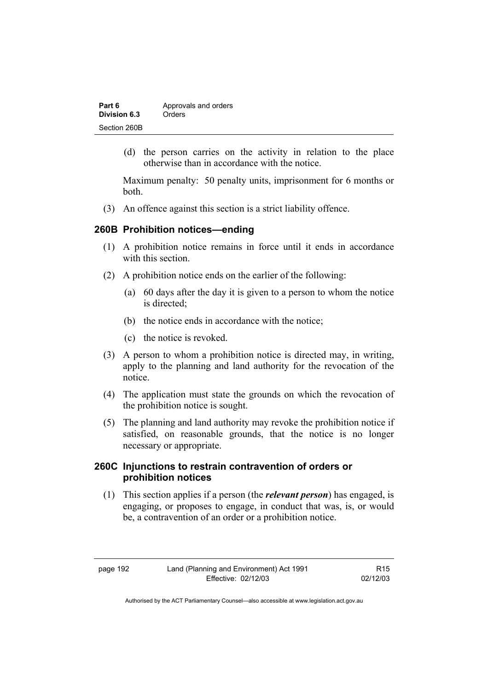| Part 6       | Approvals and orders |
|--------------|----------------------|
| Division 6.3 | Orders               |
| Section 260B |                      |

 (d) the person carries on the activity in relation to the place otherwise than in accordance with the notice.

Maximum penalty: 50 penalty units, imprisonment for 6 months or both.

(3) An offence against this section is a strict liability offence.

## **260B Prohibition notices—ending**

- (1) A prohibition notice remains in force until it ends in accordance with this section
- (2) A prohibition notice ends on the earlier of the following:
	- (a) 60 days after the day it is given to a person to whom the notice is directed;
	- (b) the notice ends in accordance with the notice;
	- (c) the notice is revoked.
- (3) A person to whom a prohibition notice is directed may, in writing, apply to the planning and land authority for the revocation of the notice.
- (4) The application must state the grounds on which the revocation of the prohibition notice is sought.
- (5) The planning and land authority may revoke the prohibition notice if satisfied, on reasonable grounds, that the notice is no longer necessary or appropriate.

## **260C Injunctions to restrain contravention of orders or prohibition notices**

 (1) This section applies if a person (the *relevant person*) has engaged, is engaging, or proposes to engage, in conduct that was, is, or would be, a contravention of an order or a prohibition notice.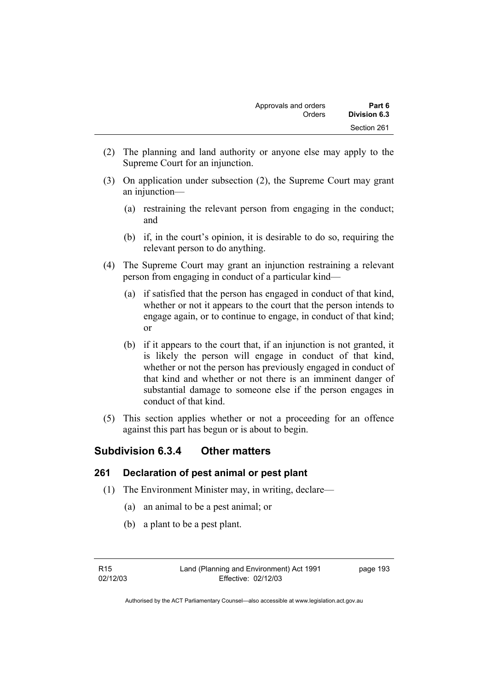- (2) The planning and land authority or anyone else may apply to the Supreme Court for an injunction.
- (3) On application under subsection (2), the Supreme Court may grant an injunction—
	- (a) restraining the relevant person from engaging in the conduct; and
	- (b) if, in the court's opinion, it is desirable to do so, requiring the relevant person to do anything.
- (4) The Supreme Court may grant an injunction restraining a relevant person from engaging in conduct of a particular kind—
	- (a) if satisfied that the person has engaged in conduct of that kind, whether or not it appears to the court that the person intends to engage again, or to continue to engage, in conduct of that kind; or
	- (b) if it appears to the court that, if an injunction is not granted, it is likely the person will engage in conduct of that kind, whether or not the person has previously engaged in conduct of that kind and whether or not there is an imminent danger of substantial damage to someone else if the person engages in conduct of that kind.
- (5) This section applies whether or not a proceeding for an offence against this part has begun or is about to begin.

# **Subdivision 6.3.4 Other matters**

## **261 Declaration of pest animal or pest plant**

- (1) The Environment Minister may, in writing, declare—
	- (a) an animal to be a pest animal; or
	- (b) a plant to be a pest plant.

page 193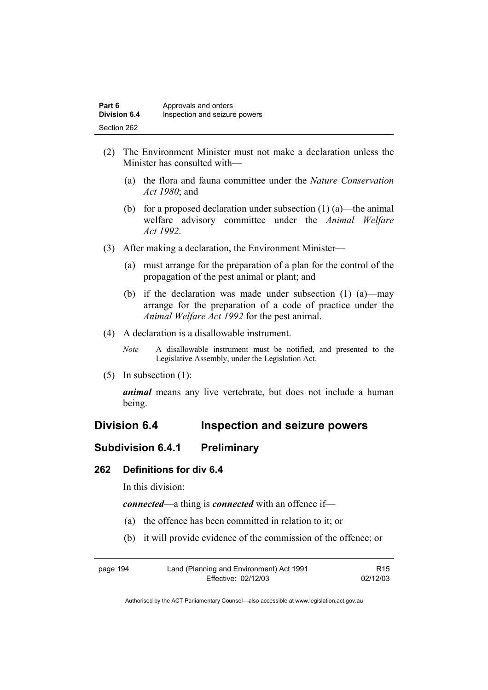| Part 6              | Approvals and orders          |
|---------------------|-------------------------------|
| <b>Division 6.4</b> | Inspection and seizure powers |
| Section 262         |                               |

- (2) The Environment Minister must not make a declaration unless the Minister has consulted with—
	- (a) the flora and fauna committee under the *Nature Conservation Act 1980*; and
	- (b) for a proposed declaration under subsection  $(1)$  (a)—the animal welfare advisory committee under the *Animal Welfare Act 1992*.
- (3) After making a declaration, the Environment Minister—
	- (a) must arrange for the preparation of a plan for the control of the propagation of the pest animal or plant; and
	- (b) if the declaration was made under subsection (1) (a)—may arrange for the preparation of a code of practice under the *Animal Welfare Act 1992* for the pest animal.
- (4) A declaration is a disallowable instrument.
	- *Note* A disallowable instrument must be notified, and presented to the Legislative Assembly, under the Legislation Act.
- (5) In subsection (1):

*animal* means any live vertebrate, but does not include a human being.

## **Division 6.4 Inspection and seizure powers**

## **Subdivision 6.4.1 Preliminary**

### **262 Definitions for div 6.4**

In this division:

*connected*—a thing is *connected* with an offence if—

- (a) the offence has been committed in relation to it; or
- (b) it will provide evidence of the commission of the offence; or

| page 194 | Land (Planning and Environment) Act 1991 | R <sub>15</sub> |
|----------|------------------------------------------|-----------------|
|          | Effective: 02/12/03                      | 02/12/03        |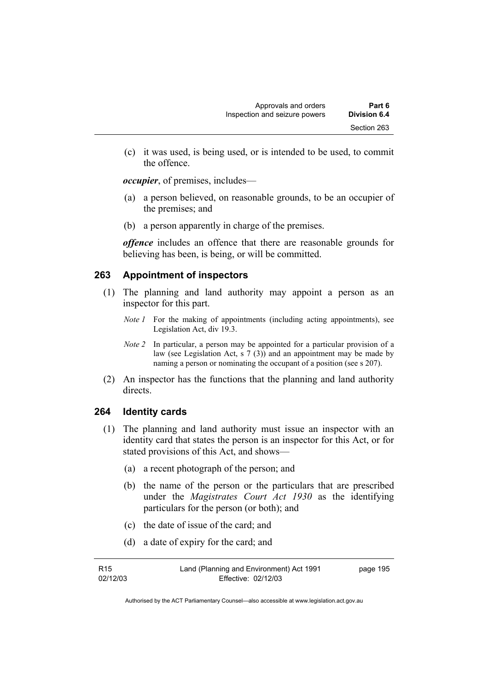(c) it was used, is being used, or is intended to be used, to commit the offence.

*occupier*, of premises, includes—

- (a) a person believed, on reasonable grounds, to be an occupier of the premises; and
- (b) a person apparently in charge of the premises.

*offence* includes an offence that there are reasonable grounds for believing has been, is being, or will be committed.

## **263 Appointment of inspectors**

- (1) The planning and land authority may appoint a person as an inspector for this part.
	- *Note 1* For the making of appointments (including acting appointments), see Legislation Act, div 19.3.
	- *Note 2* In particular, a person may be appointed for a particular provision of a law (see Legislation Act, s 7 (3)) and an appointment may be made by naming a person or nominating the occupant of a position (see s 207).
- (2) An inspector has the functions that the planning and land authority directs.

## **264 Identity cards**

- (1) The planning and land authority must issue an inspector with an identity card that states the person is an inspector for this Act, or for stated provisions of this Act, and shows—
	- (a) a recent photograph of the person; and
	- (b) the name of the person or the particulars that are prescribed under the *Magistrates Court Act 1930* as the identifying particulars for the person (or both); and
	- (c) the date of issue of the card; and
	- (d) a date of expiry for the card; and

| R15      | Land (Planning and Environment) Act 1991 | page 195 |
|----------|------------------------------------------|----------|
| 02/12/03 | Effective: 02/12/03                      |          |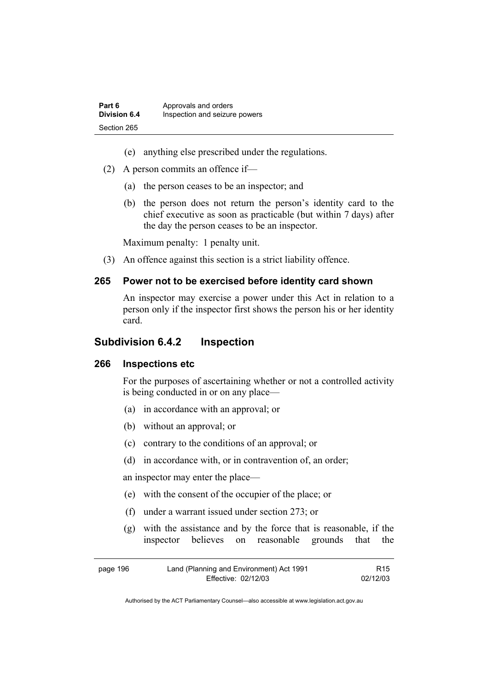- (e) anything else prescribed under the regulations.
- (2) A person commits an offence if—
	- (a) the person ceases to be an inspector; and
	- (b) the person does not return the person's identity card to the chief executive as soon as practicable (but within 7 days) after the day the person ceases to be an inspector.

Maximum penalty: 1 penalty unit.

(3) An offence against this section is a strict liability offence.

## **265 Power not to be exercised before identity card shown**

An inspector may exercise a power under this Act in relation to a person only if the inspector first shows the person his or her identity card.

## **Subdivision 6.4.2 Inspection**

#### **266 Inspections etc**

For the purposes of ascertaining whether or not a controlled activity is being conducted in or on any place—

- (a) in accordance with an approval; or
- (b) without an approval; or
- (c) contrary to the conditions of an approval; or
- (d) in accordance with, or in contravention of, an order;

an inspector may enter the place—

- (e) with the consent of the occupier of the place; or
- (f) under a warrant issued under section 273; or
- (g) with the assistance and by the force that is reasonable, if the inspector believes on reasonable grounds that the

| page 196 | Land (Planning and Environment) Act 1991 | R <sub>15</sub> |
|----------|------------------------------------------|-----------------|
|          | Effective: 02/12/03                      | 02/12/03        |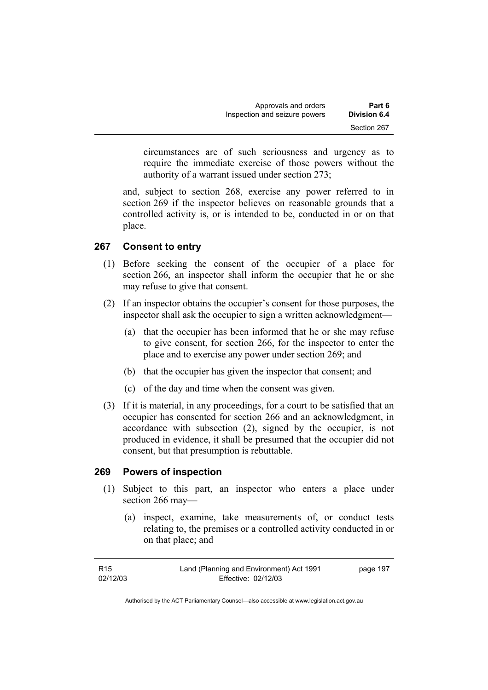| Part 6              | Approvals and orders          |  |
|---------------------|-------------------------------|--|
| <b>Division 6.4</b> | Inspection and seizure powers |  |
| Section 267         |                               |  |

circumstances are of such seriousness and urgency as to require the immediate exercise of those powers without the authority of a warrant issued under section 273;

and, subject to section 268, exercise any power referred to in section 269 if the inspector believes on reasonable grounds that a controlled activity is, or is intended to be, conducted in or on that place.

## **267 Consent to entry**

- (1) Before seeking the consent of the occupier of a place for section 266, an inspector shall inform the occupier that he or she may refuse to give that consent.
- (2) If an inspector obtains the occupier's consent for those purposes, the inspector shall ask the occupier to sign a written acknowledgment—
	- (a) that the occupier has been informed that he or she may refuse to give consent, for section 266, for the inspector to enter the place and to exercise any power under section 269; and
	- (b) that the occupier has given the inspector that consent; and
	- (c) of the day and time when the consent was given.
- (3) If it is material, in any proceedings, for a court to be satisfied that an occupier has consented for section 266 and an acknowledgment, in accordance with subsection (2), signed by the occupier, is not produced in evidence, it shall be presumed that the occupier did not consent, but that presumption is rebuttable.

## **269 Powers of inspection**

- (1) Subject to this part, an inspector who enters a place under section 266 may—
	- (a) inspect, examine, take measurements of, or conduct tests relating to, the premises or a controlled activity conducted in or on that place; and

| R <sub>15</sub> | Land (Planning and Environment) Act 1991 | page 197 |
|-----------------|------------------------------------------|----------|
| 02/12/03        | Effective: 02/12/03                      |          |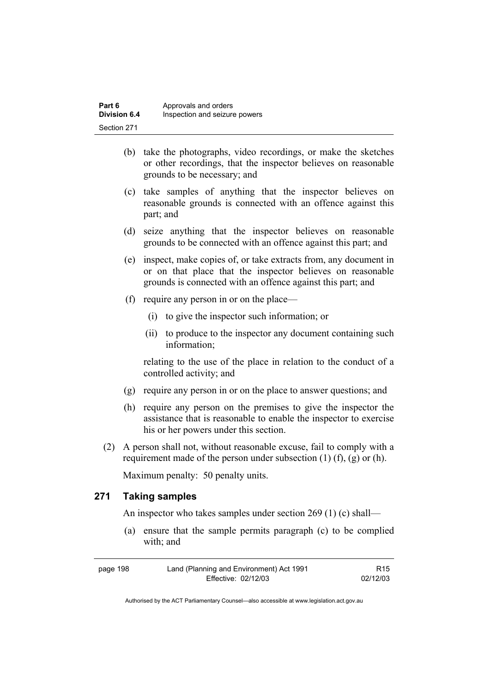| Part 6              | Approvals and orders          |
|---------------------|-------------------------------|
| <b>Division 6.4</b> | Inspection and seizure powers |
| Section 271         |                               |

- (b) take the photographs, video recordings, or make the sketches or other recordings, that the inspector believes on reasonable grounds to be necessary; and
- (c) take samples of anything that the inspector believes on reasonable grounds is connected with an offence against this part; and
- (d) seize anything that the inspector believes on reasonable grounds to be connected with an offence against this part; and
- (e) inspect, make copies of, or take extracts from, any document in or on that place that the inspector believes on reasonable grounds is connected with an offence against this part; and
- (f) require any person in or on the place—
	- (i) to give the inspector such information; or
	- (ii) to produce to the inspector any document containing such information;

relating to the use of the place in relation to the conduct of a controlled activity; and

- (g) require any person in or on the place to answer questions; and
- (h) require any person on the premises to give the inspector the assistance that is reasonable to enable the inspector to exercise his or her powers under this section.
- (2) A person shall not, without reasonable excuse, fail to comply with a requirement made of the person under subsection  $(1)$   $(f)$ ,  $(g)$  or  $(h)$ .

Maximum penalty: 50 penalty units.

## **271 Taking samples**

An inspector who takes samples under section 269 (1) (c) shall—

 (a) ensure that the sample permits paragraph (c) to be complied with; and

| page 198 | Land (Planning and Environment) Act 1991 | R <sub>15</sub> |
|----------|------------------------------------------|-----------------|
|          | Effective: 02/12/03                      | 02/12/03        |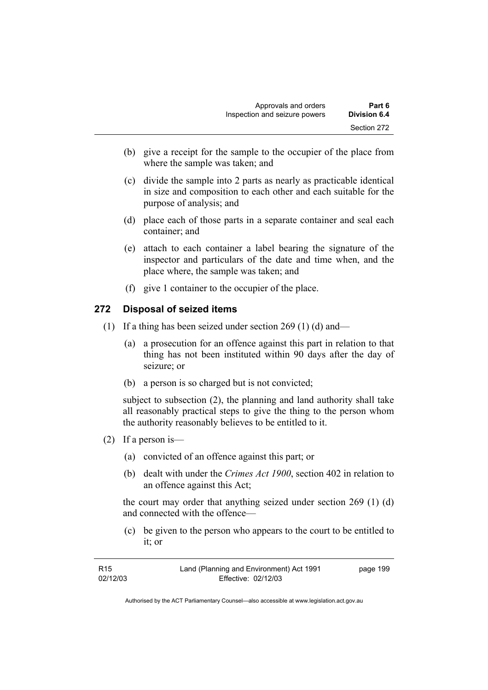- (b) give a receipt for the sample to the occupier of the place from where the sample was taken; and
- (c) divide the sample into 2 parts as nearly as practicable identical in size and composition to each other and each suitable for the purpose of analysis; and
- (d) place each of those parts in a separate container and seal each container; and
- (e) attach to each container a label bearing the signature of the inspector and particulars of the date and time when, and the place where, the sample was taken; and
- (f) give 1 container to the occupier of the place.

## **272 Disposal of seized items**

- (1) If a thing has been seized under section 269 (1) (d) and—
	- (a) a prosecution for an offence against this part in relation to that thing has not been instituted within 90 days after the day of seizure; or
	- (b) a person is so charged but is not convicted;

subject to subsection (2), the planning and land authority shall take all reasonably practical steps to give the thing to the person whom the authority reasonably believes to be entitled to it.

- (2) If a person is—
	- (a) convicted of an offence against this part; or
	- (b) dealt with under the *Crimes Act 1900*, section 402 in relation to an offence against this Act;

the court may order that anything seized under section 269 (1) (d) and connected with the offence—

 (c) be given to the person who appears to the court to be entitled to it; or

| R15      | Land (Planning and Environment) Act 1991 | page 199 |
|----------|------------------------------------------|----------|
| 02/12/03 | Effective: 02/12/03                      |          |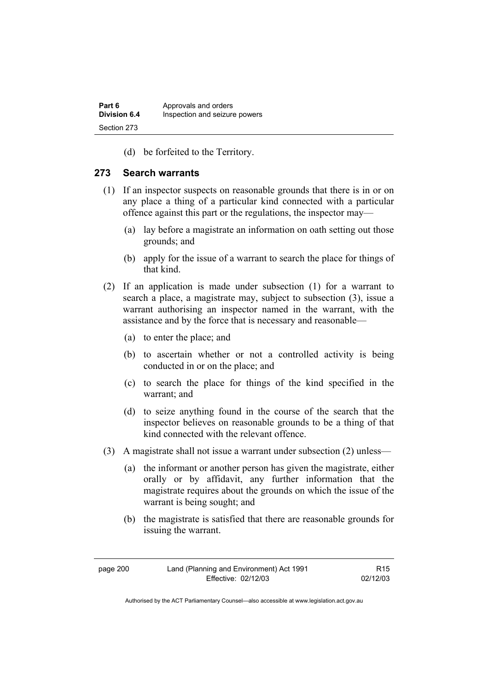(d) be forfeited to the Territory.

## **273 Search warrants**

- (1) If an inspector suspects on reasonable grounds that there is in or on any place a thing of a particular kind connected with a particular offence against this part or the regulations, the inspector may—
	- (a) lay before a magistrate an information on oath setting out those grounds; and
	- (b) apply for the issue of a warrant to search the place for things of that kind.
- (2) If an application is made under subsection (1) for a warrant to search a place, a magistrate may, subject to subsection (3), issue a warrant authorising an inspector named in the warrant, with the assistance and by the force that is necessary and reasonable—
	- (a) to enter the place; and
	- (b) to ascertain whether or not a controlled activity is being conducted in or on the place; and
	- (c) to search the place for things of the kind specified in the warrant; and
	- (d) to seize anything found in the course of the search that the inspector believes on reasonable grounds to be a thing of that kind connected with the relevant offence.
- (3) A magistrate shall not issue a warrant under subsection (2) unless—
	- (a) the informant or another person has given the magistrate, either orally or by affidavit, any further information that the magistrate requires about the grounds on which the issue of the warrant is being sought; and
	- (b) the magistrate is satisfied that there are reasonable grounds for issuing the warrant.

| page 200 | Land (Planning and Environment) Act 1991 | R <sub>15</sub> |
|----------|------------------------------------------|-----------------|
|          | Effective: 02/12/03                      | 02/12/03        |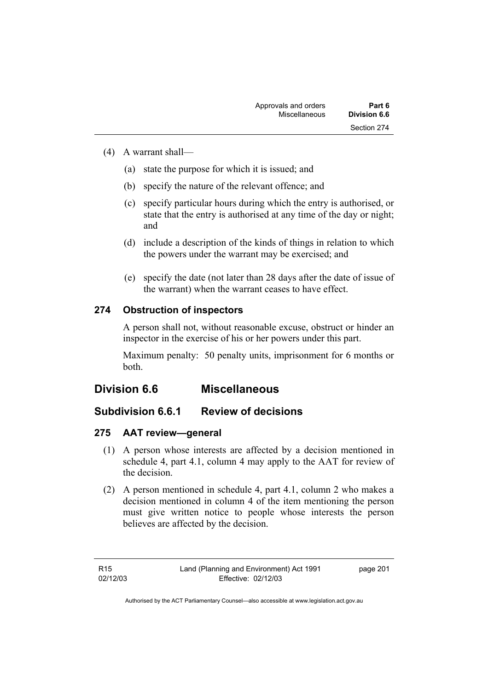### (4) A warrant shall—

- (a) state the purpose for which it is issued; and
- (b) specify the nature of the relevant offence; and
- (c) specify particular hours during which the entry is authorised, or state that the entry is authorised at any time of the day or night; and
- (d) include a description of the kinds of things in relation to which the powers under the warrant may be exercised; and
- (e) specify the date (not later than 28 days after the date of issue of the warrant) when the warrant ceases to have effect.

## **274 Obstruction of inspectors**

A person shall not, without reasonable excuse, obstruct or hinder an inspector in the exercise of his or her powers under this part.

Maximum penalty: 50 penalty units, imprisonment for 6 months or both.

## **Division 6.6 Miscellaneous**

## **Subdivision 6.6.1 Review of decisions**

## **275 AAT review—general**

- (1) A person whose interests are affected by a decision mentioned in schedule 4, part 4.1, column 4 may apply to the AAT for review of the decision.
- (2) A person mentioned in schedule 4, part 4.1, column 2 who makes a decision mentioned in column 4 of the item mentioning the person must give written notice to people whose interests the person believes are affected by the decision.

R15 02/12/03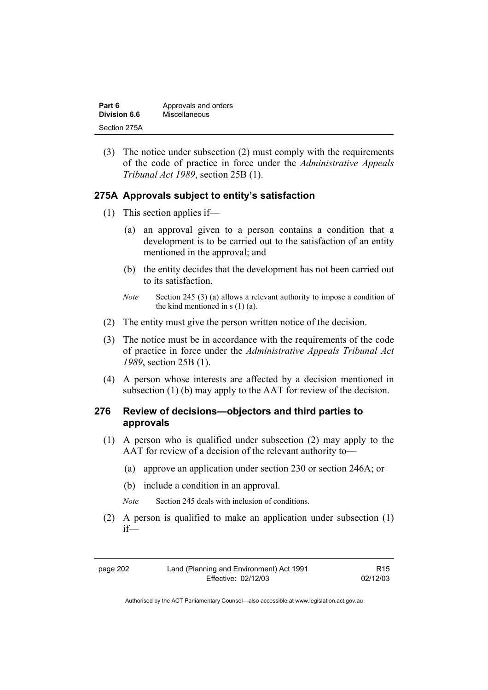| Part 6       | Approvals and orders |
|--------------|----------------------|
| Division 6.6 | Miscellaneous        |
| Section 275A |                      |

 (3) The notice under subsection (2) must comply with the requirements of the code of practice in force under the *Administrative Appeals Tribunal Act 1989*, section 25B (1).

### **275A Approvals subject to entity's satisfaction**

- (1) This section applies if—
	- (a) an approval given to a person contains a condition that a development is to be carried out to the satisfaction of an entity mentioned in the approval; and
	- (b) the entity decides that the development has not been carried out to its satisfaction.
	- *Note* Section 245 (3) (a) allows a relevant authority to impose a condition of the kind mentioned in  $s(1)(a)$ .
- (2) The entity must give the person written notice of the decision.
- (3) The notice must be in accordance with the requirements of the code of practice in force under the *Administrative Appeals Tribunal Act 1989*, section 25B (1).
- (4) A person whose interests are affected by a decision mentioned in subsection (1) (b) may apply to the AAT for review of the decision.

### **276 Review of decisions—objectors and third parties to approvals**

- (1) A person who is qualified under subsection (2) may apply to the AAT for review of a decision of the relevant authority to—
	- (a) approve an application under section 230 or section 246A; or
	- (b) include a condition in an approval.
	- *Note* Section 245 deals with inclusion of conditions.
- (2) A person is qualified to make an application under subsection (1) if—

R15 02/12/03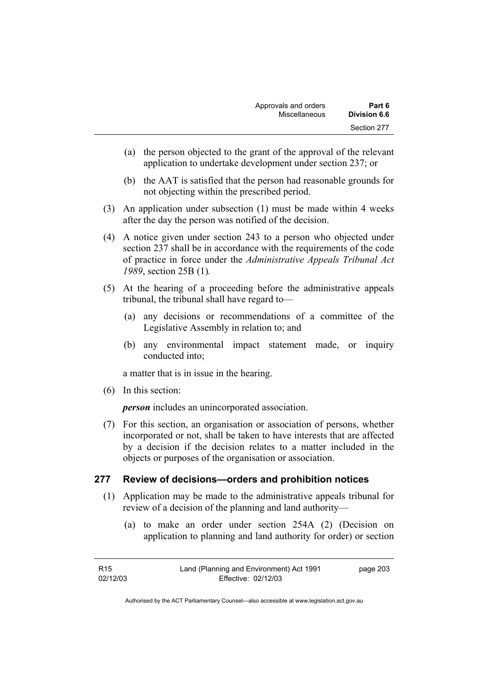| Approvals and orders | Part 6              |
|----------------------|---------------------|
| Miscellaneous        | <b>Division 6.6</b> |
|                      | Section 277         |

- (a) the person objected to the grant of the approval of the relevant application to undertake development under section 237; or
- (b) the AAT is satisfied that the person had reasonable grounds for not objecting within the prescribed period.
- (3) An application under subsection (1) must be made within 4 weeks after the day the person was notified of the decision.
- (4) A notice given under section 243 to a person who objected under section 237 shall be in accordance with the requirements of the code of practice in force under the *Administrative Appeals Tribunal Act 1989*, section 25B (1)*.*
- (5) At the hearing of a proceeding before the administrative appeals tribunal, the tribunal shall have regard to—
	- (a) any decisions or recommendations of a committee of the Legislative Assembly in relation to; and
	- (b) any environmental impact statement made, or inquiry conducted into;

a matter that is in issue in the hearing.

(6) In this section:

*person* includes an unincorporated association.

 (7) For this section, an organisation or association of persons, whether incorporated or not, shall be taken to have interests that are affected by a decision if the decision relates to a matter included in the objects or purposes of the organisation or association.

### **277 Review of decisions—orders and prohibition notices**

- (1) Application may be made to the administrative appeals tribunal for review of a decision of the planning and land authority—
	- (a) to make an order under section 254A (2) (Decision on application to planning and land authority for order) or section

| R15      | Land (Planning and Environment) Act 1991 | page 203 |
|----------|------------------------------------------|----------|
| 02/12/03 | Effective: 02/12/03                      |          |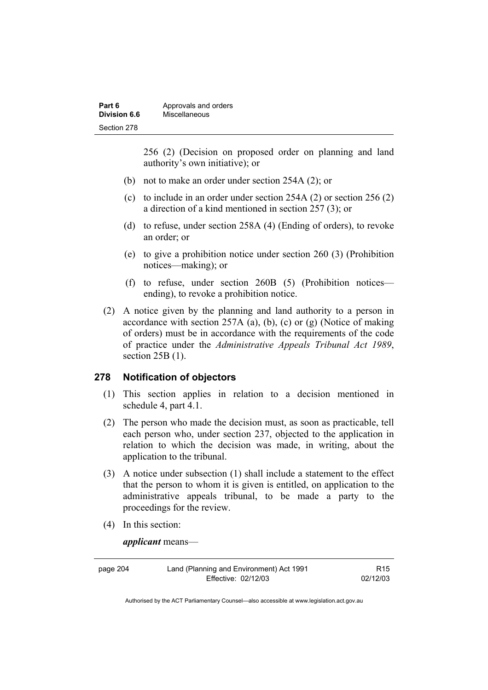| Part 6       | Approvals and orders |
|--------------|----------------------|
| Division 6.6 | Miscellaneous        |
| Section 278  |                      |

256 (2) (Decision on proposed order on planning and land authority's own initiative); or

- (b) not to make an order under section 254A (2); or
- (c) to include in an order under section 254A (2) or section 256 (2) a direction of a kind mentioned in section 257 (3); or
- (d) to refuse, under section 258A (4) (Ending of orders), to revoke an order; or
- (e) to give a prohibition notice under section 260 (3) (Prohibition notices—making); or
- (f) to refuse, under section 260B (5) (Prohibition notices ending), to revoke a prohibition notice.
- (2) A notice given by the planning and land authority to a person in accordance with section 257A (a), (b), (c) or (g) (Notice of making of orders) must be in accordance with the requirements of the code of practice under the *Administrative Appeals Tribunal Act 1989*, section 25B (1).

#### **278 Notification of objectors**

- (1) This section applies in relation to a decision mentioned in schedule 4, part 4.1.
- (2) The person who made the decision must, as soon as practicable, tell each person who, under section 237, objected to the application in relation to which the decision was made, in writing, about the application to the tribunal.
- (3) A notice under subsection (1) shall include a statement to the effect that the person to whom it is given is entitled, on application to the administrative appeals tribunal, to be made a party to the proceedings for the review.
- (4) In this section:

*applicant* means—

page 204 Land (Planning and Environment) Act 1991 Effective: 02/12/03

R15 02/12/03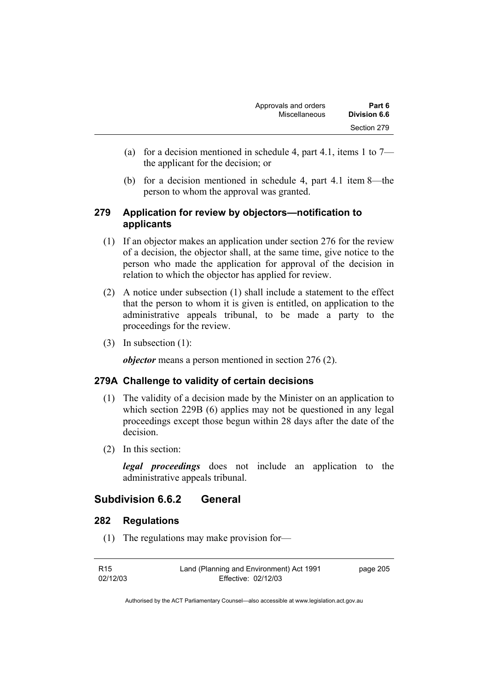- (a) for a decision mentioned in schedule 4, part 4.1, items 1 to  $7$ the applicant for the decision; or
- (b) for a decision mentioned in schedule 4, part 4.1 item 8—the person to whom the approval was granted.

## **279 Application for review by objectors—notification to applicants**

- (1) If an objector makes an application under section 276 for the review of a decision, the objector shall, at the same time, give notice to the person who made the application for approval of the decision in relation to which the objector has applied for review.
- (2) A notice under subsection (1) shall include a statement to the effect that the person to whom it is given is entitled, on application to the administrative appeals tribunal, to be made a party to the proceedings for the review.
- (3) In subsection (1):

*objector* means a person mentioned in section 276 (2).

## **279A Challenge to validity of certain decisions**

- (1) The validity of a decision made by the Minister on an application to which section 229B (6) applies may not be questioned in any legal proceedings except those begun within 28 days after the date of the decision.
- (2) In this section:

*legal proceedings* does not include an application to the administrative appeals tribunal.

## **Subdivision 6.6.2 General**

### **282 Regulations**

(1) The regulations may make provision for—

| R <sub>15</sub> | Land (Planning and Environment) Act 1991 | page 205 |
|-----------------|------------------------------------------|----------|
| 02/12/03        | Effective: 02/12/03                      |          |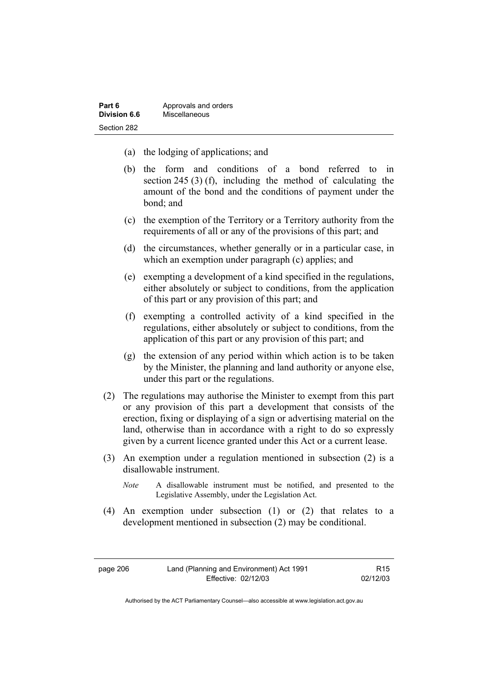| Part 6       | Approvals and orders |
|--------------|----------------------|
| Division 6.6 | Miscellaneous        |
| Section 282  |                      |

- (a) the lodging of applications; and
- (b) the form and conditions of a bond referred to in section 245 (3) (f), including the method of calculating the amount of the bond and the conditions of payment under the bond; and
- (c) the exemption of the Territory or a Territory authority from the requirements of all or any of the provisions of this part; and
- (d) the circumstances, whether generally or in a particular case, in which an exemption under paragraph (c) applies; and
- (e) exempting a development of a kind specified in the regulations, either absolutely or subject to conditions, from the application of this part or any provision of this part; and
- (f) exempting a controlled activity of a kind specified in the regulations, either absolutely or subject to conditions, from the application of this part or any provision of this part; and
- (g) the extension of any period within which action is to be taken by the Minister, the planning and land authority or anyone else, under this part or the regulations.
- (2) The regulations may authorise the Minister to exempt from this part or any provision of this part a development that consists of the erection, fixing or displaying of a sign or advertising material on the land, otherwise than in accordance with a right to do so expressly given by a current licence granted under this Act or a current lease.
- (3) An exemption under a regulation mentioned in subsection (2) is a disallowable instrument.
	- *Note* A disallowable instrument must be notified, and presented to the Legislative Assembly, under the Legislation Act.
- (4) An exemption under subsection (1) or (2) that relates to a development mentioned in subsection (2) may be conditional.

page 206 Land (Planning and Environment) Act 1991 Effective: 02/12/03

R15 02/12/03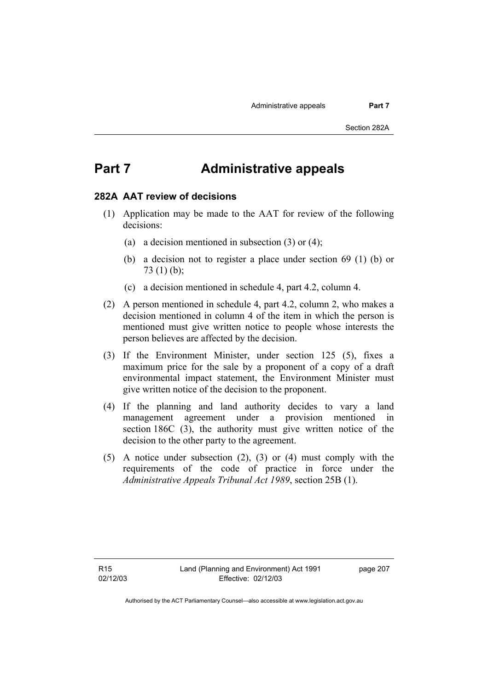# **Part 7 Administrative appeals**

#### **282A AAT review of decisions**

- (1) Application may be made to the AAT for review of the following decisions:
	- (a) a decision mentioned in subsection (3) or (4);
	- (b) a decision not to register a place under section 69 (1) (b) or 73 (1) (b);
	- (c) a decision mentioned in schedule 4, part 4.2, column 4.
- (2) A person mentioned in schedule 4, part 4.2, column 2, who makes a decision mentioned in column 4 of the item in which the person is mentioned must give written notice to people whose interests the person believes are affected by the decision.
- (3) If the Environment Minister, under section 125 (5), fixes a maximum price for the sale by a proponent of a copy of a draft environmental impact statement, the Environment Minister must give written notice of the decision to the proponent.
- (4) If the planning and land authority decides to vary a land management agreement under a provision mentioned in section 186C (3), the authority must give written notice of the decision to the other party to the agreement.
- (5) A notice under subsection (2), (3) or (4) must comply with the requirements of the code of practice in force under the *Administrative Appeals Tribunal Act 1989*, section 25B (1).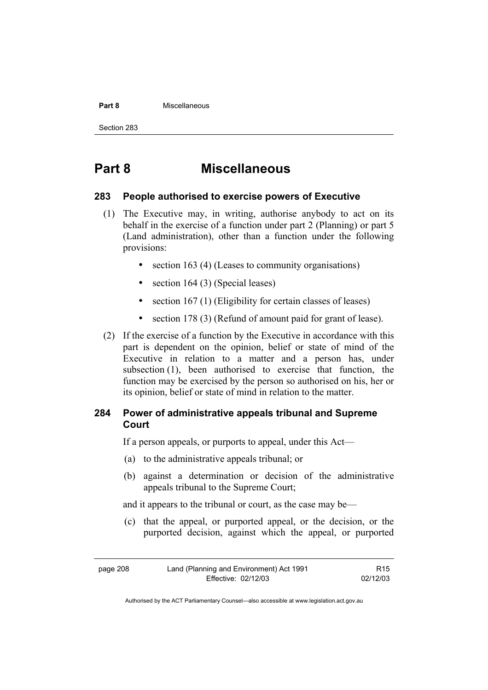#### **Part 8** Miscellaneous

Section 283

# **Part 8 Miscellaneous**

### **283 People authorised to exercise powers of Executive**

- (1) The Executive may, in writing, authorise anybody to act on its behalf in the exercise of a function under part 2 (Planning) or part 5 (Land administration), other than a function under the following provisions:
	- section 163 (4) (Leases to community organisations)
	- section 164 (3) (Special leases)
	- section 167 (1) (Eligibility for certain classes of leases)
	- section 178 (3) (Refund of amount paid for grant of lease).
- (2) If the exercise of a function by the Executive in accordance with this part is dependent on the opinion, belief or state of mind of the Executive in relation to a matter and a person has, under subsection (1), been authorised to exercise that function, the function may be exercised by the person so authorised on his, her or its opinion, belief or state of mind in relation to the matter.

## **284 Power of administrative appeals tribunal and Supreme Court**

If a person appeals, or purports to appeal, under this Act—

- (a) to the administrative appeals tribunal; or
- (b) against a determination or decision of the administrative appeals tribunal to the Supreme Court;

and it appears to the tribunal or court, as the case may be—

 (c) that the appeal, or purported appeal, or the decision, or the purported decision, against which the appeal, or purported

| page 208 | Land (Planning and Environment) Act 1991 | R <sub>15</sub> |
|----------|------------------------------------------|-----------------|
|          | Effective: 02/12/03                      | 02/12/03        |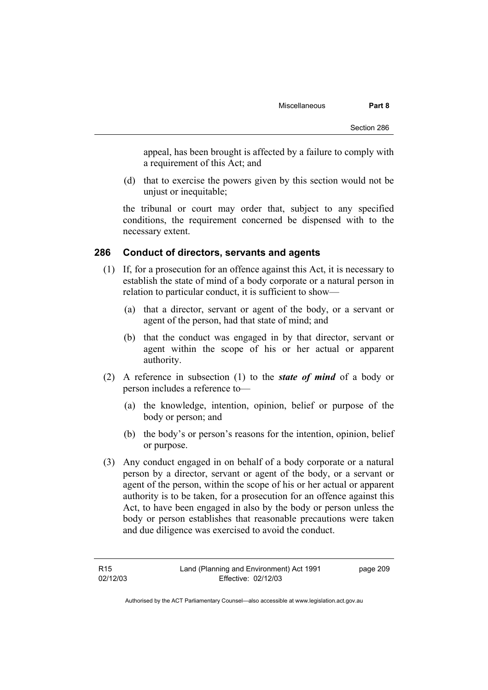appeal, has been brought is affected by a failure to comply with a requirement of this Act; and

 (d) that to exercise the powers given by this section would not be unjust or inequitable;

the tribunal or court may order that, subject to any specified conditions, the requirement concerned be dispensed with to the necessary extent.

#### **286 Conduct of directors, servants and agents**

- (1) If, for a prosecution for an offence against this Act, it is necessary to establish the state of mind of a body corporate or a natural person in relation to particular conduct, it is sufficient to show—
	- (a) that a director, servant or agent of the body, or a servant or agent of the person, had that state of mind; and
	- (b) that the conduct was engaged in by that director, servant or agent within the scope of his or her actual or apparent authority.
- (2) A reference in subsection (1) to the *state of mind* of a body or person includes a reference to—
	- (a) the knowledge, intention, opinion, belief or purpose of the body or person; and
	- (b) the body's or person's reasons for the intention, opinion, belief or purpose.
- (3) Any conduct engaged in on behalf of a body corporate or a natural person by a director, servant or agent of the body, or a servant or agent of the person, within the scope of his or her actual or apparent authority is to be taken, for a prosecution for an offence against this Act, to have been engaged in also by the body or person unless the body or person establishes that reasonable precautions were taken and due diligence was exercised to avoid the conduct.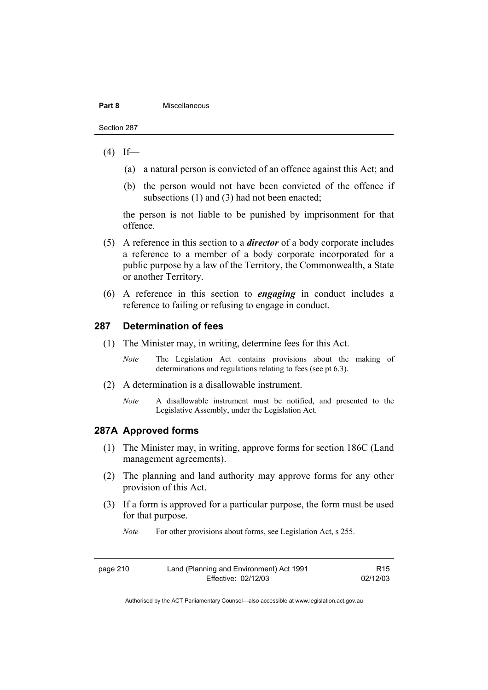#### **Part 8 Miscellaneous**

Section 287

#### $(4)$  If—

- (a) a natural person is convicted of an offence against this Act; and
- (b) the person would not have been convicted of the offence if subsections (1) and (3) had not been enacted;

the person is not liable to be punished by imprisonment for that offence.

- (5) A reference in this section to a *director* of a body corporate includes a reference to a member of a body corporate incorporated for a public purpose by a law of the Territory, the Commonwealth, a State or another Territory.
- (6) A reference in this section to *engaging* in conduct includes a reference to failing or refusing to engage in conduct.

#### **287 Determination of fees**

- (1) The Minister may, in writing, determine fees for this Act.
	- *Note* The Legislation Act contains provisions about the making of determinations and regulations relating to fees (see pt 6.3).
- (2) A determination is a disallowable instrument.
	- *Note* A disallowable instrument must be notified, and presented to the Legislative Assembly, under the Legislation Act.

#### **287A Approved forms**

- (1) The Minister may, in writing, approve forms for section 186C (Land management agreements).
- (2) The planning and land authority may approve forms for any other provision of this Act.
- (3) If a form is approved for a particular purpose, the form must be used for that purpose.

*Note* For other provisions about forms, see Legislation Act, s 255.

| Land (Planning and Environment) Act 1991<br>page 210 |                     | R <sub>15</sub> |
|------------------------------------------------------|---------------------|-----------------|
|                                                      | Effective: 02/12/03 | 02/12/03        |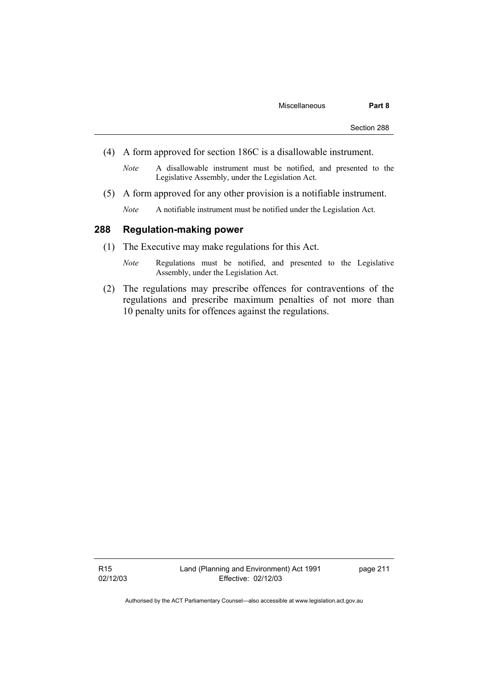- (4) A form approved for section 186C is a disallowable instrument.
	- *Note* A disallowable instrument must be notified, and presented to the Legislative Assembly, under the Legislation Act.
- (5) A form approved for any other provision is a notifiable instrument.
	- *Note* A notifiable instrument must be notified under the Legislation Act.

### **288 Regulation-making power**

- (1) The Executive may make regulations for this Act.
	- *Note* Regulations must be notified, and presented to the Legislative Assembly, under the Legislation Act.
- (2) The regulations may prescribe offences for contraventions of the regulations and prescribe maximum penalties of not more than 10 penalty units for offences against the regulations.

R15 02/12/03 page 211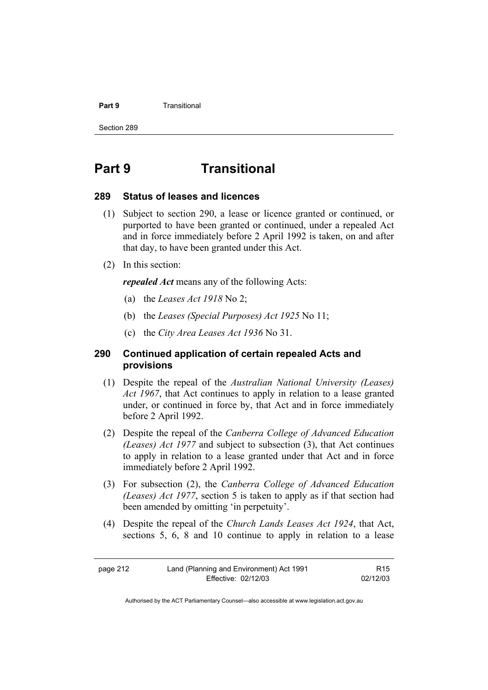#### **Part 9 Transitional**

Section 289

# **Part 9 Transitional**

#### **289 Status of leases and licences**

- (1) Subject to section 290, a lease or licence granted or continued, or purported to have been granted or continued, under a repealed Act and in force immediately before 2 April 1992 is taken, on and after that day, to have been granted under this Act.
- (2) In this section:

*repealed Act* means any of the following Acts:

- (a) the *Leases Act 1918* No 2;
- (b) the *Leases (Special Purposes) Act 1925* No 11;
- (c) the *City Area Leases Act 1936* No 31.

### **290 Continued application of certain repealed Acts and provisions**

- (1) Despite the repeal of the *Australian National University (Leases) Act 1967*, that Act continues to apply in relation to a lease granted under, or continued in force by, that Act and in force immediately before 2 April 1992.
- (2) Despite the repeal of the *Canberra College of Advanced Education (Leases) Act 1977* and subject to subsection (3), that Act continues to apply in relation to a lease granted under that Act and in force immediately before 2 April 1992.
- (3) For subsection (2), the *Canberra College of Advanced Education (Leases) Act 1977*, section 5 is taken to apply as if that section had been amended by omitting 'in perpetuity'.
- (4) Despite the repeal of the *Church Lands Leases Act 1924*, that Act, sections 5, 6, 8 and 10 continue to apply in relation to a lease

| page 212 | Land (Planning and Environment) Act 1991 | R15      |
|----------|------------------------------------------|----------|
|          | Effective: 02/12/03                      | 02/12/03 |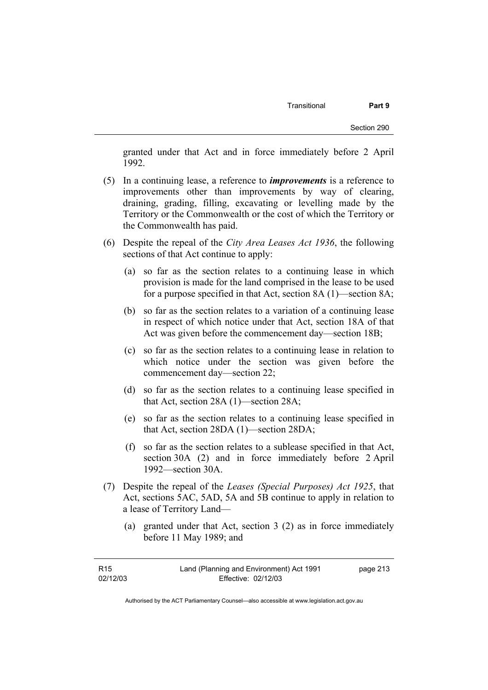granted under that Act and in force immediately before 2 April 1992.

- (5) In a continuing lease, a reference to *improvements* is a reference to improvements other than improvements by way of clearing, draining, grading, filling, excavating or levelling made by the Territory or the Commonwealth or the cost of which the Territory or the Commonwealth has paid.
- (6) Despite the repeal of the *City Area Leases Act 1936*, the following sections of that Act continue to apply:
	- (a) so far as the section relates to a continuing lease in which provision is made for the land comprised in the lease to be used for a purpose specified in that Act, section 8A (1)—section 8A;
	- (b) so far as the section relates to a variation of a continuing lease in respect of which notice under that Act, section 18A of that Act was given before the commencement day—section 18B;
	- (c) so far as the section relates to a continuing lease in relation to which notice under the section was given before the commencement day—section 22;
	- (d) so far as the section relates to a continuing lease specified in that Act, section 28A (1)—section 28A;
	- (e) so far as the section relates to a continuing lease specified in that Act, section 28DA (1)—section 28DA;
	- (f) so far as the section relates to a sublease specified in that Act, section 30A (2) and in force immediately before 2 April 1992—section 30A.
- (7) Despite the repeal of the *Leases (Special Purposes) Act 1925*, that Act, sections 5AC, 5AD, 5A and 5B continue to apply in relation to a lease of Territory Land—
	- (a) granted under that Act, section 3 (2) as in force immediately before 11 May 1989; and

| R <sub>15</sub> | Land (Planning and Environment) Act 1991 | page 213 |
|-----------------|------------------------------------------|----------|
| 02/12/03        | Effective: 02/12/03                      |          |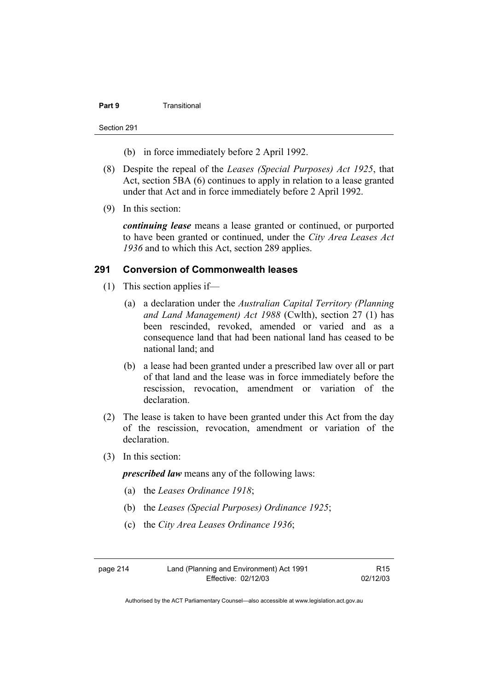#### **Part 9 Transitional**

Section 291

- (b) in force immediately before 2 April 1992.
- (8) Despite the repeal of the *Leases (Special Purposes) Act 1925*, that Act, section 5BA (6) continues to apply in relation to a lease granted under that Act and in force immediately before 2 April 1992.
- (9) In this section:

*continuing lease* means a lease granted or continued, or purported to have been granted or continued, under the *City Area Leases Act 1936* and to which this Act, section 289 applies.

#### **291 Conversion of Commonwealth leases**

- (1) This section applies if—
	- (a) a declaration under the *Australian Capital Territory (Planning and Land Management) Act 1988* (Cwlth), section 27 (1) has been rescinded, revoked, amended or varied and as a consequence land that had been national land has ceased to be national land; and
	- (b) a lease had been granted under a prescribed law over all or part of that land and the lease was in force immediately before the rescission, revocation, amendment or variation of the declaration.
- (2) The lease is taken to have been granted under this Act from the day of the rescission, revocation, amendment or variation of the declaration.
- (3) In this section:

*prescribed law* means any of the following laws:

- (a) the *Leases Ordinance 1918*;
- (b) the *Leases (Special Purposes) Ordinance 1925*;
- (c) the *City Area Leases Ordinance 1936*;

page 214 Land (Planning and Environment) Act 1991 Effective: 02/12/03

R15 02/12/03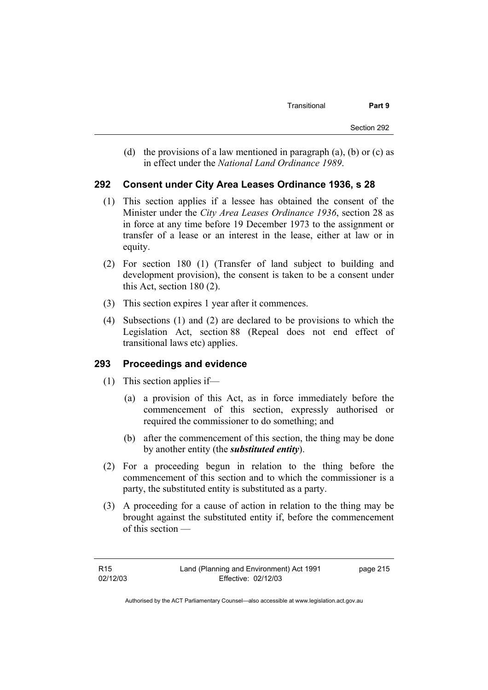(d) the provisions of a law mentioned in paragraph (a), (b) or (c) as in effect under the *National Land Ordinance 1989*.

### **292 Consent under City Area Leases Ordinance 1936, s 28**

- (1) This section applies if a lessee has obtained the consent of the Minister under the *City Area Leases Ordinance 1936*, section 28 as in force at any time before 19 December 1973 to the assignment or transfer of a lease or an interest in the lease, either at law or in equity.
- (2) For section 180 (1) (Transfer of land subject to building and development provision), the consent is taken to be a consent under this Act, section 180 (2).
- (3) This section expires 1 year after it commences.
- (4) Subsections (1) and (2) are declared to be provisions to which the Legislation Act, section 88 (Repeal does not end effect of transitional laws etc) applies.

### **293 Proceedings and evidence**

- (1) This section applies if—
	- (a) a provision of this Act, as in force immediately before the commencement of this section, expressly authorised or required the commissioner to do something; and
	- (b) after the commencement of this section, the thing may be done by another entity (the *substituted entity*).
- (2) For a proceeding begun in relation to the thing before the commencement of this section and to which the commissioner is a party, the substituted entity is substituted as a party.
- (3) A proceeding for a cause of action in relation to the thing may be brought against the substituted entity if, before the commencement of this section —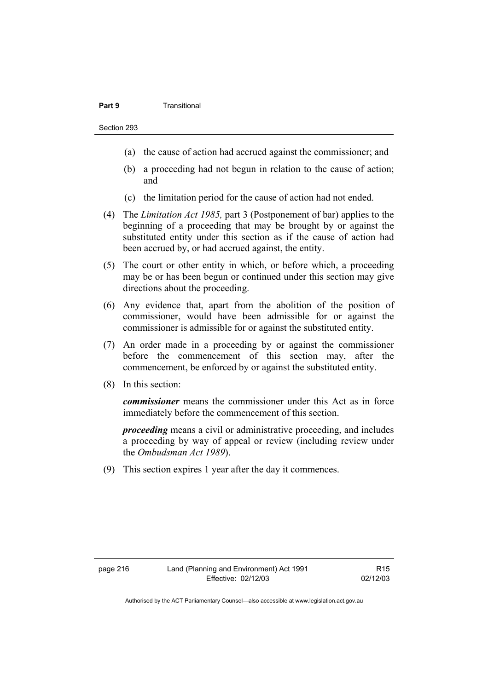#### **Part 9 Transitional**

- (a) the cause of action had accrued against the commissioner; and
- (b) a proceeding had not begun in relation to the cause of action; and
- (c) the limitation period for the cause of action had not ended.
- (4) The *Limitation Act 1985,* part 3 (Postponement of bar) applies to the beginning of a proceeding that may be brought by or against the substituted entity under this section as if the cause of action had been accrued by, or had accrued against, the entity.
- (5) The court or other entity in which, or before which, a proceeding may be or has been begun or continued under this section may give directions about the proceeding.
- (6) Any evidence that, apart from the abolition of the position of commissioner, would have been admissible for or against the commissioner is admissible for or against the substituted entity.
- (7) An order made in a proceeding by or against the commissioner before the commencement of this section may, after the commencement, be enforced by or against the substituted entity.
- (8) In this section:

*commissioner* means the commissioner under this Act as in force immediately before the commencement of this section.

*proceeding* means a civil or administrative proceeding, and includes a proceeding by way of appeal or review (including review under the *Ombudsman Act 1989*).

(9) This section expires 1 year after the day it commences.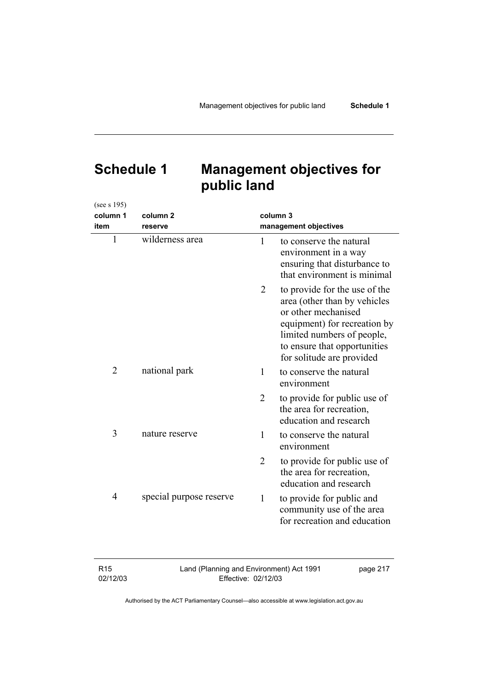# **Schedule 1 Management objectives for public land**

| (see s 195)    |                         |          |                                                                                                                                                                                                                 |
|----------------|-------------------------|----------|-----------------------------------------------------------------------------------------------------------------------------------------------------------------------------------------------------------------|
| column 1       | column <sub>2</sub>     | column 3 |                                                                                                                                                                                                                 |
| item           | reserve                 |          | management objectives                                                                                                                                                                                           |
| $\mathbf{1}$   | wilderness area         | 1        | to conserve the natural<br>environment in a way<br>ensuring that disturbance to<br>that environment is minimal                                                                                                  |
|                |                         | 2        | to provide for the use of the<br>area (other than by vehicles<br>or other mechanised<br>equipment) for recreation by<br>limited numbers of people,<br>to ensure that opportunities<br>for solitude are provided |
| $\overline{2}$ | national park           | 1        | to conserve the natural<br>environment                                                                                                                                                                          |
|                |                         | 2        | to provide for public use of<br>the area for recreation,<br>education and research                                                                                                                              |
| 3              | nature reserve          | 1        | to conserve the natural<br>environment                                                                                                                                                                          |
|                |                         | 2        | to provide for public use of<br>the area for recreation,<br>education and research                                                                                                                              |
| $\overline{4}$ | special purpose reserve | 1        | to provide for public and<br>community use of the area<br>for recreation and education                                                                                                                          |

R15 02/12/03 Land (Planning and Environment) Act 1991 Effective: 02/12/03 page 217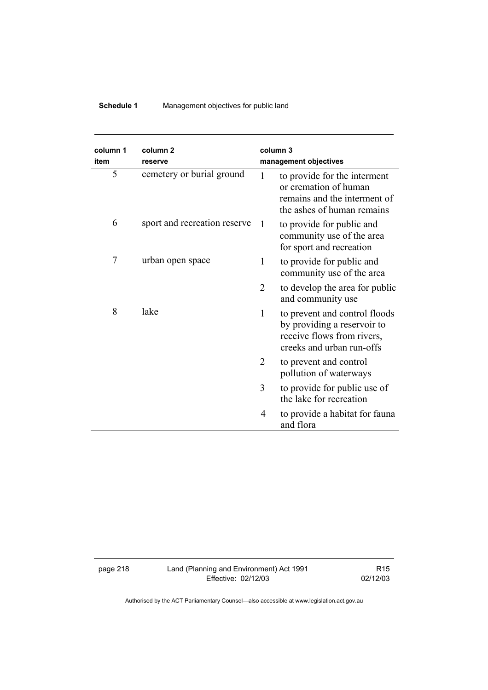## **Schedule 1** Management objectives for public land

| column 1<br>item | column <sub>2</sub><br>reserve |                | column 3<br>management objectives                                                                                       |
|------------------|--------------------------------|----------------|-------------------------------------------------------------------------------------------------------------------------|
| 5                | cemetery or burial ground      | 1              | to provide for the interment<br>or cremation of human<br>remains and the interment of<br>the ashes of human remains     |
| 6                | sport and recreation reserve   | 1              | to provide for public and<br>community use of the area<br>for sport and recreation                                      |
| 7                | urban open space               | 1              | to provide for public and<br>community use of the area                                                                  |
|                  |                                | $\overline{2}$ | to develop the area for public<br>and community use                                                                     |
| 8                | lake                           | $\mathbf{1}$   | to prevent and control floods<br>by providing a reservoir to<br>receive flows from rivers,<br>creeks and urban run-offs |
|                  |                                | 2              | to prevent and control<br>pollution of waterways                                                                        |
|                  |                                | 3              | to provide for public use of<br>the lake for recreation                                                                 |
|                  |                                | 4              | to provide a habitat for fauna<br>and flora                                                                             |

page 218 Land (Planning and Environment) Act 1991 Effective: 02/12/03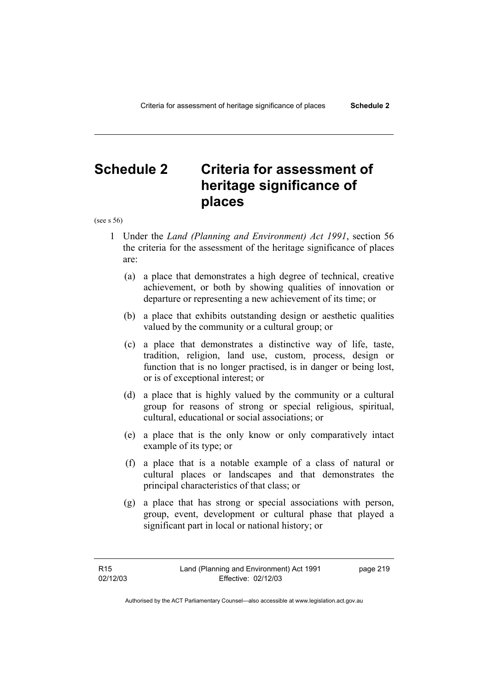# **Schedule 2 Criteria for assessment of heritage significance of places**

(see s 56)

- 1 Under the *Land (Planning and Environment) Act 1991*, section 56 the criteria for the assessment of the heritage significance of places are:
	- (a) a place that demonstrates a high degree of technical, creative achievement, or both by showing qualities of innovation or departure or representing a new achievement of its time; or
	- (b) a place that exhibits outstanding design or aesthetic qualities valued by the community or a cultural group; or
	- (c) a place that demonstrates a distinctive way of life, taste, tradition, religion, land use, custom, process, design or function that is no longer practised, is in danger or being lost, or is of exceptional interest; or
	- (d) a place that is highly valued by the community or a cultural group for reasons of strong or special religious, spiritual, cultural, educational or social associations; or
	- (e) a place that is the only know or only comparatively intact example of its type; or
	- (f) a place that is a notable example of a class of natural or cultural places or landscapes and that demonstrates the principal characteristics of that class; or
	- (g) a place that has strong or special associations with person, group, event, development or cultural phase that played a significant part in local or national history; or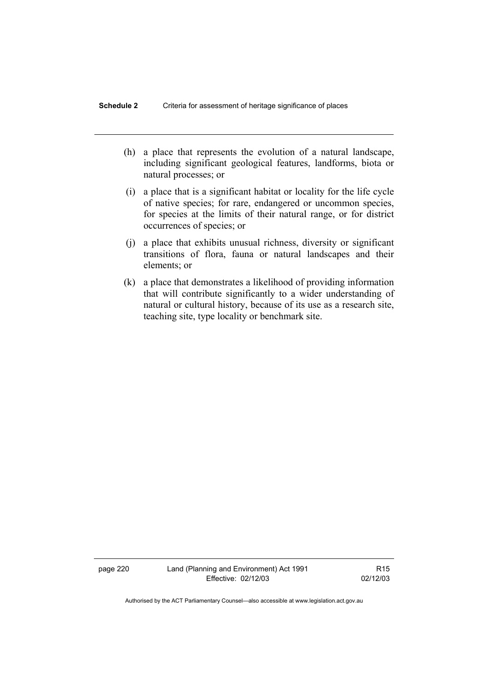- (h) a place that represents the evolution of a natural landscape, including significant geological features, landforms, biota or natural processes; or
- (i) a place that is a significant habitat or locality for the life cycle of native species; for rare, endangered or uncommon species, for species at the limits of their natural range, or for district occurrences of species; or
- (j) a place that exhibits unusual richness, diversity or significant transitions of flora, fauna or natural landscapes and their elements; or
- (k) a place that demonstrates a likelihood of providing information that will contribute significantly to a wider understanding of natural or cultural history, because of its use as a research site, teaching site, type locality or benchmark site.

page 220 Land (Planning and Environment) Act 1991 Effective: 02/12/03

R15 02/12/03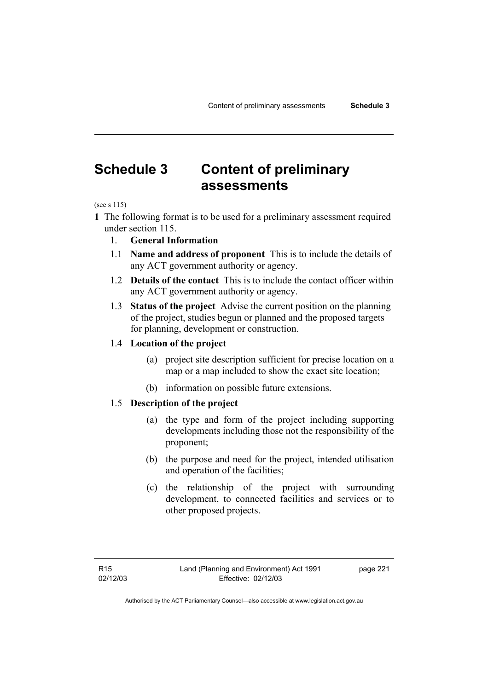# **Schedule 3 Content of preliminary assessments**

(see s 115)

- **1** The following format is to be used for a preliminary assessment required under section 115.
	- 1. **General Information**
	- 1.1 **Name and address of proponent** This is to include the details of any ACT government authority or agency.
	- 1.2 **Details of the contact** This is to include the contact officer within any ACT government authority or agency.
	- 1.3 **Status of the project** Advise the current position on the planning of the project, studies begun or planned and the proposed targets for planning, development or construction.

#### 1.4 **Location of the project**

- (a) project site description sufficient for precise location on a map or a map included to show the exact site location;
- (b) information on possible future extensions.

### 1.5 **Description of the project**

- (a) the type and form of the project including supporting developments including those not the responsibility of the proponent;
- (b) the purpose and need for the project, intended utilisation and operation of the facilities;
- (c) the relationship of the project with surrounding development, to connected facilities and services or to other proposed projects.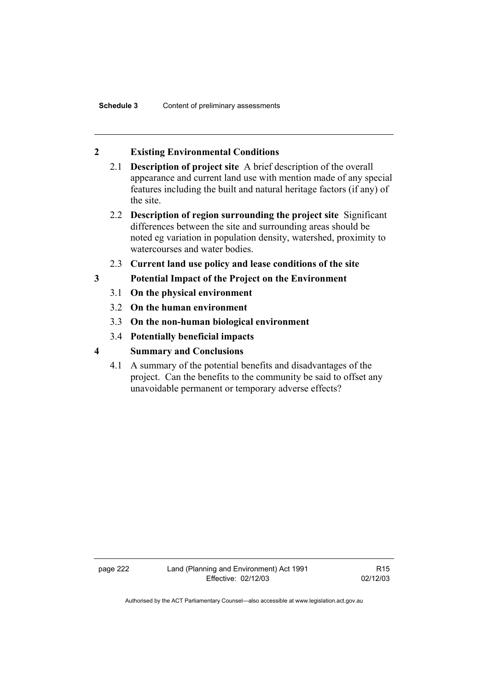### **2 Existing Environmental Conditions**

- 2.1 **Description of project site** A brief description of the overall appearance and current land use with mention made of any special features including the built and natural heritage factors (if any) of the site.
- 2.2 **Description of region surrounding the project site** Significant differences between the site and surrounding areas should be noted eg variation in population density, watershed, proximity to watercourses and water bodies.
- 2.3 **Current land use policy and lease conditions of the site**
- **3 Potential Impact of the Project on the Environment** 
	- 3.1 **On the physical environment**
	- 3.2 **On the human environment**
	- 3.3 **On the non-human biological environment**
	- 3.4 **Potentially beneficial impacts**
- **4 Summary and Conclusions** 
	- 4.1 A summary of the potential benefits and disadvantages of the project. Can the benefits to the community be said to offset any unavoidable permanent or temporary adverse effects?

page 222 Land (Planning and Environment) Act 1991 Effective: 02/12/03

R15 02/12/03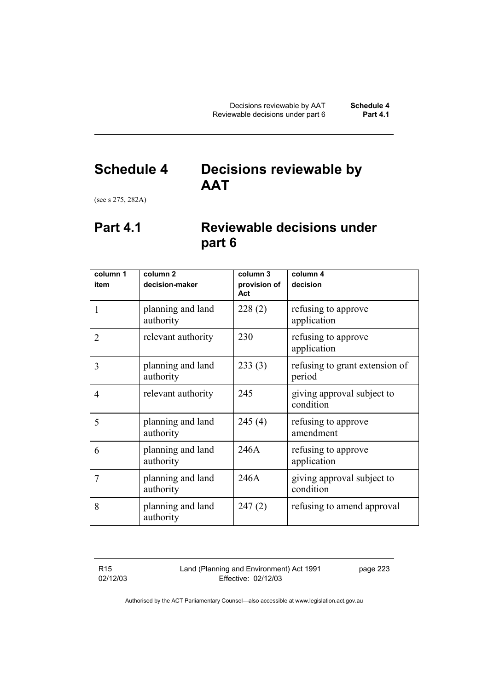# **Schedule 4 Decisions reviewable by AAT**

(see s 275, 282A)

# **Part 4.1 Reviewable decisions under part 6**

| column 1       | column <sub>2</sub>            | column 3            | column 4                                 |
|----------------|--------------------------------|---------------------|------------------------------------------|
| item           | decision-maker                 | provision of<br>Act | decision                                 |
| 1              | planning and land<br>authority | 228(2)              | refusing to approve<br>application       |
| $\overline{2}$ | relevant authority             | 230                 | refusing to approve<br>application       |
| 3              | planning and land<br>authority | 233(3)              | refusing to grant extension of<br>period |
| $\overline{4}$ | relevant authority             | 245                 | giving approval subject to<br>condition  |
| 5              | planning and land<br>authority | 245(4)              | refusing to approve<br>amendment         |
| 6              | planning and land<br>authority | 246A                | refusing to approve<br>application       |
| 7              | planning and land<br>authority | 246A                | giving approval subject to<br>condition  |
| 8              | planning and land<br>authority | 247(2)              | refusing to amend approval               |

R15 02/12/03 Land (Planning and Environment) Act 1991 Effective: 02/12/03

page 223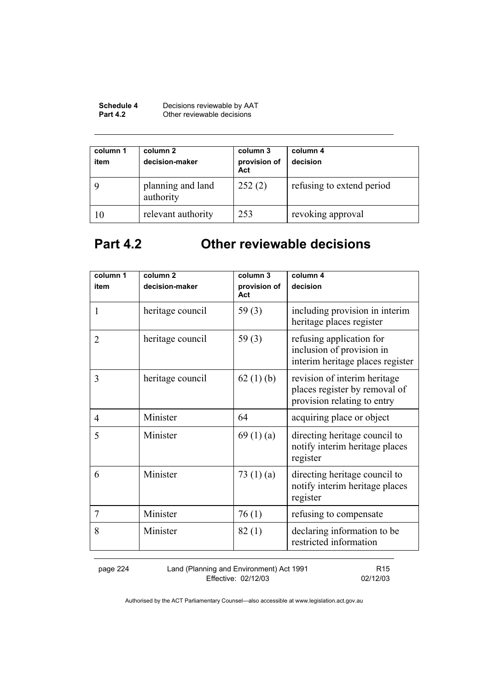| <b>Schedule 4</b> | Decisions reviewable by AAT |
|-------------------|-----------------------------|
| <b>Part 4.2</b>   | Other reviewable decisions  |

| column 1<br>item | column 2<br>decision-maker     | column 3<br>provision of<br>Act | column 4<br>decision      |
|------------------|--------------------------------|---------------------------------|---------------------------|
|                  | planning and land<br>authority | 252(2)                          | refusing to extend period |
| 10               | relevant authority             | 253                             | revoking approval         |

# **Part 4.2 Other reviewable decisions**

| column 1<br>item | column <sub>2</sub><br>decision-maker | column 3<br>provision of | column 4<br>decision                                                                         |
|------------------|---------------------------------------|--------------------------|----------------------------------------------------------------------------------------------|
| 1                | heritage council                      | Act<br>59 $(3)$          | including provision in interim<br>heritage places register                                   |
| $\overline{2}$   | heritage council                      | 59 $(3)$                 | refusing application for<br>inclusion of provision in<br>interim heritage places register    |
| 3                | heritage council                      | 62 $(1)$ (b)             | revision of interim heritage<br>places register by removal of<br>provision relating to entry |
| 4                | Minister                              | 64                       | acquiring place or object                                                                    |
| 5                | Minister                              | 69 $(1)(a)$              | directing heritage council to<br>notify interim heritage places<br>register                  |
| 6                | Minister                              | 73 $(1)(a)$              | directing heritage council to<br>notify interim heritage places<br>register                  |
| 7                | Minister                              | 76(1)                    | refusing to compensate                                                                       |
| 8                | Minister                              | 82(1)                    | declaring information to be<br>restricted information                                        |

page 224 Land (Planning and Environment) Act 1991 Effective: 02/12/03

R15 02/12/03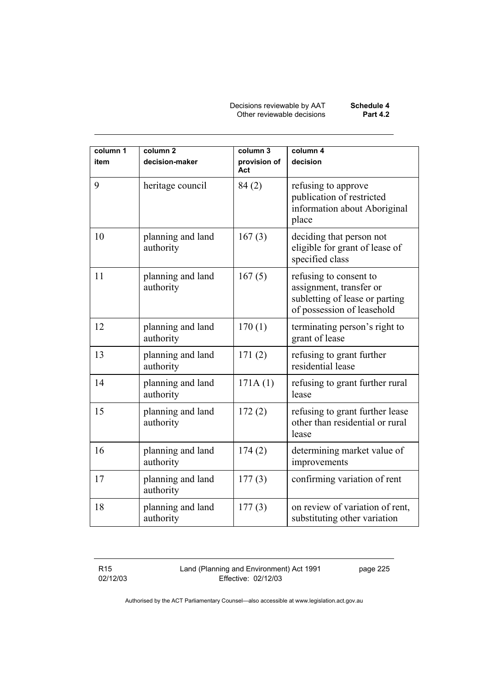Decisions reviewable by AAT **Schedule 4**  Other reviewable decisions **Part 4.2** 

| column 1<br>item | column <sub>2</sub><br>decision-maker | column 3<br>provision of<br>Act | column 4<br>decision                                                                                              |
|------------------|---------------------------------------|---------------------------------|-------------------------------------------------------------------------------------------------------------------|
| 9                | heritage council                      | 84(2)                           | refusing to approve<br>publication of restricted<br>information about Aboriginal<br>place                         |
| 10               | planning and land<br>authority        | 167(3)                          | deciding that person not<br>eligible for grant of lease of<br>specified class                                     |
| 11               | planning and land<br>authority        | 167(5)                          | refusing to consent to<br>assignment, transfer or<br>subletting of lease or parting<br>of possession of leasehold |
| 12               | planning and land<br>authority        | 170(1)                          | terminating person's right to<br>grant of lease                                                                   |
| 13               | planning and land<br>authority        | 171(2)                          | refusing to grant further<br>residential lease                                                                    |
| 14               | planning and land<br>authority        | 171A(1)                         | refusing to grant further rural<br>lease                                                                          |
| 15               | planning and land<br>authority        | 172(2)                          | refusing to grant further lease<br>other than residential or rural<br>lease                                       |
| 16               | planning and land<br>authority        | 174(2)                          | determining market value of<br>improvements                                                                       |
| 17               | planning and land<br>authority        | 177(3)                          | confirming variation of rent                                                                                      |
| 18               | planning and land<br>authority        | 177(3)                          | on review of variation of rent,<br>substituting other variation                                                   |

R15 02/12/03 Land (Planning and Environment) Act 1991 Effective: 02/12/03

page 225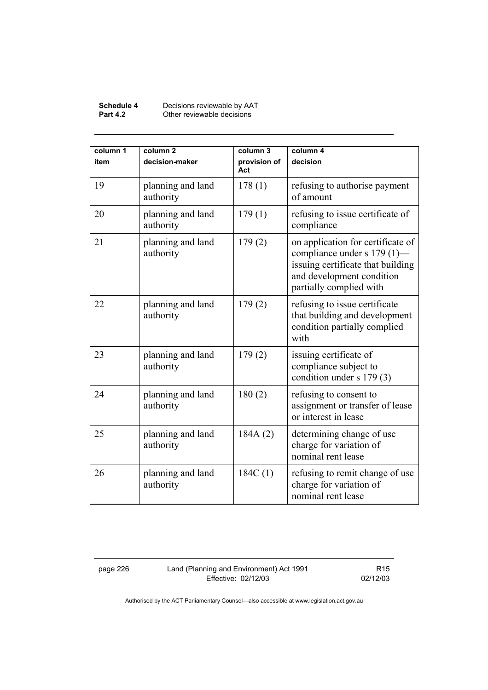#### **Schedule 4** Decisions reviewable by AAT **Part 4.2 Other reviewable decisions**

| column 1<br>item | column <sub>2</sub><br>decision-maker | column 3<br>provision of<br>Act | column 4<br>decision                                                                                                                                          |
|------------------|---------------------------------------|---------------------------------|---------------------------------------------------------------------------------------------------------------------------------------------------------------|
| 19               | planning and land<br>authority        | 178(1)                          | refusing to authorise payment<br>of amount                                                                                                                    |
| 20               | planning and land<br>authority        | 179(1)                          | refusing to issue certificate of<br>compliance                                                                                                                |
| 21               | planning and land<br>authority        | 179(2)                          | on application for certificate of<br>compliance under s 179 (1)-<br>issuing certificate that building<br>and development condition<br>partially complied with |
| 22               | planning and land<br>authority        | 179(2)                          | refusing to issue certificate<br>that building and development<br>condition partially complied<br>with                                                        |
| 23               | planning and land<br>authority        | 179(2)                          | issuing certificate of<br>compliance subject to<br>condition under s 179 (3)                                                                                  |
| 24               | planning and land<br>authority        | 180(2)                          | refusing to consent to<br>assignment or transfer of lease<br>or interest in lease                                                                             |
| 25               | planning and land<br>authority        | 184A(2)                         | determining change of use<br>charge for variation of<br>nominal rent lease                                                                                    |
| 26               | planning and land<br>authority        | 184C(1)                         | refusing to remit change of use<br>charge for variation of<br>nominal rent lease                                                                              |

page 226 Land (Planning and Environment) Act 1991 Effective: 02/12/03

R15 02/12/03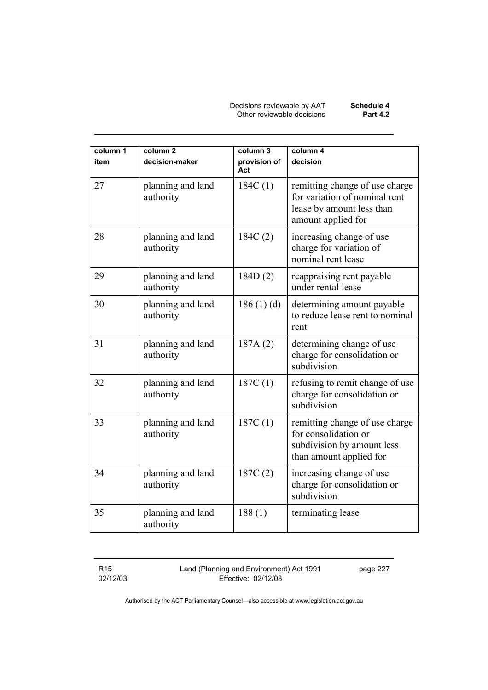Decisions reviewable by AAT **Schedule 4**  Other reviewable decisions **Part 4.2** 

| column 1<br>item | column <sub>2</sub><br>decision-maker | column 3<br>provision of<br>Act | column 4<br>decision                                                                                               |
|------------------|---------------------------------------|---------------------------------|--------------------------------------------------------------------------------------------------------------------|
| 27               | planning and land<br>authority        | 184C(1)                         | remitting change of use charge<br>for variation of nominal rent<br>lease by amount less than<br>amount applied for |
| 28               | planning and land<br>authority        | 184C(2)                         | increasing change of use<br>charge for variation of<br>nominal rent lease                                          |
| 29               | planning and land<br>authority        | 184D(2)                         | reappraising rent payable<br>under rental lease                                                                    |
| 30               | planning and land<br>authority        | 186(1)(d)                       | determining amount payable<br>to reduce lease rent to nominal<br>rent                                              |
| 31               | planning and land<br>authority        | 187A(2)                         | determining change of use<br>charge for consolidation or<br>subdivision                                            |
| 32               | planning and land<br>authority        | 187C(1)                         | refusing to remit change of use<br>charge for consolidation or<br>subdivision                                      |
| 33               | planning and land<br>authority        | 187C(1)                         | remitting change of use charge<br>for consolidation or<br>subdivision by amount less<br>than amount applied for    |
| 34               | planning and land<br>authority        | 187C(2)                         | increasing change of use<br>charge for consolidation or<br>subdivision                                             |
| 35               | planning and land<br>authority        | 188(1)                          | terminating lease                                                                                                  |

R15 02/12/03 Land (Planning and Environment) Act 1991 Effective: 02/12/03

page 227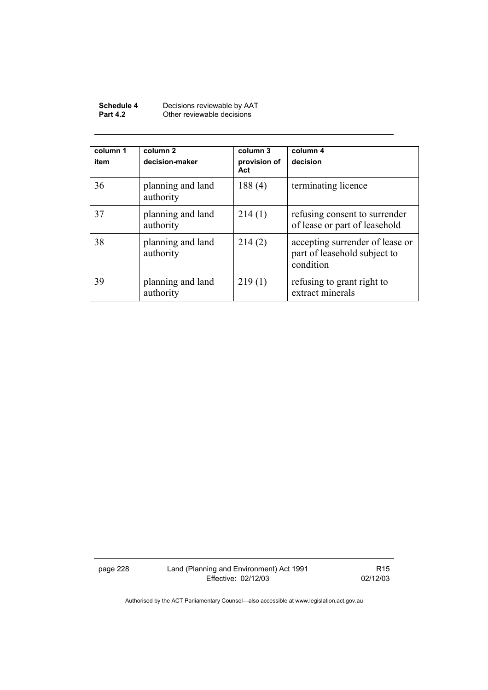| Schedule 4      | Decisions reviewable by AAT |
|-----------------|-----------------------------|
| <b>Part 4.2</b> | Other reviewable decisions  |

| column 1<br>item | column <sub>2</sub><br>decision-maker | column 3<br>provision of<br>Act | column 4<br>decision                                                         |
|------------------|---------------------------------------|---------------------------------|------------------------------------------------------------------------------|
| 36               | planning and land<br>authority        | 188(4)                          | terminating licence                                                          |
| 37               | planning and land<br>authority        | 214(1)                          | refusing consent to surrender<br>of lease or part of leasehold               |
| 38               | planning and land<br>authority        | 214(2)                          | accepting surrender of lease or<br>part of leasehold subject to<br>condition |
| 39               | planning and land<br>authority        | 219(1)                          | refusing to grant right to<br>extract minerals                               |

page 228 Land (Planning and Environment) Act 1991 Effective: 02/12/03

R15 02/12/03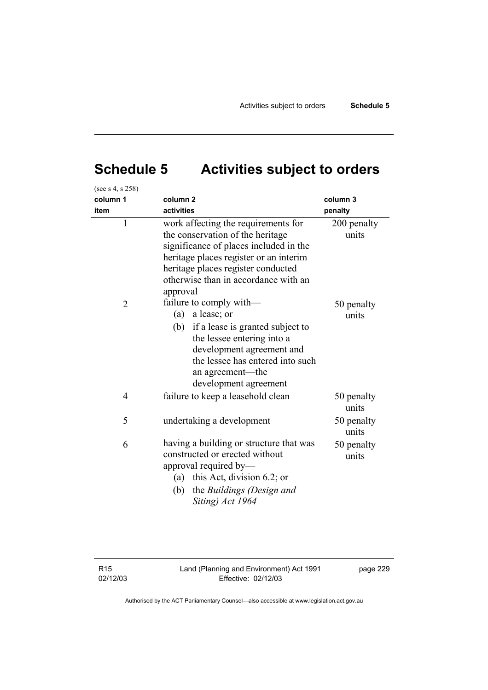# **Schedule 5 Activities subject to orders**

| (see s 4, s 258) |                                                                                                                                                                                                                                                       |                      |
|------------------|-------------------------------------------------------------------------------------------------------------------------------------------------------------------------------------------------------------------------------------------------------|----------------------|
| column 1         | column <sub>2</sub>                                                                                                                                                                                                                                   | column 3             |
| item             | activities                                                                                                                                                                                                                                            | penalty              |
| $\mathbf{1}$     | work affecting the requirements for<br>the conservation of the heritage<br>significance of places included in the<br>heritage places register or an interim<br>heritage places register conducted<br>otherwise than in accordance with an<br>approval | 200 penalty<br>units |
| $\overline{2}$   | failure to comply with—<br>(a)<br>a lease; or<br>(b) if a lease is granted subject to<br>the lessee entering into a<br>development agreement and<br>the lessee has entered into such<br>an agreement—the<br>development agreement                     | 50 penalty<br>units  |
| $\overline{4}$   | failure to keep a leasehold clean                                                                                                                                                                                                                     | 50 penalty<br>units  |
| 5                | undertaking a development                                                                                                                                                                                                                             | 50 penalty<br>units  |
| 6                | having a building or structure that was<br>constructed or erected without<br>approval required by—<br>(a) this Act, division 6.2; or<br>the Buildings (Design and<br>(b)<br>Siting) Act 1964                                                          | 50 penalty<br>units  |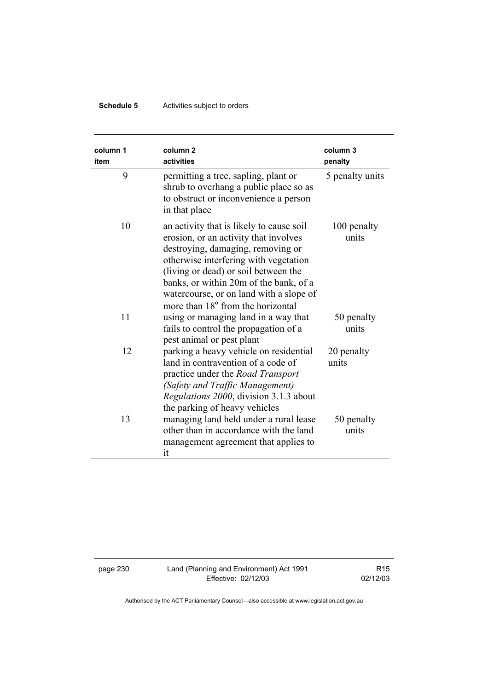## **Schedule 5** Activities subject to orders

| column 1<br>item | column <sub>2</sub><br>activities                                                                                                                                                                                                                                                                                                             | column 3<br>penalty  |
|------------------|-----------------------------------------------------------------------------------------------------------------------------------------------------------------------------------------------------------------------------------------------------------------------------------------------------------------------------------------------|----------------------|
| 9                | permitting a tree, sapling, plant or<br>shrub to overhang a public place so as<br>to obstruct or inconvenience a person<br>in that place                                                                                                                                                                                                      | 5 penalty units      |
| 10               | an activity that is likely to cause soil<br>erosion, or an activity that involves<br>destroying, damaging, removing or<br>otherwise interfering with vegetation<br>(living or dead) or soil between the<br>banks, or within 20m of the bank, of a<br>watercourse, or on land with a slope of<br>more than 18 <sup>°</sup> from the horizontal | 100 penalty<br>units |
| 11               | using or managing land in a way that<br>fails to control the propagation of a<br>pest animal or pest plant                                                                                                                                                                                                                                    | 50 penalty<br>units  |
| 12               | parking a heavy vehicle on residential<br>land in contravention of a code of<br>practice under the Road Transport<br>(Safety and Traffic Management)<br>Regulations 2000, division 3.1.3 about<br>the parking of heavy vehicles                                                                                                               | 20 penalty<br>units  |
| 13               | managing land held under a rural lease<br>other than in accordance with the land<br>management agreement that applies to<br>it                                                                                                                                                                                                                | 50 penalty<br>units  |

page 230 Land (Planning and Environment) Act 1991 Effective: 02/12/03

R15 02/12/03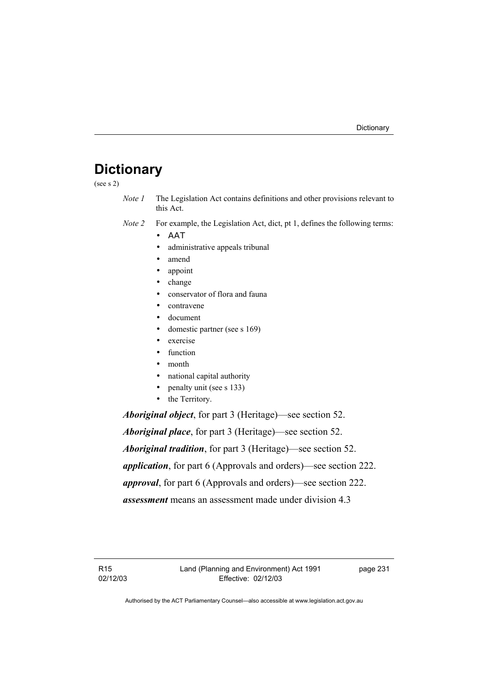# **Dictionary**

(see s 2)

- *Note 1* The Legislation Act contains definitions and other provisions relevant to this Act.
- *Note 2* For example, the Legislation Act, dict, pt 1, defines the following terms:
	- ΑΑΤ
	- administrative appeals tribunal
	- amend
	- appoint
	- change
	- conservator of flora and fauna
	- contravene
	- document
	- domestic partner (see s 169)
	- exercise
	- function
	- month
	- national capital authority
	- penalty unit (see s 133)
	- the Territory.

*Aboriginal object*, for part 3 (Heritage)—see section 52.

*Aboriginal place*, for part 3 (Heritage)—see section 52. *Aboriginal tradition*, for part 3 (Heritage)—see section 52. *application*, for part 6 (Approvals and orders)—see section 222. *approval*, for part 6 (Approvals and orders)—see section 222. *assessment* means an assessment made under division 4.3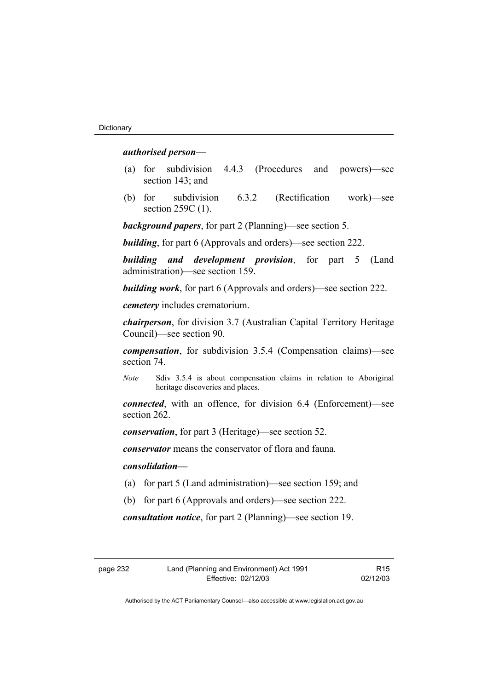#### *authorised person*—

- (a) for subdivision 4.4.3 (Procedures and powers)—see section 143; and
- (b) for subdivision 6.3.2 (Rectification work)—see section 259C (1).

*background papers*, for part 2 (Planning)—see section 5.

*building*, for part 6 (Approvals and orders)—see section 222.

*building and development provision*, for part 5 (Land administration)—see section 159.

*building work*, for part 6 (Approvals and orders)—see section 222.

*cemetery* includes crematorium.

*chairperson*, for division 3.7 (Australian Capital Territory Heritage Council)—see section 90.

*compensation*, for subdivision 3.5.4 (Compensation claims)—see section 74.

*Note* Sdiv 3.5.4 is about compensation claims in relation to Aboriginal heritage discoveries and places.

*connected*, with an offence, for division 6.4 (Enforcement)—see section 262.

*conservation*, for part 3 (Heritage)—see section 52.

*conservator* means the conservator of flora and fauna*.*

#### *consolidation—*

- (a) for part 5 (Land administration)—see section 159; and
- (b) for part 6 (Approvals and orders)—see section 222.

*consultation notice*, for part 2 (Planning)—see section 19.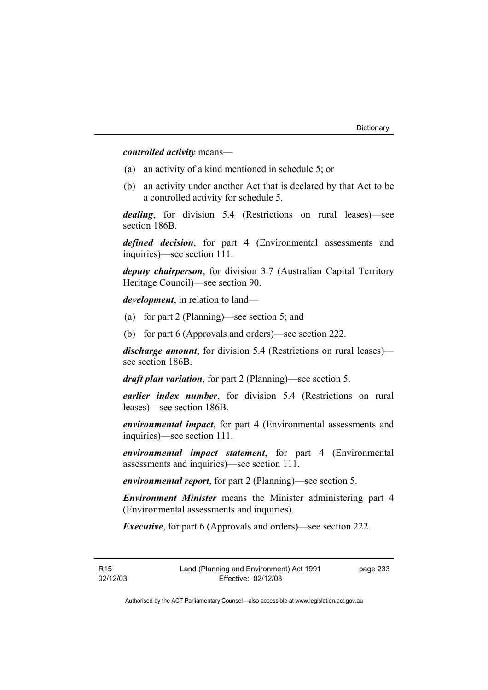*controlled activity* means—

- (a) an activity of a kind mentioned in schedule 5; or
- (b) an activity under another Act that is declared by that Act to be a controlled activity for schedule 5.

*dealing*, for division 5.4 (Restrictions on rural leases)—see section 186B.

*defined decision*, for part 4 (Environmental assessments and inquiries)—see section 111.

*deputy chairperson*, for division 3.7 (Australian Capital Territory Heritage Council)—see section 90.

*development*, in relation to land—

- (a) for part 2 (Planning)—see section 5; and
- (b) for part 6 (Approvals and orders)—see section 222.

*discharge amount*, for division 5.4 (Restrictions on rural leases) see section 186B.

*draft plan variation*, for part 2 (Planning)—see section 5.

*earlier index number*, for division 5.4 (Restrictions on rural leases)—see section 186B.

*environmental impact*, for part 4 (Environmental assessments and inquiries)—see section 111.

*environmental impact statement*, for part 4 (Environmental assessments and inquiries)—see section 111.

*environmental report*, for part 2 (Planning)—see section 5.

*Environment Minister* means the Minister administering part 4 (Environmental assessments and inquiries).

*Executive*, for part 6 (Approvals and orders)—see section 222.

R15 02/12/03 page 233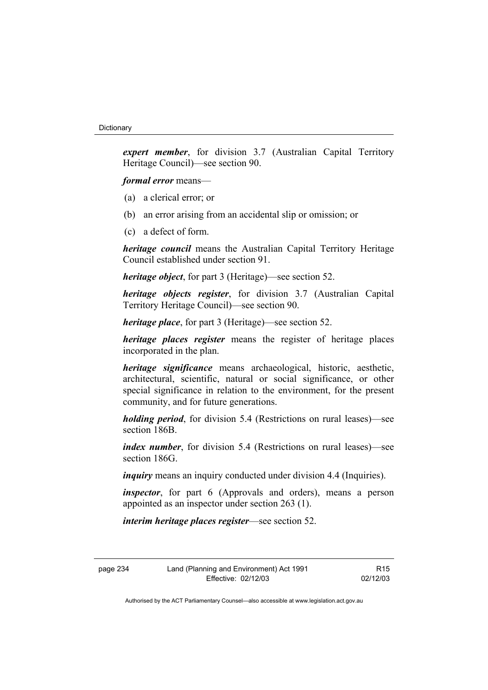*expert member*, for division 3.7 (Australian Capital Territory Heritage Council)—see section 90.

*formal error* means—

- (a) a clerical error; or
- (b) an error arising from an accidental slip or omission; or
- (c) a defect of form.

*heritage council* means the Australian Capital Territory Heritage Council established under section 91.

*heritage object*, for part 3 (Heritage)—see section 52.

*heritage objects register*, for division 3.7 (Australian Capital Territory Heritage Council)—see section 90.

*heritage place*, for part 3 (Heritage)—see section 52.

*heritage places register* means the register of heritage places incorporated in the plan.

*heritage significance* means archaeological, historic, aesthetic, architectural, scientific, natural or social significance, or other special significance in relation to the environment, for the present community, and for future generations.

*holding period*, for division 5.4 (Restrictions on rural leases)—see section 186B.

*index number*, for division 5.4 (Restrictions on rural leases)—see section 186G.

*inquiry* means an inquiry conducted under division 4.4 (Inquiries).

*inspector*, for part 6 (Approvals and orders), means a person appointed as an inspector under section 263 (1).

*interim heritage places register*—see section 52.

page 234 Land (Planning and Environment) Act 1991 Effective: 02/12/03

R15 02/12/03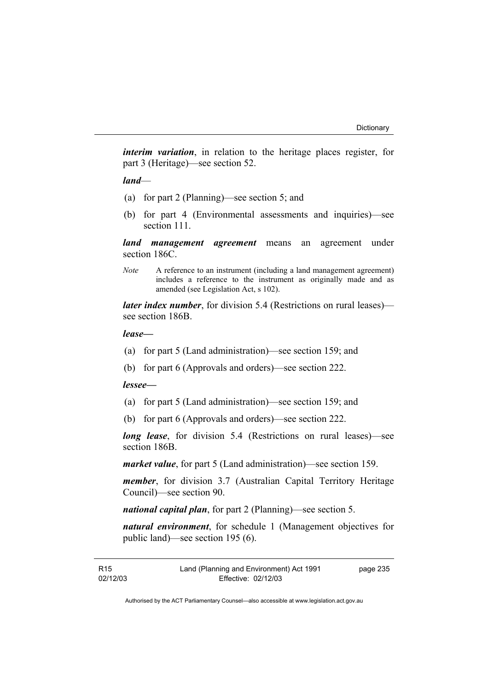*interim variation*, in relation to the heritage places register, for part 3 (Heritage)—see section 52.

*land*—

- (a) for part 2 (Planning)—see section 5; and
- (b) for part 4 (Environmental assessments and inquiries)—see section 111.

*land management agreement* means an agreement under section 186C.

*Note* A reference to an instrument (including a land management agreement) includes a reference to the instrument as originally made and as amended (see Legislation Act, s 102).

*later index number*, for division 5.4 (Restrictions on rural leases) see section 186B.

#### *lease—*

- (a) for part 5 (Land administration)—see section 159; and
- (b) for part 6 (Approvals and orders)—see section 222.

#### *lessee—*

- (a) for part 5 (Land administration)—see section 159; and
- (b) for part 6 (Approvals and orders)—see section 222.

*long lease*, for division 5.4 (Restrictions on rural leases)—see section 186B.

*market value*, for part 5 (Land administration)—see section 159.

*member*, for division 3.7 (Australian Capital Territory Heritage Council)—see section 90.

*national capital plan*, for part 2 (Planning)—see section 5.

*natural environment*, for schedule 1 (Management objectives for public land)—see section 195 (6).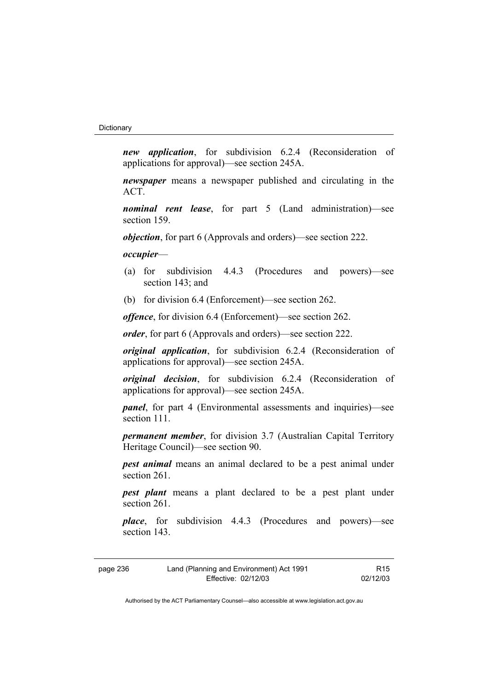*new application*, for subdivision 6.2.4 (Reconsideration of applications for approval)—see section 245A.

*newspaper* means a newspaper published and circulating in the ACT.

*nominal rent lease*, for part 5 (Land administration)—see section 159.

*objection*, for part 6 (Approvals and orders)—see section 222.

*occupier*—

- (a) for subdivision 4.4.3 (Procedures and powers)—see section 143; and
- (b) for division 6.4 (Enforcement)—see section 262.

*offence*, for division 6.4 (Enforcement)—see section 262.

*order*, for part 6 (Approvals and orders)—see section 222.

*original application*, for subdivision 6.2.4 (Reconsideration of applications for approval)—see section 245A.

*original decision*, for subdivision 6.2.4 (Reconsideration of applications for approval)—see section 245A.

*panel*, for part 4 (Environmental assessments and inquiries)—see section 111

*permanent member*, for division 3.7 (Australian Capital Territory Heritage Council)—see section 90.

*pest animal* means an animal declared to be a pest animal under section 261.

*pest plant* means a plant declared to be a pest plant under section 261.

*place*, for subdivision 4.4.3 (Procedures and powers)—see section 143.

| page 236 |  |  |
|----------|--|--|
|          |  |  |

R15 02/12/03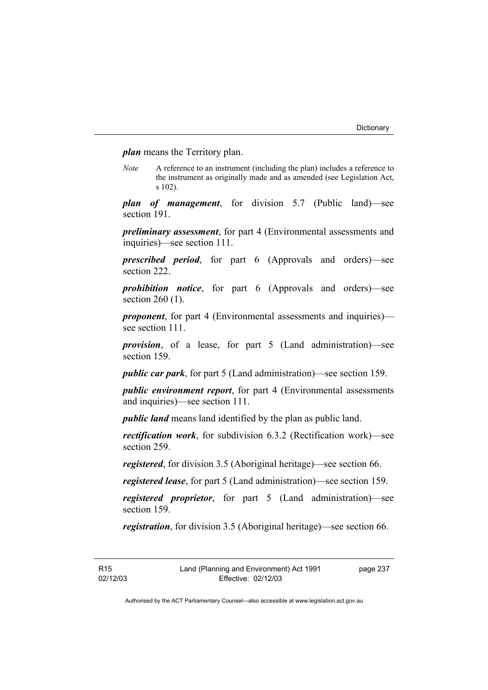*plan* means the Territory plan.

*Note* A reference to an instrument (including the plan) includes a reference to the instrument as originally made and as amended (see Legislation Act, s 102).

*plan of management*, for division 5.7 (Public land)—see section 191.

*preliminary assessment*, for part 4 (Environmental assessments and inquiries)—see section 111.

*prescribed period*, for part 6 (Approvals and orders)—see section 222.

*prohibition notice*, for part 6 (Approvals and orders)—see section 260 (1).

*proponent*, for part 4 (Environmental assessments and inquiries) see section 111.

*provision*, of a lease, for part 5 (Land administration)—see section 159.

*public car park*, for part 5 (Land administration)—see section 159.

*public environment report*, for part 4 (Environmental assessments and inquiries)—see section 111.

*public land* means land identified by the plan as public land.

*rectification work*, for subdivision 6.3.2 (Rectification work)—see section 259.

*registered*, for division 3.5 (Aboriginal heritage)—see section 66.

*registered lease*, for part 5 (Land administration)—see section 159.

*registered proprietor*, for part 5 (Land administration)—see section 159.

*registration*, for division 3.5 (Aboriginal heritage)—see section 66.

R15 02/12/03 page 237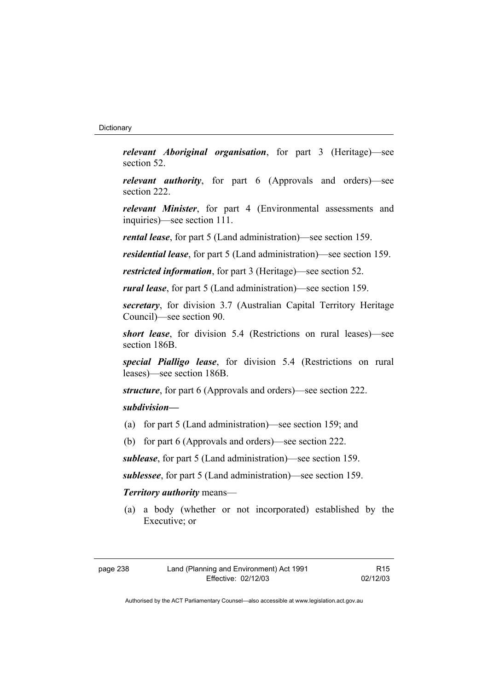*relevant Aboriginal organisation*, for part 3 (Heritage)—see section 52.

*relevant authority*, for part 6 (Approvals and orders)—see section 222.

*relevant Minister*, for part 4 (Environmental assessments and inquiries)—see section 111.

*rental lease*, for part 5 (Land administration)—see section 159.

*residential lease*, for part 5 (Land administration)—see section 159.

*restricted information*, for part 3 (Heritage)—see section 52.

*rural lease*, for part 5 (Land administration)—see section 159.

*secretary*, for division 3.7 (Australian Capital Territory Heritage Council)—see section 90.

*short lease*, for division 5.4 (Restrictions on rural leases)—see section 186B.

*special Pialligo lease*, for division 5.4 (Restrictions on rural leases)—see section 186B.

*structure*, for part 6 (Approvals and orders)—see section 222.

# *subdivision—*

- (a) for part 5 (Land administration)—see section 159; and
- (b) for part 6 (Approvals and orders)—see section 222.

*sublease*, for part 5 (Land administration)—see section 159.

*sublessee*, for part 5 (Land administration)—see section 159.

# *Territory authority* means—

 (a) a body (whether or not incorporated) established by the Executive; or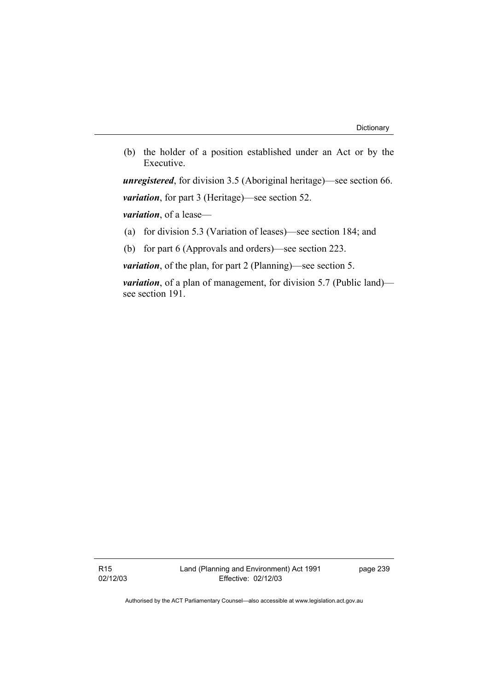(b) the holder of a position established under an Act or by the Executive.

*unregistered*, for division 3.5 (Aboriginal heritage)—see section 66. *variation*, for part 3 (Heritage)—see section 52.

*variation*, of a lease—

(a) for division 5.3 (Variation of leases)—see section 184; and

(b) for part 6 (Approvals and orders)—see section 223.

*variation*, of the plan, for part 2 (Planning)—see section 5.

*variation*, of a plan of management, for division 5.7 (Public land) see section 191.

R15 02/12/03 page 239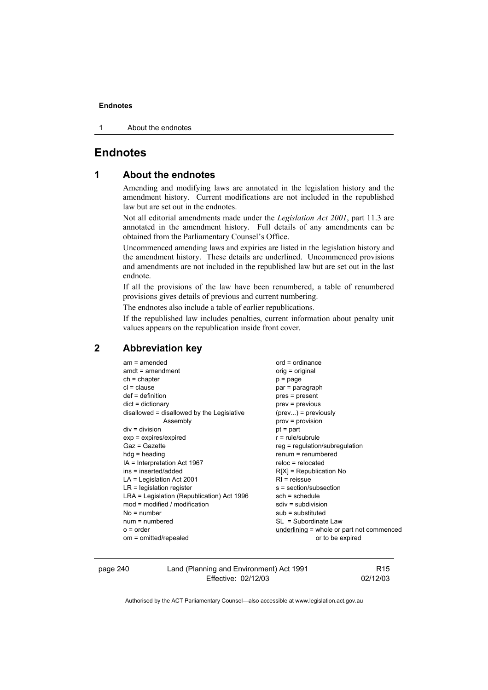1 About the endnotes

# **Endnotes**

# **1 About the endnotes**

Amending and modifying laws are annotated in the legislation history and the amendment history. Current modifications are not included in the republished law but are set out in the endnotes.

Not all editorial amendments made under the *Legislation Act 2001*, part 11.3 are annotated in the amendment history. Full details of any amendments can be obtained from the Parliamentary Counsel's Office.

Uncommenced amending laws and expiries are listed in the legislation history and the amendment history. These details are underlined. Uncommenced provisions and amendments are not included in the republished law but are set out in the last endnote.

If all the provisions of the law have been renumbered, a table of renumbered provisions gives details of previous and current numbering.

The endnotes also include a table of earlier republications.

If the republished law includes penalties, current information about penalty unit values appears on the republication inside front cover.

# **2 Abbreviation key**

| $am = amended$                             | $ord = ordinance$            |
|--------------------------------------------|------------------------------|
| $amdt = amendment$                         | orig = original              |
| $ch = chapter$                             | $p = page$                   |
| $cl = clause$                              | par = paragraph              |
| $def = definition$                         | $pres = present$             |
| $dict = dictionary$                        | $prev = previous$            |
| disallowed = disallowed by the Legislative | $(\text{prev})$ = previously |
| Assembly                                   | $prov = provision$           |
| $div = division$                           | $pt = part$                  |
| $exp = expires/expired$                    | $r = rule/subrule$           |
| Gaz = Gazette                              | $reg = regulation/subregu$   |
| $hdg =$ heading                            | $remum = remumbered$         |
| IA = Interpretation Act 1967               | $reloc = relocated$          |
| ins = inserted/added                       | $R[X]$ = Republication No    |
| $LA =$ Legislation Act 2001                | $RI =$ reissue               |
| $LR =$ legislation register                | s = section/subsection       |
| LRA = Legislation (Republication) Act 1996 | $sch = schedule$             |
| $mod =$ modified / modification            | $sdiv = subdivision$         |
| $No = number$                              | $sub =$ substituted          |
| $num = numbered$                           | $SL = Subordinate Law$       |
| $o = order$                                | underlining $=$ whole or pa  |
| om = omitted/repealed                      | or to be ex                  |

oregulation or part not commenced oe expired

page 240 Land (Planning and Environment) Act 1991 Effective: 02/12/03

R15 02/12/03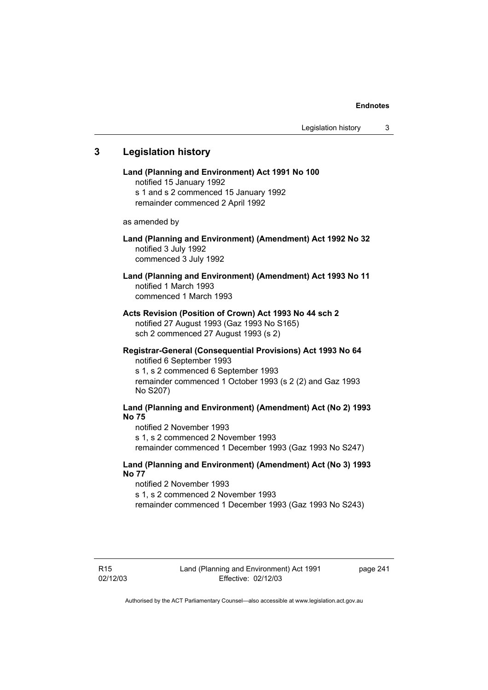# **3 Legislation history**

**Land (Planning and Environment) Act 1991 No 100**  notified 15 January 1992 s 1 and s 2 commenced 15 January 1992 remainder commenced 2 April 1992 as amended by **Land (Planning and Environment) (Amendment) Act 1992 No 32**  notified 3 July 1992 commenced 3 July 1992 **Land (Planning and Environment) (Amendment) Act 1993 No 11**  notified 1 March 1993 commenced 1 March 1993 **Acts Revision (Position of Crown) Act 1993 No 44 sch 2**  notified 27 August 1993 (Gaz 1993 No S165) sch 2 commenced 27 August 1993 (s 2) **Registrar-General (Consequential Provisions) Act 1993 No 64**  notified 6 September 1993 s 1, s 2 commenced 6 September 1993 remainder commenced 1 October 1993 (s 2 (2) and Gaz 1993 No S207) **Land (Planning and Environment) (Amendment) Act (No 2) 1993 No 75**  notified 2 November 1993 s 1, s 2 commenced 2 November 1993 remainder commenced 1 December 1993 (Gaz 1993 No S247) **Land (Planning and Environment) (Amendment) Act (No 3) 1993** 

#### **No 77**

notified 2 November 1993 s 1, s 2 commenced 2 November 1993 remainder commenced 1 December 1993 (Gaz 1993 No S243)

page 241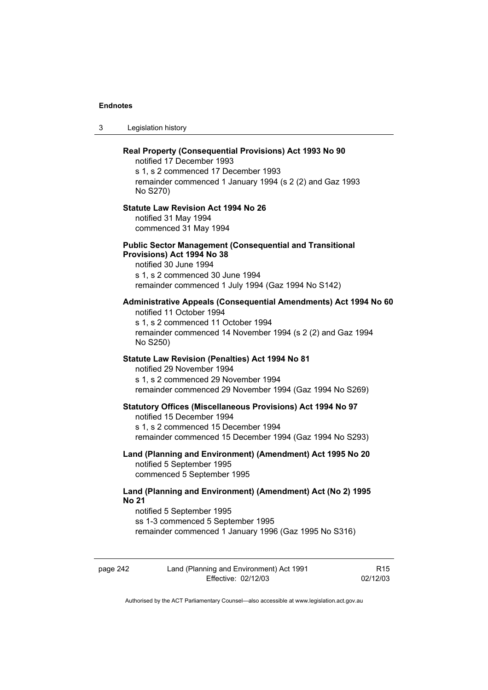3 Legislation history

|          | Real Property (Consequential Provisions) Act 1993 No 90<br>notified 17 December 1993<br>s 1, s 2 commenced 17 December 1993<br>remainder commenced 1 January 1994 (s 2 (2) and Gaz 1993<br>No S270)             |                 |
|----------|-----------------------------------------------------------------------------------------------------------------------------------------------------------------------------------------------------------------|-----------------|
|          | <b>Statute Law Revision Act 1994 No 26</b><br>notified 31 May 1994<br>commenced 31 May 1994                                                                                                                     |                 |
|          | <b>Public Sector Management (Consequential and Transitional</b><br>Provisions) Act 1994 No 38<br>notified 30 June 1994<br>s 1, s 2 commenced 30 June 1994<br>remainder commenced 1 July 1994 (Gaz 1994 No S142) |                 |
|          | Administrative Appeals (Consequential Amendments) Act 1994 No 60<br>notified 11 October 1994<br>s 1, s 2 commenced 11 October 1994<br>remainder commenced 14 November 1994 (s 2 (2) and Gaz 1994<br>No S250)    |                 |
|          | Statute Law Revision (Penalties) Act 1994 No 81<br>notified 29 November 1994<br>s 1, s 2 commenced 29 November 1994<br>remainder commenced 29 November 1994 (Gaz 1994 No S269)                                  |                 |
|          | Statutory Offices (Miscellaneous Provisions) Act 1994 No 97<br>notified 15 December 1994<br>s 1, s 2 commenced 15 December 1994<br>remainder commenced 15 December 1994 (Gaz 1994 No S293)                      |                 |
|          | Land (Planning and Environment) (Amendment) Act 1995 No 20<br>notified 5 September 1995<br>commenced 5 September 1995                                                                                           |                 |
| No 21    | Land (Planning and Environment) (Amendment) Act (No 2) 1995<br>notified 5 September 1995<br>ss 1-3 commenced 5 September 1995<br>remainder commenced 1 January 1996 (Gaz 1995 No S316)                          |                 |
| page 242 | Land (Planning and Environment) Act 1991                                                                                                                                                                        | R <sub>15</sub> |

Authorised by the ACT Parliamentary Counsel—also accessible at www.legislation.act.gov.au

Effective: 02/12/03

02/12/03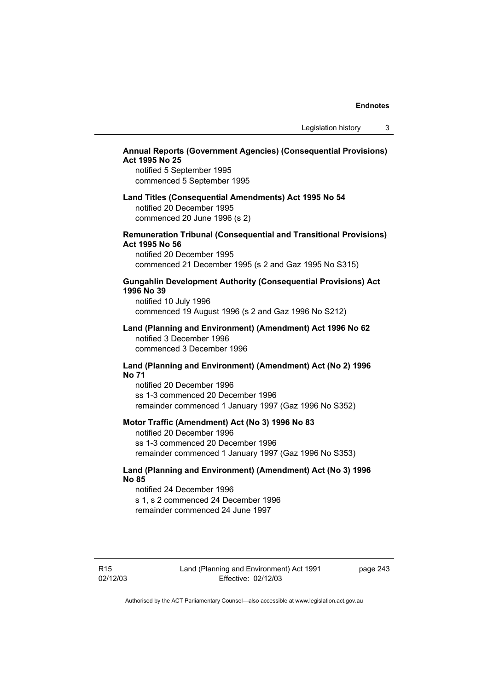# **Annual Reports (Government Agencies) (Consequential Provisions) Act 1995 No 25**

notified 5 September 1995 commenced 5 September 1995

# **Land Titles (Consequential Amendments) Act 1995 No 54**  notified 20 December 1995 commenced 20 June 1996 (s 2)

### **Remuneration Tribunal (Consequential and Transitional Provisions) Act 1995 No 56**

notified 20 December 1995 commenced 21 December 1995 (s 2 and Gaz 1995 No S315)

# **Gungahlin Development Authority (Consequential Provisions) Act 1996 No 39**

notified 10 July 1996 commenced 19 August 1996 (s 2 and Gaz 1996 No S212)

### **Land (Planning and Environment) (Amendment) Act 1996 No 62**  notified 3 December 1996 commenced 3 December 1996

# **Land (Planning and Environment) (Amendment) Act (No 2) 1996 No 71**

notified 20 December 1996 ss 1-3 commenced 20 December 1996 remainder commenced 1 January 1997 (Gaz 1996 No S352)

### **Motor Traffic (Amendment) Act (No 3) 1996 No 83**

notified 20 December 1996 ss 1-3 commenced 20 December 1996 remainder commenced 1 January 1997 (Gaz 1996 No S353)

# **Land (Planning and Environment) (Amendment) Act (No 3) 1996 No 85**

notified 24 December 1996 s 1, s 2 commenced 24 December 1996 remainder commenced 24 June 1997

page 243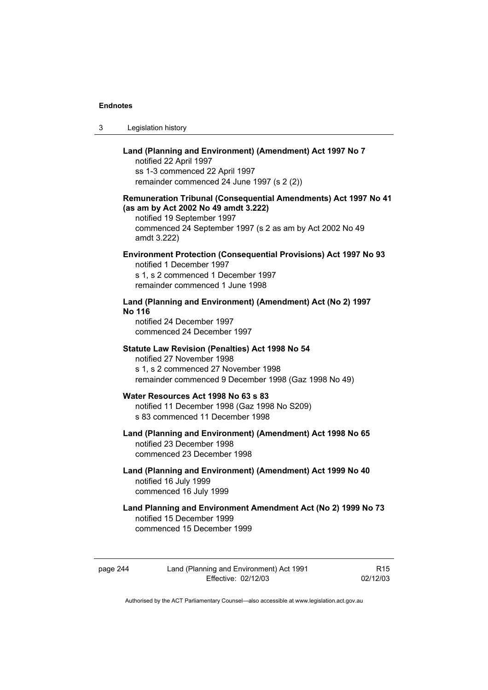| -3 | Legislation history |
|----|---------------------|
|----|---------------------|

# **Land (Planning and Environment) (Amendment) Act 1997 No 7**  notified 22 April 1997 ss 1-3 commenced 22 April 1997 remainder commenced 24 June 1997 (s 2 (2)) **Remuneration Tribunal (Consequential Amendments) Act 1997 No 41 (as am by Act 2002 No 49 amdt 3.222)**  notified 19 September 1997 commenced 24 September 1997 (s 2 as am by Act 2002 No 49 amdt 3.222) **Environment Protection (Consequential Provisions) Act 1997 No 93**  notified 1 December 1997 s 1, s 2 commenced 1 December 1997 remainder commenced 1 June 1998 **Land (Planning and Environment) (Amendment) Act (No 2) 1997 No 116**  notified 24 December 1997 commenced 24 December 1997 **Statute Law Revision (Penalties) Act 1998 No 54**  notified 27 November 1998 s 1, s 2 commenced 27 November 1998 remainder commenced 9 December 1998 (Gaz 1998 No 49) **Water Resources Act 1998 No 63 s 83**  notified 11 December 1998 (Gaz 1998 No S209) s 83 commenced 11 December 1998 **Land (Planning and Environment) (Amendment) Act 1998 No 65**  notified 23 December 1998 commenced 23 December 1998 **Land (Planning and Environment) (Amendment) Act 1999 No 40**  notified 16 July 1999 commenced 16 July 1999 **Land Planning and Environment Amendment Act (No 2) 1999 No 73**  notified 15 December 1999

commenced 15 December 1999

page 244 Land (Planning and Environment) Act 1991 Effective: 02/12/03

R15 02/12/03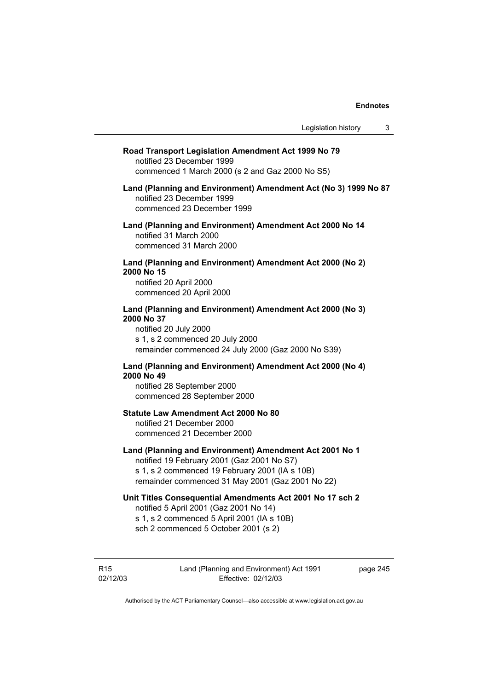| Road Transport Legislation Amendment Act 1999 No 79<br>notified 23 December 1999<br>commenced 1 March 2000 (s 2 and Gaz 2000 No S5)                                                                         |
|-------------------------------------------------------------------------------------------------------------------------------------------------------------------------------------------------------------|
| Land (Planning and Environment) Amendment Act (No 3) 1999 No 87<br>notified 23 December 1999<br>commenced 23 December 1999                                                                                  |
| Land (Planning and Environment) Amendment Act 2000 No 14<br>notified 31 March 2000<br>commenced 31 March 2000                                                                                               |
| Land (Planning and Environment) Amendment Act 2000 (No 2)<br>2000 No 15<br>notified 20 April 2000<br>commenced 20 April 2000                                                                                |
| Land (Planning and Environment) Amendment Act 2000 (No 3)<br>2000 No 37<br>notified 20 July 2000<br>s 1, s 2 commenced 20 July 2000<br>remainder commenced 24 July 2000 (Gaz 2000 No S39)                   |
| Land (Planning and Environment) Amendment Act 2000 (No 4)<br>2000 No 49<br>notified 28 September 2000<br>commenced 28 September 2000                                                                        |
| <b>Statute Law Amendment Act 2000 No 80</b><br>notified 21 December 2000<br>commenced 21 December 2000                                                                                                      |
| Land (Planning and Environment) Amendment Act 2001 No 1<br>notified 19 February 2001 (Gaz 2001 No S7)<br>s 1, s 2 commenced 19 February 2001 (IA s 10B)<br>remainder commenced 31 May 2001 (Gaz 2001 No 22) |
| Unit Titles Consequential Amendments Act 2001 No 17 sch 2<br>notified 5 April 2001 (Gaz 2001 No 14)<br>s 1, s 2 commenced 5 April 2001 (IA s 10B)<br>sch 2 commenced 5 October 2001 (s 2)                   |
|                                                                                                                                                                                                             |

R15 02/12/03 Land (Planning and Environment) Act 1991 Effective: 02/12/03

page 245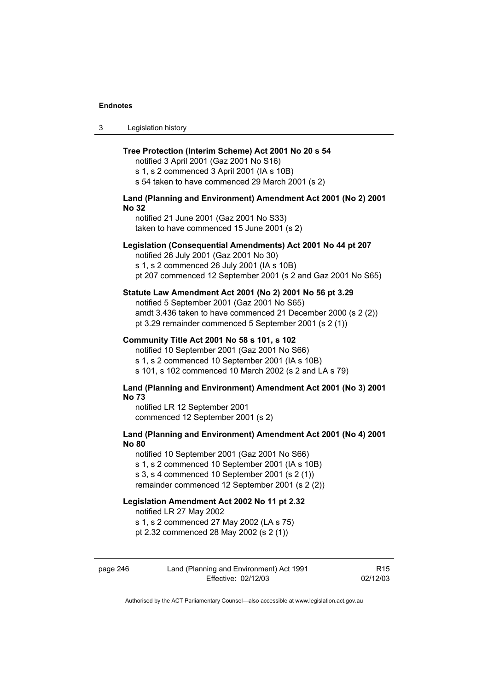3 Legislation history

### **Tree Protection (Interim Scheme) Act 2001 No 20 s 54**

notified 3 April 2001 (Gaz 2001 No S16) s 1, s 2 commenced 3 April 2001 (IA s 10B) s 54 taken to have commenced 29 March 2001 (s 2)

# **Land (Planning and Environment) Amendment Act 2001 (No 2) 2001 No 32**

notified 21 June 2001 (Gaz 2001 No S33) taken to have commenced 15 June 2001 (s 2)

### **Legislation (Consequential Amendments) Act 2001 No 44 pt 207**

notified 26 July 2001 (Gaz 2001 No 30)

s 1, s 2 commenced 26 July 2001 (IA s 10B) pt 207 commenced 12 September 2001 (s 2 and Gaz 2001 No S65)

### **Statute Law Amendment Act 2001 (No 2) 2001 No 56 pt 3.29**

notified 5 September 2001 (Gaz 2001 No S65) amdt 3.436 taken to have commenced 21 December 2000 (s 2 (2)) pt 3.29 remainder commenced 5 September 2001 (s 2 (1))

### **Community Title Act 2001 No 58 s 101, s 102**

notified 10 September 2001 (Gaz 2001 No S66) s 1, s 2 commenced 10 September 2001 (IA s 10B) s 101, s 102 commenced 10 March 2002 (s 2 and LA s 79)

### **Land (Planning and Environment) Amendment Act 2001 (No 3) 2001 No 73**

notified LR 12 September 2001 commenced 12 September 2001 (s 2)

# **Land (Planning and Environment) Amendment Act 2001 (No 4) 2001 No 80**

notified 10 September 2001 (Gaz 2001 No S66) s 1, s 2 commenced 10 September 2001 (IA s 10B) s 3, s 4 commenced 10 September 2001 (s 2 (1)) remainder commenced 12 September 2001 (s 2 (2))

## **Legislation Amendment Act 2002 No 11 pt 2.32**

notified LR 27 May 2002

s 1, s 2 commenced 27 May 2002 (LA s 75)

pt 2.32 commenced 28 May 2002 (s 2 (1))

| page 246 | Land (Planning and Environment) Act 1991 | R <sub>15</sub> |
|----------|------------------------------------------|-----------------|
|          | Effective: 02/12/03                      | 02/12/03        |

Authorised by the ACT Parliamentary Counsel—also accessible at www.legislation.act.gov.au

R15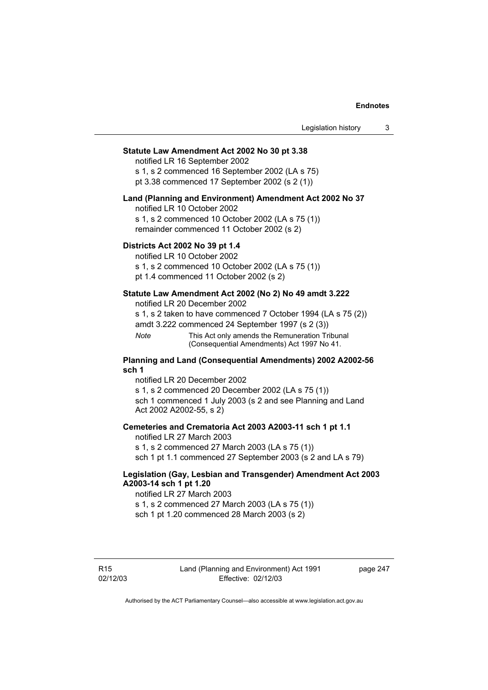### **Statute Law Amendment Act 2002 No 30 pt 3.38**

notified LR 16 September 2002 s 1, s 2 commenced 16 September 2002 (LA s 75)

pt 3.38 commenced 17 September 2002 (s 2 (1))

### **Land (Planning and Environment) Amendment Act 2002 No 37**

notified LR 10 October 2002

s 1, s 2 commenced 10 October 2002 (LA s 75 (1)) remainder commenced 11 October 2002 (s 2)

### **Districts Act 2002 No 39 pt 1.4**

notified LR 10 October 2002

s 1, s 2 commenced 10 October 2002 (LA s 75 (1)) pt 1.4 commenced 11 October 2002 (s 2)

# **Statute Law Amendment Act 2002 (No 2) No 49 amdt 3.222**

notified LR 20 December 2002

s 1, s 2 taken to have commenced 7 October 1994 (LA s 75 (2)) amdt 3.222 commenced 24 September 1997 (s 2 (3))

*Note* This Act only amends the Remuneration Tribunal (Consequential Amendments) Act 1997 No 41.

### **Planning and Land (Consequential Amendments) 2002 A2002-56 sch 1**

notified LR 20 December 2002 s 1, s 2 commenced 20 December 2002 (LA s 75 (1)) sch 1 commenced 1 July 2003 (s 2 and see Planning and Land Act 2002 A2002-55, s 2)

### **Cemeteries and Crematoria Act 2003 A2003-11 sch 1 pt 1.1**

notified LR 27 March 2003 s 1, s 2 commenced 27 March 2003 (LA s 75 (1)) sch 1 pt 1.1 commenced 27 September 2003 (s 2 and LA s 79)

# **Legislation (Gay, Lesbian and Transgender) Amendment Act 2003 A2003-14 sch 1 pt 1.20**

notified LR 27 March 2003 s 1, s 2 commenced 27 March 2003 (LA s 75 (1)) sch 1 pt 1.20 commenced 28 March 2003 (s 2)

R15 02/12/03 page 247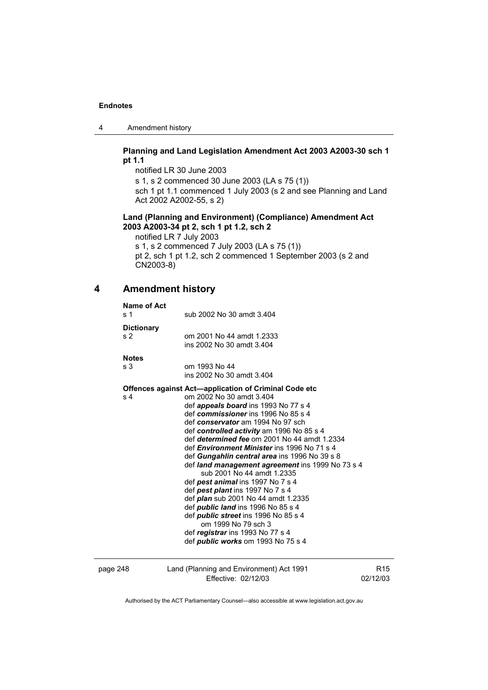4 Amendment history

# **Planning and Land Legislation Amendment Act 2003 A2003-30 sch 1 pt 1.1**

notified LR 30 June 2003 s 1, s 2 commenced 30 June 2003 (LA s 75 (1)) sch 1 pt 1.1 commenced 1 July 2003 (s 2 and see Planning and Land Act 2002 A2002-55, s 2)

# **Land (Planning and Environment) (Compliance) Amendment Act 2003 A2003-34 pt 2, sch 1 pt 1.2, sch 2**

notified LR 7 July 2003 s 1, s 2 commenced 7 July 2003 (LA s 75 (1)) pt 2, sch 1 pt 1.2, sch 2 commenced 1 September 2003 (s 2 and CN2003-8)

# **4 Amendment history**

| Name of Act<br>s <sub>1</sub>       | sub 2002 No 30 amdt 3.404                                                                                                                                                                                                                                                                                                                                                                                                                                                                                                                                                                                                                                                                                                                                                                                                            |                 |
|-------------------------------------|--------------------------------------------------------------------------------------------------------------------------------------------------------------------------------------------------------------------------------------------------------------------------------------------------------------------------------------------------------------------------------------------------------------------------------------------------------------------------------------------------------------------------------------------------------------------------------------------------------------------------------------------------------------------------------------------------------------------------------------------------------------------------------------------------------------------------------------|-----------------|
| <b>Dictionary</b><br>s <sub>2</sub> | om 2001 No 44 amdt 1.2333<br>ins 2002 No 30 amdt 3.404                                                                                                                                                                                                                                                                                                                                                                                                                                                                                                                                                                                                                                                                                                                                                                               |                 |
| <b>Notes</b>                        |                                                                                                                                                                                                                                                                                                                                                                                                                                                                                                                                                                                                                                                                                                                                                                                                                                      |                 |
| s <sub>3</sub>                      | om 1993 No 44<br>ins 2002 No 30 amdt 3.404                                                                                                                                                                                                                                                                                                                                                                                                                                                                                                                                                                                                                                                                                                                                                                                           |                 |
| s <sub>4</sub>                      | <b>Offences against Act-application of Criminal Code etc</b><br>om 2002 No 30 amdt 3.404<br>def <i>appeals board</i> ins 1993 No 77 s 4<br>def commissioner ins 1996 No 85 s 4<br>def conservator am 1994 No 97 sch<br>def controlled activity am 1996 No 85 s 4<br>def determined fee om 2001 No 44 amdt 1.2334<br>def <i>Environment Minister</i> ins 1996 No 71 s 4<br>def Gungahlin central area ins 1996 No 39 s 8<br>def land management agreement ins 1999 No 73 s 4<br>sub 2001 No 44 amdt 1.2335<br>def pest animal ins 1997 No 7 s 4<br>def pest plant ins 1997 No 7 s 4<br>def <i>plan</i> sub 2001 No 44 amdt 1.2335<br>def <i>public land</i> ins 1996 No 85 s 4<br>def <i>public</i> street ins 1996 No 85 s 4<br>om 1999 No 79 sch 3<br>def registrar ins 1993 No 77 s 4<br>def <i>public</i> works om 1993 No 75 s 4 |                 |
| page 248                            | Land (Planning and Environment) Act 1991                                                                                                                                                                                                                                                                                                                                                                                                                                                                                                                                                                                                                                                                                                                                                                                             | R <sub>15</sub> |

Effective: 02/12/03

02/12/03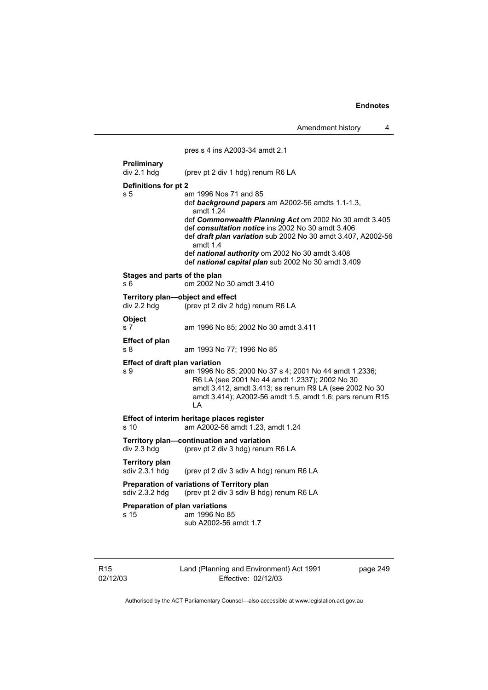Amendment history 4

 pres s 4 ins A2003-34 amdt 2.1 **Preliminary**  div 2.1 hdg (prev pt 2 div 1 hdg) renum R6 LA **Definitions for pt 2**  s 5 am 1996 Nos 71 and 85 def *background papers* am A2002-56 amdts 1.1-1.3, amdt 1.24 def *Commonwealth Planning Act* om 2002 No 30 amdt 3.405 def *consultation notice* ins 2002 No 30 amdt 3.406 def *draft plan variation* sub 2002 No 30 amdt 3.407, A2002-56 amdt 1.4 def *national authority* om 2002 No 30 amdt 3.408 def *national capital plan* sub 2002 No 30 amdt 3.409 **Stages and parts of the plan**  s 6 om 2002 No 30 amdt 3.410 **Territory plan—object and effect**  div 2.2 hdg (prev pt 2 div 2 hdg) renum R6 LA **Object**  s 7 am 1996 No 85; 2002 No 30 amdt 3.411 **Effect of plan**  s 8 am 1993 No 77; 1996 No 85 **Effect of draft plan variation**  s 9 am 1996 No 85; 2000 No 37 s 4; 2001 No 44 amdt 1.2336; R6 LA (see 2001 No 44 amdt 1.2337); 2002 No 30 amdt 3.412, amdt 3.413; ss renum R9 LA (see 2002 No 30 amdt 3.414); A2002-56 amdt 1.5, amdt 1.6; pars renum R15 LA **Effect of interim heritage places register**  s 10 am A2002-56 amdt 1.23, amdt 1.24 **Territory plan—continuation and variation**  div 2.3 hdg (prev pt 2 div 3 hdg) renum R6 LA **Territory plan**  sdiv 2.3.1 hdg (prev pt 2 div 3 sdiv A hdg) renum R6 LA **Preparation of variations of Territory plan**  sdiv 2.3.2 hdg (prev pt 2 div 3 sdiv B hdg) renum R6 LA **Preparation of plan variations**  s 15 am 1996 No 85 sub A2002-56 amdt 1.7

R15 02/12/03 Land (Planning and Environment) Act 1991 Effective: 02/12/03

page 249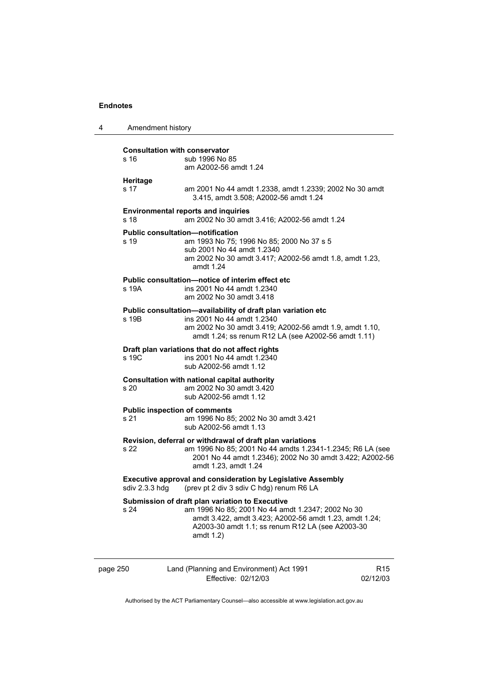| 4        | Amendment history                                                                                                                 |                                                                                                                                                                                                                                    |                 |  |
|----------|-----------------------------------------------------------------------------------------------------------------------------------|------------------------------------------------------------------------------------------------------------------------------------------------------------------------------------------------------------------------------------|-----------------|--|
|          | s 16                                                                                                                              | <b>Consultation with conservator</b><br>sub 1996 No 85<br>am A2002-56 amdt 1.24                                                                                                                                                    |                 |  |
|          | Heritage<br>s 17                                                                                                                  | am 2001 No 44 amdt 1.2338, amdt 1.2339; 2002 No 30 amdt<br>3.415, amdt 3.508; A2002-56 amdt 1.24                                                                                                                                   |                 |  |
|          | s <sub>18</sub>                                                                                                                   | <b>Environmental reports and inquiries</b><br>am 2002 No 30 amdt 3.416; A2002-56 amdt 1.24                                                                                                                                         |                 |  |
|          | s 19                                                                                                                              | <b>Public consultation—notification</b><br>am 1993 No 75; 1996 No 85; 2000 No 37 s 5<br>sub 2001 No 44 amdt 1.2340<br>am 2002 No 30 amdt 3.417; A2002-56 amdt 1.8, amdt 1.23,<br>amdt 1.24                                         |                 |  |
|          | s 19A                                                                                                                             | Public consultation-notice of interim effect etc<br>ins 2001 No 44 amdt 1.2340<br>am 2002 No 30 amdt 3.418                                                                                                                         |                 |  |
|          | s 19B                                                                                                                             | Public consultation-availability of draft plan variation etc<br>ins 2001 No 44 amdt 1.2340<br>am 2002 No 30 amdt 3.419; A2002-56 amdt 1.9, amdt 1.10,<br>amdt 1.24; ss renum R12 LA (see A2002-56 amdt 1.11)                       |                 |  |
|          | s 19C                                                                                                                             | Draft plan variations that do not affect rights<br>ins 2001 No 44 amdt 1.2340<br>sub A2002-56 amdt 1.12                                                                                                                            |                 |  |
|          | s 20                                                                                                                              | Consultation with national capital authority<br>am 2002 No 30 amdt 3.420<br>sub A2002-56 amdt 1.12                                                                                                                                 |                 |  |
|          | s 21                                                                                                                              | <b>Public inspection of comments</b><br>am 1996 No 85; 2002 No 30 amdt 3.421<br>sub A2002-56 amdt 1.13                                                                                                                             |                 |  |
|          | s 22                                                                                                                              | Revision, deferral or withdrawal of draft plan variations<br>am 1996 No 85; 2001 No 44 amdts 1.2341-1.2345; R6 LA (see<br>2001 No 44 amdt 1.2346); 2002 No 30 amdt 3.422; A2002-56<br>amdt 1.23, amdt 1.24                         |                 |  |
|          | <b>Executive approval and consideration by Legislative Assembly</b><br>(prev pt 2 div 3 sdiv C hdg) renum R6 LA<br>sdiv 2.3.3 hdg |                                                                                                                                                                                                                                    |                 |  |
|          | s 24                                                                                                                              | Submission of draft plan variation to Executive<br>am 1996 No 85; 2001 No 44 amdt 1.2347; 2002 No 30<br>amdt 3.422, amdt 3.423; A2002-56 amdt 1.23, amdt 1.24;<br>A2003-30 amdt 1.1; ss renum R12 LA (see A2003-30<br>amdt $1.2$ ) |                 |  |
| page 250 |                                                                                                                                   | Land (Planning and Environment) Act 1991                                                                                                                                                                                           | R <sub>15</sub> |  |

Effective: 02/12/03 02/12/03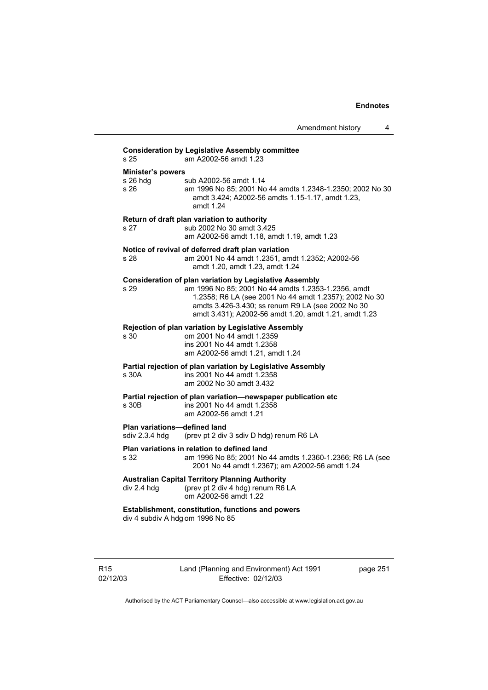|                                                                                       | Amendment history<br>4                                                                                                                                                                                                                                                                        |  |
|---------------------------------------------------------------------------------------|-----------------------------------------------------------------------------------------------------------------------------------------------------------------------------------------------------------------------------------------------------------------------------------------------|--|
| s <sub>25</sub>                                                                       | <b>Consideration by Legislative Assembly committee</b><br>am A2002-56 amdt 1.23                                                                                                                                                                                                               |  |
| <b>Minister's powers</b>                                                              |                                                                                                                                                                                                                                                                                               |  |
| s 26 hdg<br>s 26                                                                      | sub A2002-56 amdt 1.14<br>am 1996 No 85; 2001 No 44 amdts 1.2348-1.2350; 2002 No 30<br>amdt 3.424; A2002-56 amdts 1.15-1.17, amdt 1.23,<br>amdt 1.24                                                                                                                                          |  |
| s 27                                                                                  | Return of draft plan variation to authority<br>sub 2002 No 30 amdt 3.425<br>am A2002-56 amdt 1.18, amdt 1.19, amdt 1.23                                                                                                                                                                       |  |
| s 28                                                                                  | Notice of revival of deferred draft plan variation<br>am 2001 No 44 amdt 1.2351, amdt 1.2352; A2002-56<br>amdt 1.20, amdt 1.23, amdt 1.24                                                                                                                                                     |  |
| s 29                                                                                  | <b>Consideration of plan variation by Legislative Assembly</b><br>am 1996 No 85; 2001 No 44 amdts 1.2353-1.2356, amdt<br>1.2358; R6 LA (see 2001 No 44 amdt 1.2357); 2002 No 30<br>amdts 3.426-3.430; ss renum R9 LA (see 2002 No 30<br>amdt 3.431); A2002-56 amdt 1.20, amdt 1.21, amdt 1.23 |  |
| s 30                                                                                  | Rejection of plan variation by Legislative Assembly<br>om 2001 No 44 amdt 1.2359<br>ins 2001 No 44 amdt 1.2358<br>am A2002-56 amdt 1.21, amdt 1.24                                                                                                                                            |  |
| s 30A                                                                                 | Partial rejection of plan variation by Legislative Assembly<br>ins 2001 No 44 amdt 1.2358<br>am 2002 No 30 amdt 3.432                                                                                                                                                                         |  |
| s 30B                                                                                 | Partial rejection of plan variation-newspaper publication etc<br>ins 2001 No 44 amdt 1.2358<br>am A2002-56 amdt 1.21                                                                                                                                                                          |  |
| Plan variations-defined land<br>sdiv 2.3.4 hdg                                        | (prev pt 2 div 3 sdiv D hdg) renum R6 LA                                                                                                                                                                                                                                                      |  |
| s 32                                                                                  | Plan variations in relation to defined land<br>am 1996 No 85; 2001 No 44 amdts 1.2360-1.2366; R6 LA (see<br>2001 No 44 amdt 1.2367); am A2002-56 amdt 1.24                                                                                                                                    |  |
| div 2.4 hdg                                                                           | <b>Australian Capital Territory Planning Authority</b><br>(prev pt 2 div 4 hdg) renum R6 LA<br>om A2002-56 amdt 1.22                                                                                                                                                                          |  |
| Establishment, constitution, functions and powers<br>div 4 subdiv A hdg om 1996 No 85 |                                                                                                                                                                                                                                                                                               |  |
|                                                                                       |                                                                                                                                                                                                                                                                                               |  |

R15 02/12/03 Land (Planning and Environment) Act 1991 Effective: 02/12/03

page 251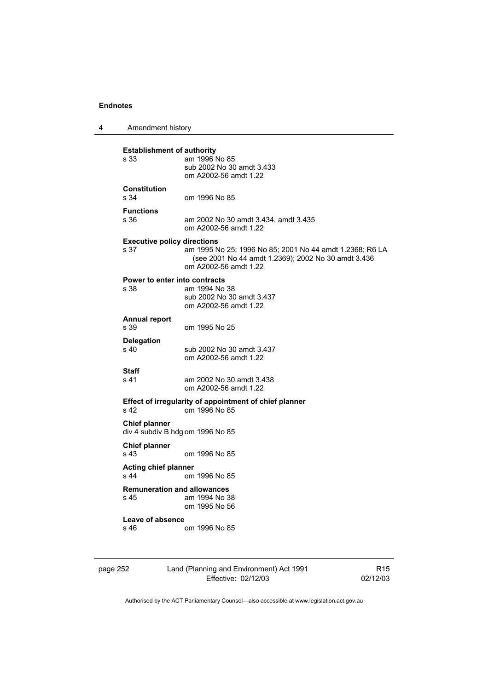4 Amendment history

| <b>Establishment of authority</b><br>am 1996 No 85<br>s 33<br>sub 2002 No 30 amdt 3.433<br>om A2002-56 amdt 1.22<br><b>Constitution</b><br>s 34<br>om 1996 No 85<br><b>Functions</b><br>s 36<br>am 2002 No 30 amdt 3.434, amdt 3.435<br>om A2002-56 amdt 1.22<br><b>Executive policy directions</b><br>am 1995 No 25; 1996 No 85; 2001 No 44 amdt 1.2368; R6 LA<br>s 37<br>(see 2001 No 44 amdt 1.2369); 2002 No 30 amdt 3.436<br>om A2002-56 amdt 1.22<br>Power to enter into contracts<br>s 38<br>am 1994 No 38<br>sub 2002 No 30 amdt 3.437<br>om A2002-56 amdt 1.22<br><b>Annual report</b><br>s 39<br>om 1995 No 25<br><b>Delegation</b><br>s 40<br>sub 2002 No 30 amdt 3.437<br>om A2002-56 amdt 1.22<br>Staff |
|----------------------------------------------------------------------------------------------------------------------------------------------------------------------------------------------------------------------------------------------------------------------------------------------------------------------------------------------------------------------------------------------------------------------------------------------------------------------------------------------------------------------------------------------------------------------------------------------------------------------------------------------------------------------------------------------------------------------|
|                                                                                                                                                                                                                                                                                                                                                                                                                                                                                                                                                                                                                                                                                                                      |
|                                                                                                                                                                                                                                                                                                                                                                                                                                                                                                                                                                                                                                                                                                                      |
|                                                                                                                                                                                                                                                                                                                                                                                                                                                                                                                                                                                                                                                                                                                      |
|                                                                                                                                                                                                                                                                                                                                                                                                                                                                                                                                                                                                                                                                                                                      |
|                                                                                                                                                                                                                                                                                                                                                                                                                                                                                                                                                                                                                                                                                                                      |
|                                                                                                                                                                                                                                                                                                                                                                                                                                                                                                                                                                                                                                                                                                                      |
|                                                                                                                                                                                                                                                                                                                                                                                                                                                                                                                                                                                                                                                                                                                      |
|                                                                                                                                                                                                                                                                                                                                                                                                                                                                                                                                                                                                                                                                                                                      |
| s 41<br>am 2002 No 30 amdt 3.438<br>om A2002-56 amdt 1.22                                                                                                                                                                                                                                                                                                                                                                                                                                                                                                                                                                                                                                                            |
| Effect of irregularity of appointment of chief planner<br>s 42<br>om 1996 No 85                                                                                                                                                                                                                                                                                                                                                                                                                                                                                                                                                                                                                                      |
| <b>Chief planner</b><br>div 4 subdiv B hdg om 1996 No 85                                                                                                                                                                                                                                                                                                                                                                                                                                                                                                                                                                                                                                                             |
| <b>Chief planner</b><br>s 43<br>om 1996 No 85                                                                                                                                                                                                                                                                                                                                                                                                                                                                                                                                                                                                                                                                        |
| <b>Acting chief planner</b><br>s 44<br>om 1996 No 85                                                                                                                                                                                                                                                                                                                                                                                                                                                                                                                                                                                                                                                                 |
| <b>Remuneration and allowances</b>                                                                                                                                                                                                                                                                                                                                                                                                                                                                                                                                                                                                                                                                                   |
| s 45<br>am 1994 No 38<br>om 1995 No 56                                                                                                                                                                                                                                                                                                                                                                                                                                                                                                                                                                                                                                                                               |
| Leave of absence                                                                                                                                                                                                                                                                                                                                                                                                                                                                                                                                                                                                                                                                                                     |
| s 46<br>om 1996 No 85                                                                                                                                                                                                                                                                                                                                                                                                                                                                                                                                                                                                                                                                                                |
|                                                                                                                                                                                                                                                                                                                                                                                                                                                                                                                                                                                                                                                                                                                      |

page 252 Land (Planning and Environment) Act 1991 Effective: 02/12/03

R15 02/12/03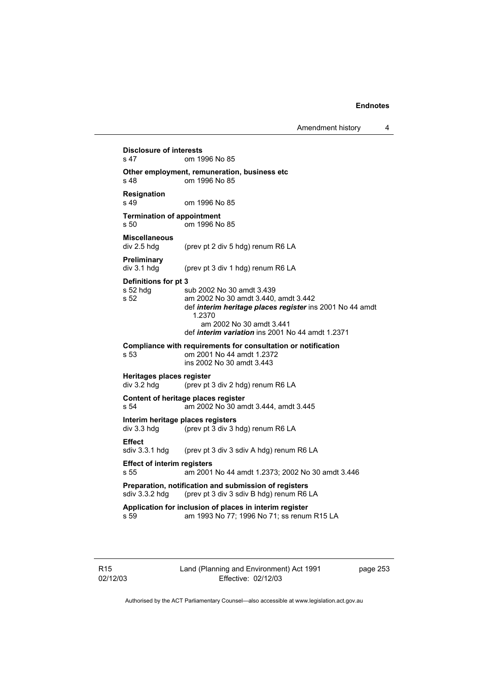**Disclosure of interests**  om 1996 No 85 **Other employment, remuneration, business etc**  s 48 om 1996 No 85 **Resignation**  om 1996 No 85 **Termination of appointment**  s 50 om 1996 No 85 **Miscellaneous**  (prev pt 2 div 5 hdg) renum R6 LA **Preliminary**  div 3.1 hdg (prev pt 3 div 1 hdg) renum R6 LA **Definitions for pt 3**  s 52 hdg sub 2002 No 30 amdt 3.439<br>s 52 am 2002 No 30 amdt 3.440. am 2002 No 30 amdt 3.440, amdt 3.442 def *interim heritage places register* ins 2001 No 44 amdt 1.2370 am 2002 No 30 amdt 3.441 def *interim variation* ins 2001 No 44 amdt 1.2371 **Compliance with requirements for consultation or notification s 53** om 2001 No 44 amdt 1.2372 om 2001 No 44 amdt 1.2372 ins 2002 No 30 amdt 3.443 **Heritages places register**  div 3.2 hdg (prev pt 3 div 2 hdg) renum R6 LA **Content of heritage places register**  s 54 am 2002 No 30 amdt 3.444, amdt 3.445 **Interim heritage places registers**<br>div 3.3 hdg (prev pt 3 div 3 html (prev pt  $3$  div  $3$  hdg) renum R6 LA **Effect**  sdiv 3.3.1 hdg (prev pt 3 div 3 sdiv A hdg) renum R6 LA **Effect of interim registers**  s 55 am 2001 No 44 amdt 1.2373; 2002 No 30 amdt 3.446 **Preparation, notification and submission of registers**  sdiv 3.3.2 hdg (prev pt 3 div 3 sdiv B hdg) renum R6 LA **Application for inclusion of places in interim register**  s 59 am 1993 No 77; 1996 No 71; ss renum R15 LA

R15 02/12/03 Land (Planning and Environment) Act 1991 Effective: 02/12/03

page 253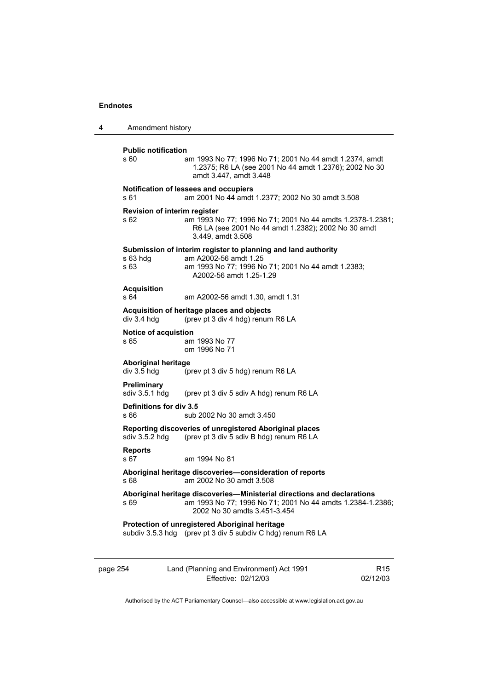| 4        | Amendment history                         |                                                                                                                                                                               |  |
|----------|-------------------------------------------|-------------------------------------------------------------------------------------------------------------------------------------------------------------------------------|--|
|          | <b>Public notification</b><br>s 60        | am 1993 No 77; 1996 No 71; 2001 No 44 amdt 1.2374, amdt<br>1.2375; R6 LA (see 2001 No 44 amdt 1.2376); 2002 No 30<br>amdt 3.447, amdt 3.448                                   |  |
|          | s 61                                      | Notification of lessees and occupiers<br>am 2001 No 44 amdt 1.2377; 2002 No 30 amdt 3.508                                                                                     |  |
|          | s 62                                      | <b>Revision of interim register</b><br>am 1993 No 77; 1996 No 71; 2001 No 44 amdts 1.2378-1.2381;<br>R6 LA (see 2001 No 44 amdt 1.2382); 2002 No 30 amdt<br>3.449, amdt 3.508 |  |
|          | s 63 hda<br>s 63                          | Submission of interim register to planning and land authority<br>am A2002-56 amdt 1.25<br>am 1993 No 77; 1996 No 71; 2001 No 44 amdt 1.2383;<br>A2002-56 amdt 1.25-1.29       |  |
|          | <b>Acquisition</b><br>s 64                | am A2002-56 amdt 1.30, amdt 1.31                                                                                                                                              |  |
|          | div 3.4 hdg                               | Acquisition of heritage places and objects<br>(prev pt 3 div 4 hdg) renum R6 LA                                                                                               |  |
|          | Notice of acquistion<br>s 65              | am 1993 No 77<br>om 1996 No 71                                                                                                                                                |  |
|          | <b>Aboriginal heritage</b><br>div 3.5 hdg | (prev pt 3 div 5 hdg) renum R6 LA                                                                                                                                             |  |
|          | Preliminary<br>sdiv 3.5.1 hdg             | (prev pt 3 div 5 sdiv A hdg) renum R6 LA                                                                                                                                      |  |
|          | Definitions for div 3.5<br>s 66           | sub 2002 No 30 amdt 3.450                                                                                                                                                     |  |
|          | sdiv $3.5.2$ hdg                          | Reporting discoveries of unregistered Aboriginal places<br>(prev pt 3 div 5 sdiv B hdg) renum R6 LA                                                                           |  |
|          | <b>Reports</b><br>s 67                    | am 1994 No 81                                                                                                                                                                 |  |
|          | s 68                                      | Aboriginal heritage discoveries-consideration of reports<br>am 2002 No 30 amdt 3.508                                                                                          |  |
|          | s 69                                      | Aboriginal heritage discoveries-Ministerial directions and declarations<br>am 1993 No 77; 1996 No 71; 2001 No 44 amdts 1.2384-1.2386;<br>2002 No 30 amdts 3.451-3.454         |  |
|          |                                           | Protection of unregistered Aboriginal heritage<br>subdiv 3.5.3 hdg (prev pt 3 div 5 subdiv C hdg) renum R6 LA                                                                 |  |
| page 254 |                                           | Land (Planning and Environment) Act 1991<br>R <sub>15</sub><br>Effective: 02/12/03<br>02/12/03                                                                                |  |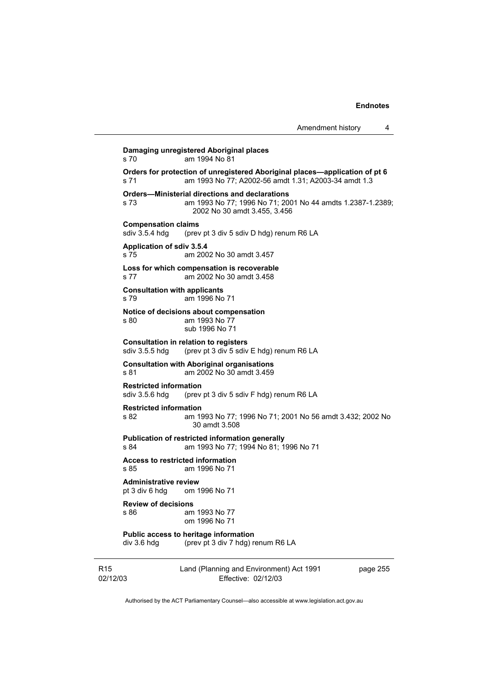Amendment history 4 **Damaging unregistered Aboriginal places**  s 70 am 1994 No 81 **Orders for protection of unregistered Aboriginal places—application of pt 6**  s 71 am 1993 No 77; A2002-56 amdt 1.31; A2003-34 amdt 1.3 **Orders—Ministerial directions and declarations**  s 73 am 1993 No 77; 1996 No 71; 2001 No 44 amdts 1.2387-1.2389; 2002 No 30 amdt 3.455, 3.456 **Compensation claims**<br>sdiv 3.5.4 hdg (prev (prev pt 3 div 5 sdiv D hdg) renum R6 LA **Application of sdiv 3.5.4**  s 75 am 2002 No 30 amdt 3.457 **Loss for which compensation is recoverable**  s 77 am 2002 No 30 amdt 3.458 **Consultation with applicants**  s 79 am 1996 No 71 **Notice of decisions about compensation**  s 80 am 1993 No 77 sub 1996 No 71 **Consultation in relation to registers**  sdiv 3.5.5 hdg (prev pt 3 div 5 sdiv E hdg) renum R6 LA **Consultation with Aboriginal organisations**  s 81 am 2002 No 30 amdt 3.459 **Restricted information**  sdiv 3.5.6 hdg (prev pt 3 div 5 sdiv F hdg) renum R6 LA **Restricted information**  s 82 am 1993 No 77; 1996 No 71; 2001 No 56 amdt 3.432; 2002 No 30 amdt 3.508 **Publication of restricted information generally**  s 84 am 1993 No 77; 1994 No 81; 1996 No 71 **Access to restricted information**  s 85 am 1996 No 71 **Administrative review** pt 3 div 6 hdg om 1 om 1996 No 71 **Review of decisions**  s 86 am 1993 No 77 om 1996 No 71 **Public access to heritage information**  div 3.6 hdg (prev pt 3 div 7 hdg) renum R6 LA

R15 02/12/03 Land (Planning and Environment) Act 1991 Effective: 02/12/03

page 255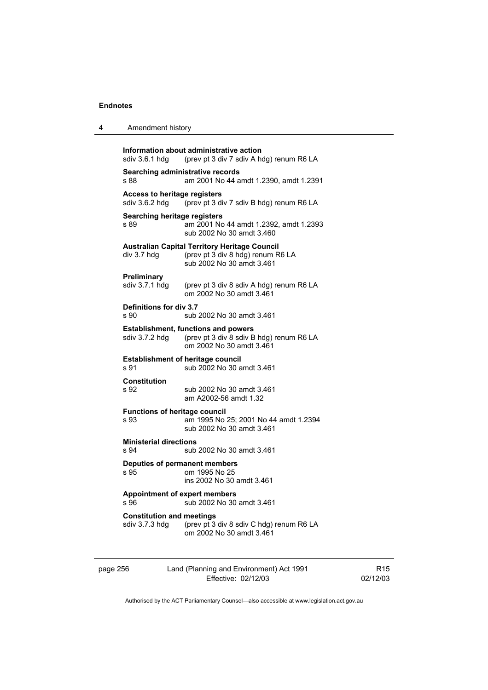| 4        | Amendment history                                     |                                                                                                                        |
|----------|-------------------------------------------------------|------------------------------------------------------------------------------------------------------------------------|
|          | sdiv 3.6.1 hdg                                        | Information about administrative action<br>(prev pt 3 div 7 sdiv A hdg) renum R6 LA                                    |
|          | Searching administrative records<br>s 88              | am 2001 No 44 amdt 1.2390, amdt 1.2391                                                                                 |
|          | <b>Access to heritage registers</b><br>sdiv 3.6.2 hdg | (prev pt 3 div 7 sdiv B hdg) renum R6 LA                                                                               |
|          | Searching heritage registers<br>s 89                  | am 2001 No 44 amdt 1.2392, amdt 1.2393<br>sub 2002 No 30 amdt 3.460                                                    |
|          | div 3.7 hdg                                           | <b>Australian Capital Territory Heritage Council</b><br>(prev pt 3 div 8 hdg) renum R6 LA<br>sub 2002 No 30 amdt 3.461 |
|          | <b>Preliminary</b><br>sdiv 3.7.1 hdg                  | (prev pt 3 div 8 sdiv A hdg) renum R6 LA<br>om 2002 No 30 amdt 3.461                                                   |
|          | Definitions for div 3.7<br>s 90                       | sub 2002 No 30 amdt 3.461                                                                                              |
|          | sdiv 3.7.2 hdg                                        | <b>Establishment, functions and powers</b><br>(prev pt 3 div 8 sdiv B hdg) renum R6 LA<br>om 2002 No 30 amdt 3.461     |
|          | <b>Establishment of heritage council</b><br>s 91      | sub 2002 No 30 amdt 3.461                                                                                              |
|          | <b>Constitution</b><br>s 92                           | sub 2002 No 30 amdt 3.461<br>am A2002-56 amdt 1.32                                                                     |
|          | <b>Functions of heritage council</b><br>s 93          | am 1995 No 25; 2001 No 44 amdt 1.2394<br>sub 2002 No 30 amdt 3.461                                                     |
|          | <b>Ministerial directions</b><br>s 94                 | sub 2002 No 30 amdt 3.461                                                                                              |
|          | Deputies of permanent members<br>s 95                 | om 1995 No 25<br>ins 2002 No 30 amdt 3.461                                                                             |
|          | <b>Appointment of expert members</b><br>s 96          | sub 2002 No 30 amdt 3.461                                                                                              |
|          | <b>Constitution and meetings</b><br>sdiv 3.7.3 hdg    | (prev pt 3 div 8 sdiv C hdg) renum R6 LA<br>om 2002 No 30 amdt 3.461                                                   |
| page 256 |                                                       | Land (Planning and Environment) Act 1991                                                                               |

Authorised by the ACT Parliamentary Counsel—also accessible at www.legislation.act.gov.au

R15 02/12/03

Effective: 02/12/03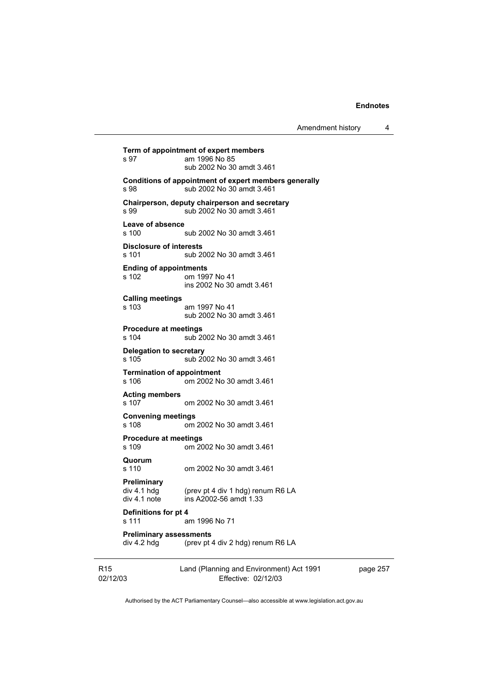Amendment history 4

**Term of appointment of expert members**  am 1996 No 85 sub 2002 No 30 amdt 3.461 **Conditions of appointment of expert members generally**  s 98 **Sub 2002 No 30 amdt 3.461 Chairperson, deputy chairperson and secretary**  s 99 sub 2002 No 30 amdt 3.461 **Leave of absence**  s 100 sub 2002 No 30 amdt 3.461 **Disclosure of interests**  s 101 sub 2002 No 30 amdt 3.461 **Ending of appointments**  om 1997 No 41 ins 2002 No 30 amdt 3.461 **Calling meetings**  s 103 am 1997 No 41 sub 2002 No 30 amdt 3.461 **Procedure at meetings**  s 104 sub 2002 No 30 amdt 3.461 **Delegation to secretary**  s 105 sub 2002 No 30 amdt 3.461 **Termination of appointment**  s 106 om 2002 No 30 amdt 3.461 **Acting members**  om 2002 No 30 amdt 3.461 **Convening meetings**  s 108 om 2002 No 30 amdt 3.461 **Procedure at meetings**<br>s 109 cm 20 om 2002 No 30 amdt 3.461 **Quorum**  s 110 om 2002 No 30 amdt 3.461 **Preliminary**  (prev pt 4 div 1 hdg) renum R6 LA div 4.1 note ins A2002-56 amdt 1.33 **Definitions for pt 4**  s 111 am 1996 No 71 **Preliminary assessments**<br>div 4.2 hdg (prev pt  $\cdot$ (prev pt 4 div 2 hdg) renum R6 LA

R15 02/12/03 Land (Planning and Environment) Act 1991 Effective: 02/12/03

page 257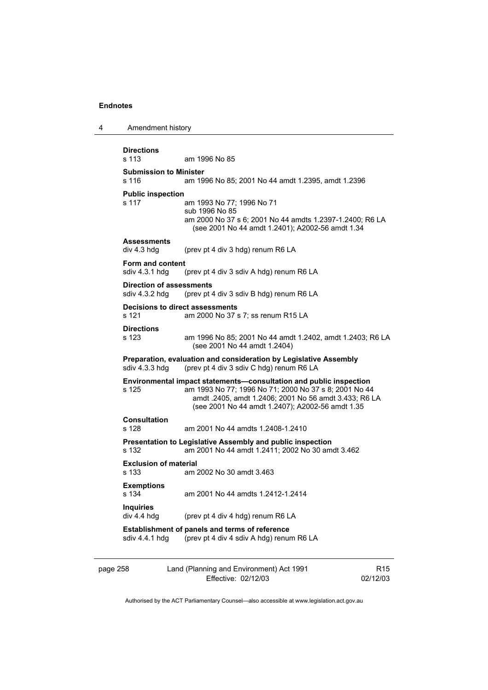| 4        | Amendment history                         |                                                                                                                                                                                                                                          |
|----------|-------------------------------------------|------------------------------------------------------------------------------------------------------------------------------------------------------------------------------------------------------------------------------------------|
|          | <b>Directions</b><br>s 113                | am 1996 No 85                                                                                                                                                                                                                            |
|          | <b>Submission to Minister</b><br>s 116    | am 1996 No 85; 2001 No 44 amdt 1.2395, amdt 1.2396                                                                                                                                                                                       |
|          | <b>Public inspection</b><br>s 117         | am 1993 No 77; 1996 No 71<br>sub 1996 No 85<br>am 2000 No 37 s 6; 2001 No 44 amdts 1.2397-1.2400; R6 LA<br>(see 2001 No 44 amdt 1.2401); A2002-56 amdt 1.34                                                                              |
|          | <b>Assessments</b><br>div 4.3 hdg         | (prev pt 4 div 3 hdg) renum R6 LA                                                                                                                                                                                                        |
|          | <b>Form and content</b><br>sdiv 4.3.1 hdg | (prev pt 4 div 3 sdiv A hdg) renum R6 LA                                                                                                                                                                                                 |
|          | sdiv 4.3.2 hdg                            | <b>Direction of assessments</b><br>(prev pt 4 div 3 sdiv B hdg) renum R6 LA                                                                                                                                                              |
|          | s 121                                     | Decisions to direct assessments<br>am 2000 No 37 s 7; ss renum R15 LA                                                                                                                                                                    |
|          | <b>Directions</b><br>s 123                | am 1996 No 85; 2001 No 44 amdt 1.2402, amdt 1.2403; R6 LA<br>(see 2001 No 44 amdt 1.2404)                                                                                                                                                |
|          | sdiv 4.3.3 hdg                            | Preparation, evaluation and consideration by Legislative Assembly<br>(prev pt 4 div 3 sdiv C hdg) renum R6 LA                                                                                                                            |
|          | s 125                                     | Environmental impact statements-consultation and public inspection<br>am 1993 No 77; 1996 No 71; 2000 No 37 s 8; 2001 No 44<br>amdt .2405, amdt 1.2406; 2001 No 56 amdt 3.433; R6 LA<br>(see 2001 No 44 amdt 1.2407); A2002-56 amdt 1.35 |
|          | <b>Consultation</b><br>s 128              | am 2001 No 44 amdts 1.2408-1.2410                                                                                                                                                                                                        |
|          | s 132                                     | Presentation to Legislative Assembly and public inspection<br>am 2001 No 44 amdt 1.2411; 2002 No 30 amdt 3.462                                                                                                                           |
|          | <b>Exclusion of material</b><br>s 133     | am 2002 No 30 amdt 3.463                                                                                                                                                                                                                 |
|          | <b>Exemptions</b><br>s 134                | am 2001 No 44 amdts 1.2412-1.2414                                                                                                                                                                                                        |
|          | <b>Inquiries</b><br>div 4.4 hdg           | (prev pt 4 div 4 hdg) renum R6 LA                                                                                                                                                                                                        |
|          | sdiv 4.4.1 hdg                            | Establishment of panels and terms of reference<br>(prev pt 4 div 4 sdiv A hdg) renum R6 LA                                                                                                                                               |
| page 258 |                                           | Land (Planning and Environment) Act 1991<br>R <sub>15</sub><br>Effective: 02/12/03<br>02/12/03                                                                                                                                           |

Authorised by the ACT Parliamentary Counsel—also accessible at www.legislation.act.gov.au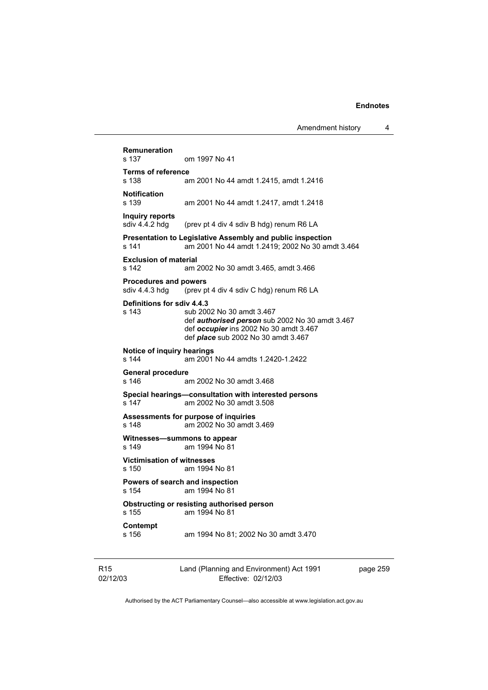| Remuneration<br>s 137                          | om 1997 No 41                                                                                                                                                               |
|------------------------------------------------|-----------------------------------------------------------------------------------------------------------------------------------------------------------------------------|
| <b>Terms of reference</b><br>s 138             | am 2001 No 44 amdt 1.2415, amdt 1.2416                                                                                                                                      |
| <b>Notification</b><br>s 139                   | am 2001 No 44 amdt 1.2417, amdt 1.2418                                                                                                                                      |
| Inquiry reports<br>sdiv 4.4.2 hdg              | (prev pt 4 div 4 sdiv B hdg) renum R6 LA                                                                                                                                    |
| s 141                                          | <b>Presentation to Legislative Assembly and public inspection</b><br>am 2001 No 44 amdt 1.2419; 2002 No 30 amdt 3.464                                                       |
| <b>Exclusion of material</b><br>s 142          | am 2002 No 30 amdt 3.465, amdt 3.466                                                                                                                                        |
| <b>Procedures and powers</b><br>sdiv 4.4.3 hdg | (prev pt 4 div 4 sdiv C hdg) renum R6 LA                                                                                                                                    |
| <b>Definitions for sdiv 4.4.3</b>              |                                                                                                                                                                             |
| s 143                                          | sub 2002 No 30 amdt 3.467<br>def <b>authorised person</b> sub 2002 No 30 amdt 3.467<br>def occupier ins 2002 No 30 amdt 3.467<br>def <i>place</i> sub 2002 No 30 amdt 3.467 |
| Notice of inquiry hearings<br>s 144            | am 2001 No 44 amdts 1.2420-1.2422                                                                                                                                           |
| General procedure<br>s 146                     | am 2002 No 30 amdt 3.468                                                                                                                                                    |
| s 147                                          | Special hearings—consultation with interested persons<br>am 2002 No 30 amdt 3.508                                                                                           |
| s 148                                          | Assessments for purpose of inquiries<br>am 2002 No 30 amdt 3.469                                                                                                            |
| s 149                                          | Witnesses-summons to appear<br>am 1994 No 81                                                                                                                                |
| <b>Victimisation of witnesses</b><br>s 150     | am 1994 No 81                                                                                                                                                               |
| s 154                                          | Powers of search and inspection<br>am 1994 No 81                                                                                                                            |
| s 155                                          | Obstructing or resisting authorised person<br>am 1994 No 81                                                                                                                 |
| Contempt<br>s 156                              | am 1994 No 81; 2002 No 30 amdt 3.470                                                                                                                                        |
|                                                |                                                                                                                                                                             |

R15 02/12/03 Land (Planning and Environment) Act 1991 Effective: 02/12/03

page 259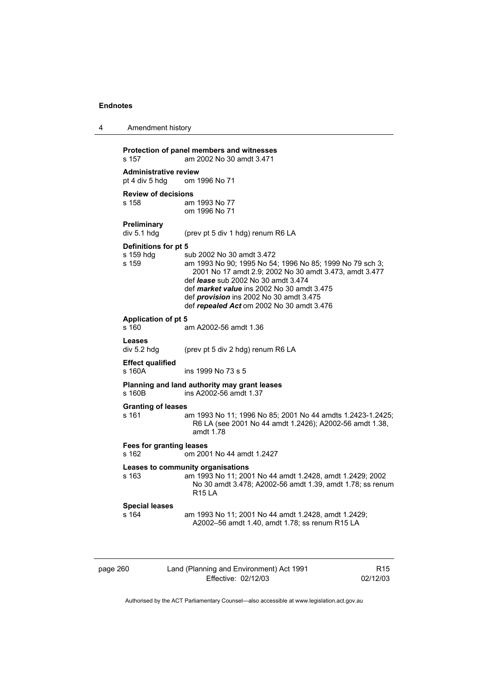| Amendment history |  |
|-------------------|--|
|-------------------|--|

| s 157                                          | Protection of panel members and witnesses<br>am 2002 No 30 amdt 3.471                                                                                                                                                                                                                                                                             |                 |
|------------------------------------------------|---------------------------------------------------------------------------------------------------------------------------------------------------------------------------------------------------------------------------------------------------------------------------------------------------------------------------------------------------|-----------------|
| <b>Administrative review</b><br>pt 4 div 5 hdg | om 1996 No 71                                                                                                                                                                                                                                                                                                                                     |                 |
| <b>Review of decisions</b><br>s 158            | am 1993 No 77<br>om 1996 No 71                                                                                                                                                                                                                                                                                                                    |                 |
| Preliminary<br>div 5.1 hdg                     | (prev pt 5 div 1 hdg) renum R6 LA                                                                                                                                                                                                                                                                                                                 |                 |
| Definitions for pt 5<br>s 159 hdg<br>s 159     | sub 2002 No 30 amdt 3.472<br>am 1993 No 90; 1995 No 54; 1996 No 85; 1999 No 79 sch 3;<br>2001 No 17 amdt 2.9; 2002 No 30 amdt 3.473, amdt 3.477<br>def <i>lease</i> sub 2002 No 30 amdt 3.474<br>def <i>market value</i> ins 2002 No 30 amdt 3.475<br>def <i>provision</i> ins 2002 No 30 amdt 3.475<br>def repealed Act om 2002 No 30 amdt 3.476 |                 |
| <b>Application of pt 5</b><br>s 160            | am A2002-56 amdt 1.36                                                                                                                                                                                                                                                                                                                             |                 |
| Leases<br>div 5.2 hdg                          | (prev pt 5 div 2 hdg) renum R6 LA                                                                                                                                                                                                                                                                                                                 |                 |
| <b>Effect qualified</b><br>s 160A              | ins 1999 No 73 s 5                                                                                                                                                                                                                                                                                                                                |                 |
| s 160B                                         | Planning and land authority may grant leases<br>ins A2002-56 amdt 1.37                                                                                                                                                                                                                                                                            |                 |
| <b>Granting of leases</b><br>s 161             | am 1993 No 11; 1996 No 85; 2001 No 44 amdts 1.2423-1.2425;<br>R6 LA (see 2001 No 44 amdt 1.2426); A2002-56 amdt 1.38,<br>amdt 1.78                                                                                                                                                                                                                |                 |
| s 162                                          | <b>Fees for granting leases</b><br>om 2001 No 44 amdt 1.2427                                                                                                                                                                                                                                                                                      |                 |
| s 163                                          | Leases to community organisations<br>am 1993 No 11; 2001 No 44 amdt 1.2428, amdt 1.2429; 2002<br>No 30 amdt 3.478; A2002-56 amdt 1.39, amdt 1.78; ss renum<br><b>R15 LA</b>                                                                                                                                                                       |                 |
| <b>Special leases</b><br>s 164                 | am 1993 No 11; 2001 No 44 amdt 1.2428, amdt 1.2429;<br>A2002-56 amdt 1.40, amdt 1.78; ss renum R15 LA                                                                                                                                                                                                                                             |                 |
| page 260                                       | Land (Planning and Environment) Act 1991                                                                                                                                                                                                                                                                                                          | R <sub>15</sub> |

Effective: 02/12/03

R15 02/12/03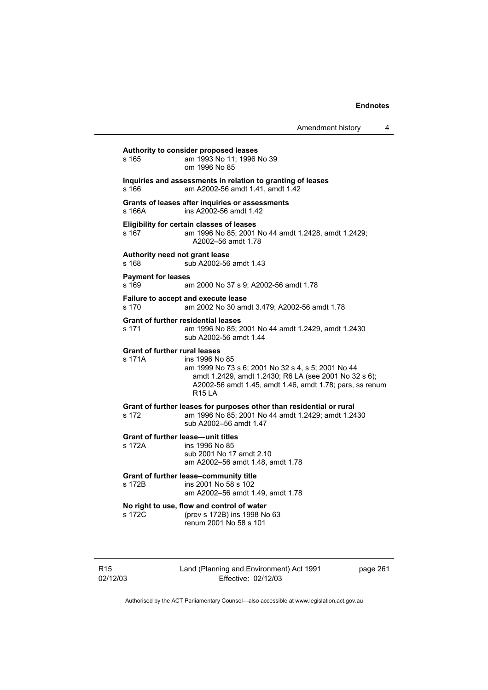| Amendment history |  |
|-------------------|--|
|-------------------|--|

| Authority to consider proposed leases                                                                                                                                                                                                                        |  |
|--------------------------------------------------------------------------------------------------------------------------------------------------------------------------------------------------------------------------------------------------------------|--|
| am 1993 No 11; 1996 No 39<br>s 165<br>om 1996 No 85                                                                                                                                                                                                          |  |
| Inquiries and assessments in relation to granting of leases<br>s 166<br>am A2002-56 amdt 1.41, amdt 1.42                                                                                                                                                     |  |
| Grants of leases after inquiries or assessments<br>ins A2002-56 amdt 1.42<br>s 166A                                                                                                                                                                          |  |
| <b>Eligibility for certain classes of leases</b><br>am 1996 No 85; 2001 No 44 amdt 1.2428, amdt 1.2429;<br>s 167<br>A2002-56 amdt 1.78                                                                                                                       |  |
| Authority need not grant lease<br>sub A2002-56 amdt 1.43<br>s 168                                                                                                                                                                                            |  |
| <b>Payment for leases</b><br>s 169<br>am 2000 No 37 s 9; A2002-56 amdt 1.78                                                                                                                                                                                  |  |
| Failure to accept and execute lease<br>s 170<br>am 2002 No 30 amdt 3.479; A2002-56 amdt 1.78                                                                                                                                                                 |  |
| <b>Grant of further residential leases</b><br>am 1996 No 85; 2001 No 44 amdt 1.2429, amdt 1.2430<br>s 171<br>sub A2002-56 amdt 1.44                                                                                                                          |  |
| <b>Grant of further rural leases</b><br>s 171A<br>ins 1996 No 85<br>am 1999 No 73 s 6; 2001 No 32 s 4, s 5; 2001 No 44<br>amdt 1.2429, amdt 1.2430; R6 LA (see 2001 No 32 s 6);<br>A2002-56 amdt 1.45, amdt 1.46, amdt 1.78; pars, ss renum<br><b>R15 LA</b> |  |
| Grant of further leases for purposes other than residential or rural<br>am 1996 No 85; 2001 No 44 amdt 1.2429; amdt 1.2430<br>s 172<br>sub A2002-56 amdt 1.47                                                                                                |  |
| <b>Grant of further lease-unit titles</b><br>s 172A<br>ins 1996 No 85<br>sub 2001 No 17 amdt 2.10<br>am A2002-56 amdt 1.48, amdt 1.78                                                                                                                        |  |
| Grant of further lease-community title<br>ins 2001 No 58 s 102<br>s 172B<br>am A2002-56 amdt 1.49, amdt 1.78                                                                                                                                                 |  |
| No right to use, flow and control of water<br>(prev s 172B) ins 1998 No 63<br>s 172C<br>renum 2001 No 58 s 101                                                                                                                                               |  |

Land (Planning and Environment) Act 1991 Effective: 02/12/03

page 261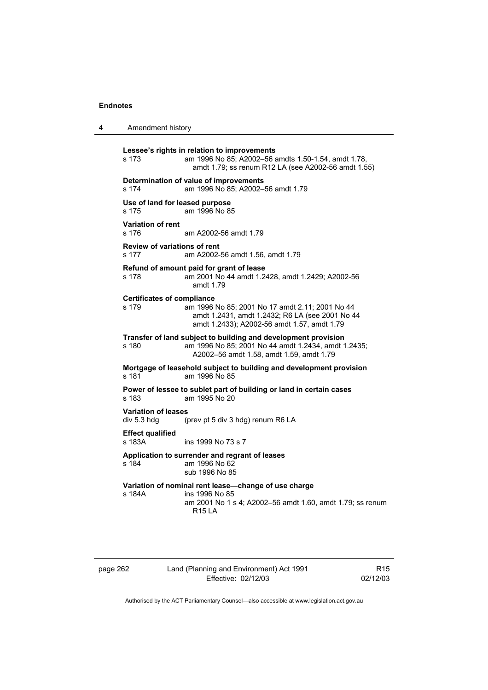| 4 | Amendment history                            |                                                                                                                                                                   |
|---|----------------------------------------------|-------------------------------------------------------------------------------------------------------------------------------------------------------------------|
|   | s 173                                        | Lessee's rights in relation to improvements<br>am 1996 No 85; A2002-56 amdts 1.50-1.54, amdt 1.78,<br>amdt 1.79; ss renum R12 LA (see A2002-56 amdt 1.55)         |
|   | s 174                                        | Determination of value of improvements<br>am 1996 No 85; A2002-56 amdt 1.79                                                                                       |
|   | Use of land for leased purpose<br>s 175      | am 1996 No 85                                                                                                                                                     |
|   | <b>Variation of rent</b><br>s 176            | am A2002-56 amdt 1.79                                                                                                                                             |
|   | <b>Review of variations of rent</b><br>s 177 | am A2002-56 amdt 1.56, amdt 1.79                                                                                                                                  |
|   | s 178                                        | Refund of amount paid for grant of lease<br>am 2001 No 44 amdt 1.2428, amdt 1.2429; A2002-56<br>amdt 1.79                                                         |
|   | <b>Certificates of compliance</b><br>s 179   | am 1996 No 85; 2001 No 17 amdt 2.11; 2001 No 44<br>amdt 1.2431, amdt 1.2432; R6 LA (see 2001 No 44<br>amdt 1.2433); A2002-56 amdt 1.57, amdt 1.79                 |
|   | s 180                                        | Transfer of land subject to building and development provision<br>am 1996 No 85; 2001 No 44 amdt 1.2434, amdt 1.2435;<br>A2002-56 amdt 1.58, amdt 1.59, amdt 1.79 |
|   | s 181                                        | Mortgage of leasehold subject to building and development provision<br>am 1996 No 85                                                                              |
|   | s 183                                        | Power of lessee to sublet part of building or land in certain cases<br>am 1995 No 20                                                                              |
|   | <b>Variation of leases</b><br>div 5.3 hdg    | (prev pt 5 div 3 hdg) renum R6 LA                                                                                                                                 |
|   | <b>Effect qualified</b><br>s 183A            | ins 1999 No 73 s 7                                                                                                                                                |
|   | s 184                                        | Application to surrender and regrant of leases<br>am 1996 No 62<br>sub 1996 No 85                                                                                 |
|   | s 184A                                       | Variation of nominal rent lease-change of use charge<br>ins 1996 No 85<br>am 2001 No 1 s 4; A2002–56 amdt 1.60, amdt 1.79; ss renum<br><b>R15 LA</b>              |

page 262 Land (Planning and Environment) Act 1991 Effective: 02/12/03

R15 02/12/03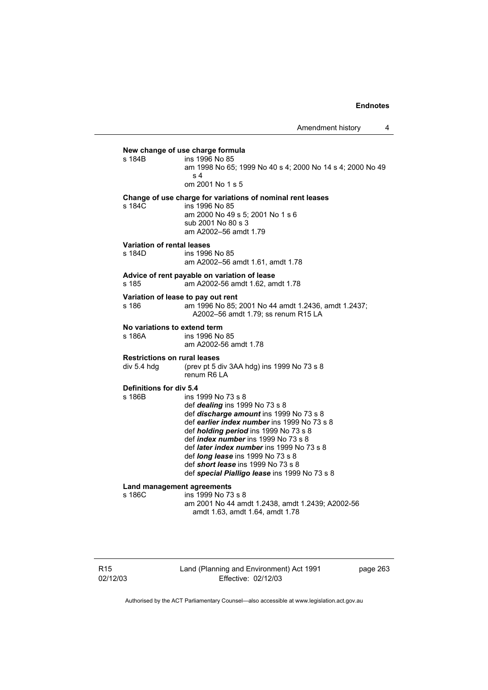**New change of use charge formula**  ins 1996 No 85 am 1998 No 65; 1999 No 40 s 4; 2000 No 14 s 4; 2000 No 49 s 4 om 2001 No 1 s 5 **Change of use charge for variations of nominal rent leases**  s 184C ins 1996 No 85 am 2000 No 49 s 5; 2001 No 1 s 6 sub 2001 No 80 s 3 am A2002–56 amdt 1.79 **Variation of rental leases**  s 184D ins 1996 No 85 am A2002–56 amdt 1.61, amdt 1.78 **Advice of rent payable on variation of lease**  am A2002-56 amdt 1.62, amdt 1.78 **Variation of lease to pay out rent**  s 186 am 1996 No 85; 2001 No 44 amdt 1.2436, amdt 1.2437; A2002–56 amdt 1.79; ss renum R15 LA **No variations to extend term**  ins 1996 No 85 am A2002-56 amdt 1.78 **Restrictions on rural leases**  div 5.4 hdg (prev pt 5 div 3AA hdg) ins 1999 No 73 s 8 renum R6 LA **Definitions for div 5.4**  ins 1999 No 73 s 8 def *dealing* ins 1999 No 73 s 8 def *discharge amount* ins 1999 No 73 s 8 def *earlier index number* ins 1999 No 73 s 8 def *holding period* ins 1999 No 73 s 8 def *index number* ins 1999 No 73 s 8 def *later index number* ins 1999 No 73 s 8 def *long lease* ins 1999 No 73 s 8 def *short lease* ins 1999 No 73 s 8 def *special Pialligo lease* ins 1999 No 73 s 8 **Land management agreements**  s 186C ins 1999 No 73 s 8 am 2001 No 44 amdt 1.2438, amdt 1.2439; A2002-56 amdt 1.63, amdt 1.64, amdt 1.78

Land (Planning and Environment) Act 1991 Effective: 02/12/03

page 263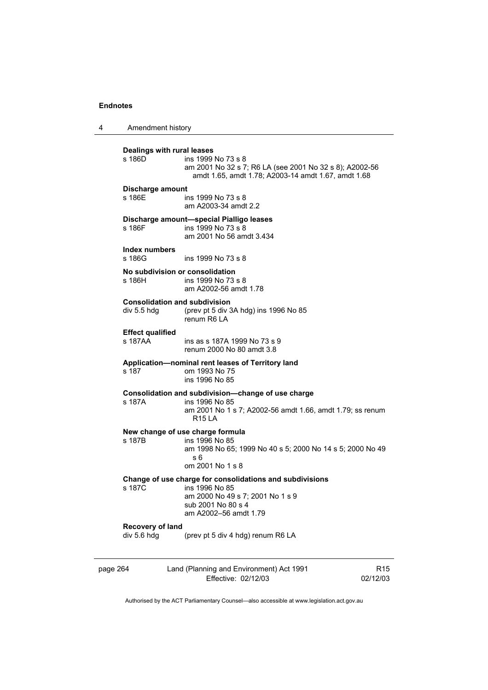4 Amendment history

**Dealings with rural leases**  ins 1999 No 73 s 8 am 2001 No 32 s 7; R6 LA (see 2001 No 32 s 8); A2002-56 amdt 1.65, amdt 1.78; A2003-14 amdt 1.67, amdt 1.68 **Discharge amount**  s 186E ins 1999 No 73 s 8 am A2003-34 amdt 2.2 **Discharge amount—special Pialligo leases**   $ins$  1999 No 73 s  $8$  am 2001 No 56 amdt 3.434 **Index numbers**  ins 1999 No 73 s 8 **No subdivision or consolidation**  s 186H ins 1999 No 73 s 8 am A2002-56 amdt 1.78 **Consolidation and subdivision**<br>div 5.5 hdg (prev pt 5 div 3 (prev pt 5 div 3A hdg) ins 1996 No  $85$  renum R6 LA **Effect qualified**  ins as s 187A 1999 No 73 s 9 renum 2000 No 80 amdt 3.8 **Application—nominal rent leases of Territory land**  s 187 om 1993 No 75 ins 1996 No 85 **Consolidation and subdivision—change of use charge**  s 187A ins 1996 No 85 am 2001 No 1 s 7; A2002-56 amdt 1.66, amdt 1.79; ss renum R15 LA **New change of use charge formula**  s 187B ins 1996 No 85 am 1998 No 65; 1999 No 40 s 5; 2000 No 14 s 5; 2000 No 49 s 6 om 2001 No 1 s 8 **Change of use charge for consolidations and subdivisions**  s 187C ins 1996 No 85 am 2000 No 49 s 7; 2001 No 1 s 9 sub 2001 No 80 s 4 am A2002–56 amdt 1.79 **Recovery of land**  div 5.6 hdg (prev pt 5 div 4 hdg) renum R6 LA

page 264 Land (Planning and Environment) Act 1991 Effective: 02/12/03

R15 02/12/03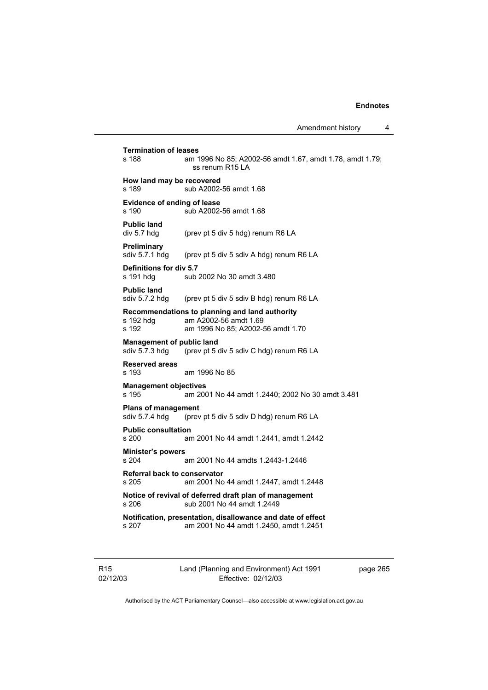**Termination of leases**<br>**s** 188 **am** 1 am 1996 No 85; A2002-56 amdt 1.67, amdt 1.78, amdt 1.79; ss renum R15 LA **How land may be recovered**  s 189 sub A2002-56 amdt 1.68 **Evidence of ending of lease**  s 190 sub A2002-56 amdt 1.68 **Public land**  div 5.7 hdg (prev pt 5 div 5 hdg) renum R6 LA **Preliminary**  sdiv 5.7.1 hdg (prev pt 5 div 5 sdiv A hdg) renum R6 LA **Definitions for div 5.7**  s 191 hdg sub 2002 No 30 amdt 3.480 **Public land**  sdiv 5.7.2 hdg (prev pt 5 div 5 sdiv B hdg) renum R6 LA **Recommendations to planning and land authority**  am A2002-56 amdt 1.69 s 192 am 1996 No 85; A2002-56 amdt 1.70 **Management of public land**  sdiv 5.7.3 hdg (prev pt 5 div 5 sdiv C hdg) renum R6 LA **Reserved areas**  am 1996 No 85 **Management objectives**  s 195 am 2001 No 44 amdt 1.2440; 2002 No 30 amdt 3.481 **Plans of management**<br>sdiv 5.7.4 hdg (prev (prev pt 5 div 5 sdiv D hdg) renum R6 LA **Public consultation**  s 200 am 2001 No 44 amdt 1.2441, amdt 1.2442 **Minister's powers**  s 204 am 2001 No 44 amdts 1.2443-1.2446 **Referral back to conservator**  s 205 am 2001 No 44 amdt 1.2447, amdt 1.2448 **Notice of revival of deferred draft plan of management**  s 206 sub 2001 No 44 amdt 1.2449 **Notification, presentation, disallowance and date of effect**  s 207 am 2001 No 44 amdt 1.2450, amdt 1.2451

R15 02/12/03 Land (Planning and Environment) Act 1991 Effective: 02/12/03

page 265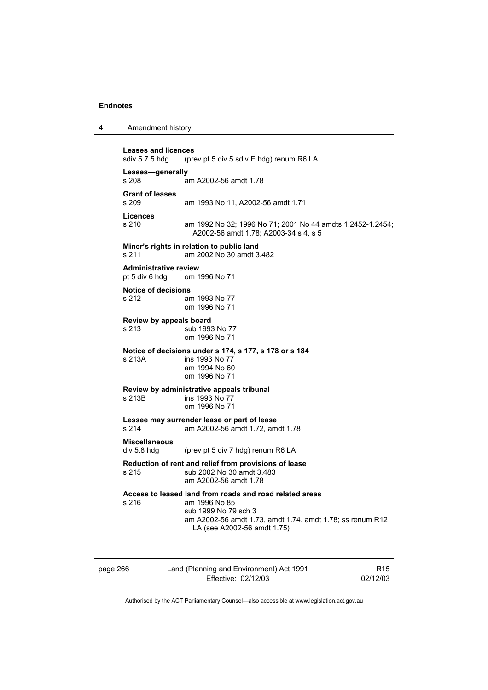| 4 | Amendment history |
|---|-------------------|
|---|-------------------|

**Leases and licences**  (prev pt 5 div 5 sdiv E hdg) renum R6 LA **Leases—generally**  am A2002-56 amdt 1.78 **Grant of leases**  am 1993 No 11, A2002-56 amdt 1.71 **Licences**  s 210 am 1992 No 32; 1996 No 71; 2001 No 44 amdts 1.2452-1.2454; A2002-56 amdt 1.78; A2003-34 s 4, s 5 **Miner's rights in relation to public land**  s 211 am 2002 No 30 amdt 3.482 **Administrative review**  pt 5 div 6 hdg om 1996 No 71 **Notice of decisions**  s 212 am 1993 No 77 om 1996 No 71 **Review by appeals board**  s 213 sub 1993 No 77 om 1996 No 71 **Notice of decisions under s 174, s 177, s 178 or s 184**  s 213A ins 1993 No 77 am 1994 No 60 om 1996 No 71 **Review by administrative appeals tribunal**  ins 1993 No 77 om 1996 No 71 **Lessee may surrender lease or part of lease**  s 214 am A2002-56 amdt 1.72, amdt 1.78 **Miscellaneous**  div 5.8 hdg (prev pt 5 div 7 hdg) renum R6 LA **Reduction of rent and relief from provisions of lease**  s 215 sub 2002 No 30 amdt 3.483 am A2002-56 amdt 1.78 **Access to leased land from roads and road related areas**  s 216 am 1996 No 85 sub 1999 No 79 sch 3 am A2002-56 amdt 1.73, amdt 1.74, amdt 1.78; ss renum R12 LA (see A2002-56 amdt 1.75)

page 266 Land (Planning and Environment) Act 1991 Effective: 02/12/03 R15 02/12/03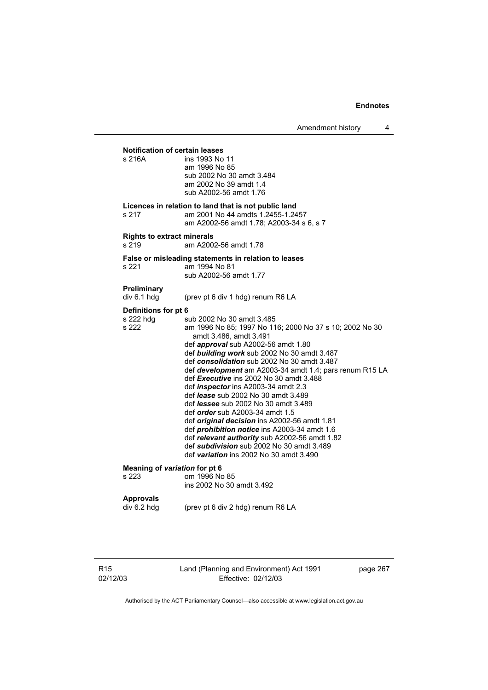**Notification of certain leases**  ins 1993 No 11 am 1996 No 85 sub 2002 No 30 amdt 3.484 am 2002 No 39 amdt 1.4 sub A2002-56 amdt 1.76 **Licences in relation to land that is not public land**  s 217 am 2001 No 44amdts 1.2455-1.2457 am A2002-56 amdt 1.78; A2003-34 s 6, s 7 **Rights to extract minerals**  s 219 am A2002-56 amdt 1.78 **False or misleading statements in relation to leases**  s 221 am 1994 No 81 sub A2002-56 amdt 1.77 **Preliminary**  div 6.1 hdg (prev pt 6 div 1 hdg) renum R6 LA **Definitions for pt 6**  s 222 hdg sub 2002 No 30 amdt 3.485<br>s 222 sm 1996 No 85: 1997 No 11 am 1996 No 85; 1997 No 116; 2000 No 37 s 10; 2002 No 30 amdt 3.486, amdt 3.491 def *approval* sub A2002-56 amdt 1.80 def *building work* sub 2002 No 30 amdt 3.487 def *consolidation* sub 2002 No 30 amdt 3.487 def *development* am A2003-34 amdt 1.4; pars renum R15 LA def *Executive* ins 2002 No 30 amdt 3.488 def *inspector* ins A2003-34 amdt 2.3 def *lease* sub 2002 No 30 amdt 3.489 def *lessee* sub 2002 No 30 amdt 3.489 def *order* sub A2003-34 amdt 1.5 def *original decision* ins A2002-56 amdt 1.81 def *prohibition notice* ins A2003-34 amdt 1.6 def *relevant authority* sub A2002-56 amdt 1.82 def *subdivision* sub 2002 No 30 amdt 3.489 def *variation* ins 2002 No 30 amdt 3.490 **Meaning of** *variation* **for pt 6**  s 223 om 1996 No 85 ins 2002 No 30 amdt 3.492 **Approvals**  div 6.2 hdg (prev pt 6 div 2 hdg) renum R6 LA

R15 02/12/03 Land (Planning and Environment) Act 1991 Effective: 02/12/03

page 267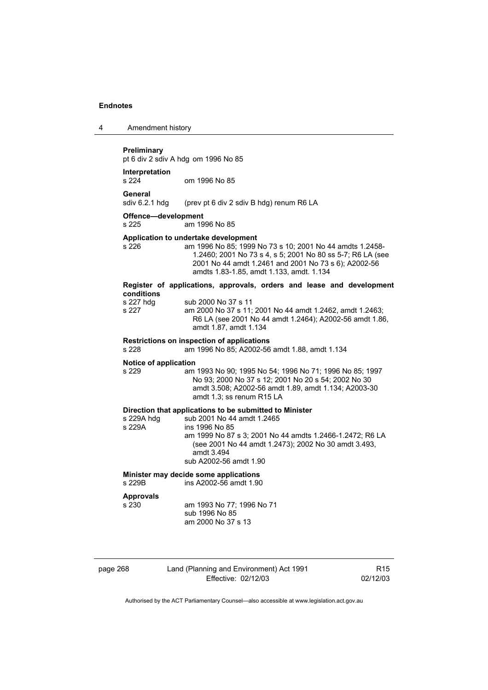| 4 | Amendment history |
|---|-------------------|
|---|-------------------|

#### **Preliminary**

pt 6 div 2 sdiv A hdg om 1996 No 85

**Interpretation**  om 1996 No 85

General<br>sdiv 6.2.1 hdg

(prev pt 6 div 2 sdiv B hdg) renum R6 LA

### **Offence—development**

s 225 am 1996 No 85 **Application to undertake development**  am 1996 No 85; 1999 No 73 s 10; 2001 No 44 amdts 1.2458-1.2460; 2001 No 73 s 4, s 5; 2001 No 80 ss 5-7; R6 LA (see 2001 No 44 amdt 1.2461 and 2001 No 73 s 6); A2002-56 amdts 1.83-1.85, amdt 1.133, amdt. 1.134 **Register of applications, approvals, orders and lease and development** 

| conditions |                                                          |
|------------|----------------------------------------------------------|
| s 227 hdq  | sub 2000 No 37 s 11                                      |
| s 227      | am 2000 No 37 s 11; 2001 No 44 amdt 1.2462, amdt 1.2463; |
|            | R6 LA (see 2001 No 44 amdt 1.2464); A2002-56 amdt 1.86,  |
|            | amdt 1.87, amdt 1.134                                    |

#### **Restrictions on inspection of applications**

s 228 am 1996 No 85; A2002-56 amdt 1.88, amdt 1.134

#### **Notice of application**

s 229 am 1993 No 90; 1995 No 54; 1996 No 71; 1996 No 85; 1997 No 93; 2000 No 37 s 12; 2001 No 20 s 54; 2002 No 30 amdt 3.508; A2002-56 amdt 1.89, amdt 1.134; A2003-30 amdt 1.3; ss renum R15 LA

### **Direction that applications to be submitted to Minister**

| s 229A hda | sub 2001 No 44 amdt 1.2465                               |
|------------|----------------------------------------------------------|
| s 229A     | ins 1996 No 85                                           |
|            | am 1999 No 87 s 3; 2001 No 44 amdts 1.2466-1.2472; R6 LA |
|            | (see 2001 No 44 amdt 1.2473); 2002 No 30 amdt 3.493,     |
|            | amdt 3.494                                               |
|            | sub A2002-56 amdt 1.90                                   |

# **Minister may decide some applications**

s 229B ins A2002-56 amdt 1.90

### **Approvals**

s 230 am 1993 No 77; 1996 No 71 sub 1996 No 85 am 2000 No 37 s 13

| page 268 |  |
|----------|--|
|----------|--|

# 268 Land (Planning and Environment) Act 1991 Effective: 02/12/03

R15 02/12/03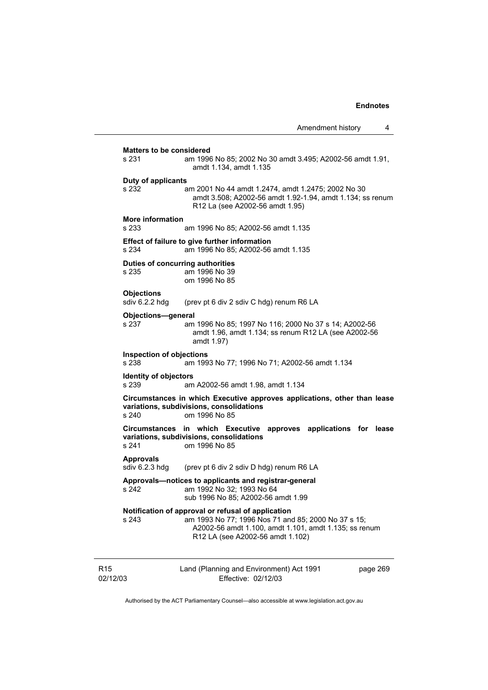# **Matters to be considered**  s 231 am 1996 No 85; 2002 No 30 amdt 3.495; A2002-56 amdt 1.91, amdt 1.134, amdt 1.135 **Duty of applicants**  s 232 am 2001 No 44 amdt 1.2474, amdt 1.2475; 2002 No 30 amdt 3.508; A2002-56 amdt 1.92-1.94, amdt 1.134; ss renum R12 La (see A2002-56 amdt 1.95) **More information**  am 1996 No 85; A2002-56 amdt 1.135 **Effect of failure to give further information**  s 234 am 1996 No 85; A2002-56 amdt 1.135 **Duties of concurring authorities**  s 235 am 1996 No 39 om 1996 No 85 **Objections**<br>sdiv 6.2.2 hdq (prev pt 6 div 2 sdiv C hdg) renum R6 LA **Objections—general**  s 237 am 1996 No 85; 1997 No 116; 2000 No 37 s 14; A2002-56 amdt 1.96, amdt 1.134; ss renum R12 LA (see A2002-56 amdt 1.97) **Inspection of objections**  s 238 am 1993 No 77; 1996 No 71; A2002-56 amdt 1.134 **Identity of objectors**  s 239 am A2002-56 amdt 1.98, amdt 1.134 **Circumstances in which Executive approves applications, other than lease variations, subdivisions, consolidations**  om 1996 No 85 **Circumstances in which Executive approves applications for lease variations, subdivisions, consolidations**  om 1996 No 85 **Approvals**  sdiv 6.2.3 hdg (prev pt 6 div 2 sdiv D hdg) renum R6 LA **Approvals—notices to applicants and registrar-general**  s 242 am 1992 No 32; 1993 No 64 sub 1996 No 85; A2002-56 amdt 1.99 **Notification of approval or refusal of application**  s 243 am 1993 No 77; 1996 Nos 71 and 85; 2000 No 37 s 15; A2002-56 amdt 1.100, amdt 1.101, amdt 1.135; ss renum R12 LA (see A2002-56 amdt 1.102)

R15 02/12/03 Land (Planning and Environment) Act 1991 Effective: 02/12/03 page 269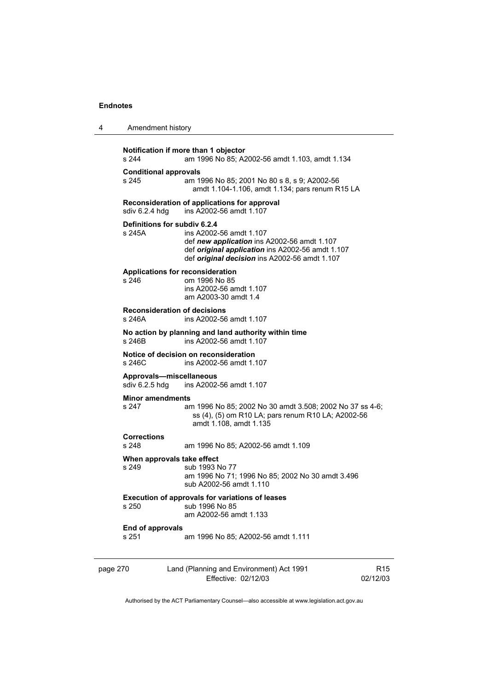| 4 | Amendment history |
|---|-------------------|
|---|-------------------|

| s 244                            | Notification if more than 1 objector<br>am 1996 No 85; A2002-56 amdt 1.103, amdt 1.134                                                                                                                      |                 |  |
|----------------------------------|-------------------------------------------------------------------------------------------------------------------------------------------------------------------------------------------------------------|-----------------|--|
| s 245                            | <b>Conditional approvals</b><br>am 1996 No 85; 2001 No 80 s 8, s 9; A2002-56<br>amdt 1.104-1.106, amdt 1.134; pars renum R15 LA                                                                             |                 |  |
| sdiv 6.2.4 hdg                   | Reconsideration of applications for approval<br>ins A2002-56 amdt 1.107                                                                                                                                     |                 |  |
| s 245A                           | Definitions for subdiv 6.2.4<br>ins A2002-56 amdt 1.107<br>def new application ins A2002-56 amdt 1.107<br>def original application ins A2002-56 amdt 1.107<br>def original decision ins A2002-56 amdt 1.107 |                 |  |
| s 246                            | <b>Applications for reconsideration</b><br>om 1996 No 85<br>ins A2002-56 amdt 1.107<br>am A2003-30 amdt 1.4                                                                                                 |                 |  |
| s 246A                           | <b>Reconsideration of decisions</b><br>ins A2002-56 amdt 1.107                                                                                                                                              |                 |  |
| s 246B                           | No action by planning and land authority within time<br>ins A2002-56 amdt 1.107                                                                                                                             |                 |  |
| s 246C                           | Notice of decision on reconsideration<br>ins A2002-56 amdt 1.107                                                                                                                                            |                 |  |
| sdiv 6.2.5 hdg                   | Approvals-miscellaneous<br>ins A2002-56 amdt 1.107                                                                                                                                                          |                 |  |
| <b>Minor amendments</b><br>s 247 | am 1996 No 85; 2002 No 30 amdt 3.508; 2002 No 37 ss 4-6;<br>ss (4), (5) om R10 LA; pars renum R10 LA; A2002-56<br>amdt 1.108, amdt 1.135                                                                    |                 |  |
| <b>Corrections</b><br>s 248      | am 1996 No 85; A2002-56 amdt 1.109                                                                                                                                                                          |                 |  |
| s 249                            | When approvals take effect<br>sub 1993 No 77<br>am 1996 No 71; 1996 No 85; 2002 No 30 amdt 3.496<br>sub A2002-56 amdt 1.110                                                                                 |                 |  |
|                                  | <b>Execution of approvals for variations of leases</b><br>s 250 sub 1996 No 85<br>am A2002-56 amdt 1.133                                                                                                    |                 |  |
| <b>End of approvals</b><br>s 251 | am 1996 No 85; A2002-56 amdt 1.111                                                                                                                                                                          |                 |  |
| page 270                         | Land (Planning and Environment) Act 1991<br>Effective: 02/12/03                                                                                                                                             | R15<br>02/12/03 |  |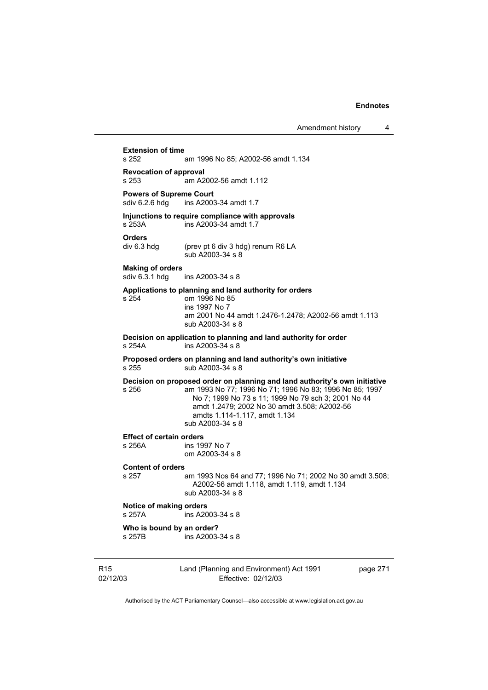**Extension of time**  am 1996 No 85; A2002-56 amdt 1.134 **Revocation of approval**   $\overline{a}$  am A2002-56 amdt 1.112 **Powers of Supreme Court**<br>sdiv 6.2.6 hdg ins A2003 ins A2003-34 amdt 1.7 **Injunctions to require compliance with approvals**  s 253A ins A2003-34 amdt 1.7 **Orders**  (prev pt 6 div 3 hdg) renum R6 LA sub A2003-34 s 8 **Making of orders**  sdiv 6.3.1 hdg ins A2003-34 s 8 **Applications to planning and land authority for orders**  s 254 om 1996 No 85 ins 1997 No 7 am 2001 No 44 amdt 1.2476-1.2478; A2002-56 amdt 1.113 sub A2003-34 s 8 **Decision on application to planning and land authority for order**   $ins A2003-34 s 8$ **Proposed orders on planning and land authority's own initiative**  s 255 sub A2003-34 s 8 **Decision on proposed order on planning and land authority's own initiative**  s 256 am 1993 No 77; 1996 No 71; 1996 No 83; 1996 No 85; 1997 No 7; 1999 No 73 s 11; 1999 No 79 sch 3; 2001 No 44 amdt 1.2479; 2002 No 30 amdt 3.508; A2002-56 amdts 1.114-1.117, amdt 1.134 sub A2003-34 s 8 **Effect of certain orders**  ins 1997 No 7 om A2003-34 s 8 **Content of orders**  s 257 am 1993 Nos 64 and 77; 1996 No 71; 2002 No 30 amdt 3.508; A2002-56 amdt 1.118, amdt 1.119, amdt 1.134 sub A2003-34 s 8 **Notice of making orders**  s 257A ins A2003-34 s 8 **Who is bound by an order?**  s 257B ins A2003-34 s 8

R15 02/12/03 Land (Planning and Environment) Act 1991 Effective: 02/12/03

page 271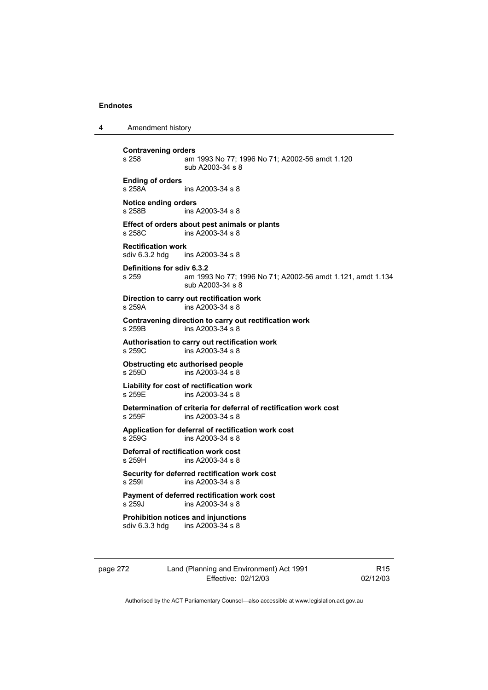4 Amendment history

| <b>Contravening orders</b><br>s 258                             | am 1993 No 77; 1996 No 71; A2002-56 amdt 1.120<br>sub A2003-34 s 8                    |  |
|-----------------------------------------------------------------|---------------------------------------------------------------------------------------|--|
| <b>Ending of orders</b><br>s 258A                               | ins A2003-34 s 8                                                                      |  |
| Notice ending orders<br>s 258B                                  | ins A2003-34 s 8                                                                      |  |
| s 258C                                                          | Effect of orders about pest animals or plants<br>ins A2003-34 s 8                     |  |
| <b>Rectification work</b><br>sdiv 6.3.2 hdg ins A2003-34 s 8    |                                                                                       |  |
| Definitions for sdiv 6.3.2<br>s 259                             | am 1993 No 77; 1996 No 71; A2002-56 amdt 1.121, amdt 1.134<br>sub A2003-34 s 8        |  |
| s 259A                                                          | Direction to carry out rectification work<br>ins A2003-34 s 8                         |  |
| s 259B                                                          | Contravening direction to carry out rectification work<br>ins A2003-34 s 8            |  |
| s 259C                                                          | Authorisation to carry out rectification work<br>ins A2003-34 s 8                     |  |
| Obstructing etc authorised people<br>s 259D<br>ins A2003-34 s 8 |                                                                                       |  |
| s 259E                                                          | Liability for cost of rectification work<br>ins A2003-34 s 8                          |  |
| s 259F                                                          | Determination of criteria for deferral of rectification work cost<br>ins A2003-34 s 8 |  |
| s 259G                                                          | Application for deferral of rectification work cost<br>ins A2003-34 s 8               |  |
| Deferral of rectification work cost<br>s 259H                   | ins A2003-34 s 8                                                                      |  |
| s 2591                                                          | Security for deferred rectification work cost<br>ins A2003-34 s 8                     |  |
| s 259J                                                          | <b>Payment of deferred rectification work cost</b><br>ins A2003-34 s 8                |  |
| sdiv 6.3.3 hdg                                                  | <b>Prohibition notices and injunctions</b><br>ins A2003-34 s 8                        |  |

page 272 Land (Planning and Environment) Act 1991 Effective: 02/12/03

R15 02/12/03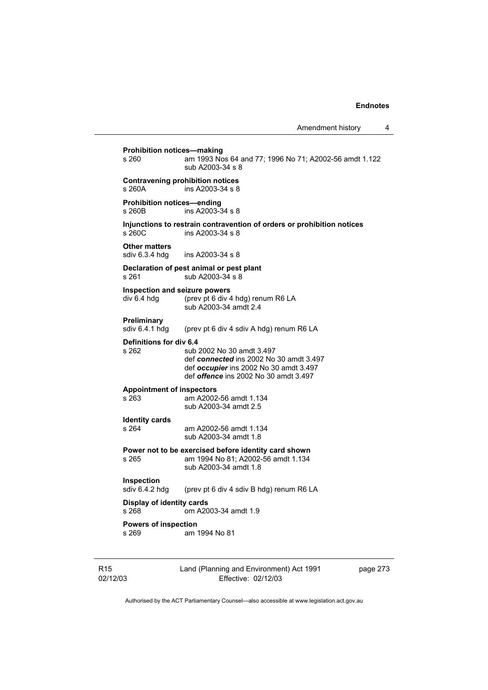# **Prohibition notices—making**<br>s 260 am 1993 No am 1993 Nos 64 and 77; 1996 No 71; A2002-56 amdt 1.122 sub A2003-34 s 8 **Contravening prohibition notices**  s 260A ins A2003-34 s 8 **Prohibition notices—ending**  s 260B ins A2003-34 s 8 **Injunctions to restrain contravention of orders or prohibition notices**  s 260C ins A2003-34 s 8 **Other matters**  sdiv 6.3.4 hdg ins A2003-34 s 8 **Declaration of pest animal or pest plant**  s 261 sub A2003-34 s 8 **Inspection and seizure powers**  div 6.4 hdg (prev pt 6 div 4 hdg) renum R6 LA sub A2003-34 amdt 2.4 **Preliminary**<br>sdiv 6.4.1 hdg (prev pt 6 div 4 sdiv A hdg) renum R6 LA **Definitions for div 6.4**  s 262 sub 2002 No 30 amdt 3.497 def *connected* ins 2002 No 30 amdt 3.497 def *occupier* ins 2002 No 30 amdt 3.497 def *offence* ins 2002 No 30 amdt 3.497 **Appointment of inspectors**  am A2002-56 amdt 1.134 sub A2003-34 amdt 2.5 **Identity cards**  am A2002-56 amdt 1.134 sub A2003-34 amdt 1.8 **Power not to be exercised before identity card shown**  s 265 am 1994 No 81; A2002-56 amdt 1.134 sub A2003-34 amdt 1.8 **Inspection**<br>sdiv 6.4.2 hdg (prev pt 6 div 4 sdiv B hdg) renum R6 LA **Display of identity cards**  s 268 om A2003-34 amdt 1.9 **Powers of inspection**  s 269 am 1994 No 81

| R15      |
|----------|
| 02/12/03 |

Land (Planning and Environment) Act 1991 Effective: 02/12/03

page 273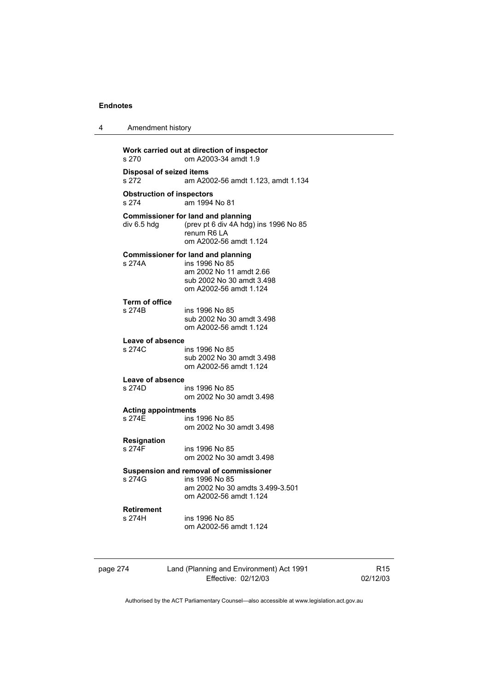4 Amendment history

| s 270                                     | om A2003-34 amdt 1.9                                                                                                                          |
|-------------------------------------------|-----------------------------------------------------------------------------------------------------------------------------------------------|
| <b>Disposal of seized items</b><br>s 272  | am A2002-56 amdt 1.123, amdt 1.134                                                                                                            |
| <b>Obstruction of inspectors</b><br>s 274 | am 1994 No 81                                                                                                                                 |
| div 6.5 hdg                               | <b>Commissioner for land and planning</b><br>(prev pt 6 div 4A hdg) ins 1996 No 85<br>renum R6 LA<br>om A2002-56 amdt 1.124                   |
| s 274A                                    | <b>Commissioner for land and planning</b><br>ins 1996 No 85<br>am 2002 No 11 amdt 2.66<br>sub 2002 No 30 amdt 3.498<br>om A2002-56 amdt 1.124 |
| <b>Term of office</b><br>s 274B           | ins 1996 No 85<br>sub 2002 No 30 amdt 3.498<br>om A2002-56 amdt 1.124                                                                         |
| <b>Leave of absence</b><br>s 274C         | ins 1996 No 85<br>sub 2002 No 30 amdt 3.498<br>om A2002-56 amdt 1.124                                                                         |
| Leave of absence<br>s 274D                | ins 1996 No 85<br>om 2002 No 30 amdt 3.498                                                                                                    |
| <b>Acting appointments</b><br>s 274E      | ins 1996 No 85<br>om 2002 No 30 amdt 3.498                                                                                                    |
| Resignation<br>s 274F                     | ins 1996 No 85<br>om 2002 No 30 amdt 3.498                                                                                                    |
| s 274G                                    | Suspension and removal of commissioner<br>ins 1996 No 85<br>am 2002 No 30 amdts 3.499-3.501<br>om A2002-56 amdt 1.124                         |
| <b>Retirement</b><br>s 274H               | ins 1996 No 85<br>om A2002-56 amdt 1.124                                                                                                      |

page 274 Land (Planning and Environment) Act 1991 Effective: 02/12/03

R15 02/12/03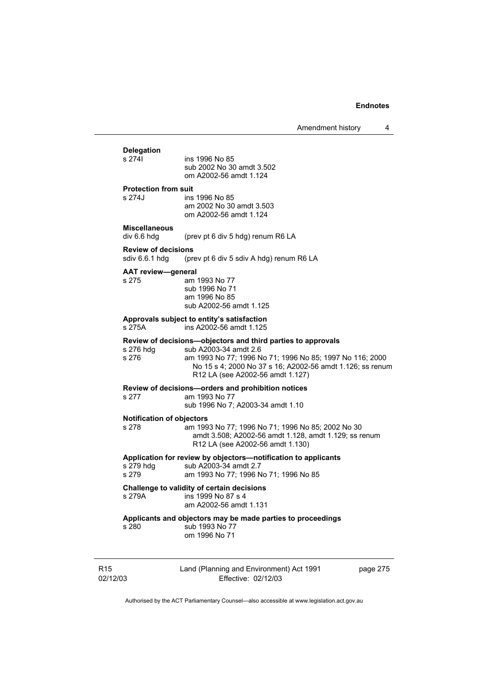# **Delegation**

ins 1996 No 85 sub 2002 No 30 amdt 3.502 om A2002-56 amdt 1.124

#### **Protection from suit**

s 274J ins 1996 No 85 am 2002 No 30 amdt 3.503 om A2002-56 amdt 1.124

# **Miscellaneous**

div 6.6 hdg (prev pt 6 div 5 hdg) renum R6 LA

# **Review of decisions**

(prev pt 6 div 5 sdiv A hdg) renum R6 LA

#### **AAT review—general**

s 275 am 1993 No 77 sub 1996 No 71 am 1996 No 85 sub A2002-56 amdt 1.125

#### **Approvals subject to entity's satisfaction**  s 275A ins A2002-56 amdt 1.125

**Review of decisions—objectors and third parties to approvals** 

s 276 hdg sub A2003-34 amdt 2.6

s 276 am 1993 No 77; 1996 No 71; 1996 No 85; 1997 No 116; 2000 No 15 s 4; 2000 No 37 s 16; A2002-56 amdt 1.126; ss renum R12 LA (see A2002-56 amdt 1.127)

#### **Review of decisions—orders and prohibition notices**

s 277 am 1993 No 77

sub 1996 No 7; A2003-34 amdt 1.10

#### **Notification of objectors**

s 278 am 1993 No 77; 1996 No 71; 1996 No 85; 2002 No 30 amdt 3.508; A2002-56 amdt 1.128, amdt 1.129; ss renum R12 LA (see A2002-56 amdt 1.130)

#### **Application for review by objectors—notification to applicants**

s 279 hdg sub A2003-34 amdt 2.7

s 279 am 1993 No 77; 1996 No 71; 1996 No 85

## **Challenge to validity of certain decisions**

s 279A ins 1999 No 87 s 4 am A2002-56 amdt 1.131

# **Applicants and objectors may be made parties to proceedings**

s 280 sub 1993 No 77 om 1996 No 71

R15 02/12/03 Land (Planning and Environment) Act 1991 Effective: 02/12/03

page 275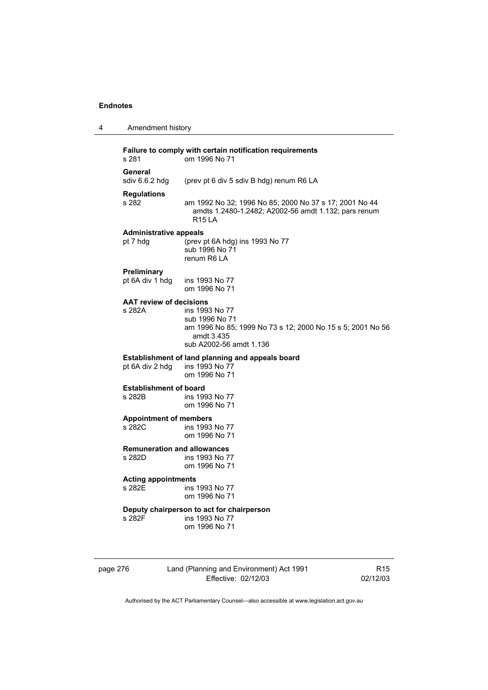| 4 | Amendment history                                                                  |                                                                                                                                         |  |
|---|------------------------------------------------------------------------------------|-----------------------------------------------------------------------------------------------------------------------------------------|--|
|   | Failure to comply with certain notification requirements<br>om 1996 No 71<br>s 281 |                                                                                                                                         |  |
|   | General<br>sdiv 6.6.2 hdg                                                          | (prev pt 6 div 5 sdiv B hdg) renum R6 LA                                                                                                |  |
|   | <b>Regulations</b><br>s 282                                                        | am 1992 No 32; 1996 No 85; 2000 No 37 s 17; 2001 No 44<br>amdts 1.2480-1.2482; A2002-56 amdt 1.132; pars renum<br><b>R15 LA</b>         |  |
|   | <b>Administrative appeals</b><br>pt 7 hdg                                          | (prev pt 6A hdg) ins 1993 No 77<br>sub 1996 No 71<br>renum R6 LA                                                                        |  |
|   | Preliminary<br>pt 6A div 1 hdg                                                     | ins 1993 No 77<br>om 1996 No 71                                                                                                         |  |
|   | <b>AAT review of decisions</b><br>s 282A                                           | ins 1993 No 77<br>sub 1996 No 71<br>am 1996 No 85; 1999 No 73 s 12; 2000 No 15 s 5; 2001 No 56<br>amdt 3.435<br>sub A2002-56 amdt 1.136 |  |
|   | pt 6A div 2 hdg                                                                    | Establishment of land planning and appeals board<br>ins 1993 No 77<br>om 1996 No 71                                                     |  |
|   | <b>Establishment of board</b><br>s 282B                                            | ins 1993 No 77<br>om 1996 No 71                                                                                                         |  |
|   | <b>Appointment of members</b><br>s 282C                                            | ins 1993 No 77<br>om 1996 No 71                                                                                                         |  |
|   | <b>Remuneration and allowances</b><br>s 282D                                       | ins 1993 No 77<br>om 1996 No 71                                                                                                         |  |
|   | <b>Acting appointments</b><br>s 282E                                               | ins 1993 No 77<br>om 1996 No 71                                                                                                         |  |
|   | s 282F                                                                             | Deputy chairperson to act for chairperson<br>ins 1993 No 77<br>om 1996 No 71                                                            |  |

page 276 Land (Planning and Environment) Act 1991 Effective: 02/12/03

R15 02/12/03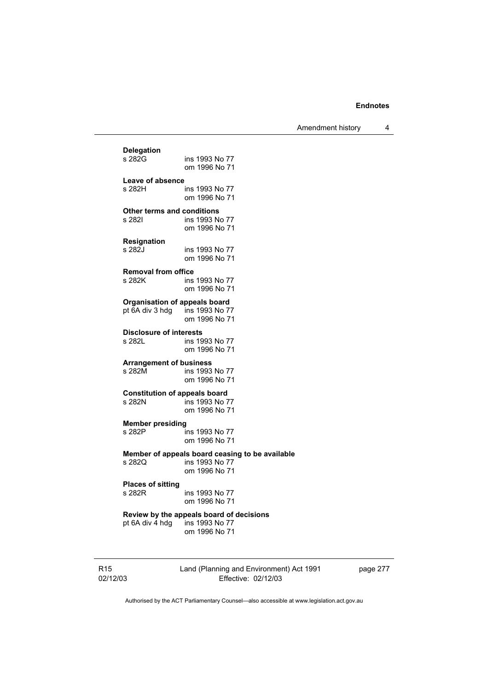Amendment history 4

**Delegation**  ins 1993 No 77 om 1996 No 71 Leave of absence<br>s 282H ins 1993 No 77 om 1996 No 71 **Other terms and conditions**  s 282I ins 1993 No 77 om 1996 No 71 **Resignation**  ins 1993 No 77 om 1996 No 71 **Removal from office**  s 282K ins 1993 No 77 om 1996 No 71 **Organisation of appeals board**<br>
ot 6A div 3 hdg ins 1993 No 77 pt  $6A$  div 3 hdg om 1996 No 71 **Disclosure of interests**  ins 1993 No 77 om 1996 No 71 **Arrangement of business**  ins 1993 No 77 om 1996 No 71 **Constitution of appeals board**<br>**5 282N** ins 1993 No ins 1993 No 77 om 1996 No 71 **Member presiding**  s 282P ins 1993 No 77 om 1996 No 71 **Member of appeals board ceasing to be available**  ins 1993 No 77 om 1996 No 71 **Places of sitting**  ins 1993 No 77 om 1996 No 71 **Review by the appeals board of decisions**  ins 1993 No 77 om 1996 No 71

R15 02/12/03 Land (Planning and Environment) Act 1991 Effective: 02/12/03

page 277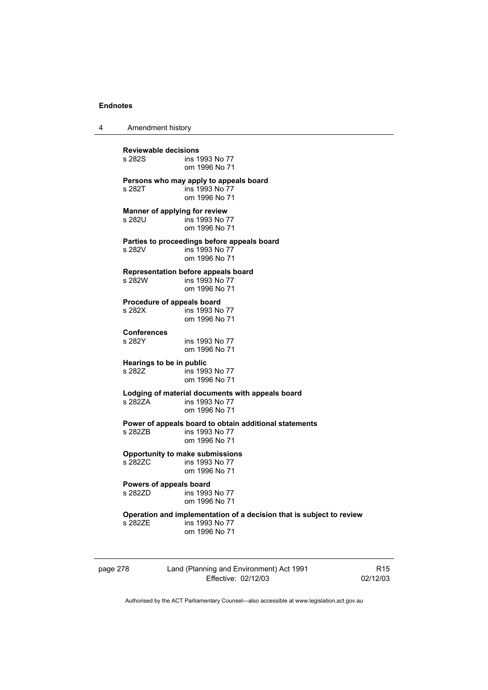4 Amendment history

**Reviewable decisions**  ins 1993 No 77 om 1996 No 71 **Persons who may apply to appeals board**  s 282T ins 1993 No 77 om 1996 No 71 **Manner of applying for review**  s 282U ins 1993 No 77 om 1996 No 71 **Parties to proceedings before appeals board**  ins 1993 No 77 om 1996 No 71 **Representation before appeals board**  s 282W ins 1993 No 77 om 1996 No 71 **Procedure of appeals board**<br>s 282X **ins 1993** No ins 1993 No 77 om 1996 No 71 **Conferences**  ins 1993 No 77 om 1996 No 71 **Hearings to be in public**  ins 1993 No 77 om 1996 No 71 **Lodging of material documents with appeals board**  ins 1993 No 77 om 1996 No 71 **Power of appeals board to obtain additional statements**  s 282ZB ins 1993 No 77 om 1996 No 71 **Opportunity to make submissions**  ins 1993 No 77 om 1996 No 71 **Powers of appeals board**<br>s 2827D **ins** 1993 ins 1993 No 77 om 1996 No 71 **Operation and implementation of a decision that is subject to review**  ins 1993 No 77 om 1996 No 71

page 278 Land (Planning and Environment) Act 1991 Effective: 02/12/03

R15 02/12/03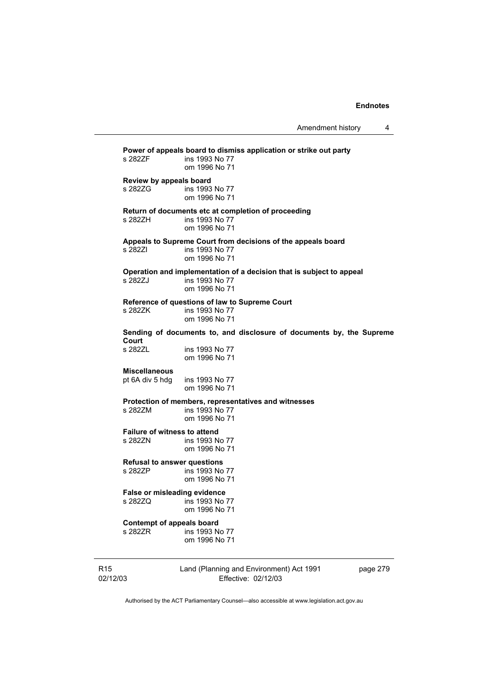| s 282ZF                                                | Power of appeals board to dismiss application or strike out party<br>ins 1993 No 77<br>om 1996 No 71    |
|--------------------------------------------------------|---------------------------------------------------------------------------------------------------------|
| Review by appeals board<br>s 282ZG                     | ins 1993 No 77<br>om 1996 No 71                                                                         |
| s 282ZH                                                | Return of documents etc at completion of proceeding<br>ins 1993 No 77<br>om 1996 No 71                  |
| s 282ZI                                                | Appeals to Supreme Court from decisions of the appeals board<br>ins 1993 No 77<br>om 1996 No 71         |
| s 282ZJ                                                | Operation and implementation of a decision that is subject to appeal<br>ins 1993 No 77<br>om 1996 No 71 |
| s 282ZK                                                | Reference of questions of law to Supreme Court<br>ins 1993 No 77<br>om 1996 No 71                       |
|                                                        | Sending of documents to, and disclosure of documents by, the Supreme                                    |
| Court<br>s 282ZL                                       | ins 1993 No 77<br>om 1996 No 71                                                                         |
| <b>Miscellaneous</b><br>pt 6A div 5 hdg ins 1993 No 77 | om 1996 No 71                                                                                           |
| s 282ZM                                                | Protection of members, representatives and witnesses<br>ins 1993 No 77<br>om 1996 No 71                 |
| <b>Failure of witness to attend</b><br>s 282ZN         | ins 1993 No 77<br>om 1996 No 71                                                                         |
| <b>Refusal to answer questions</b><br>s 282ZP          | ins 1993 No 77<br>om 1996 No 71                                                                         |
| <b>False or misleading evidence</b><br>s 282ZQ         | ins 1993 No 77<br>om 1996 No 71                                                                         |
| Contempt of appeals board<br>s 282ZR                   | ins 1993 No 77<br>om 1996 No 71                                                                         |
|                                                        |                                                                                                         |

R15 02/12/03 Land (Planning and Environment) Act 1991 Effective: 02/12/03

page 279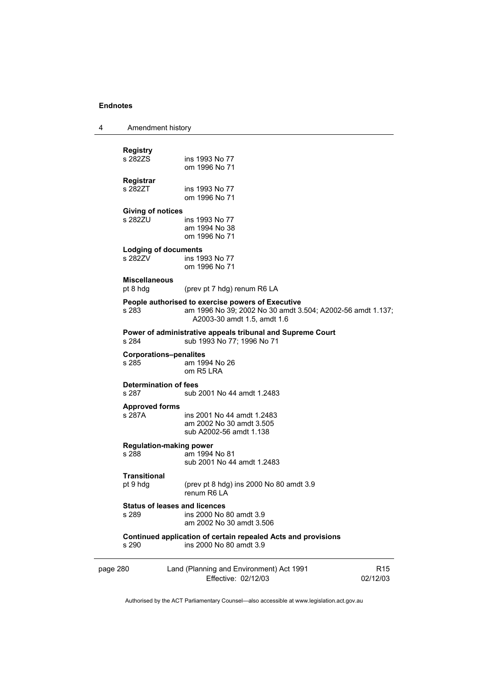| 4 | Amendment history |
|---|-------------------|
|---|-------------------|

| <b>Registry</b><br>s 282ZS             | ins 1993 No 77<br>om 1996 No 71                                                                                                                |                             |
|----------------------------------------|------------------------------------------------------------------------------------------------------------------------------------------------|-----------------------------|
| <b>Registrar</b><br>s 282ZT            | ins 1993 No 77<br>om 1996 No 71                                                                                                                |                             |
| <b>Giving of notices</b><br>s 282ZU    | ins 1993 No 77<br>am 1994 No 38<br>om 1996 No 71                                                                                               |                             |
| <b>Lodging of documents</b><br>s 282ZV | ins 1993 No 77<br>om 1996 No 71                                                                                                                |                             |
| <b>Miscellaneous</b><br>pt 8 hdg       | (prev pt 7 hdg) renum R6 LA                                                                                                                    |                             |
| s 283                                  | People authorised to exercise powers of Executive<br>am 1996 No 39; 2002 No 30 amdt 3.504; A2002-56 amdt 1.137;<br>A2003-30 amdt 1.5, amdt 1.6 |                             |
| s 284                                  | Power of administrative appeals tribunal and Supreme Court<br>sub 1993 No 77; 1996 No 71                                                       |                             |
| <b>Corporations-penalites</b><br>s 285 | am 1994 No 26<br>om R5 LRA                                                                                                                     |                             |
| <b>Determination of fees</b><br>s 287  | sub 2001 No 44 amdt 1.2483                                                                                                                     |                             |
| <b>Approved forms</b><br>s 287A        | ins 2001 No 44 amdt 1.2483<br>am 2002 No 30 amdt 3.505<br>sub A2002-56 amdt 1.138                                                              |                             |
| s 288                                  | <b>Regulation-making power</b><br>am 1994 No 81<br>sub 2001 No 44 amdt 1.2483                                                                  |                             |
| <b>Transitional</b><br>pt 9 hdg        | (prev pt 8 hdg) ins 2000 No 80 amdt 3.9<br>renum R6 LA                                                                                         |                             |
| s 289                                  | <b>Status of leases and licences</b><br>ins 2000 No 80 amdt 3.9<br>am 2002 No 30 amdt 3.506                                                    |                             |
| s 290                                  | Continued application of certain repealed Acts and provisions<br>ins 2000 No 80 amdt 3.9                                                       |                             |
| page 280                               | Land (Planning and Environment) Act 1991<br>Effective: 02/12/03                                                                                | R <sub>15</sub><br>02/12/03 |

Authorised by the ACT Parliamentary Counsel—also accessible at www.legislation.act.gov.au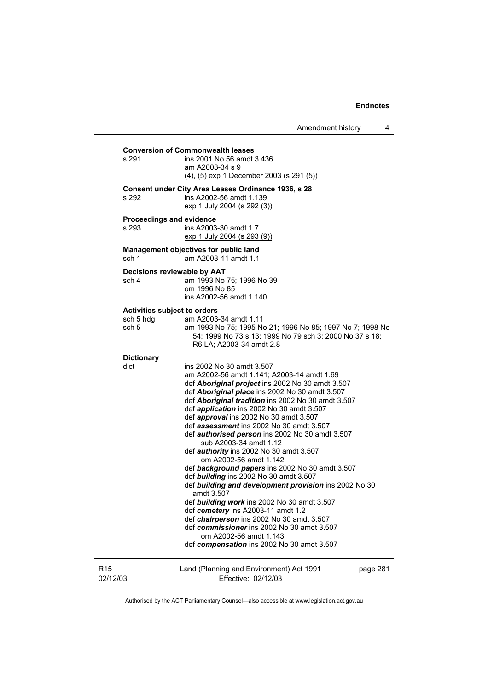| s 291                                                     | <b>Conversion of Commonwealth leases</b><br>ins 2001 No 56 amdt 3.436<br>am A2003-34 s 9<br>$(4)$ , $(5)$ exp 1 December 2003 (s 291 $(5)$ )                                                                                                                                                                                                                                                                                                                                                                                                                                                                                                                                                                                                                                                                                                                                                                                                                                     |          |
|-----------------------------------------------------------|----------------------------------------------------------------------------------------------------------------------------------------------------------------------------------------------------------------------------------------------------------------------------------------------------------------------------------------------------------------------------------------------------------------------------------------------------------------------------------------------------------------------------------------------------------------------------------------------------------------------------------------------------------------------------------------------------------------------------------------------------------------------------------------------------------------------------------------------------------------------------------------------------------------------------------------------------------------------------------|----------|
| s 292                                                     | Consent under City Area Leases Ordinance 1936, s 28<br>ins A2002-56 amdt 1.139<br>exp 1 July 2004 (s 292 (3))                                                                                                                                                                                                                                                                                                                                                                                                                                                                                                                                                                                                                                                                                                                                                                                                                                                                    |          |
| Proceedings and evidence<br>s 293                         | ins A2003-30 amdt 1.7<br>exp 1 July 2004 (s 293 (9))                                                                                                                                                                                                                                                                                                                                                                                                                                                                                                                                                                                                                                                                                                                                                                                                                                                                                                                             |          |
| sch 1                                                     | Management objectives for public land<br>am A2003-11 amdt 1.1                                                                                                                                                                                                                                                                                                                                                                                                                                                                                                                                                                                                                                                                                                                                                                                                                                                                                                                    |          |
| sch 4                                                     | Decisions reviewable by AAT<br>am 1993 No 75; 1996 No 39<br>om 1996 No 85<br>ins A2002-56 amdt 1.140                                                                                                                                                                                                                                                                                                                                                                                                                                                                                                                                                                                                                                                                                                                                                                                                                                                                             |          |
| <b>Activities subject to orders</b><br>sch 5 hdg<br>sch 5 | am A2003-34 amdt 1.11<br>am 1993 No 75; 1995 No 21; 1996 No 85; 1997 No 7; 1998 No<br>54; 1999 No 73 s 13; 1999 No 79 sch 3; 2000 No 37 s 18;<br>R6 LA; A2003-34 amdt 2.8                                                                                                                                                                                                                                                                                                                                                                                                                                                                                                                                                                                                                                                                                                                                                                                                        |          |
| <b>Dictionary</b><br>dict                                 | ins 2002 No 30 amdt 3.507<br>am A2002-56 amdt 1.141; A2003-14 amdt 1.69<br>def <b>Aboriginal project</b> ins 2002 No 30 amdt 3.507<br>def <b>Aboriginal place</b> ins 2002 No 30 amdt 3.507<br>def Aboriginal tradition ins 2002 No 30 amdt 3.507<br>def <i>application</i> ins 2002 No 30 amdt 3.507<br>def approval ins 2002 No 30 amdt 3.507<br>def assessment ins 2002 No 30 amdt 3.507<br>def <i>authorised person</i> ins 2002 No 30 amdt 3.507<br>sub A2003-34 amdt 1.12<br>def authority ins 2002 No 30 amdt 3.507<br>om A2002-56 amdt 1.142<br>def background papers ins 2002 No 30 amdt 3.507<br>def building ins 2002 No 30 amdt 3.507<br>def building and development provision ins 2002 No 30<br>amdt 3.507<br>def building work ins 2002 No 30 amdt 3.507<br>def cemetery ins A2003-11 amdt 1.2<br>def chairperson ins 2002 No 30 amdt 3.507<br>def commissioner ins 2002 No 30 amdt 3.507<br>om A2002-56 amdt 1.143<br>def compensation ins 2002 No 30 amdt 3.507 |          |
| 02/12/03                                                  | Land (Planning and Environment) Act 1991<br>Effective: 02/12/03                                                                                                                                                                                                                                                                                                                                                                                                                                                                                                                                                                                                                                                                                                                                                                                                                                                                                                                  | page 281 |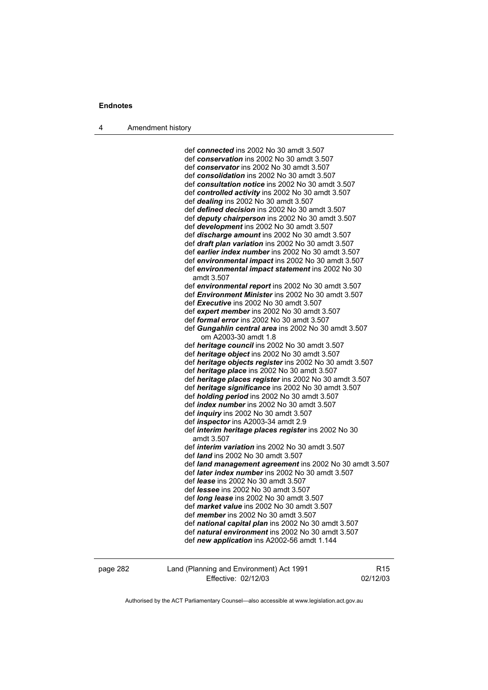4 Amendment history

 def *connected* ins 2002 No 30 amdt 3.507 def *conservation* ins 2002 No 30 amdt 3.507 def *conservator* ins 2002 No 30 amdt 3.507 def *consolidation* ins 2002 No 30 amdt 3.507 def *consultation notice* ins 2002 No 30 amdt 3.507 def *controlled activity* ins 2002 No 30 amdt 3.507 def *dealing* ins 2002 No 30 amdt 3.507 def *defined decision* ins 2002 No 30 amdt 3.507 def *deputy chairperson* ins 2002 No 30 amdt 3.507 def *development* ins 2002 No 30 amdt 3.507 def *discharge amount* ins 2002 No 30 amdt 3.507 def *draft plan variation* ins 2002 No 30 amdt 3.507 def *earlier index number* ins 2002 No 30 amdt 3.507 def *environmental impact* ins 2002 No 30 amdt 3.507 def *environmental impact statement* ins 2002 No 30 amdt 3.507 def *environmental report* ins 2002 No 30 amdt 3.507 def *Environment Minister* ins 2002 No 30 amdt 3.507 def *Executive* ins 2002 No 30 amdt 3.507 def *expert member* ins 2002 No 30 amdt 3.507 def *formal error* ins 2002 No 30 amdt 3.507 def *Gungahlin central area* ins 2002 No 30 amdt 3.507 om A2003-30 amdt 1.8 def *heritage council* ins 2002 No 30 amdt 3.507 def *heritage object* ins 2002 No 30 amdt 3.507 def *heritage objects register* ins 2002 No 30 amdt 3.507 def *heritage place* ins 2002 No 30 amdt 3.507 def *heritage places register* ins 2002 No 30 amdt 3.507 def *heritage significance* ins 2002 No 30 amdt 3.507 def *holding period* ins 2002 No 30 amdt 3.507 def *index number* ins 2002 No 30 amdt 3.507 def *inquiry* ins 2002 No 30 amdt 3.507 def *inspector* ins A2003-34 amdt 2.9 def *interim heritage places register* ins 2002 No 30 amdt 3.507 def *interim variation* ins 2002 No 30 amdt 3.507 def *land* ins 2002 No 30 amdt 3.507 def *land management agreement* ins 2002 No 30 amdt 3.507 def *later index number* ins 2002 No 30 amdt 3.507 def *lease* ins 2002 No 30 amdt 3.507 def *lessee* ins 2002 No 30 amdt 3.507 def *long lease* ins 2002 No 30 amdt 3.507 def *market value* ins 2002 No 30 amdt 3.507 def *member* ins 2002 No 30 amdt 3.507 def *national capital plan* ins 2002 No 30 amdt 3.507 def *natural environment* ins 2002 No 30 amdt 3.507 def *new application* ins A2002-56 amdt 1.144

page 282 Land (Planning and Environment) Act 1991 Effective: 02/12/03

R15 02/12/03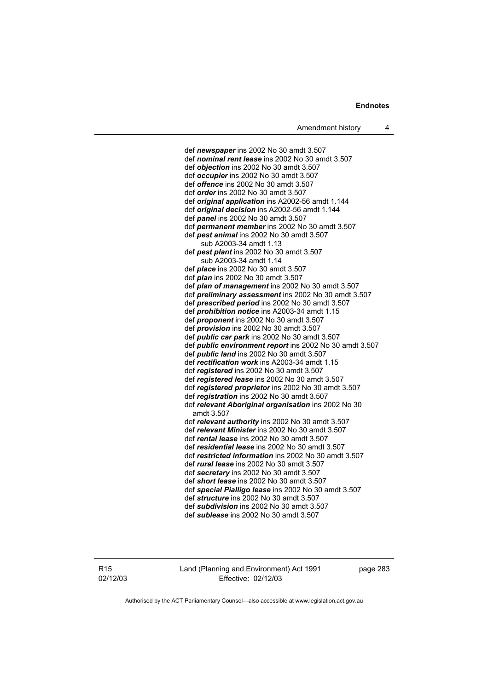def *newspaper* ins 2002 No 30 amdt 3.507 def *nominal rent lease* ins 2002 No 30 amdt 3.507 def *objection* ins 2002 No 30 amdt 3.507 def *occupier* ins 2002 No 30 amdt 3.507 def *offence* ins 2002 No 30 amdt 3.507 def *order* ins 2002 No 30 amdt 3.507 def *original application* ins A2002-56 amdt 1.144 def *original decision* ins A2002-56 amdt 1.144 def *panel* ins 2002 No 30 amdt 3.507 def *permanent member* ins 2002 No 30 amdt 3.507 def *pest animal* ins 2002 No 30 amdt 3.507 sub A2003-34 amdt 1.13 def *pest plant* ins 2002 No 30 amdt 3.507 sub A2003-34 amdt 1.14 def *place* ins 2002 No 30 amdt 3.507 def *plan* ins 2002 No 30 amdt 3.507 def *plan of management* ins 2002 No 30 amdt 3.507 def *preliminary assessment* ins 2002 No 30 amdt 3.507 def *prescribed period* ins 2002 No 30 amdt 3.507 def *prohibition notice* ins A2003-34 amdt 1.15 def *proponent* ins 2002 No 30 amdt 3.507 def *provision* ins 2002 No 30 amdt 3.507 def *public car park* ins 2002 No 30 amdt 3.507 def *public environment report* ins 2002 No 30 amdt 3.507 def *public land* ins 2002 No 30 amdt 3.507 def *rectification work* ins A2003-34 amdt 1.15 def *registered* ins 2002 No 30 amdt 3.507 def *registered lease* ins 2002 No 30 amdt 3.507 def *registered proprietor* ins 2002 No 30 amdt 3.507 def *registration* ins 2002 No 30 amdt 3.507 def *relevant Aboriginal organisation* ins 2002 No 30 amdt 3.507 def *relevant authority* ins 2002 No 30 amdt 3.507 def *relevant Minister* ins 2002 No 30 amdt 3.507 def *rental lease* ins 2002 No 30 amdt 3.507 def *residential lease* ins 2002 No 30 amdt 3.507 def *restricted information* ins 2002 No 30 amdt 3.507 def *rural lease* ins 2002 No 30 amdt 3.507 def *secretary* ins 2002 No 30 amdt 3.507 def *short lease* ins 2002 No 30 amdt 3.507 def *special Pialligo lease* ins 2002 No 30 amdt 3.507 def *structure* ins 2002 No 30 amdt 3.507 def *subdivision* ins 2002 No 30 amdt 3.507 def *sublease* ins 2002 No 30 amdt 3.507

R15 02/12/03 Land (Planning and Environment) Act 1991 Effective: 02/12/03

page 283